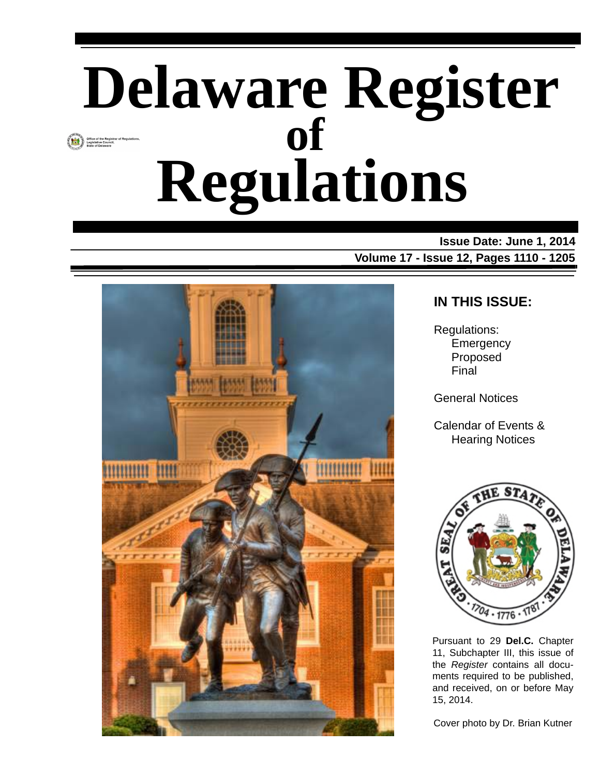# **Delaware Register Regulations of**

**Issue Date: June 1, 2014 Volume 17 - Issue 12, Pages 1110 - 1205**



#### **IN THIS ISSUE:**

Regulations: **Emergency** Proposed Final

General Notices

Calendar of Events & Hearing Notices



Pursuant to 29 **Del.C.** Chapter 11, Subchapter III, this issue of the *Register* contains all documents required to be published, and received, on or before May 15, 2014.

Cover photo by Dr. Brian Kutner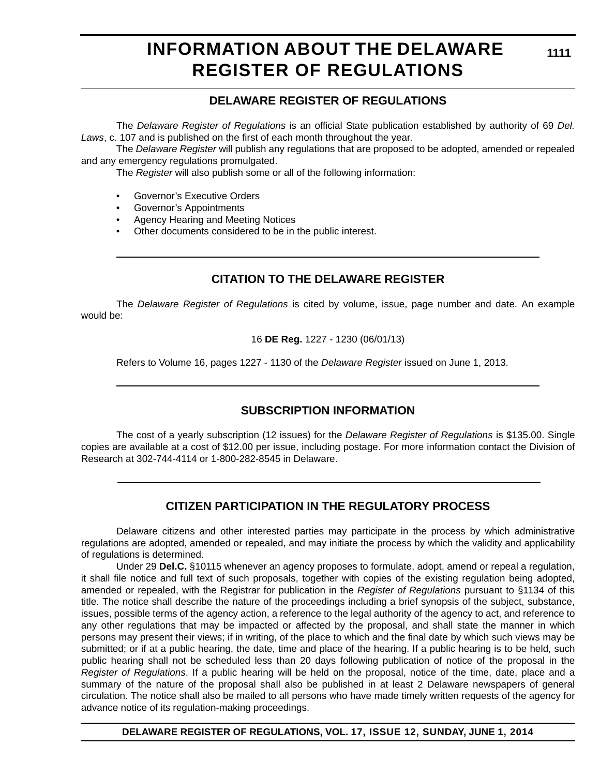### **INFORMATION ABOUT THE DELAWARE REGISTER OF REGULATIONS**

#### **DELAWARE REGISTER OF REGULATIONS**

The *Delaware Register of Regulations* is an official State publication established by authority of 69 *Del. Laws*, c. 107 and is published on the first of each month throughout the year.

The *Delaware Register* will publish any regulations that are proposed to be adopted, amended or repealed and any emergency regulations promulgated.

The *Register* will also publish some or all of the following information:

- Governor's Executive Orders
- Governor's Appointments
- Agency Hearing and Meeting Notices
- Other documents considered to be in the public interest.

#### **CITATION TO THE DELAWARE REGISTER**

The *Delaware Register of Regulations* is cited by volume, issue, page number and date. An example would be:

16 **DE Reg.** 1227 - 1230 (06/01/13)

Refers to Volume 16, pages 1227 - 1130 of the *Delaware Register* issued on June 1, 2013.

#### **SUBSCRIPTION INFORMATION**

The cost of a yearly subscription (12 issues) for the *Delaware Register of Regulations* is \$135.00. Single copies are available at a cost of \$12.00 per issue, including postage. For more information contact the Division of Research at 302-744-4114 or 1-800-282-8545 in Delaware.

#### **CITIZEN PARTICIPATION IN THE REGULATORY PROCESS**

Delaware citizens and other interested parties may participate in the process by which administrative regulations are adopted, amended or repealed, and may initiate the process by which the validity and applicability of regulations is determined.

Under 29 **Del.C.** §10115 whenever an agency proposes to formulate, adopt, amend or repeal a regulation, it shall file notice and full text of such proposals, together with copies of the existing regulation being adopted, amended or repealed, with the Registrar for publication in the *Register of Regulations* pursuant to §1134 of this title. The notice shall describe the nature of the proceedings including a brief synopsis of the subject, substance, issues, possible terms of the agency action, a reference to the legal authority of the agency to act, and reference to any other regulations that may be impacted or affected by the proposal, and shall state the manner in which persons may present their views; if in writing, of the place to which and the final date by which such views may be submitted; or if at a public hearing, the date, time and place of the hearing. If a public hearing is to be held, such public hearing shall not be scheduled less than 20 days following publication of notice of the proposal in the *Register of Regulations*. If a public hearing will be held on the proposal, notice of the time, date, place and a summary of the nature of the proposal shall also be published in at least 2 Delaware newspapers of general circulation. The notice shall also be mailed to all persons who have made timely written requests of the agency for advance notice of its regulation-making proceedings.

**DELAWARE REGISTER OF REGULATIONS, VOL. 17, ISSUE 12, SUNDAY, JUNE 1, 2014**

**1111**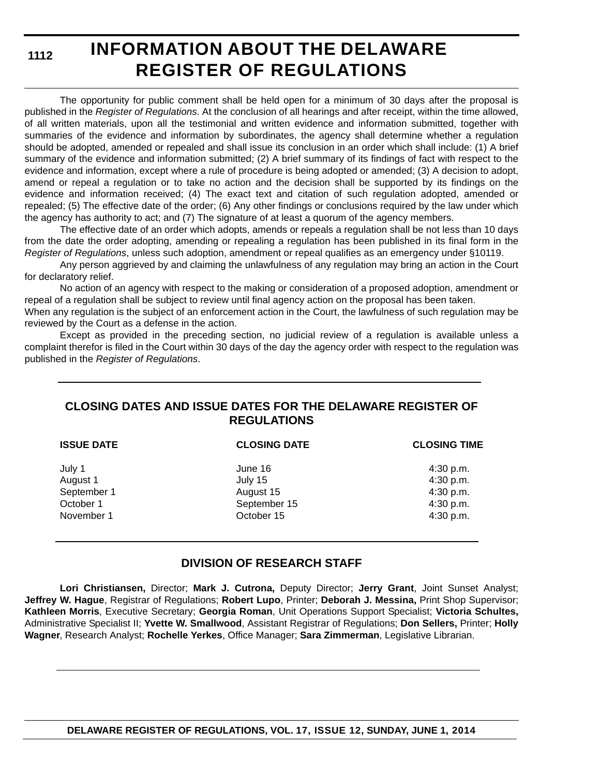### **INFORMATION ABOUT THE DELAWARE REGISTER OF REGULATIONS**

The opportunity for public comment shall be held open for a minimum of 30 days after the proposal is published in the *Register of Regulations*. At the conclusion of all hearings and after receipt, within the time allowed, of all written materials, upon all the testimonial and written evidence and information submitted, together with summaries of the evidence and information by subordinates, the agency shall determine whether a regulation should be adopted, amended or repealed and shall issue its conclusion in an order which shall include: (1) A brief summary of the evidence and information submitted; (2) A brief summary of its findings of fact with respect to the evidence and information, except where a rule of procedure is being adopted or amended; (3) A decision to adopt, amend or repeal a regulation or to take no action and the decision shall be supported by its findings on the evidence and information received; (4) The exact text and citation of such regulation adopted, amended or repealed; (5) The effective date of the order; (6) Any other findings or conclusions required by the law under which the agency has authority to act; and (7) The signature of at least a quorum of the agency members.

The effective date of an order which adopts, amends or repeals a regulation shall be not less than 10 days from the date the order adopting, amending or repealing a regulation has been published in its final form in the *Register of Regulations*, unless such adoption, amendment or repeal qualifies as an emergency under §10119.

Any person aggrieved by and claiming the unlawfulness of any regulation may bring an action in the Court for declaratory relief.

No action of an agency with respect to the making or consideration of a proposed adoption, amendment or repeal of a regulation shall be subject to review until final agency action on the proposal has been taken.

When any regulation is the subject of an enforcement action in the Court, the lawfulness of such regulation may be reviewed by the Court as a defense in the action.

Except as provided in the preceding section, no judicial review of a regulation is available unless a complaint therefor is filed in the Court within 30 days of the day the agency order with respect to the regulation was published in the *Register of Regulations*.

#### **CLOSING DATES AND ISSUE DATES FOR THE DELAWARE REGISTER OF REGULATIONS**

| <b>ISSUE DATE</b>                                            | <b>CLOSING DATE</b>                                           | <b>CLOSING TIME</b>                                           |
|--------------------------------------------------------------|---------------------------------------------------------------|---------------------------------------------------------------|
| July 1<br>August 1<br>September 1<br>October 1<br>November 1 | June 16<br>July 15<br>August 15<br>September 15<br>October 15 | 4:30 p.m.<br>4:30 p.m.<br>4:30 p.m.<br>4:30 p.m.<br>4:30 p.m. |
|                                                              |                                                               |                                                               |

#### **DIVISION OF RESEARCH STAFF**

**Lori Christiansen,** Director; **Mark J. Cutrona,** Deputy Director; **Jerry Grant**, Joint Sunset Analyst; **Jeffrey W. Hague**, Registrar of Regulations; **Robert Lupo**, Printer; **Deborah J. Messina,** Print Shop Supervisor; **Kathleen Morris**, Executive Secretary; **Georgia Roman**, Unit Operations Support Specialist; **Victoria Schultes,** Administrative Specialist II; **Yvette W. Smallwood**, Assistant Registrar of Regulations; **Don Sellers,** Printer; **Holly Wagner**, Research Analyst; **Rochelle Yerkes**, Office Manager; **Sara Zimmerman**, Legislative Librarian.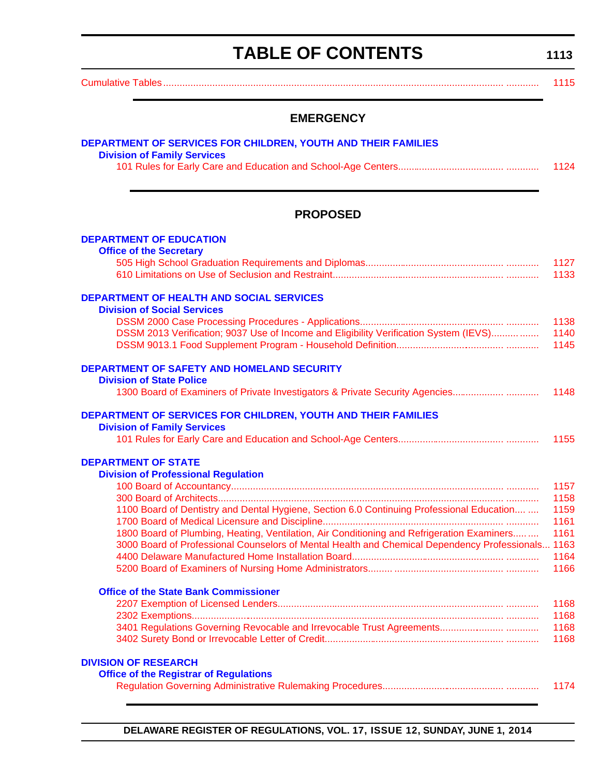# **TABLE OF CONTENTS**

**1113**

<span id="page-3-0"></span>[Cumulative Tables............................................................................................................................. ............ 1115](#page-5-0)

#### **EMERGENCY**

| <b>DEPARTMENT OF SERVICES FOR CHILDREN, YOUTH AND THEIR FAMILIES</b> |      |
|----------------------------------------------------------------------|------|
| <b>Division of Family Services</b>                                   |      |
|                                                                      | 1124 |
|                                                                      |      |

#### **PROPOSED**

| <b>DEPARTMENT OF EDUCATION</b>                                                                    |      |
|---------------------------------------------------------------------------------------------------|------|
| <b>Office of the Secretary</b>                                                                    |      |
|                                                                                                   | 1127 |
|                                                                                                   | 1133 |
| <b>DEPARTMENT OF HEALTH AND SOCIAL SERVICES</b>                                                   |      |
| <b>Division of Social Services</b>                                                                |      |
|                                                                                                   | 1138 |
| DSSM 2013 Verification; 9037 Use of Income and Eligibility Verification System (IEVS)             | 1140 |
|                                                                                                   | 1145 |
| <b>DEPARTMENT OF SAFETY AND HOMELAND SECURITY</b>                                                 |      |
| <b>Division of State Police</b>                                                                   |      |
| 1300 Board of Examiners of Private Investigators & Private Security Agencies                      | 1148 |
| DEPARTMENT OF SERVICES FOR CHILDREN, YOUTH AND THEIR FAMILIES                                     |      |
| <b>Division of Family Services</b>                                                                |      |
|                                                                                                   | 1155 |
| <b>DEPARTMENT OF STATE</b>                                                                        |      |
| <b>Division of Professional Regulation</b>                                                        |      |
|                                                                                                   | 1157 |
|                                                                                                   | 1158 |
| 1100 Board of Dentistry and Dental Hygiene, Section 6.0 Continuing Professional Education         | 1159 |
|                                                                                                   | 1161 |
| 1800 Board of Plumbing, Heating, Ventilation, Air Conditioning and Refrigeration Examiners        | 1161 |
| 3000 Board of Professional Counselors of Mental Health and Chemical Dependency Professionals 1163 |      |
|                                                                                                   | 1164 |
|                                                                                                   | 1166 |
| <b>Office of the State Bank Commissioner</b>                                                      |      |
|                                                                                                   | 1168 |
|                                                                                                   | 1168 |
|                                                                                                   | 1168 |
|                                                                                                   | 1168 |
| <b>DIVISION OF RESEARCH</b>                                                                       |      |
| <b>Office of the Registrar of Regulations</b>                                                     |      |
|                                                                                                   | 1174 |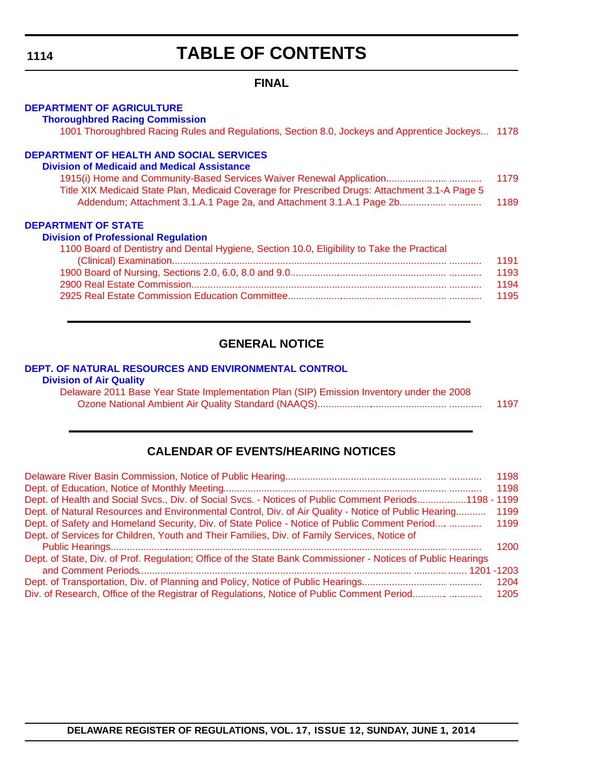### **TABLE OF CONTENTS**

#### **FINAL**

#### **[DEPARTMENT OF AGRICULTURE](http://dda.delaware.gov/thoroughbred/index.shtml)**

**Thoroughbred Racing Commission**

[1001 Thoroughbred Racing Rules and Regulations, Section 8.0, Jockeys and Apprentice Jockeys... 1178](#page-68-0)

#### **[DEPARTMENT OF HEALTH AND SOCIAL SERVICES](http://www.dhss.delaware.gov/dhss/dmma/)**

#### **Division of Medicaid and Medical Assistance**

| 1915(i) Home and Community-Based Services Waiver Renewal Application                           | 1179 |
|------------------------------------------------------------------------------------------------|------|
| Title XIX Medicaid State Plan, Medicaid Coverage for Prescribed Drugs: Attachment 3.1-A Page 5 |      |
| Addendum; Attachment 3.1.A.1 Page 2a, and Attachment 3.1.A.1 Page 2b                           | 1189 |

#### **DEPARTMENT OF STATE**

#### **[Division of Professional Regulation](http://dpr.delaware.gov/)** 1100 Board of Dentistry and Dental Hygiene, Section 10.0, Eligibility to Take the Practical [\(Clinical\) Examination..................................................................................................... ............ 1191](#page-81-0) [1900 Board of Nursing, Sections 2.0, 6.0, 8.0 and 9.0......................................................... ............ 1193](#page-83-0) [2900 Real Estate Commission.............................................................................................. ............ 1194](#page-84-0) [2925 Real Estate Commission Education Committee.......................................................... ............ 1195](#page-85-0)

#### **GENERAL NOTICE**

#### **[DEPT. OF NATURAL RESOURCES AND ENVIRONMENTAL CONTROL](http://www.dnrec.delaware.gov/air/Pages/Default.aspx)**

#### **Division of Air Quality**

Delaware 2011 Base Year State Implementation Plan (SIP) Emission Inventory under the 2008 [Ozone National Ambient Air Quality Standard \(NAAQS\)................................................ ............ 1197](#page-87-0)

#### **CALENDAR OF EVENTS/HEARING NOTICES**

|                                                                                                              | 1198 |
|--------------------------------------------------------------------------------------------------------------|------|
| Dept. of Health and Social Svcs., Div. of Social Svcs. - Notices of Public Comment Periods1198 - 1199        |      |
| Dept. of Natural Resources and Environmental Control, Div. of Air Quality - Notice of Public Hearing         | 1199 |
| Dept. of Safety and Homeland Security, Div. of State Police - Notice of Public Comment Period  1199          |      |
| Dept. of Services for Children, Youth and Their Families, Div. of Family Services, Notice of                 |      |
|                                                                                                              | 1200 |
| Dept. of State, Div. of Prof. Regulation; Office of the State Bank Commissioner - Notices of Public Hearings |      |
|                                                                                                              |      |
|                                                                                                              | 1204 |
|                                                                                                              |      |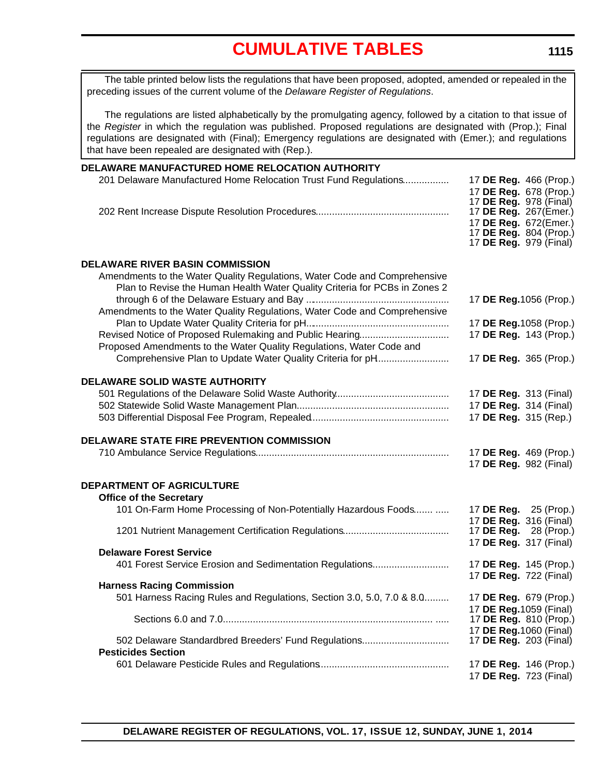<span id="page-5-0"></span>The table printed below lists the regulations that have been proposed, adopted, amended or repealed in the preceding issues of the current volume of the *Delaware Register of Regulations*.

The regulations are listed alphabetically by the promulgating agency, followed by a citation to that issue of the *Register* in which the regulation was published. Proposed regulations are designated with (Prop.); Final regulations are designated with (Final); Emergency regulations are designated with (Emer.); and regulations that have been repealed are designated with (Rep.).

| DELAWARE MANUFACTURED HOME RELOCATION AUTHORITY                                                                                                         |                                                                                                           |
|---------------------------------------------------------------------------------------------------------------------------------------------------------|-----------------------------------------------------------------------------------------------------------|
| 201 Delaware Manufactured Home Relocation Trust Fund Regulations                                                                                        | 17 DE Reg. 466 (Prop.)<br>17 DE Reg. 678 (Prop.)<br>17 <b>DE Reg.</b> 978 (Final)                         |
|                                                                                                                                                         | 17 DE Reg. 267(Emer.)<br>17 DE Reg. 672(Emer.)<br>17 DE Reg. 804 (Prop.)<br>17 <b>DE Reg.</b> 979 (Final) |
| <b>DELAWARE RIVER BASIN COMMISSION</b>                                                                                                                  |                                                                                                           |
| Amendments to the Water Quality Regulations, Water Code and Comprehensive<br>Plan to Revise the Human Health Water Quality Criteria for PCBs in Zones 2 | 17 DE Reg. 1056 (Prop.)                                                                                   |
| Amendments to the Water Quality Regulations, Water Code and Comprehensive                                                                               |                                                                                                           |
| Revised Notice of Proposed Rulemaking and Public Hearing                                                                                                | 17 DE Reg. 1058 (Prop.)<br>17 DE Reg. 143 (Prop.)                                                         |
| Proposed Amendments to the Water Quality Regulations, Water Code and                                                                                    |                                                                                                           |
| Comprehensive Plan to Update Water Quality Criteria for pH                                                                                              | 17 DE Reg. 365 (Prop.)                                                                                    |
| <b>DELAWARE SOLID WASTE AUTHORITY</b>                                                                                                                   |                                                                                                           |
|                                                                                                                                                         | 17 DE Reg. 313 (Final)                                                                                    |
|                                                                                                                                                         | 17 DE Reg. 314 (Final)                                                                                    |
|                                                                                                                                                         | 17 DE Reg. 315 (Rep.)                                                                                     |
| DELAWARE STATE FIRE PREVENTION COMMISSION                                                                                                               |                                                                                                           |
|                                                                                                                                                         | 17 DE Reg. 469 (Prop.)<br>17 DE Reg. 982 (Final)                                                          |
| <b>DEPARTMENT OF AGRICULTURE</b>                                                                                                                        |                                                                                                           |
| <b>Office of the Secretary</b>                                                                                                                          |                                                                                                           |
| 101 On-Farm Home Processing of Non-Potentially Hazardous Foods                                                                                          | 17 DE Reg. 25 (Prop.)<br>17 DE Reg. 316 (Final)                                                           |
|                                                                                                                                                         | 17 <b>DE Reg.</b> 28 (Prop.)                                                                              |
| <b>Delaware Forest Service</b>                                                                                                                          | 17 DE Reg. 317 (Final)                                                                                    |
| 401 Forest Service Erosion and Sedimentation Regulations                                                                                                | 17 DE Reg. 145 (Prop.)                                                                                    |
| <b>Harness Racing Commission</b>                                                                                                                        | 17 DE Reg. 722 (Final)                                                                                    |
| 501 Harness Racing Rules and Regulations, Section 3.0, 5.0, 7.0 & 8.0                                                                                   | 17 DE Reg. 679 (Prop.)                                                                                    |
|                                                                                                                                                         | 17 <b>DE Reg.</b> 1059 (Final)<br>17 DE Reg. 810 (Prop.)                                                  |
|                                                                                                                                                         | 17 DE Reg. 1060 (Final)                                                                                   |
| 502 Delaware Standardbred Breeders' Fund Regulations<br><b>Pesticides Section</b>                                                                       | 17 DE Reg. 203 (Final)                                                                                    |
|                                                                                                                                                         | 17 DE Reg. 146 (Prop.)                                                                                    |
|                                                                                                                                                         | 17 DE Reg. 723 (Final)                                                                                    |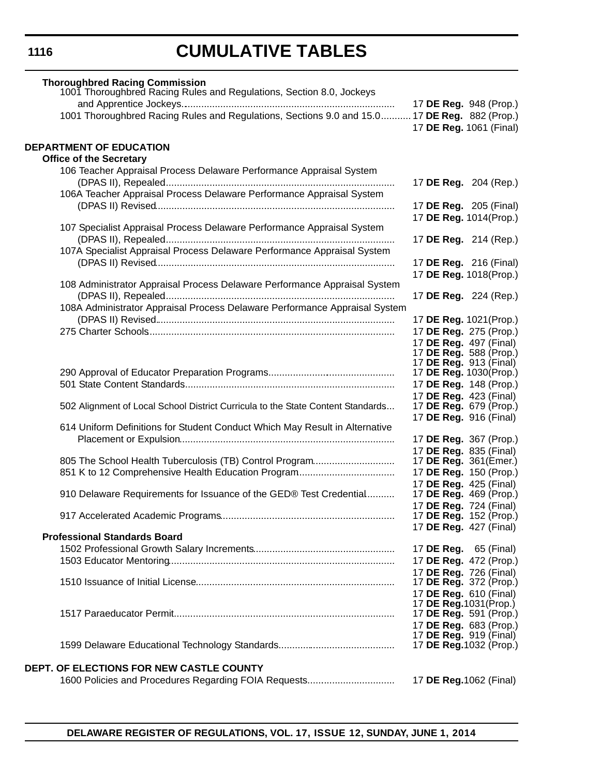| <b>Thoroughbred Racing Commission</b>                                                        |                               |                                |
|----------------------------------------------------------------------------------------------|-------------------------------|--------------------------------|
| 1001 Thoroughbred Racing Rules and Regulations, Section 8.0, Jockeys                         |                               |                                |
|                                                                                              |                               | 17 DE Reg. 948 (Prop.)         |
| 1001 Thoroughbred Racing Rules and Regulations, Sections 9.0 and 15.0 17 DE Reg. 882 (Prop.) |                               |                                |
|                                                                                              |                               | 17 DE Reg. 1061 (Final)        |
|                                                                                              |                               |                                |
| <b>DEPARTMENT OF EDUCATION</b>                                                               |                               |                                |
| <b>Office of the Secretary</b>                                                               |                               |                                |
| 106 Teacher Appraisal Process Delaware Performance Appraisal System                          |                               |                                |
|                                                                                              |                               | 17 DE Reg. 204 (Rep.)          |
| 106A Teacher Appraisal Process Delaware Performance Appraisal System                         |                               |                                |
|                                                                                              |                               | 17 DE Reg. 205 (Final)         |
|                                                                                              |                               | 17 DE Reg. 1014(Prop.)         |
| 107 Specialist Appraisal Process Delaware Performance Appraisal System                       |                               |                                |
|                                                                                              |                               | 17 DE Reg. 214 (Rep.)          |
| 107A Specialist Appraisal Process Delaware Performance Appraisal System                      |                               |                                |
|                                                                                              |                               | 17 <b>DE Reg.</b> 216 (Final)  |
|                                                                                              |                               | 17 DE Reg. 1018(Prop.)         |
| 108 Administrator Appraisal Process Delaware Performance Appraisal System                    |                               |                                |
|                                                                                              | 17 DE Reg. 224 (Rep.)         |                                |
| 108A Administrator Appraisal Process Delaware Performance Appraisal System                   |                               |                                |
|                                                                                              | 17 DE Reg. 1021(Prop.)        |                                |
|                                                                                              |                               | 17 DE Reg. 275 (Prop.)         |
|                                                                                              | 17 DE Reg. 497 (Final)        |                                |
|                                                                                              |                               | 17 DE Reg. 588 (Prop.)         |
|                                                                                              | 17 <b>DE Reg.</b> 913 (Final) |                                |
|                                                                                              | 17 DE Reg. 1030(Prop.)        |                                |
|                                                                                              |                               | 17 DE Reg. 148 (Prop.)         |
|                                                                                              | 17 DE Reg. 423 (Final)        |                                |
| 502 Alignment of Local School District Curricula to the State Content Standards              |                               | 17 DE Reg. 679 (Prop.)         |
|                                                                                              | 17 DE Reg. 916 (Final)        |                                |
| 614 Uniform Definitions for Student Conduct Which May Result in Alternative                  |                               |                                |
|                                                                                              |                               | 17 DE Reg. 367 (Prop.)         |
|                                                                                              | 17 DE Reg. 835 (Final)        |                                |
|                                                                                              |                               | 17 DE Reg. 361(Emer.)          |
| 851 K to 12 Comprehensive Health Education Program                                           |                               | 17 DE Reg. 150 (Prop.)         |
|                                                                                              | 17 DE Reg. 425 (Final)        |                                |
| 910 Delaware Requirements for Issuance of the GED® Test Credential                           |                               | 17 DE Reg. 469 (Prop.)         |
|                                                                                              | 17 DE Reg. 724 (Final)        | 17 DE Reg. 152 (Prop.)         |
|                                                                                              | 17 DE Reg. 427 (Final)        |                                |
| <b>Professional Standards Board</b>                                                          |                               |                                |
|                                                                                              | 17 <b>DE Reg.</b> 65 (Final)  |                                |
|                                                                                              |                               | 17 DE Reg. 472 (Prop.)         |
|                                                                                              | 17 DE Reg. 726 (Final)        |                                |
|                                                                                              | 17 DE Reg. 372 (Prop.)        |                                |
|                                                                                              | 17 DE Reg. 610 (Final)        |                                |
|                                                                                              | 17 DE Reg. 1031 (Prop.)       |                                |
|                                                                                              |                               | 17 DE Reg. 591 (Prop.)         |
|                                                                                              |                               | 17 DE Reg. 683 (Prop.)         |
|                                                                                              | 17 <b>DE Reg.</b> 919 (Final) |                                |
|                                                                                              |                               | 17 <b>DE Reg.</b> 1032 (Prop.) |
|                                                                                              |                               |                                |
| DEPT. OF ELECTIONS FOR NEW CASTLE COUNTY                                                     |                               |                                |
|                                                                                              | 17 DE Reg. 1062 (Final)       |                                |
|                                                                                              |                               |                                |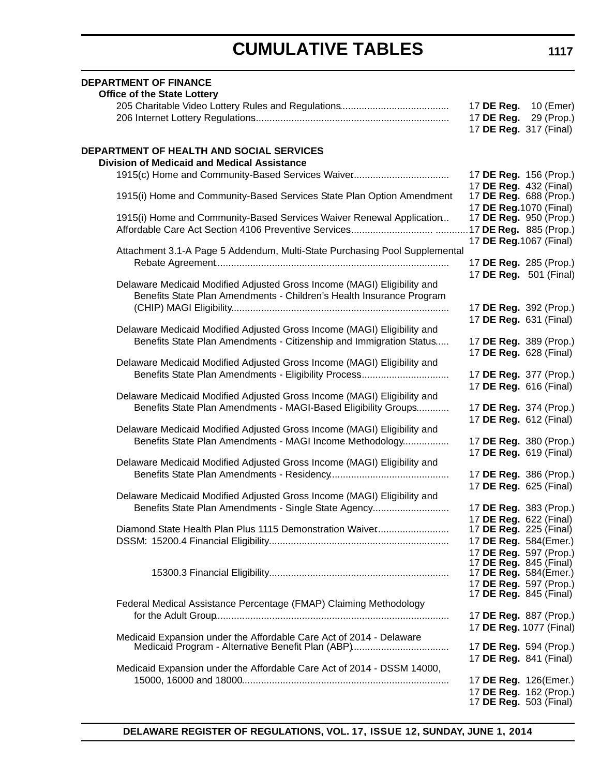| <b>DEPARTMENT OF FINANCE</b><br><b>Office of the State Lottery</b>                                                              |                                                         |  |
|---------------------------------------------------------------------------------------------------------------------------------|---------------------------------------------------------|--|
|                                                                                                                                 | 17 DE Reg. 10 (Emer)<br>17 DE Reg. 29 (Prop.)           |  |
|                                                                                                                                 | 17 DE Reg. 317 (Final)                                  |  |
| DEPARTMENT OF HEALTH AND SOCIAL SERVICES                                                                                        |                                                         |  |
| <b>Division of Medicaid and Medical Assistance</b>                                                                              |                                                         |  |
| 1915(c) Home and Community-Based Services Waiver                                                                                | 17 DE Reg. 156 (Prop.)<br>17 DE Reg. 432 (Final)        |  |
| 1915(i) Home and Community-Based Services State Plan Option Amendment                                                           | 17 DE Reg. 688 (Prop.)<br>17 DE Reg. 1070 (Final)       |  |
| 1915(i) Home and Community-Based Services Waiver Renewal Application                                                            | 17 DE Reg. 950 (Prop.)                                  |  |
|                                                                                                                                 | .17 DE Reg. 885 (Prop.)<br>17 DE Reg. 1067 (Final)      |  |
| Attachment 3.1-A Page 5 Addendum, Multi-State Purchasing Pool Supplemental                                                      |                                                         |  |
|                                                                                                                                 | 17 DE Reg. 285 (Prop.)<br>17 DE Reg. 501 (Final)        |  |
| Delaware Medicaid Modified Adjusted Gross Income (MAGI) Eligibility and                                                         |                                                         |  |
| Benefits State Plan Amendments - Children's Health Insurance Program                                                            |                                                         |  |
|                                                                                                                                 | 17 DE Reg. 392 (Prop.)                                  |  |
| Delaware Medicaid Modified Adjusted Gross Income (MAGI) Eligibility and                                                         | 17 DE Reg. 631 (Final)                                  |  |
| Benefits State Plan Amendments - Citizenship and Immigration Status                                                             | 17 DE Reg. 389 (Prop.)                                  |  |
|                                                                                                                                 | 17 DE Reg. 628 (Final)                                  |  |
| Delaware Medicaid Modified Adjusted Gross Income (MAGI) Eligibility and                                                         | 17 DE Reg. 377 (Prop.)                                  |  |
|                                                                                                                                 | 17 DE Reg. 616 (Final)                                  |  |
| Delaware Medicaid Modified Adjusted Gross Income (MAGI) Eligibility and                                                         |                                                         |  |
| Benefits State Plan Amendments - MAGI-Based Eligibility Groups                                                                  | 17 DE Reg. 374 (Prop.)<br>17 DE Reg. 612 (Final)        |  |
| Delaware Medicaid Modified Adjusted Gross Income (MAGI) Eligibility and                                                         |                                                         |  |
| Benefits State Plan Amendments - MAGI Income Methodology                                                                        | 17 DE Reg. 380 (Prop.)                                  |  |
| Delaware Medicaid Modified Adjusted Gross Income (MAGI) Eligibility and                                                         | 17 DE Reg. 619 (Final)                                  |  |
|                                                                                                                                 | 17 DE Reg. 386 (Prop.)                                  |  |
|                                                                                                                                 | 17 DE Reg. 625 (Final)                                  |  |
| Delaware Medicaid Modified Adjusted Gross Income (MAGI) Eligibility and<br>Benefits State Plan Amendments - Single State Agency | 17 DE Reg. 383 (Prop.)                                  |  |
|                                                                                                                                 | 17 DE Reg. 622 (Final)                                  |  |
| Diamond State Health Plan Plus 1115 Demonstration Waiver                                                                        | 17 DE Reg. 225 (Final)                                  |  |
|                                                                                                                                 | 17 DE Reg. 584(Emer.)                                   |  |
|                                                                                                                                 | 17 DE Reg. 597 (Prop.)<br>17 <b>DE Reg.</b> 845 (Final) |  |
|                                                                                                                                 | 17 DE Reg. 584(Emer.)                                   |  |
|                                                                                                                                 | 17 DE Reg. 597 (Prop.)                                  |  |
| Federal Medical Assistance Percentage (FMAP) Claiming Methodology                                                               | 17 <b>DE Reg.</b> 845 (Final)                           |  |
|                                                                                                                                 | 17 DE Reg. 887 (Prop.)                                  |  |
|                                                                                                                                 | 17 DE Reg. 1077 (Final)                                 |  |
| Medicaid Expansion under the Affordable Care Act of 2014 - Delaware                                                             | 17 DE Reg. 594 (Prop.)                                  |  |
|                                                                                                                                 | 17 DE Reg. 841 (Final)                                  |  |
| Medicaid Expansion under the Affordable Care Act of 2014 - DSSM 14000,                                                          |                                                         |  |
|                                                                                                                                 | 17 DE Reg. 126(Emer.)<br>17 DE Reg. 162 (Prop.)         |  |
|                                                                                                                                 | 17 <b>DE Reg.</b> 503 (Final)                           |  |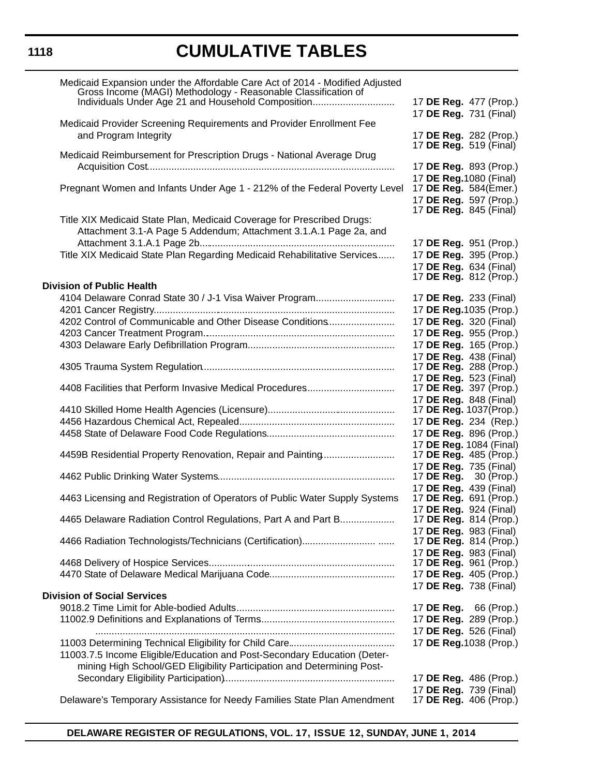| Medicaid Expansion under the Affordable Care Act of 2014 - Modified Adjusted<br>Gross Income (MAGI) Methodology - Reasonable Classification of<br>Individuals Under Age 21 and Household Composition | 17 DE Reg. 477 (Prop.)<br>17 DE Reg. 731 (Final)                                                            |
|------------------------------------------------------------------------------------------------------------------------------------------------------------------------------------------------------|-------------------------------------------------------------------------------------------------------------|
| Medicaid Provider Screening Requirements and Provider Enrollment Fee<br>and Program Integrity                                                                                                        | 17 DE Reg. 282 (Prop.)<br>17 <b>DE Reg.</b> 519 (Final)                                                     |
| Medicaid Reimbursement for Prescription Drugs - National Average Drug                                                                                                                                | 17 DE Reg. 893 (Prop.)                                                                                      |
| Pregnant Women and Infants Under Age 1 - 212% of the Federal Poverty Level                                                                                                                           | 17 DE Reg. 1080 (Final)<br>17 DE Reg. 584(Emer.)<br>17 DE Reg. 597 (Prop.)<br>17 <b>DE Reg.</b> 845 (Final) |
| Title XIX Medicaid State Plan, Medicaid Coverage for Prescribed Drugs:<br>Attachment 3.1-A Page 5 Addendum; Attachment 3.1.A.1 Page 2a, and                                                          |                                                                                                             |
| Title XIX Medicaid State Plan Regarding Medicaid Rehabilitative Services                                                                                                                             | 17 DE Reg. 951 (Prop.)<br>17 DE Reg. 395 (Prop.)<br>17 DE Reg. 634 (Final)<br>17 <b>DE Reg.</b> 812 (Prop.) |
| <b>Division of Public Health</b>                                                                                                                                                                     |                                                                                                             |
| 4104 Delaware Conrad State 30 / J-1 Visa Waiver Program                                                                                                                                              | 17 DE Reg. 233 (Final)                                                                                      |
| 4202 Control of Communicable and Other Disease Conditions                                                                                                                                            | 17 DE Reg. 1035 (Prop.)<br>17 DE Reg. 320 (Final)                                                           |
|                                                                                                                                                                                                      | 17 DE Reg. 955 (Prop.)                                                                                      |
|                                                                                                                                                                                                      | 17 DE Reg. 165 (Prop.)                                                                                      |
|                                                                                                                                                                                                      | 17 DE Reg. 438 (Final)                                                                                      |
|                                                                                                                                                                                                      | 17 DE Reg. 288 (Prop.)                                                                                      |
| 4408 Facilities that Perform Invasive Medical Procedures                                                                                                                                             | 17 DE Reg. 523 (Final)<br>17 DE Reg. 397 (Prop.)                                                            |
|                                                                                                                                                                                                      | 17 DE Reg. 848 (Final)                                                                                      |
|                                                                                                                                                                                                      | 17 DE Reg. 1037(Prop.)                                                                                      |
|                                                                                                                                                                                                      | 17 DE Reg. 234 (Rep.)<br>17 DE Reg. 896 (Prop.)                                                             |
|                                                                                                                                                                                                      | 17 DE Reg. 1084 (Final)                                                                                     |
| 4459B Residential Property Renovation, Repair and Painting                                                                                                                                           | 17 DE Reg. 485 (Prop.)                                                                                      |
|                                                                                                                                                                                                      | 17 DE Reg. 735 (Final)                                                                                      |
|                                                                                                                                                                                                      | 17 <b>DE Reg.</b> 30 (Prop.)<br>17 DE Reg. 439 (Final)                                                      |
| 4463 Licensing and Registration of Operators of Public Water Supply Systems                                                                                                                          | 17 <b>DE Reg.</b> 691 (Prop.)                                                                               |
|                                                                                                                                                                                                      | 17 DE Reg. 924 (Final)                                                                                      |
| 4465 Delaware Radiation Control Regulations, Part A and Part B                                                                                                                                       | 17 <b>DE Reg.</b> 814 (Prop.)                                                                               |
|                                                                                                                                                                                                      | 17 DE Reg. 983 (Final)<br>17 DE Reg. 814 (Prop.)                                                            |
|                                                                                                                                                                                                      | 17 DE Reg. 983 (Final)                                                                                      |
|                                                                                                                                                                                                      | 17 <b>DE Reg.</b> 961 (Prop.)                                                                               |
|                                                                                                                                                                                                      | 17 DE Reg. 405 (Prop.)<br>17 DE Reg. 738 (Final)                                                            |
| <b>Division of Social Services</b>                                                                                                                                                                   |                                                                                                             |
|                                                                                                                                                                                                      | 17 DE Reg. 66 (Prop.)                                                                                       |
|                                                                                                                                                                                                      | 17 DE Reg. 289 (Prop.)                                                                                      |
|                                                                                                                                                                                                      | 17 DE Reg. 526 (Final)                                                                                      |
|                                                                                                                                                                                                      | 17 DE Reg. 1038 (Prop.)                                                                                     |
| 11003.7.5 Income Eligible/Education and Post-Secondary Education (Deter-<br>mining High School/GED Eligibility Participation and Determining Post-                                                   |                                                                                                             |
|                                                                                                                                                                                                      | 17 DE Reg. 486 (Prop.)                                                                                      |
|                                                                                                                                                                                                      | 17 DE Reg. 739 (Final)                                                                                      |
| Delaware's Temporary Assistance for Needy Families State Plan Amendment                                                                                                                              | 17 DE Reg. 406 (Prop.)                                                                                      |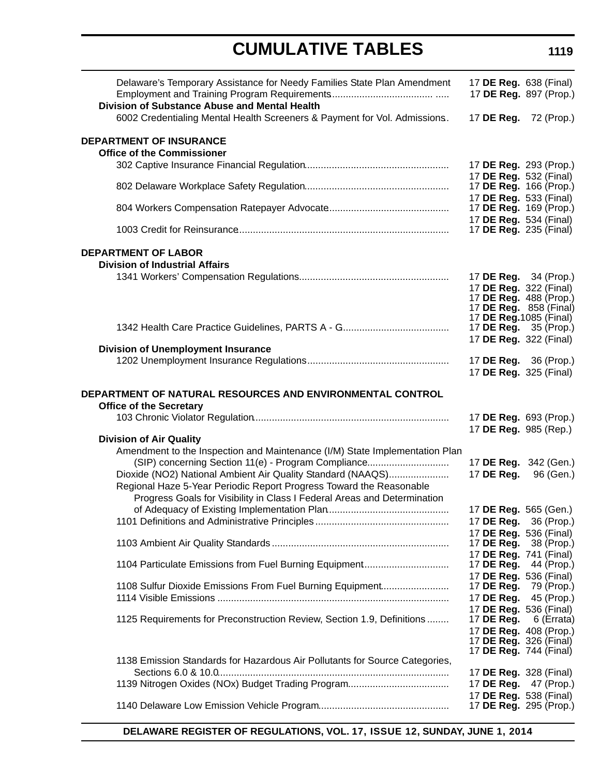| Delaware's Temporary Assistance for Needy Families State Plan Amendment<br>Division of Substance Abuse and Mental Health | 17 <b>DE Reg.</b> 638 (Final) | 17 DE Reg. 897 (Prop.)        |
|--------------------------------------------------------------------------------------------------------------------------|-------------------------------|-------------------------------|
| 6002 Credentialing Mental Health Screeners & Payment for Vol. Admissions.                                                | 17 DE Reg. 72 (Prop.)         |                               |
| <b>DEPARTMENT OF INSURANCE</b>                                                                                           |                               |                               |
| <b>Office of the Commissioner</b>                                                                                        |                               |                               |
|                                                                                                                          | 17 DE Reg. 293 (Prop.)        |                               |
|                                                                                                                          | 17 DE Reg. 532 (Final)        |                               |
|                                                                                                                          | 17 DE Reg. 166 (Prop.)        |                               |
|                                                                                                                          | 17 DE Reg. 533 (Final)        |                               |
|                                                                                                                          | 17 DE Reg. 169 (Prop.)        |                               |
|                                                                                                                          | 17 DE Reg. 534 (Final)        |                               |
|                                                                                                                          | 17 <b>DE Reg.</b> 235 (Final) |                               |
| <b>DEPARTMENT OF LABOR</b>                                                                                               |                               |                               |
| <b>Division of Industrial Affairs</b>                                                                                    |                               |                               |
|                                                                                                                          | 17 DE Reg. 34 (Prop.)         |                               |
|                                                                                                                          | 17 DE Reg. 322 (Final)        |                               |
|                                                                                                                          | 17 DE Reg. 488 (Prop.)        |                               |
|                                                                                                                          | 17 DE Reg. 858 (Final)        |                               |
|                                                                                                                          | 17 DE Reg. 1085 (Final)       |                               |
|                                                                                                                          | 17 DE Reg. 35 (Prop.)         |                               |
|                                                                                                                          | 17 DE Reg. 322 (Final)        |                               |
| <b>Division of Unemployment Insurance</b>                                                                                |                               |                               |
|                                                                                                                          | 17 DE Reg. 36 (Prop.)         |                               |
|                                                                                                                          |                               |                               |
|                                                                                                                          | 17 DE Reg. 325 (Final)        |                               |
| DEPARTMENT OF NATURAL RESOURCES AND ENVIRONMENTAL CONTROL<br><b>Office of the Secretary</b>                              |                               |                               |
|                                                                                                                          | 17 DE Reg. 693 (Prop.)        |                               |
|                                                                                                                          | 17 DE Reg. 985 (Rep.)         |                               |
| <b>Division of Air Quality</b>                                                                                           |                               |                               |
| Amendment to the Inspection and Maintenance (I/M) State Implementation Plan                                              |                               |                               |
| (SIP) concerning Section 11(e) - Program Compliance                                                                      | 17 DE Reg. 342 (Gen.)         |                               |
| Dioxide (NO2) National Ambient Air Quality Standard (NAAQS)                                                              | 17 DE Reg.                    | 96 (Gen.)                     |
| Regional Haze 5-Year Periodic Report Progress Toward the Reasonable                                                      |                               |                               |
| Progress Goals for Visibility in Class I Federal Areas and Determination                                                 |                               |                               |
|                                                                                                                          |                               |                               |
|                                                                                                                          | 17 DE Reg. 565 (Gen.)         |                               |
|                                                                                                                          | 17 DE Reg. 36 (Prop.)         |                               |
|                                                                                                                          | 17 DE Reg. 536 (Final)        |                               |
|                                                                                                                          | 17 DE Reg.                    | 38 (Prop.)                    |
|                                                                                                                          | 17 DE Reg. 741 (Final)        |                               |
| 1104 Particulate Emissions from Fuel Burning Equipment                                                                   | 17 DE Reg.                    | 44 (Prop.)                    |
|                                                                                                                          | 17 DE Reg. 536 (Final)        |                               |
| 1108 Sulfur Dioxide Emissions From Fuel Burning Equipment                                                                | 17 DE Reg.                    | 79 (Prop.)                    |
|                                                                                                                          | 17 DE Reg.                    | 45 (Prop.)                    |
|                                                                                                                          | 17 DE Reg. 536 (Final)        |                               |
| 1125 Requirements for Preconstruction Review, Section 1.9, Definitions                                                   | 17 DE Reg.                    | 6 (Errata)                    |
|                                                                                                                          | 17 DE Reg. 408 (Prop.)        |                               |
|                                                                                                                          |                               | 17 <b>DE Reg.</b> 326 (Final) |
|                                                                                                                          |                               | 17 <b>DE Reg.</b> 744 (Final) |
| 1138 Emission Standards for Hazardous Air Pollutants for Source Categories,                                              |                               |                               |
|                                                                                                                          |                               | 17 <b>DE Reg.</b> 328 (Final) |
|                                                                                                                          | 17 DE Reg. 47 (Prop.)         |                               |
|                                                                                                                          | 17 DE Reg. 538 (Final)        |                               |
|                                                                                                                          | 17 DE Reg. 295 (Prop.)        |                               |
|                                                                                                                          |                               |                               |

#### **DELAWARE REGISTER OF REGULATIONS, VOL. 17, ISSUE 12, SUNDAY, JUNE 1, 2014**

### **1119**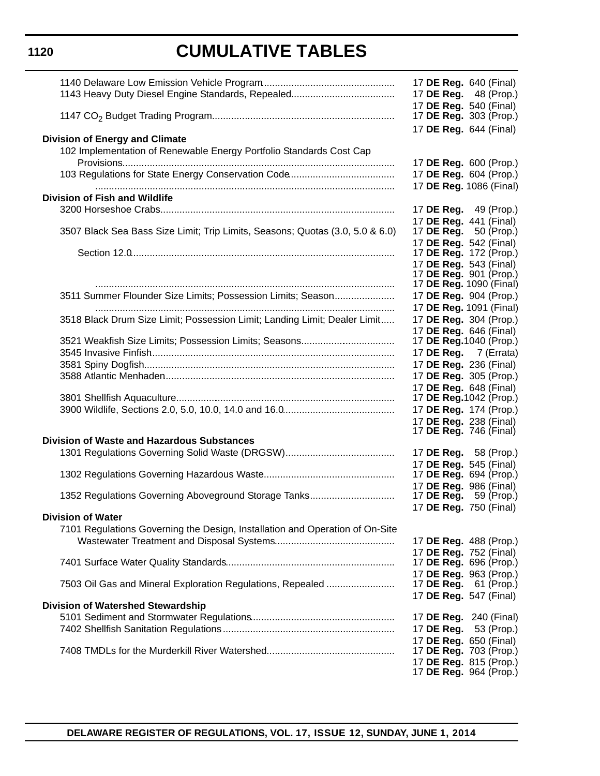|                                                                                                          | 17 <b>DE Reg.</b> 640 (Final)<br>17 DE Reg. 48 (Prop.)                            |
|----------------------------------------------------------------------------------------------------------|-----------------------------------------------------------------------------------|
|                                                                                                          | 17 DE Reg. 540 (Final)<br>17 <b>DE Reg.</b> 303 (Prop.)<br>17 DE Reg. 644 (Final) |
| <b>Division of Energy and Climate</b>                                                                    |                                                                                   |
| 102 Implementation of Renewable Energy Portfolio Standards Cost Cap                                      |                                                                                   |
|                                                                                                          | 17 DE Reg. 600 (Prop.)                                                            |
|                                                                                                          | 17 DE Reg. 604 (Prop.)<br>17 DE Reg. 1086 (Final)                                 |
| Division of Fish and Wildlife                                                                            |                                                                                   |
|                                                                                                          | 17 DE Reg. 49 (Prop.)                                                             |
|                                                                                                          | 17 DE Reg. 441 (Final)                                                            |
| 3507 Black Sea Bass Size Limit; Trip Limits, Seasons; Quotas (3.0, 5.0 & 6.0)                            | 17 DE Reg.<br>50 (Prop.)                                                          |
|                                                                                                          | 17 DE Reg. 542 (Final)                                                            |
|                                                                                                          | 17 <b>DE Reg.</b> 172 (Prop.)<br>17 DE Reg. 543 (Final)                           |
|                                                                                                          | 17 DE Reg. 901 (Prop.)                                                            |
|                                                                                                          | 17 DE Reg. 1090 (Final)                                                           |
| 3511 Summer Flounder Size Limits; Possession Limits; Season                                              | 17 DE Reg. 904 (Prop.)                                                            |
|                                                                                                          | 17 DE Reg. 1091 (Final)                                                           |
| 3518 Black Drum Size Limit; Possession Limit; Landing Limit; Dealer Limit                                | 17 DE Reg. 304 (Prop.)<br>17 DE Reg. 646 (Final)                                  |
| 3521 Weakfish Size Limits; Possession Limits; Seasons                                                    | 17 <b>DE Reg.</b> 1040 (Prop.)                                                    |
|                                                                                                          | 17 DE Reg. 7 (Errata)                                                             |
|                                                                                                          | 17 DE Reg. 236 (Final)                                                            |
|                                                                                                          | 17 DE Reg. 305 (Prop.)                                                            |
|                                                                                                          | 17 DE Reg. 648 (Final)                                                            |
|                                                                                                          | 17 DE Reg. 1042 (Prop.)<br>17 DE Reg. 174 (Prop.)                                 |
|                                                                                                          | 17 DE Reg. 238 (Final)                                                            |
|                                                                                                          | 17 <b>DE Reg.</b> 746 (Final)                                                     |
| <b>Division of Waste and Hazardous Substances</b>                                                        |                                                                                   |
|                                                                                                          | 17 DE Reg. 58 (Prop.)                                                             |
|                                                                                                          | 17 DE Reg. 545 (Final)<br>17 <b>DE Reg.</b> 694 (Prop.)                           |
|                                                                                                          | 17 DE Reg. 986 (Final)                                                            |
| 1352 Regulations Governing Aboveground Storage Tanks                                                     | 17 <b>DE Reg.</b> 59 (Prop.)                                                      |
|                                                                                                          | 17 DE Reg. 750 (Final)                                                            |
| <b>Division of Water</b><br>7101 Regulations Governing the Design, Installation and Operation of On-Site |                                                                                   |
|                                                                                                          | 17 DE Reg. 488 (Prop.)                                                            |
|                                                                                                          | 17 DE Reg. 752 (Final)                                                            |
|                                                                                                          | 17 <b>DE Reg.</b> 696 (Prop.)                                                     |
|                                                                                                          | 17 DE Reg. 963 (Prop.)                                                            |
| 7503 Oil Gas and Mineral Exploration Regulations, Repealed                                               | 17 <b>DE Reg.</b> 61 (Prop.)                                                      |
| <b>Division of Watershed Stewardship</b>                                                                 | 17 DE Reg. 547 (Final)                                                            |
|                                                                                                          | 17 <b>DE Reg.</b> 240 (Final)                                                     |
|                                                                                                          | 17 DE Reg. 53 (Prop.)                                                             |
|                                                                                                          | 17 DE Reg. 650 (Final)                                                            |
|                                                                                                          | 17 DE Reg. 703 (Prop.)                                                            |
|                                                                                                          | 17 DE Reg. 815 (Prop.)<br>17 <b>DE Reg.</b> 964 (Prop.)                           |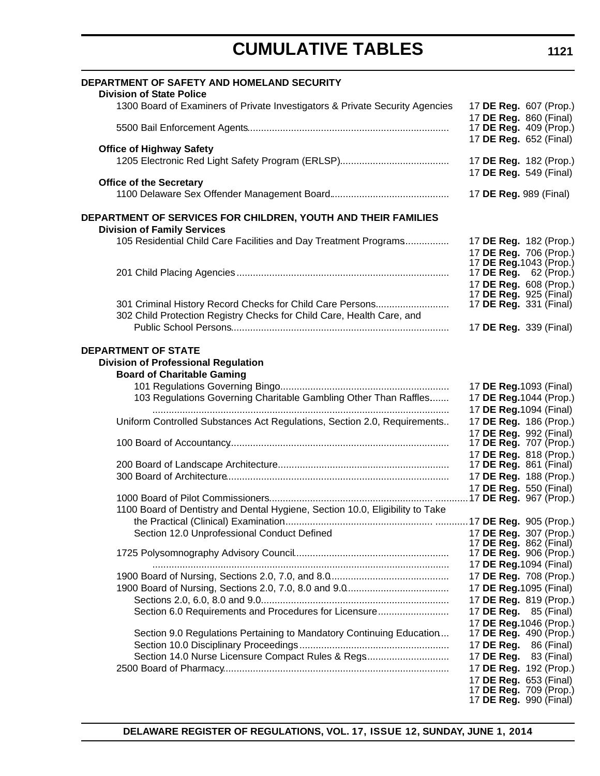| DEPARTMENT OF SAFETY AND HOMELAND SECURITY<br><b>Division of State Police</b>                                                                       |                                                    |
|-----------------------------------------------------------------------------------------------------------------------------------------------------|----------------------------------------------------|
| 1300 Board of Examiners of Private Investigators & Private Security Agencies                                                                        | 17 DE Reg. 607 (Prop.)                             |
|                                                                                                                                                     | 17 DE Reg. 860 (Final)<br>17 DE Reg. 409 (Prop.)   |
| <b>Office of Highway Safety</b>                                                                                                                     | 17 DE Reg. 652 (Final)                             |
|                                                                                                                                                     | 17 DE Reg. 182 (Prop.)<br>17 DE Reg. 549 (Final)   |
| <b>Office of the Secretary</b>                                                                                                                      | 17 <b>DE Reg.</b> 989 (Final)                      |
| DEPARTMENT OF SERVICES FOR CHILDREN, YOUTH AND THEIR FAMILIES                                                                                       |                                                    |
| <b>Division of Family Services</b>                                                                                                                  |                                                    |
| 105 Residential Child Care Facilities and Day Treatment Programs                                                                                    | 17 DE Reg. 182 (Prop.)<br>17 DE Reg. 706 (Prop.)   |
|                                                                                                                                                     | 17 DE Reg. 1043 (Prop.)<br>17 DE Reg. 62 (Prop.)   |
|                                                                                                                                                     | 17 DE Reg. 608 (Prop.)                             |
|                                                                                                                                                     | 17 <b>DE Reg.</b> 925 (Final)                      |
| 301 Criminal History Record Checks for Child Care Persons<br>302 Child Protection Registry Checks for Child Care, Health Care, and                  | 17 DE Reg. 331 (Final)                             |
|                                                                                                                                                     | 17 DE Reg. 339 (Final)                             |
| <b>Division of Professional Regulation</b><br><b>Board of Charitable Gaming</b><br>103 Regulations Governing Charitable Gambling Other Than Raffles | 17 DE Reg. 1093 (Final)<br>17 DE Reg. 1044 (Prop.) |
|                                                                                                                                                     | 17 DE Reg. 1094 (Final)                            |
| Uniform Controlled Substances Act Regulations, Section 2.0, Requirements                                                                            | 17 DE Reg. 186 (Prop.)                             |
|                                                                                                                                                     | 17 DE Reg. 992 (Final)<br>17 DE Reg. 707 (Prop.)   |
|                                                                                                                                                     | 17 DE Reg. 818 (Prop.)                             |
|                                                                                                                                                     | 17 <b>DE Reg.</b> 861 (Final)                      |
|                                                                                                                                                     | 17 DE Reg. 188 (Prop.)                             |
|                                                                                                                                                     | 17 DE Reg. 550 (Final)                             |
| 1100 Board of Dentistry and Dental Hygiene, Section 10.0, Eligibility to Take                                                                       |                                                    |
|                                                                                                                                                     |                                                    |
| Section 12.0 Unprofessional Conduct Defined                                                                                                         | 17 DE Reg. 307 (Prop.)                             |
|                                                                                                                                                     | 17 DE Reg. 862 (Final)                             |
|                                                                                                                                                     | 17 DE Reg. 906 (Prop.)                             |
|                                                                                                                                                     | 17 DE Reg. 1094 (Final)<br>17 DE Reg. 708 (Prop.)  |
|                                                                                                                                                     | 17 DE Reg. 1095 (Final)                            |
|                                                                                                                                                     | 17 DE Reg. 819 (Prop.)                             |
| Section 6.0 Requirements and Procedures for Licensure                                                                                               | 17 <b>DE Reg.</b> 85 (Final)                       |
|                                                                                                                                                     | 17 DE Reg. 1046 (Prop.)                            |
| Section 9.0 Regulations Pertaining to Mandatory Continuing Education                                                                                | 17 DE Reg. 490 (Prop.)                             |
|                                                                                                                                                     | 17 <b>DE Reg.</b> 86 (Final)                       |
| Section 14.0 Nurse Licensure Compact Rules & Regs                                                                                                   | 17 <b>DE Reg.</b> 83 (Final)                       |
|                                                                                                                                                     | 17 DE Reg. 192 (Prop.)                             |
|                                                                                                                                                     | 17 DE Reg. 653 (Final)<br>17 DE Reg. 709 (Prop.)   |
|                                                                                                                                                     | 17 DE Reg. 990 (Final)                             |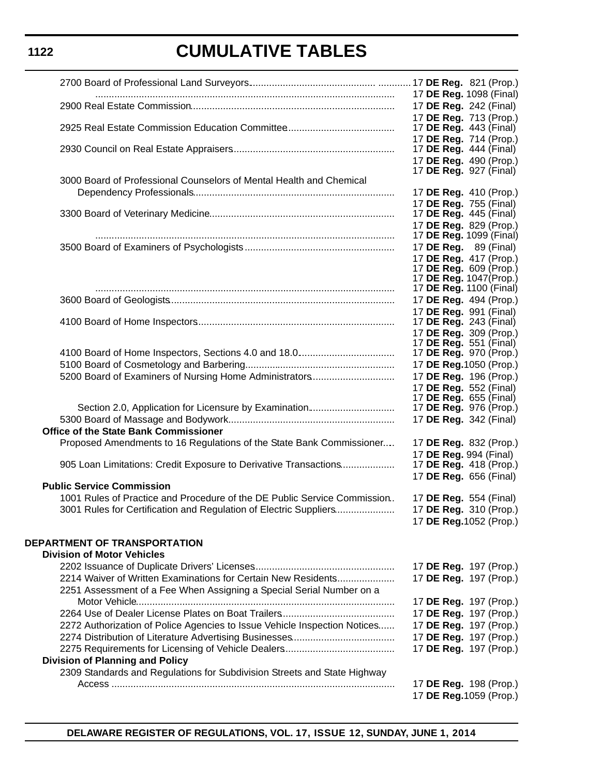|                                                                           | 17 DE Reg. 1098 (Final)                                 |
|---------------------------------------------------------------------------|---------------------------------------------------------|
|                                                                           | 17 DE Reg. 242 (Final)                                  |
|                                                                           | 17 DE Reg. 713 (Prop.)                                  |
|                                                                           | 17 DE Reg. 443 (Final)                                  |
|                                                                           | 17 DE Reg. 714 (Prop.)                                  |
|                                                                           | 17 <b>DE Reg.</b> 444 (Final)                           |
|                                                                           | 17 DE Reg. 490 (Prop.)                                  |
|                                                                           | 17 <b>DE Reg.</b> 927 (Final)                           |
| 3000 Board of Professional Counselors of Mental Health and Chemical       |                                                         |
|                                                                           | 17 DE Reg. 410 (Prop.)                                  |
|                                                                           | 17 DE Reg. 755 (Final)                                  |
|                                                                           | 17 <b>DE Reg.</b> 445 (Final)                           |
|                                                                           | 17 DE Reg. 829 (Prop.)                                  |
|                                                                           | 17 DE Reg. 1099 (Final)                                 |
|                                                                           | 17 DE Reg. 89 (Final)                                   |
|                                                                           | 17 DE Reg. 417 (Prop.)<br>17 <b>DE Reg.</b> 609 (Prop.) |
|                                                                           | 17 DE Reg. 1047(Prop.)                                  |
|                                                                           | 17 DE Reg. 1100 (Final)                                 |
|                                                                           | 17 DE Reg. 494 (Prop.)                                  |
|                                                                           | 17 DE Reg. 991 (Final)                                  |
|                                                                           | 17 DE Reg. 243 (Final)                                  |
|                                                                           | 17 DE Reg. 309 (Prop.)                                  |
|                                                                           | 17 <b>DE Reg.</b> 551 (Final)                           |
|                                                                           | 17 <b>DE Reg.</b> 970 (Prop.)                           |
|                                                                           | 17 DE Reg. 1050 (Prop.)                                 |
| 5200 Board of Examiners of Nursing Home Administrators                    | 17 DE Reg. 196 (Prop.)                                  |
|                                                                           | 17 DE Reg. 552 (Final)                                  |
|                                                                           | 17 DE Reg. 655 (Final)                                  |
| Section 2.0, Application for Licensure by Examination                     | 17 DE Reg. 976 (Prop.)                                  |
|                                                                           | 17 DE Reg. 342 (Final)                                  |
| <b>Office of the State Bank Commissioner</b>                              |                                                         |
| Proposed Amendments to 16 Regulations of the State Bank Commissioner      | 17 DE Reg. 832 (Prop.)                                  |
|                                                                           | 17 DE Reg. 994 (Final)                                  |
| 905 Loan Limitations: Credit Exposure to Derivative Transactions          | 17 DE Reg. 418 (Prop.)                                  |
|                                                                           | 17 DE Reg. 656 (Final)                                  |
| <b>Public Service Commission</b>                                          |                                                         |
| 1001 Rules of Practice and Procedure of the DE Public Service Commission. | 17 DE Reg. 554 (Final)                                  |
| 3001 Rules for Certification and Regulation of Electric Suppliers         | 17 DE Reg. 310 (Prop.)                                  |
|                                                                           | 17 DE Reg. 1052 (Prop.)                                 |
|                                                                           |                                                         |
| <b>DEPARTMENT OF TRANSPORTATION</b>                                       |                                                         |
| <b>Division of Motor Vehicles</b>                                         |                                                         |
|                                                                           | 17 DE Reg. 197 (Prop.)                                  |
| 2214 Waiver of Written Examinations for Certain New Residents             | 17 DE Reg. 197 (Prop.)                                  |
| 2251 Assessment of a Fee When Assigning a Special Serial Number on a      |                                                         |
|                                                                           | 17 DE Reg. 197 (Prop.)                                  |
|                                                                           | 17 DE Reg. 197 (Prop.)                                  |
| 2272 Authorization of Police Agencies to Issue Vehicle Inspection Notices | 17 DE Reg. 197 (Prop.)                                  |
|                                                                           | 17 DE Reg. 197 (Prop.)                                  |
|                                                                           | 17 DE Reg. 197 (Prop.)                                  |
| <b>Division of Planning and Policy</b>                                    |                                                         |
| 2309 Standards and Regulations for Subdivision Streets and State Highway  |                                                         |
|                                                                           | 17 DE Reg. 198 (Prop.)                                  |
|                                                                           | 17 DE Reg. 1059 (Prop.)                                 |
|                                                                           |                                                         |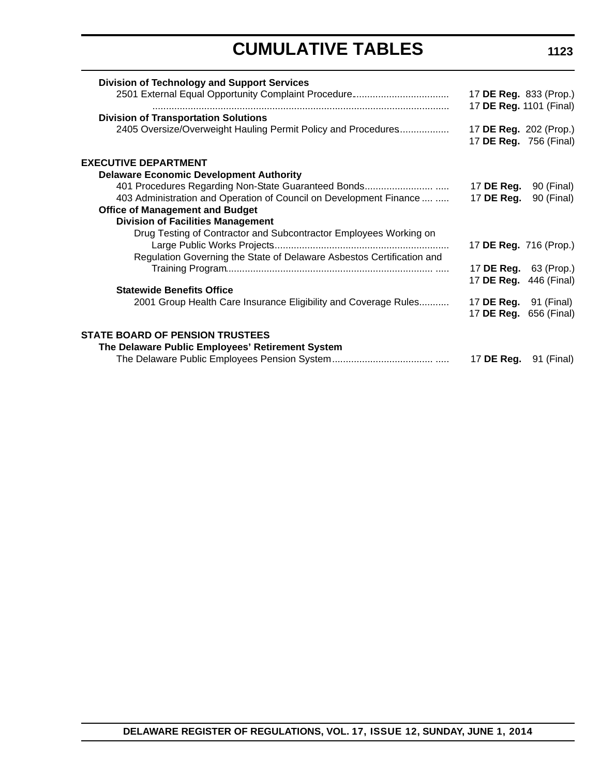| <b>Division of Technology and Support Services</b>                    |                              |            |
|-----------------------------------------------------------------------|------------------------------|------------|
|                                                                       | 17 DE Reg. 833 (Prop.)       |            |
|                                                                       | 17 DE Reg. 1101 (Final)      |            |
| <b>Division of Transportation Solutions</b>                           |                              |            |
| 2405 Oversize/Overweight Hauling Permit Policy and Procedures         | 17 DE Reg. 202 (Prop.)       |            |
|                                                                       | 17 DE Reg. 756 (Final)       |            |
| <b>EXECUTIVE DEPARTMENT</b>                                           |                              |            |
| <b>Delaware Economic Development Authority</b>                        |                              |            |
| 401 Procedures Regarding Non-State Guaranteed Bonds                   | 17 DE Reg.                   | 90 (Final) |
| 403 Administration and Operation of Council on Development Finance    | 17 DE Reg.                   | 90 (Final) |
| <b>Office of Management and Budget</b>                                |                              |            |
| <b>Division of Facilities Management</b>                              |                              |            |
| Drug Testing of Contractor and Subcontractor Employees Working on     |                              |            |
|                                                                       | 17 DE Reg. 716 (Prop.)       |            |
| Regulation Governing the State of Delaware Asbestos Certification and |                              |            |
|                                                                       | 17 <b>DE Reg.</b> 63 (Prop.) |            |
|                                                                       | 17 DE Reg. 446 (Final)       |            |
| <b>Statewide Benefits Office</b>                                      |                              |            |
| 2001 Group Health Care Insurance Eligibility and Coverage Rules       | 17 <b>DE Reg.</b> 91 (Final) |            |
|                                                                       | 17 DE Reg. 656 (Final)       |            |
| <b>STATE BOARD OF PENSION TRUSTEES</b>                                |                              |            |
| The Delaware Public Employees' Retirement System                      |                              |            |
|                                                                       | 17 <b>DE Reg.</b> 91 (Final) |            |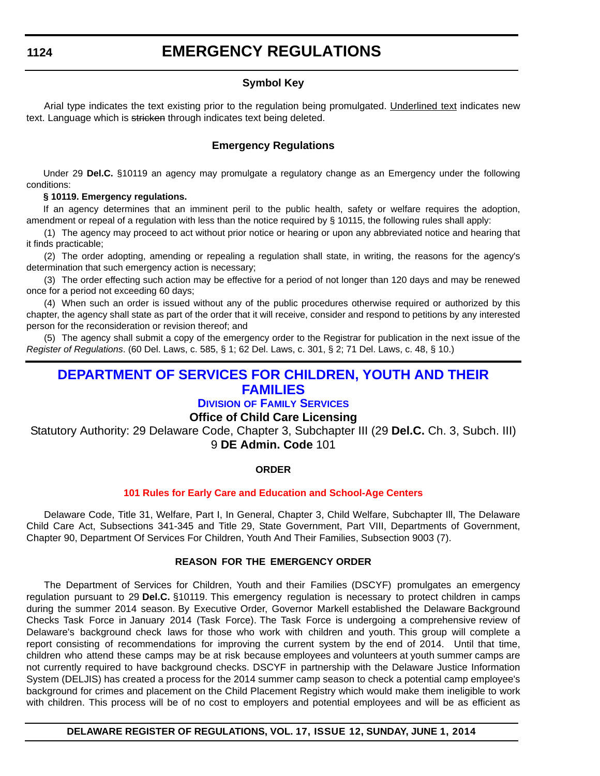### **EMERGENCY REGULATIONS**

#### **Symbol Key**

<span id="page-14-0"></span>Arial type indicates the text existing prior to the regulation being promulgated. Underlined text indicates new text. Language which is stricken through indicates text being deleted.

#### **Emergency Regulations**

Under 29 **Del.C.** §10119 an agency may promulgate a regulatory change as an Emergency under the following conditions:

#### **§ 10119. Emergency regulations.**

If an agency determines that an imminent peril to the public health, safety or welfare requires the adoption, amendment or repeal of a regulation with less than the notice required by § 10115, the following rules shall apply:

(1) The agency may proceed to act without prior notice or hearing or upon any abbreviated notice and hearing that it finds practicable;

(2) The order adopting, amending or repealing a regulation shall state, in writing, the reasons for the agency's determination that such emergency action is necessary;

(3) The order effecting such action may be effective for a period of not longer than 120 days and may be renewed once for a period not exceeding 60 days;

(4) When such an order is issued without any of the public procedures otherwise required or authorized by this chapter, the agency shall state as part of the order that it will receive, consider and respond to petitions by any interested person for the reconsideration or revision thereof; and

(5) The agency shall submit a copy of the emergency order to the Registrar for publication in the next issue of the *Register of Regulations*. (60 Del. Laws, c. 585, § 1; 62 Del. Laws, c. 301, § 2; 71 Del. Laws, c. 48, § 10.)

#### **[DEPARTMENT OF SERVICES FOR CHILDREN, YOUTH AND THEIR](http://kids.delaware.gov/fs/fs.shtml)  FAMILIES**

#### **DIVISION OF FAMILY SERVICES**

#### **Office of Child Care Licensing**

Statutory Authority: 29 Delaware Code, Chapter 3, Subchapter III (29 **Del.C.** Ch. 3, Subch. III) 9 **DE Admin. Code** 101

#### **ORDER**

#### **[101 Rules for Early Care and Education and School-Age Centers](#page-3-0)**

Delaware Code, Title 31, Welfare, Part I, In General, Chapter 3, Child Welfare, Subchapter Ill, The Delaware Child Care Act, Subsections 341-345 and Title 29, State Government, Part VIII, Departments of Government, Chapter 90, Department Of Services For Children, Youth And Their Families, Subsection 9003 (7).

#### **REASON FOR THE EMERGENCY ORDER**

The Department of Services for Children, Youth and their Families (DSCYF) promulgates an emergency regulation pursuant to 29 **Del.C.** §10119. This emergency regulation is necessary to protect children in camps during the summer 2014 season. By Executive Order, Governor Markell established the Delaware Background Checks Task Force in January 2014 (Task Force). The Task Force is undergoing a comprehensive review of Delaware's background check laws for those who work with children and youth. This group will complete a report consisting of recommendations for improving the current system by the end of 2014. Until that time, children who attend these camps may be at risk because employees and volunteers at youth summer camps are not currently required to have background checks. DSCYF in partnership with the Delaware Justice Information System (DELJIS) has created a process for the 2014 summer camp season to check a potential camp employee's background for crimes and placement on the Child Placement Registry which would make them ineligible to work with children. This process will be of no cost to employers and potential employees and will be as efficient as

#### **DELAWARE REGISTER OF REGULATIONS, VOL. 17, ISSUE 12, SUNDAY, JUNE 1, 2014**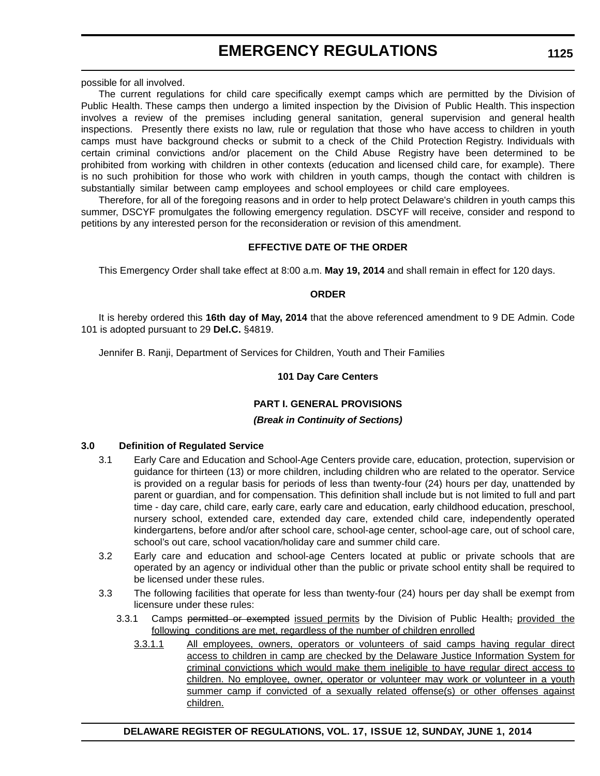### **EMERGENCY REGULATIONS**

possible for all involved.

The current regulations for child care specifically exempt camps which are permitted by the Division of Public Health. These camps then undergo a limited inspection by the Division of Public Health. This inspection involves a review of the premises including general sanitation, general supervision and general health inspections. Presently there exists no law, rule or regulation that those who have access to children in youth camps must have background checks or submit to a check of the Child Protection Registry. Individuals with certain criminal convictions and/or placement on the Child Abuse Registry have been determined to be prohibited from working with children in other contexts (education and licensed child care, for example). There is no such prohibition for those who work with children in youth camps, though the contact with children is substantially similar between camp employees and school employees or child care employees.

Therefore, for all of the foregoing reasons and in order to help protect Delaware's children in youth camps this summer, DSCYF promulgates the following emergency regulation. DSCYF will receive, consider and respond to petitions by any interested person for the reconsideration or revision of this amendment.

#### **EFFECTIVE DATE OF THE ORDER**

This Emergency Order shall take effect at 8:00 a.m. **May 19, 2014** and shall remain in effect for 120 days.

#### **ORDER**

It is hereby ordered this **16th day of May, 2014** that the above referenced amendment to 9 DE Admin. Code 101 is adopted pursuant to 29 **Del.C.** §4819.

Jennifer B. Ranji, Department of Services for Children, Youth and Their Families

#### **101 Day Care Centers**

#### **PART I. GENERAL PROVISIONS**

#### *(Break in Continuity of Sections)*

#### **3.0 Definition of Regulated Service**

- 3.1 Early Care and Education and School-Age Centers provide care, education, protection, supervision or guidance for thirteen (13) or more children, including children who are related to the operator. Service is provided on a regular basis for periods of less than twenty-four (24) hours per day, unattended by parent or guardian, and for compensation. This definition shall include but is not limited to full and part time - day care, child care, early care, early care and education, early childhood education, preschool, nursery school, extended care, extended day care, extended child care, independently operated kindergartens, before and/or after school care, school-age center, school-age care, out of school care, school's out care, school vacation/holiday care and summer child care.
- 3.2 Early care and education and school-age Centers located at public or private schools that are operated by an agency or individual other than the public or private school entity shall be required to be licensed under these rules.
- 3.3 The following facilities that operate for less than twenty-four (24) hours per day shall be exempt from licensure under these rules:
	- 3.3.1 Camps permitted or exempted issued permits by the Division of Public Health; provided the following conditions are met, regardless of the number of children enrolled
		- 3.3.1.1 All employees, owners, operators or volunteers of said camps having regular direct access to children in camp are checked by the Delaware Justice Information System for criminal convictions which would make them ineligible to have regular direct access to children. No employee, owner, operator or volunteer may work or volunteer in a youth summer camp if convicted of a sexually related offense(s) or other offenses against children.

**DELAWARE REGISTER OF REGULATIONS, VOL. 17, ISSUE 12, SUNDAY, JUNE 1, 2014**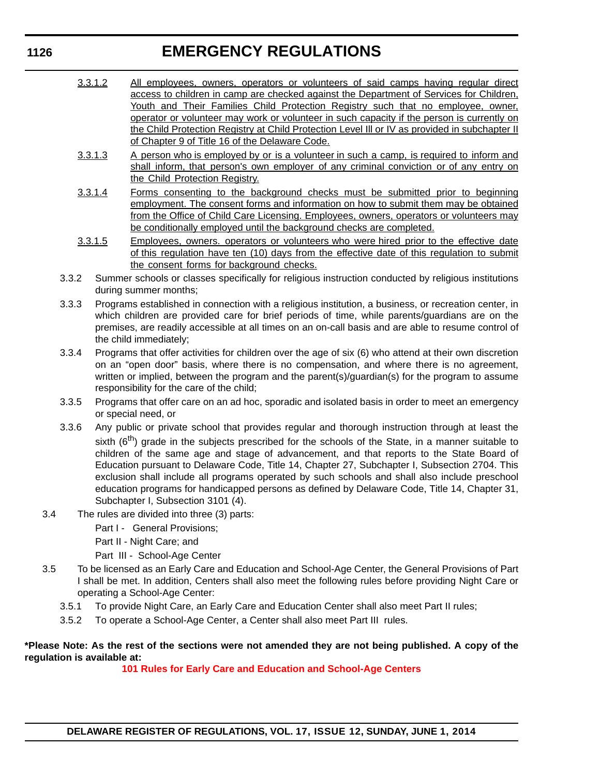### **EMERGENCY REGULATIONS**

- 3.3.1.2 All employees, owners, operators or volunteers of said camps having regular direct access to children in camp are checked against the Department of Services for Children, Youth and Their Families Child Protection Registry such that no employee, owner, operator or volunteer may work or volunteer in such capacity if the person is currently on the Child Protection Registry at Child Protection Level Ill or IV as provided in subchapter II of Chapter 9 of Title 16 of the Delaware Code.
- 3.3.1.3 A person who is employed by or is a volunteer in such a camp, is required to inform and shall inform, that person's own employer of any criminal conviction or of any entry on the Child Protection Registry.
- 3.3.1.4 Forms consenting to the background checks must be submitted prior to beginning employment. The consent forms and information on how to submit them may be obtained from the Office of Child Care Licensing. Employees, owners, operators or volunteers may be conditionally employed until the background checks are completed.
- 3.3.1.5 Employees, owners. operators or volunteers who were hired prior to the effective date of this regulation have ten (10) days from the effective date of this regulation to submit the consent forms for background checks.
- 3.3.2 Summer schools or classes specifically for religious instruction conducted by religious institutions during summer months;
- 3.3.3 Programs established in connection with a religious institution, a business, or recreation center, in which children are provided care for brief periods of time, while parents/guardians are on the premises, are readily accessible at all times on an on-call basis and are able to resume control of the child immediately;
- 3.3.4 Programs that offer activities for children over the age of six (6) who attend at their own discretion on an "open door" basis, where there is no compensation, and where there is no agreement, written or implied, between the program and the parent(s)/guardian(s) for the program to assume responsibility for the care of the child;
- 3.3.5 Programs that offer care on an ad hoc, sporadic and isolated basis in order to meet an emergency or special need, or
- 3.3.6 Any public or private school that provides regular and thorough instruction through at least the sixth  $(6<sup>th</sup>)$  grade in the subjects prescribed for the schools of the State, in a manner suitable to children of the same age and stage of advancement, and that reports to the State Board of Education pursuant to Delaware Code, Title 14, Chapter 27, Subchapter I, Subsection 2704. This exclusion shall include all programs operated by such schools and shall also include preschool education programs for handicapped persons as defined by Delaware Code, Title 14, Chapter 31, Subchapter I, Subsection 3101 (4).
- 3.4 The rules are divided into three (3) parts:
	- Part I General Provisions;
	- Part II Night Care; and
	- Part III School-Age Center
- 3.5 To be licensed as an Early Care and Education and School-Age Center, the General Provisions of Part I shall be met. In addition, Centers shall also meet the following rules before providing Night Care or operating a School-Age Center:
	- 3.5.1 To provide Night Care, an Early Care and Education Center shall also meet Part II rules;
	- 3.5.2 To operate a School-Age Center, a Center shall also meet Part III rules.

#### **\*Please Note: As the rest of the sections were not amended they are not being published. A copy of the regulation is available at:**

**[101 Rules for Early Care and Education and School-Age Centers](http://regulations.delaware.gov/register/june2014/emergency/17 DE Reg 1124 06-01-14.htm)**

#### **1126**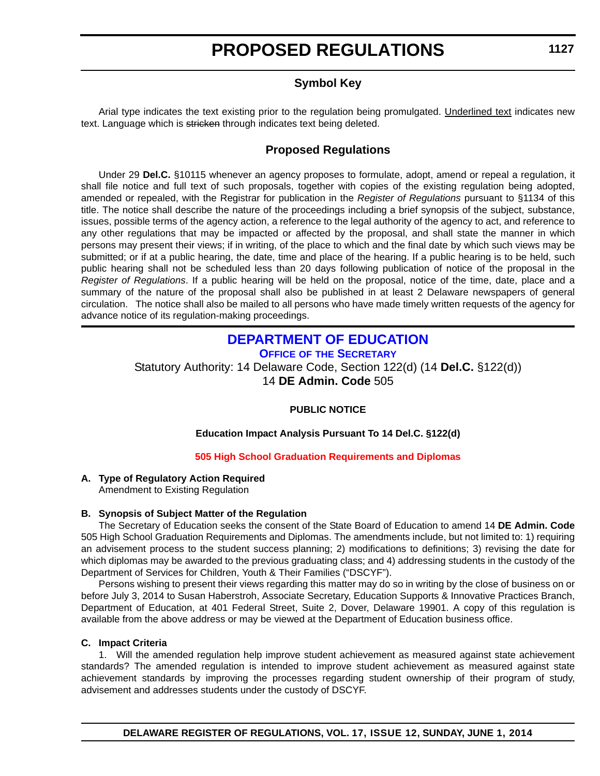#### **Symbol Key**

<span id="page-17-0"></span>Arial type indicates the text existing prior to the regulation being promulgated. Underlined text indicates new text. Language which is stricken through indicates text being deleted.

#### **Proposed Regulations**

Under 29 **Del.C.** §10115 whenever an agency proposes to formulate, adopt, amend or repeal a regulation, it shall file notice and full text of such proposals, together with copies of the existing regulation being adopted, amended or repealed, with the Registrar for publication in the *Register of Regulations* pursuant to §1134 of this title. The notice shall describe the nature of the proceedings including a brief synopsis of the subject, substance, issues, possible terms of the agency action, a reference to the legal authority of the agency to act, and reference to any other regulations that may be impacted or affected by the proposal, and shall state the manner in which persons may present their views; if in writing, of the place to which and the final date by which such views may be submitted; or if at a public hearing, the date, time and place of the hearing. If a public hearing is to be held, such public hearing shall not be scheduled less than 20 days following publication of notice of the proposal in the *Register of Regulations*. If a public hearing will be held on the proposal, notice of the time, date, place and a summary of the nature of the proposal shall also be published in at least 2 Delaware newspapers of general circulation. The notice shall also be mailed to all persons who have made timely written requests of the agency for advance notice of its regulation-making proceedings.

#### **[DEPARTMENT OF EDUCATION](http://www.doe.k12.de.us/)**

**OFFICE OF THE SECRETARY**

Statutory Authority: 14 Delaware Code, Section 122(d) (14 **Del.C.** §122(d)) 14 **DE Admin. Code** 505

#### **PUBLIC NOTICE**

#### **Education Impact Analysis Pursuant To 14 Del.C. §122(d)**

#### **[505 High School Graduation Requirements and Diplomas](#page-3-0)**

#### **A. Type of Regulatory Action Required**

Amendment to Existing Regulation

#### **B. Synopsis of Subject Matter of the Regulation**

The Secretary of Education seeks the consent of the State Board of Education to amend 14 **DE Admin. Code** 505 High School Graduation Requirements and Diplomas. The amendments include, but not limited to: 1) requiring an advisement process to the student success planning; 2) modifications to definitions; 3) revising the date for which diplomas may be awarded to the previous graduating class; and 4) addressing students in the custody of the Department of Services for Children, Youth & Their Families ("DSCYF").

Persons wishing to present their views regarding this matter may do so in writing by the close of business on or before July 3, 2014 to Susan Haberstroh, Associate Secretary, Education Supports & Innovative Practices Branch, Department of Education, at 401 Federal Street, Suite 2, Dover, Delaware 19901. A copy of this regulation is available from the above address or may be viewed at the Department of Education business office.

#### **C. Impact Criteria**

1. Will the amended regulation help improve student achievement as measured against state achievement standards? The amended regulation is intended to improve student achievement as measured against state achievement standards by improving the processes regarding student ownership of their program of study, advisement and addresses students under the custody of DSCYF.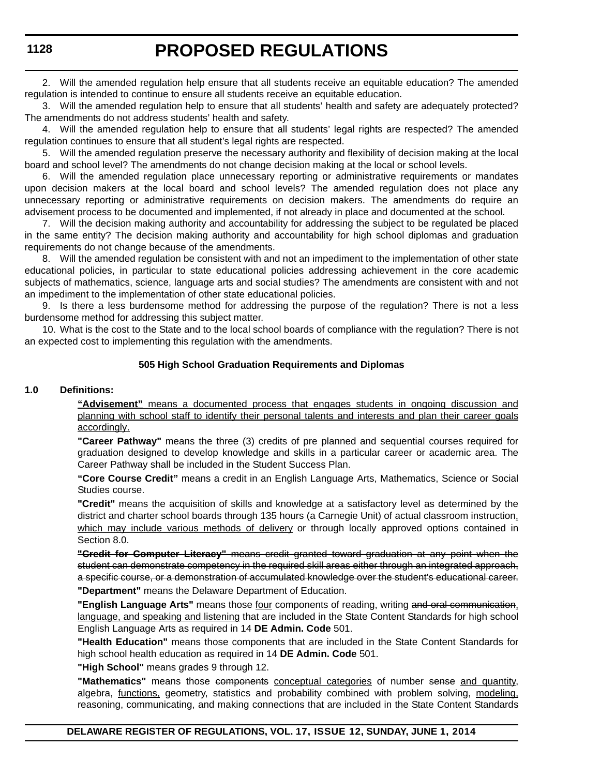2. Will the amended regulation help ensure that all students receive an equitable education? The amended regulation is intended to continue to ensure all students receive an equitable education.

3. Will the amended regulation help to ensure that all students' health and safety are adequately protected? The amendments do not address students' health and safety.

4. Will the amended regulation help to ensure that all students' legal rights are respected? The amended regulation continues to ensure that all student's legal rights are respected.

5. Will the amended regulation preserve the necessary authority and flexibility of decision making at the local board and school level? The amendments do not change decision making at the local or school levels.

6. Will the amended regulation place unnecessary reporting or administrative requirements or mandates upon decision makers at the local board and school levels? The amended regulation does not place any unnecessary reporting or administrative requirements on decision makers. The amendments do require an advisement process to be documented and implemented, if not already in place and documented at the school.

7. Will the decision making authority and accountability for addressing the subject to be regulated be placed in the same entity? The decision making authority and accountability for high school diplomas and graduation requirements do not change because of the amendments.

8. Will the amended regulation be consistent with and not an impediment to the implementation of other state educational policies, in particular to state educational policies addressing achievement in the core academic subjects of mathematics, science, language arts and social studies? The amendments are consistent with and not an impediment to the implementation of other state educational policies.

9. Is there a less burdensome method for addressing the purpose of the regulation? There is not a less burdensome method for addressing this subject matter.

10. What is the cost to the State and to the local school boards of compliance with the regulation? There is not an expected cost to implementing this regulation with the amendments.

#### **505 High School Graduation Requirements and Diplomas**

#### **1.0 Definitions:**

**"Advisement"** means a documented process that engages students in ongoing discussion and planning with school staff to identify their personal talents and interests and plan their career goals accordingly.

**"Career Pathway"** means the three (3) credits of pre planned and sequential courses required for graduation designed to develop knowledge and skills in a particular career or academic area. The Career Pathway shall be included in the Student Success Plan.

**"Core Course Credit"** means a credit in an English Language Arts, Mathematics, Science or Social Studies course.

**"Credit"** means the acquisition of skills and knowledge at a satisfactory level as determined by the district and charter school boards through 135 hours (a Carnegie Unit) of actual classroom instruction, which may include various methods of delivery or through locally approved options contained in Section 8.0.

**"Credit for Computer Literacy"** means credit granted toward graduation at any point when the student can demonstrate competency in the required skill areas either through an integrated approach, a specific course, or a demonstration of accumulated knowledge over the student's educational career. **"Department"** means the Delaware Department of Education.

"English Language Arts" means those four components of reading, writing and oral communication, language, and speaking and listening that are included in the State Content Standards for high school English Language Arts as required in 14 **DE Admin. Code** 501.

**"Health Education"** means those components that are included in the State Content Standards for high school health education as required in 14 **DE Admin. Code** 501.

**"High School"** means grades 9 through 12.

**"Mathematics"** means those components conceptual categories of number sense and quantity, algebra, *functions*, geometry, statistics and probability combined with problem solving, modeling, reasoning, communicating, and making connections that are included in the State Content Standards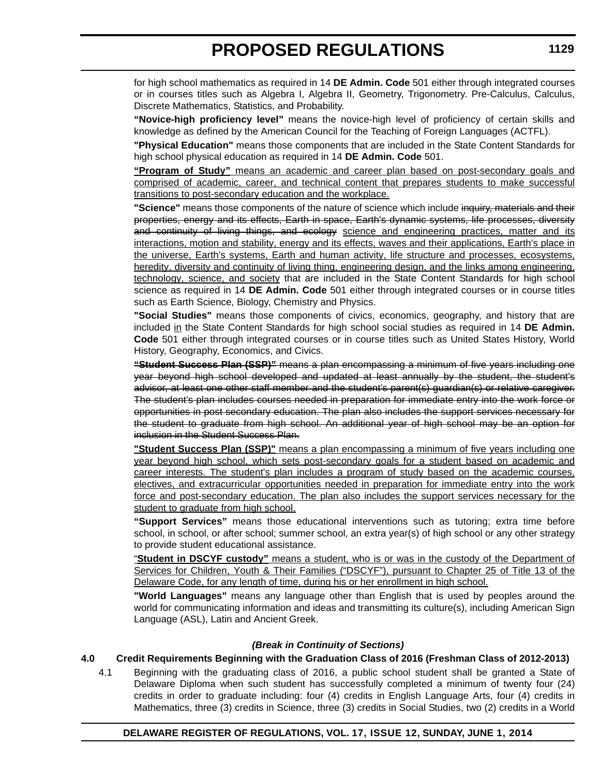for high school mathematics as required in 14 **DE Admin. Code** 501 either through integrated courses or in courses titles such as Algebra I, Algebra II, Geometry, Trigonometry. Pre-Calculus, Calculus, Discrete Mathematics, Statistics, and Probability.

**"Novice-high proficiency level"** means the novice-high level of proficiency of certain skills and knowledge as defined by the American Council for the Teaching of Foreign Languages (ACTFL).

**"Physical Education"** means those components that are included in the State Content Standards for high school physical education as required in 14 **DE Admin. Code** 501.

**"Program of Study"** means an academic and career plan based on post-secondary goals and comprised of academic, career, and technical content that prepares students to make successful transitions to post-secondary education and the workplace.

**"Science"** means those components of the nature of science which include inquiry, materials and their properties, energy and its effects, Earth in space, Earth's dynamic systems, life processes, diversity and continuity of living things, and ecology science and engineering practices, matter and its interactions, motion and stability, energy and its effects, waves and their applications, Earth's place in the universe, Earth's systems, Earth and human activity, life structure and processes, ecosystems, heredity, diversity and continuity of living thing, engineering design, and the links among engineering, technology, science, and society that are included in the State Content Standards for high school science as required in 14 **DE Admin. Code** 501 either through integrated courses or in course titles such as Earth Science, Biology, Chemistry and Physics.

**"Social Studies"** means those components of civics, economics, geography, and history that are included in the State Content Standards for high school social studies as required in 14 **DE Admin. Code** 501 either through integrated courses or in course titles such as United States History, World History, Geography, Economics, and Civics.

**"Student Success Plan (SSP)"** means a plan encompassing a minimum of five years including one year beyond high school developed and updated at least annually by the student, the student's advisor, at least one other staff member and the student's parent(s) guardian(s) or relative caregiver. The student's plan includes courses needed in preparation for immediate entry into the work force or opportunities in post secondary education. The plan also includes the support services necessary for the student to graduate from high school. An additional year of high school may be an option for inclusion in the Student Success Plan.

**"Student Success Plan (SSP)"** means a plan encompassing a minimum of five years including one year beyond high school, which sets post-secondary goals for a student based on academic and career interests. The student's plan includes a program of study based on the academic courses, electives, and extracurricular opportunities needed in preparation for immediate entry into the work force and post-secondary education. The plan also includes the support services necessary for the student to graduate from high school.

**"Support Services"** means those educational interventions such as tutoring; extra time before school, in school, or after school; summer school, an extra year(s) of high school or any other strategy to provide student educational assistance.

"**Student in DSCYF custody"** means a student, who is or was in the custody of the Department of Services for Children, Youth & Their Families ("DSCYF"), pursuant to Chapter 25 of Title 13 of the Delaware Code, for any length of time, during his or her enrollment in high school.

**"World Languages"** means any language other than English that is used by peoples around the world for communicating information and ideas and transmitting its culture(s), including American Sign Language (ASL), Latin and Ancient Greek.

#### *(Break in Continuity of Sections)*

#### **4.0 Credit Requirements Beginning with the Graduation Class of 2016 (Freshman Class of 2012-2013)**

4.1 Beginning with the graduating class of 2016, a public school student shall be granted a State of Delaware Diploma when such student has successfully completed a minimum of twenty four (24) credits in order to graduate including: four (4) credits in English Language Arts, four (4) credits in Mathematics, three (3) credits in Science, three (3) credits in Social Studies, two (2) credits in a World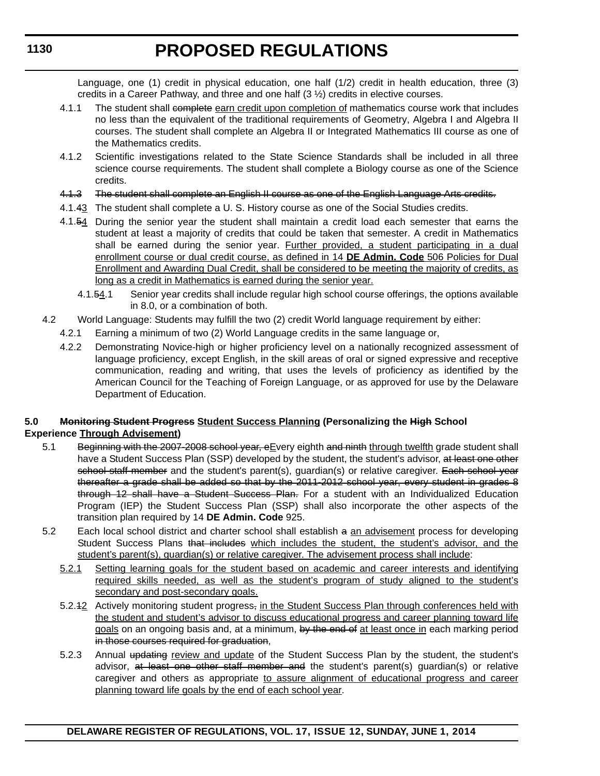Language, one (1) credit in physical education, one half (1/2) credit in health education, three (3) credits in a Career Pathway, and three and one half  $(3 \frac{1}{2})$  credits in elective courses.

- 4.1.1 The student shall complete garn credit upon completion of mathematics course work that includes no less than the equivalent of the traditional requirements of Geometry, Algebra I and Algebra II courses. The student shall complete an Algebra II or Integrated Mathematics III course as one of the Mathematics credits.
- 4.1.2 Scientific investigations related to the State Science Standards shall be included in all three science course requirements. The student shall complete a Biology course as one of the Science credits.
- 4.1.3 The student shall complete an English II course as one of the English Language Arts credits.
- 4.1.43 The student shall complete a U. S. History course as one of the Social Studies credits.
- 4.1.54 During the senior year the student shall maintain a credit load each semester that earns the student at least a majority of credits that could be taken that semester. A credit in Mathematics shall be earned during the senior year. Further provided, a student participating in a dual enrollment course or dual credit course, as defined in 14 **DE Admin. Code** 506 Policies for Dual Enrollment and Awarding Dual Credit, shall be considered to be meeting the majority of credits, as long as a credit in Mathematics is earned during the senior year.
	- 4.1.54.1 Senior year credits shall include regular high school course offerings, the options available in 8.0, or a combination of both.
- 4.2 World Language: Students may fulfill the two (2) credit World language requirement by either:
	- 4.2.1 Earning a minimum of two (2) World Language credits in the same language or,
	- 4.2.2 Demonstrating Novice-high or higher proficiency level on a nationally recognized assessment of language proficiency, except English, in the skill areas of oral or signed expressive and receptive communication, reading and writing, that uses the levels of proficiency as identified by the American Council for the Teaching of Foreign Language, or as approved for use by the Delaware Department of Education.

#### **5.0 Monitoring Student Progress Student Success Planning (Personalizing the High School Experience Through Advisement)**

- 5.1 Beginning with the 2007-2008 school year, eEvery eighth and ninth through twelfth grade student shall have a Student Success Plan (SSP) developed by the student, the student's advisor, at least one other school staff member and the student's parent(s), quardian(s) or relative caregiver. Each school year thereafter a grade shall be added so that by the 2011-2012 school year, every student in grades 8 through 12 shall have a Student Success Plan. For a student with an Individualized Education Program (IEP) the Student Success Plan (SSP) shall also incorporate the other aspects of the transition plan required by 14 **DE Admin. Code** 925.
- 5.2 Each local school district and charter school shall establish a an advisement process for developing Student Success Plans that includes which includes the student, the student's advisor, and the student's parent(s), guardian(s) or relative caregiver. The advisement process shall include:
	- 5.2.1 Setting learning goals for the student based on academic and career interests and identifying required skills needed, as well as the student's program of study aligned to the student's secondary and post-secondary goals.
	- 5.2.42 Actively monitoring student progress<sub>r</sub> in the Student Success Plan through conferences held with the student and student's advisor to discuss educational progress and career planning toward life goals on an ongoing basis and, at a minimum, by the end of at least once in each marking period in those courses required for graduation,
	- 5.2.3 Annual updating review and update of the Student Success Plan by the student, the student's advisor, at least one other staff member and the student's parent(s) guardian(s) or relative caregiver and others as appropriate to assure alignment of educational progress and career planning toward life goals by the end of each school year.

**1130**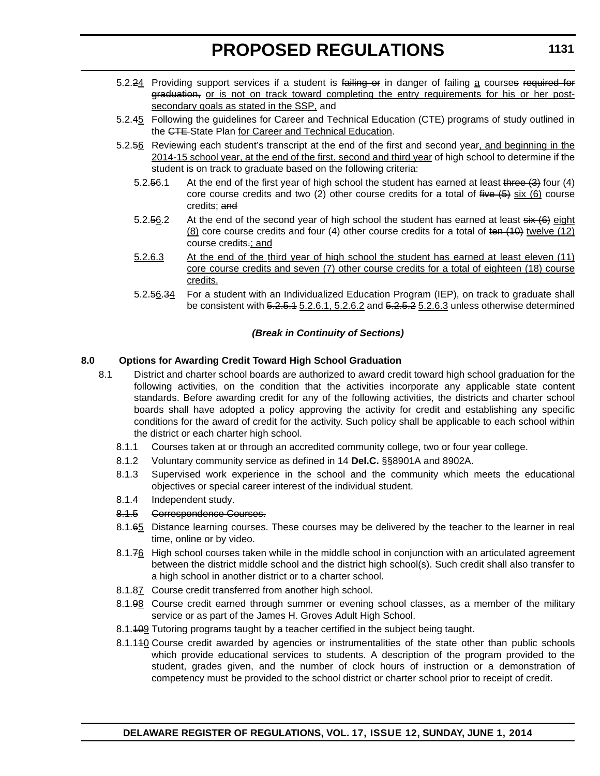- 5.2.24 Providing support services if a student is failing or in danger of failing a courses required for graduation, or is not on track toward completing the entry requirements for his or her postsecondary goals as stated in the SSP, and
- 5.2.45 Following the guidelines for Career and Technical Education (CTE) programs of study outlined in the CTE State Plan for Career and Technical Education.
- 5.2.56 Reviewing each student's transcript at the end of the first and second year, and beginning in the 2014-15 school year, at the end of the first, second and third year of high school to determine if the student is on track to graduate based on the following criteria:
	- 5.2.56.1 At the end of the first year of high school the student has earned at least three (3) four (4) core course credits and two (2) other course credits for a total of  $f^2$  (6) course credits; and
	- 5.2.56.2 At the end of the second year of high school the student has earned at least  $\frac{4}{9}$  eight  $(8)$  core course credits and four (4) other course credits for a total of ten  $(10)$  twelve  $(12)$ course credits.; and
	- 5.2.6.3 At the end of the third year of high school the student has earned at least eleven (11) core course credits and seven (7) other course credits for a total of eighteen (18) course credits.
	- 5.2.56.34 For a student with an Individualized Education Program (IEP), on track to graduate shall be consistent with 5.2.5.1 5.2.6.1, 5.2.6.2 and 5.2.5.2 5.2.6.3 unless otherwise determined

#### *(Break in Continuity of Sections)*

#### **8.0 Options for Awarding Credit Toward High School Graduation**

- 8.1 District and charter school boards are authorized to award credit toward high school graduation for the following activities, on the condition that the activities incorporate any applicable state content standards. Before awarding credit for any of the following activities, the districts and charter school boards shall have adopted a policy approving the activity for credit and establishing any specific conditions for the award of credit for the activity. Such policy shall be applicable to each school within the district or each charter high school.
	- 8.1.1 Courses taken at or through an accredited community college, two or four year college.
	- 8.1.2 Voluntary community service as defined in 14 **Del.C.** §§8901A and 8902A.
	- 8.1.3 Supervised work experience in the school and the community which meets the educational objectives or special career interest of the individual student.
	- 8.1.4 Independent study.

#### 8.1.5 Correspondence Courses.

- 8.1.65 Distance learning courses. These courses may be delivered by the teacher to the learner in real time, online or by video.
- 8.1.76 High school courses taken while in the middle school in conjunction with an articulated agreement between the district middle school and the district high school(s). Such credit shall also transfer to a high school in another district or to a charter school.
- 8.1.87 Course credit transferred from another high school.
- 8.1.98 Course credit earned through summer or evening school classes, as a member of the military service or as part of the James H. Groves Adult High School.
- 8.1.109 Tutoring programs taught by a teacher certified in the subject being taught.
- 8.1.140 Course credit awarded by agencies or instrumentalities of the state other than public schools which provide educational services to students. A description of the program provided to the student, grades given, and the number of clock hours of instruction or a demonstration of competency must be provided to the school district or charter school prior to receipt of credit.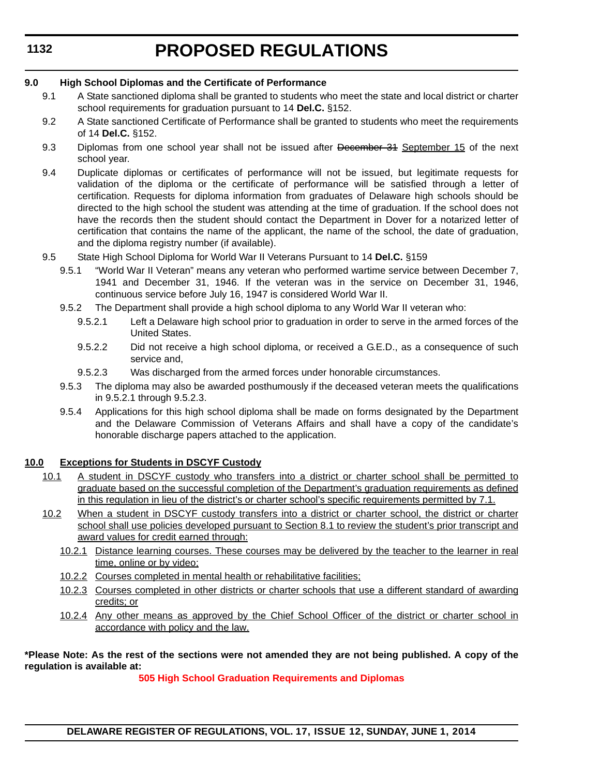# **PROPOSED REGULATIONS**

#### **9.0 High School Diplomas and the Certificate of Performance**

- 9.1 A State sanctioned diploma shall be granted to students who meet the state and local district or charter school requirements for graduation pursuant to 14 **Del.C.** §152.
- 9.2 A State sanctioned Certificate of Performance shall be granted to students who meet the requirements of 14 **Del.C.** §152.
- 9.3 Diplomas from one school year shall not be issued after December 34 September 15 of the next school year.
- 9.4 Duplicate diplomas or certificates of performance will not be issued, but legitimate requests for validation of the diploma or the certificate of performance will be satisfied through a letter of certification. Requests for diploma information from graduates of Delaware high schools should be directed to the high school the student was attending at the time of graduation. If the school does not have the records then the student should contact the Department in Dover for a notarized letter of certification that contains the name of the applicant, the name of the school, the date of graduation, and the diploma registry number (if available).
- 9.5 State High School Diploma for World War II Veterans Pursuant to 14 **Del.C.** §159
	- 9.5.1 "World War II Veteran" means any veteran who performed wartime service between December 7, 1941 and December 31, 1946. If the veteran was in the service on December 31, 1946, continuous service before July 16, 1947 is considered World War II.
	- 9.5.2 The Department shall provide a high school diploma to any World War II veteran who:
		- 9.5.2.1 Left a Delaware high school prior to graduation in order to serve in the armed forces of the United States.
		- 9.5.2.2 Did not receive a high school diploma, or received a G.E.D., as a consequence of such service and,
		- 9.5.2.3 Was discharged from the armed forces under honorable circumstances.
	- 9.5.3 The diploma may also be awarded posthumously if the deceased veteran meets the qualifications in 9.5.2.1 through 9.5.2.3.
	- 9.5.4 Applications for this high school diploma shall be made on forms designated by the Department and the Delaware Commission of Veterans Affairs and shall have a copy of the candidate's honorable discharge papers attached to the application.

#### **10.0 Exceptions for Students in DSCYF Custody**

- 10.1 A student in DSCYF custody who transfers into a district or charter school shall be permitted to graduate based on the successful completion of the Department's graduation requirements as defined in this regulation in lieu of the district's or charter school's specific requirements permitted by 7.1.
- 10.2 When a student in DSCYF custody transfers into a district or charter school, the district or charter school shall use policies developed pursuant to Section 8.1 to review the student's prior transcript and award values for credit earned through:
	- 10.2.1 Distance learning courses. These courses may be delivered by the teacher to the learner in real time, online or by video;
	- 10.2.2 Courses completed in mental health or rehabilitative facilities;
	- 10.2.3 Courses completed in other districts or charter schools that use a different standard of awarding credits; or
	- 10.2.4 Any other means as approved by the Chief School Officer of the district or charter school in accordance with policy and the law.

#### **\*Please Note: As the rest of the sections were not amended they are not being published. A copy of the regulation is available at:**

**[505 High School Graduation Requirements and Diplomas](http://regulations.delaware.gov/register/june2014/proposed/17 DE Reg 1127 06-01-14.htm)**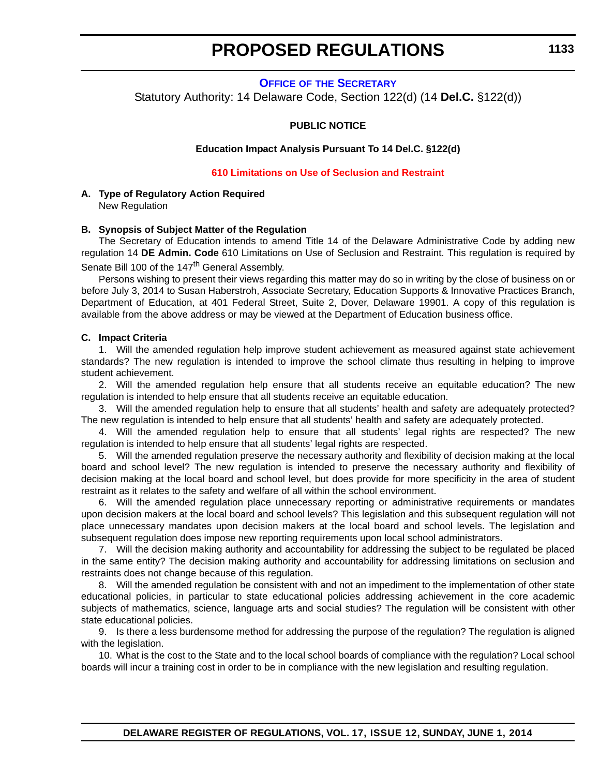<span id="page-23-0"></span>**OFFICE OF [THE SECRETARY](http://www.doe.k12.de.us/)** Statutory Authority: 14 Delaware Code, Section 122(d) (14 **Del.C.** §122(d))

#### **PUBLIC NOTICE**

**Education Impact Analysis Pursuant To 14 Del.C. §122(d)**

#### **[610 Limitations on Use of Seclusion and Restraint](#page-3-0)**

#### **A. Type of Regulatory Action Required** New Regulation

#### **B. Synopsis of Subject Matter of the Regulation**

The Secretary of Education intends to amend Title 14 of the Delaware Administrative Code by adding new regulation 14 **DE Admin. Code** 610 Limitations on Use of Seclusion and Restraint. This regulation is required by Senate Bill 100 of the 147<sup>th</sup> General Assembly.

Persons wishing to present their views regarding this matter may do so in writing by the close of business on or before July 3, 2014 to Susan Haberstroh, Associate Secretary, Education Supports & Innovative Practices Branch, Department of Education, at 401 Federal Street, Suite 2, Dover, Delaware 19901. A copy of this regulation is available from the above address or may be viewed at the Department of Education business office.

#### **C. Impact Criteria**

1. Will the amended regulation help improve student achievement as measured against state achievement standards? The new regulation is intended to improve the school climate thus resulting in helping to improve student achievement.

2. Will the amended regulation help ensure that all students receive an equitable education? The new regulation is intended to help ensure that all students receive an equitable education.

3. Will the amended regulation help to ensure that all students' health and safety are adequately protected? The new regulation is intended to help ensure that all students' health and safety are adequately protected.

4. Will the amended regulation help to ensure that all students' legal rights are respected? The new regulation is intended to help ensure that all students' legal rights are respected.

5. Will the amended regulation preserve the necessary authority and flexibility of decision making at the local board and school level? The new regulation is intended to preserve the necessary authority and flexibility of decision making at the local board and school level, but does provide for more specificity in the area of student restraint as it relates to the safety and welfare of all within the school environment.

6. Will the amended regulation place unnecessary reporting or administrative requirements or mandates upon decision makers at the local board and school levels? This legislation and this subsequent regulation will not place unnecessary mandates upon decision makers at the local board and school levels. The legislation and subsequent regulation does impose new reporting requirements upon local school administrators.

7. Will the decision making authority and accountability for addressing the subject to be regulated be placed in the same entity? The decision making authority and accountability for addressing limitations on seclusion and restraints does not change because of this regulation.

8. Will the amended regulation be consistent with and not an impediment to the implementation of other state educational policies, in particular to state educational policies addressing achievement in the core academic subjects of mathematics, science, language arts and social studies? The regulation will be consistent with other state educational policies.

9. Is there a less burdensome method for addressing the purpose of the regulation? The regulation is aligned with the legislation.

10. What is the cost to the State and to the local school boards of compliance with the regulation? Local school boards will incur a training cost in order to be in compliance with the new legislation and resulting regulation.

**1133**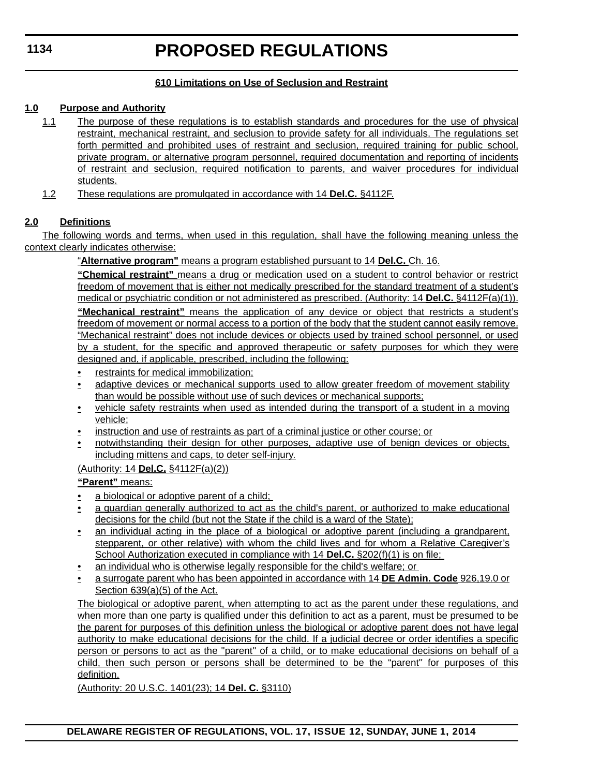#### **610 Limitations on Use of Seclusion and Restraint**

#### **1.0 Purpose and Authority**

- 1.1 The purpose of these regulations is to establish standards and procedures for the use of physical restraint, mechanical restraint, and seclusion to provide safety for all individuals. The regulations set forth permitted and prohibited uses of restraint and seclusion, required training for public school, private program, or alternative program personnel, required documentation and reporting of incidents of restraint and seclusion, required notification to parents, and waiver procedures for individual students.
- 1.2 These regulations are promulgated in accordance with 14 **Del.C.** §4112F.

#### **2.0 Definitions**

The following words and terms, when used in this regulation, shall have the following meaning unless the context clearly indicates otherwise:

"**Alternative program"** means a program established pursuant to 14 **Del.C.** Ch. 16.

**"Chemical restraint"** means a drug or medication used on a student to control behavior or restrict freedom of movement that is either not medically prescribed for the standard treatment of a student's medical or psychiatric condition or not administered as prescribed. (Authority: 14 **Del.C.** §4112F(a)(1)).

**"Mechanical restraint"** means the application of any device or object that restricts a student's freedom of movement or normal access to a portion of the body that the student cannot easily remove. "Mechanical restraint" does not include devices or objects used by trained school personnel, or used by a student, for the specific and approved therapeutic or safety purposes for which they were designed and, if applicable, prescribed, including the following:

- restraints for medical immobilization;
- adaptive devices or mechanical supports used to allow greater freedom of movement stability than would be possible without use of such devices or mechanical supports;
- vehicle safety restraints when used as intended during the transport of a student in a moving vehicle;
- instruction and use of restraints as part of a criminal justice or other course; or
- notwithstanding their design for other purposes, adaptive use of benign devices or objects, including mittens and caps, to deter self-injury.

(Authority: 14 **Del.C.** §4112F(a)(2))

**"Parent"** means:

- a biological or adoptive parent of a child;
- a guardian generally authorized to act as the child's parent, or authorized to make educational decisions for the child (but not the State if the child is a ward of the State);
- an individual acting in the place of a biological or adoptive parent (including a grandparent, stepparent, or other relative) with whom the child lives and for whom a Relative Caregiver's School Authorization executed in compliance with 14 **Del.C.** §202(f)(1) is on file;
- an individual who is otherwise legally responsible for the child's welfare; or
- a surrogate parent who has been appointed in accordance with 14 **DE Admin. Code** 926,19.0 or Section 639(a)(5) of the Act.

The biological or adoptive parent, when attempting to act as the parent under these regulations, and when more than one party is qualified under this definition to act as a parent, must be presumed to be the parent for purposes of this definition unless the biological or adoptive parent does not have legal authority to make educational decisions for the child. If a judicial decree or order identifies a specific person or persons to act as the ''parent'' of a child, or to make educational decisions on behalf of a child, then such person or persons shall be determined to be the "parent'' for purposes of this definition.

(Authority: 20 U.S.C. 1401(23); 14 **Del. C.** §3110)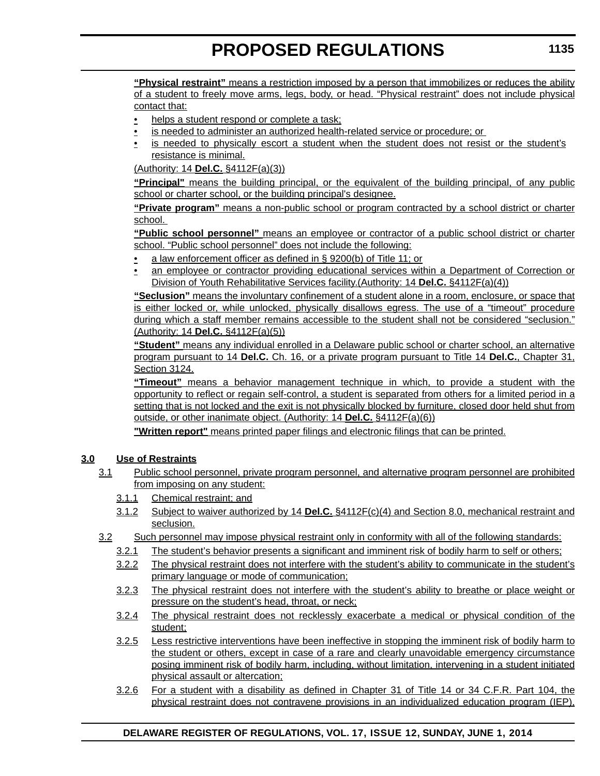**"Physical restraint"** means a restriction imposed by a person that immobilizes or reduces the ability of a student to freely move arms, legs, body, or head. "Physical restraint" does not include physical contact that:

- helps a student respond or complete a task;
- is needed to administer an authorized health-related service or procedure; or
- is needed to physically escort a student when the student does not resist or the student's resistance is minimal.

(Authority: 14 **Del.C.** §4112F(a)(3))

**"Principal"** means the building principal, or the equivalent of the building principal, of any public school or charter school, or the building principal's designee.

**"Private program"** means a non-public school or program contracted by a school district or charter school.

**"Public school personnel"** means an employee or contractor of a public school district or charter school. "Public school personnel" does not include the following:

- a law enforcement officer as defined in § 9200(b) of Title 11; or
- an employee or contractor providing educational services within a Department of Correction or Division of Youth Rehabilitative Services facility.(Authority: 14 **Del.C.** §4112F(a)(4))

**"Seclusion"** means the involuntary confinement of a student alone in a room, enclosure, or space that is either locked or, while unlocked, physically disallows egress. The use of a "timeout" procedure during which a staff member remains accessible to the student shall not be considered "seclusion." (Authority: 14 **Del.C.** §4112F(a)(5))

**"Student"** means any individual enrolled in a Delaware public school or charter school, an alternative program pursuant to 14 **Del.C.** Ch. 16, or a private program pursuant to Title 14 **Del.C.**, Chapter 31, Section 3124.

**"Timeout"** means a behavior management technique in which, to provide a student with the opportunity to reflect or regain self-control, a student is separated from others for a limited period in a setting that is not locked and the exit is not physically blocked by furniture, closed door held shut from outside, or other inanimate object. (Authority: 14 **Del.C.** §4112F(a)(6))

**"Written report"** means printed paper filings and electronic filings that can be printed.

#### **3.0 Use of Restraints**

- 3.1 Public school personnel, private program personnel, and alternative program personnel are prohibited from imposing on any student:
	- 3.1.1 Chemical restraint; and
	- 3.1.2 Subject to waiver authorized by 14 **Del.C.** §4112F(c)(4) and Section 8.0, mechanical restraint and seclusion.
- 3.2 Such personnel may impose physical restraint only in conformity with all of the following standards:
	- 3.2.1 The student's behavior presents a significant and imminent risk of bodily harm to self or others;
	- 3.2.2 The physical restraint does not interfere with the student's ability to communicate in the student's primary language or mode of communication;
	- 3.2.3 The physical restraint does not interfere with the student's ability to breathe or place weight or pressure on the student's head, throat, or neck;
	- 3.2.4 The physical restraint does not recklessly exacerbate a medical or physical condition of the student;
	- 3.2.5 Less restrictive interventions have been ineffective in stopping the imminent risk of bodily harm to the student or others, except in case of a rare and clearly unavoidable emergency circumstance posing imminent risk of bodily harm, including, without limitation, intervening in a student initiated physical assault or altercation;
	- 3.2.6 For a student with a disability as defined in Chapter 31 of Title 14 or 34 C.F.R. Part 104, the physical restraint does not contravene provisions in an individualized education program (IEP),

#### **DELAWARE REGISTER OF REGULATIONS, VOL. 17, ISSUE 12, SUNDAY, JUNE 1, 2014**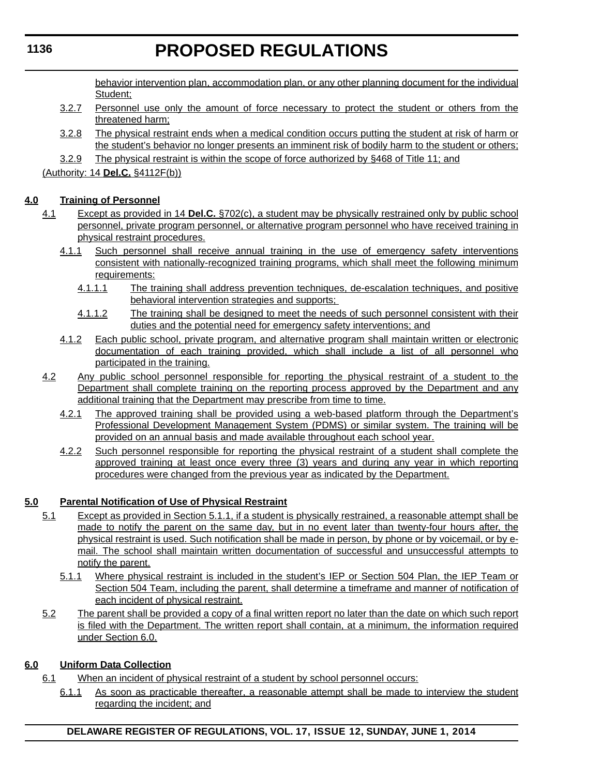behavior intervention plan, accommodation plan, or any other planning document for the individual Student;

- 3.2.7 Personnel use only the amount of force necessary to protect the student or others from the threatened harm;
- 3.2.8 The physical restraint ends when a medical condition occurs putting the student at risk of harm or the student's behavior no longer presents an imminent risk of bodily harm to the student or others;
- 3.2.9 The physical restraint is within the scope of force authorized by §468 of Title 11; and

(Authority: 14 **Del.C.** §4112F(b))

#### **4.0 Training of Personnel**

- 4.1 Except as provided in 14 **Del.C.** §702(c), a student may be physically restrained only by public school personnel, private program personnel, or alternative program personnel who have received training in physical restraint procedures.
	- 4.1.1 Such personnel shall receive annual training in the use of emergency safety interventions consistent with nationally-recognized training programs, which shall meet the following minimum requirements:
		- 4.1.1.1 The training shall address prevention techniques, de-escalation techniques, and positive behavioral intervention strategies and supports;
		- 4.1.1.2 The training shall be designed to meet the needs of such personnel consistent with their duties and the potential need for emergency safety interventions; and
	- 4.1.2 Each public school, private program, and alternative program shall maintain written or electronic documentation of each training provided, which shall include a list of all personnel who participated in the training.
- 4.2 Any public school personnel responsible for reporting the physical restraint of a student to the Department shall complete training on the reporting process approved by the Department and any additional training that the Department may prescribe from time to time.
	- 4.2.1 The approved training shall be provided using a web-based platform through the Department's Professional Development Management System (PDMS) or similar system. The training will be provided on an annual basis and made available throughout each school year.
	- 4.2.2 Such personnel responsible for reporting the physical restraint of a student shall complete the approved training at least once every three (3) years and during any year in which reporting procedures were changed from the previous year as indicated by the Department.

#### **5.0 Parental Notification of Use of Physical Restraint**

- 5.1 Except as provided in Section 5.1.1, if a student is physically restrained, a reasonable attempt shall be made to notify the parent on the same day, but in no event later than twenty-four hours after, the physical restraint is used. Such notification shall be made in person, by phone or by voicemail, or by email. The school shall maintain written documentation of successful and unsuccessful attempts to notify the parent.
	- 5.1.1 Where physical restraint is included in the student's IEP or Section 504 Plan, the IEP Team or Section 504 Team, including the parent, shall determine a timeframe and manner of notification of each incident of physical restraint.
- 5.2 The parent shall be provided a copy of a final written report no later than the date on which such report is filed with the Department. The written report shall contain, at a minimum, the information required under Section 6.0.

#### **6.0 Uniform Data Collection**

- 6.1 When an incident of physical restraint of a student by school personnel occurs:
	- 6.1.1 As soon as practicable thereafter, a reasonable attempt shall be made to interview the student regarding the incident; and

**DELAWARE REGISTER OF REGULATIONS, VOL. 17, ISSUE 12, SUNDAY, JUNE 1, 2014**

#### **1136**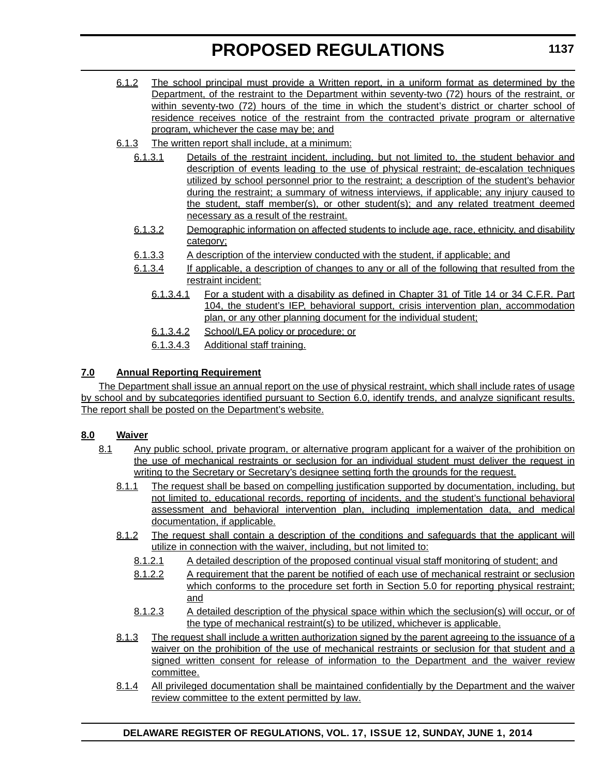- 6.1.2 The school principal must provide a Written report, in a uniform format as determined by the Department, of the restraint to the Department within seventy-two (72) hours of the restraint, or within seventy-two (72) hours of the time in which the student's district or charter school of residence receives notice of the restraint from the contracted private program or alternative program, whichever the case may be; and
- 6.1.3 The written report shall include, at a minimum:
	- 6.1.3.1 Details of the restraint incident, including, but not limited to, the student behavior and description of events leading to the use of physical restraint; de-escalation techniques utilized by school personnel prior to the restraint; a description of the student's behavior during the restraint; a summary of witness interviews, if applicable; any injury caused to the student, staff member(s), or other student(s); and any related treatment deemed necessary as a result of the restraint.
	- 6.1.3.2 Demographic information on affected students to include age, race, ethnicity, and disability category;
	- 6.1.3.3 A description of the interview conducted with the student, if applicable; and
	- 6.1.3.4 If applicable, a description of changes to any or all of the following that resulted from the restraint incident:
		- 6.1.3.4.1 For a student with a disability as defined in Chapter 31 of Title 14 or 34 C.F.R. Part 104, the student's IEP, behavioral support, crisis intervention plan, accommodation plan, or any other planning document for the individual student;
		- 6.1.3.4.2 School/LEA policy or procedure; or
		- 6.1.3.4.3 Additional staff training.

#### **7.0 Annual Reporting Requirement**

The Department shall issue an annual report on the use of physical restraint, which shall include rates of usage by school and by subcategories identified pursuant to Section 6.0, identify trends, and analyze significant results. The report shall be posted on the Department's website.

#### **8.0 Waiver**

- 8.1 Any public school, private program, or alternative program applicant for a waiver of the prohibition on the use of mechanical restraints or seclusion for an individual student must deliver the request in writing to the Secretary or Secretary's designee setting forth the grounds for the request.
	- 8.1.1 The request shall be based on compelling justification supported by documentation, including, but not limited to, educational records, reporting of incidents, and the student's functional behavioral assessment and behavioral intervention plan, including implementation data, and medical documentation, if applicable.
	- 8.1.2 The request shall contain a description of the conditions and safeguards that the applicant will utilize in connection with the waiver, including, but not limited to:
		- 8.1.2.1 A detailed description of the proposed continual visual staff monitoring of student; and
		- 8.1.2.2 A requirement that the parent be notified of each use of mechanical restraint or seclusion which conforms to the procedure set forth in Section 5.0 for reporting physical restraint; and
		- 8.1.2.3 A detailed description of the physical space within which the seclusion(s) will occur, or of the type of mechanical restraint(s) to be utilized, whichever is applicable.
	- 8.1.3 The request shall include a written authorization signed by the parent agreeing to the issuance of a waiver on the prohibition of the use of mechanical restraints or seclusion for that student and a signed written consent for release of information to the Department and the waiver review committee.
	- 8.1.4 All privileged documentation shall be maintained confidentially by the Department and the waiver review committee to the extent permitted by law.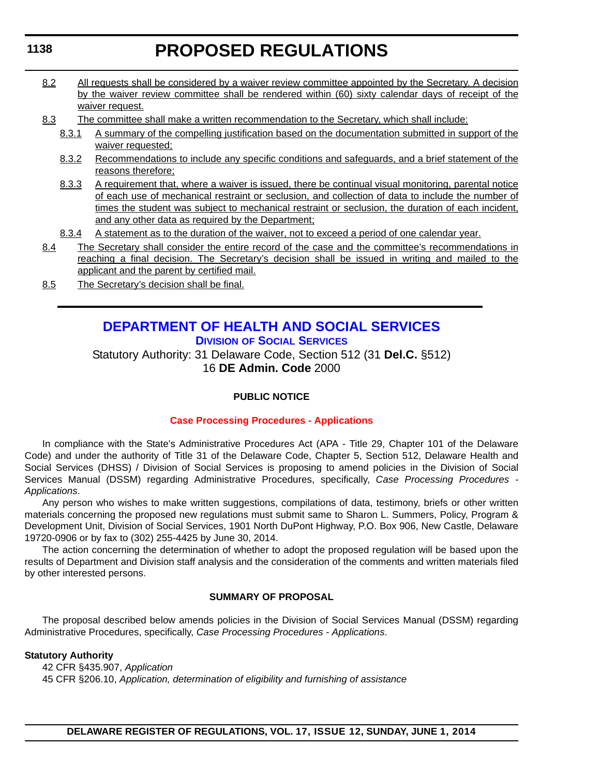- 8.2 All requests shall be considered by a waiver review committee appointed by the Secretary. A decision by the waiver review committee shall be rendered within (60) sixty calendar days of receipt of the waiver request.
- 8.3 The committee shall make a written recommendation to the Secretary, which shall include:
	- 8.3.1 A summary of the compelling justification based on the documentation submitted in support of the waiver requested;
	- 8.3.2 Recommendations to include any specific conditions and safeguards, and a brief statement of the reasons therefore;
	- 8.3.3 A requirement that, where a waiver is issued, there be continual visual monitoring, parental notice of each use of mechanical restraint or seclusion, and collection of data to include the number of times the student was subject to mechanical restraint or seclusion, the duration of each incident, and any other data as required by the Department;
	- 8.3.4 A statement as to the duration of the waiver, not to exceed a period of one calendar year.
- 8.4 The Secretary shall consider the entire record of the case and the committee's recommendations in reaching a final decision. The Secretary's decision shall be issued in writing and mailed to the applicant and the parent by certified mail.
- 8.5 The Secretary's decision shall be final.

#### **[DEPARTMENT OF HEALTH AND SOCIAL SERVICES](http://www.dhss.delaware.gov/dhss/dss/) DIVISION OF SOCIAL SERVICES**

Statutory Authority: 31 Delaware Code, Section 512 (31 **Del.C.** §512) 16 **DE Admin. Code** 2000

#### **PUBLIC NOTICE**

#### **[Case Processing Procedures - Applications](#page-3-0)**

In compliance with the State's Administrative Procedures Act (APA - Title 29, Chapter 101 of the Delaware Code) and under the authority of Title 31 of the Delaware Code, Chapter 5, Section 512, Delaware Health and Social Services (DHSS) / Division of Social Services is proposing to amend policies in the Division of Social Services Manual (DSSM) regarding Administrative Procedures, specifically, *Case Processing Procedures - Applications*.

Any person who wishes to make written suggestions, compilations of data, testimony, briefs or other written materials concerning the proposed new regulations must submit same to Sharon L. Summers, Policy, Program & Development Unit, Division of Social Services, 1901 North DuPont Highway, P.O. Box 906, New Castle, Delaware 19720-0906 or by fax to (302) 255-4425 by June 30, 2014.

The action concerning the determination of whether to adopt the proposed regulation will be based upon the results of Department and Division staff analysis and the consideration of the comments and written materials filed by other interested persons.

#### **SUMMARY OF PROPOSAL**

The proposal described below amends policies in the Division of Social Services Manual (DSSM) regarding Administrative Procedures, specifically, *Case Processing Procedures - Applications*.

#### **Statutory Authority**

42 CFR §435.907, *Application* 45 CFR §206.10, *Application, determination of eligibility and furnishing of assistance*

#### <span id="page-28-0"></span>**1138**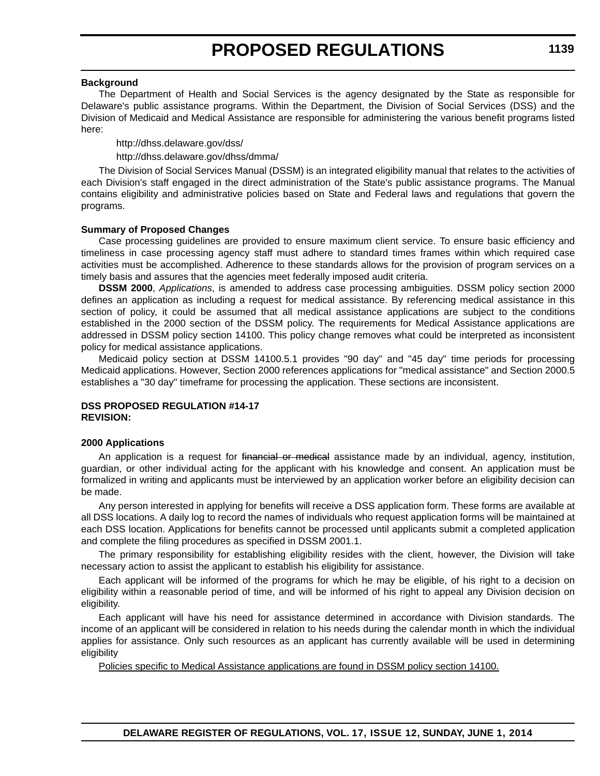#### **Background**

The Department of Health and Social Services is the agency designated by the State as responsible for Delaware's public assistance programs. Within the Department, the Division of Social Services (DSS) and the Division of Medicaid and Medical Assistance are responsible for administering the various benefit programs listed here:

http://dhss.delaware.gov/dss/ http://dhss.delaware.gov/dhss/dmma/

The Division of Social Services Manual (DSSM) is an integrated eligibility manual that relates to the activities of each Division's staff engaged in the direct administration of the State's public assistance programs. The Manual contains eligibility and administrative policies based on State and Federal laws and regulations that govern the programs.

#### **Summary of Proposed Changes**

Case processing guidelines are provided to ensure maximum client service. To ensure basic efficiency and timeliness in case processing agency staff must adhere to standard times frames within which required case activities must be accomplished. Adherence to these standards allows for the provision of program services on a timely basis and assures that the agencies meet federally imposed audit criteria.

**DSSM 2000**, *Applications*, is amended to address case processing ambiguities. DSSM policy section 2000 defines an application as including a request for medical assistance. By referencing medical assistance in this section of policy, it could be assumed that all medical assistance applications are subject to the conditions established in the 2000 section of the DSSM policy. The requirements for Medical Assistance applications are addressed in DSSM policy section 14100. This policy change removes what could be interpreted as inconsistent policy for medical assistance applications.

Medicaid policy section at DSSM 14100.5.1 provides "90 day" and "45 day" time periods for processing Medicaid applications. However, Section 2000 references applications for "medical assistance" and Section 2000.5 establishes a "30 day" timeframe for processing the application. These sections are inconsistent.

#### **DSS PROPOSED REGULATION #14-17 REVISION:**

#### **2000 Applications**

An application is a request for financial or medical assistance made by an individual, agency, institution, guardian, or other individual acting for the applicant with his knowledge and consent. An application must be formalized in writing and applicants must be interviewed by an application worker before an eligibility decision can be made.

Any person interested in applying for benefits will receive a DSS application form. These forms are available at all DSS locations. A daily log to record the names of individuals who request application forms will be maintained at each DSS location. Applications for benefits cannot be processed until applicants submit a completed application and complete the filing procedures as specified in DSSM 2001.1.

The primary responsibility for establishing eligibility resides with the client, however, the Division will take necessary action to assist the applicant to establish his eligibility for assistance.

Each applicant will be informed of the programs for which he may be eligible, of his right to a decision on eligibility within a reasonable period of time, and will be informed of his right to appeal any Division decision on eligibility.

Each applicant will have his need for assistance determined in accordance with Division standards. The income of an applicant will be considered in relation to his needs during the calendar month in which the individual applies for assistance. Only such resources as an applicant has currently available will be used in determining eligibility

Policies specific to Medical Assistance applications are found in DSSM policy section 14100.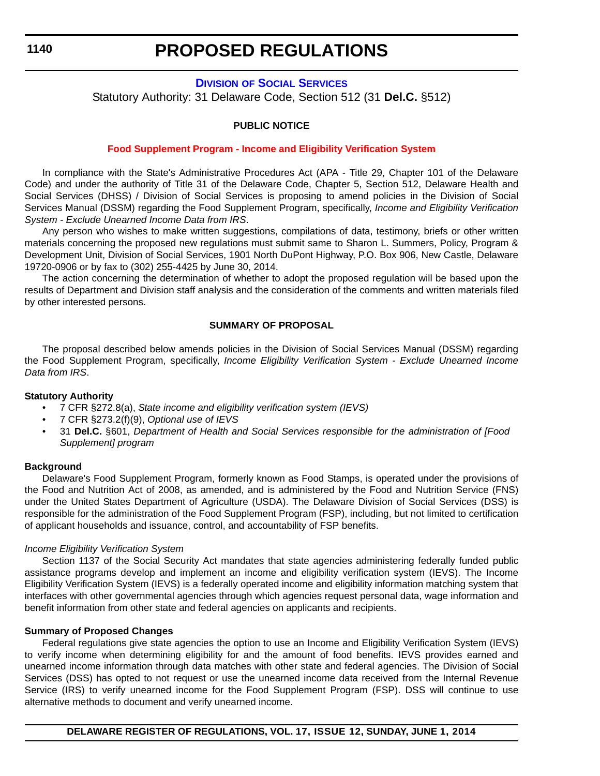#### **DIVISION [OF SOCIAL SERVICES](http://www.dhss.delaware.gov/dhss/dss/)**

<span id="page-30-0"></span>Statutory Authority: 31 Delaware Code, Section 512 (31 **Del.C.** §512)

#### **PUBLIC NOTICE**

#### **[Food Supplement Program - Income and Eligibility Verification System](#page-3-0)**

In compliance with the State's Administrative Procedures Act (APA - Title 29, Chapter 101 of the Delaware Code) and under the authority of Title 31 of the Delaware Code, Chapter 5, Section 512, Delaware Health and Social Services (DHSS) / Division of Social Services is proposing to amend policies in the Division of Social Services Manual (DSSM) regarding the Food Supplement Program, specifically, *Income and Eligibility Verification System - Exclude Unearned Income Data from IRS*.

Any person who wishes to make written suggestions, compilations of data, testimony, briefs or other written materials concerning the proposed new regulations must submit same to Sharon L. Summers, Policy, Program & Development Unit, Division of Social Services, 1901 North DuPont Highway, P.O. Box 906, New Castle, Delaware 19720-0906 or by fax to (302) 255-4425 by June 30, 2014.

The action concerning the determination of whether to adopt the proposed regulation will be based upon the results of Department and Division staff analysis and the consideration of the comments and written materials filed by other interested persons.

#### **SUMMARY OF PROPOSAL**

The proposal described below amends policies in the Division of Social Services Manual (DSSM) regarding the Food Supplement Program, specifically, *Income Eligibility Verification System - Exclude Unearned Income Data from IRS*.

#### **Statutory Authority**

- 7 CFR §272.8(a), *State income and eligibility verification system (IEVS)*
- 7 CFR §273.2(f)(9), *Optional use of IEVS*
- 31 **Del.C.** §601, *Department of Health and Social Services responsible for the administration of [Food Supplement] program*

#### **Background**

Delaware's Food Supplement Program, formerly known as Food Stamps, is operated under the provisions of the Food and Nutrition Act of 2008, as amended, and is administered by the Food and Nutrition Service (FNS) under the United States Department of Agriculture (USDA). The Delaware Division of Social Services (DSS) is responsible for the administration of the Food Supplement Program (FSP), including, but not limited to certification of applicant households and issuance, control, and accountability of FSP benefits.

#### *Income Eligibility Verification System*

Section 1137 of the Social Security Act mandates that state agencies administering federally funded public assistance programs develop and implement an income and eligibility verification system (IEVS). The Income Eligibility Verification System (IEVS) is a federally operated income and eligibility information matching system that interfaces with other governmental agencies through which agencies request personal data, wage information and benefit information from other state and federal agencies on applicants and recipients.

#### **Summary of Proposed Changes**

Federal regulations give state agencies the option to use an Income and Eligibility Verification System (IEVS) to verify income when determining eligibility for and the amount of food benefits. IEVS provides earned and unearned income information through data matches with other state and federal agencies. The Division of Social Services (DSS) has opted to not request or use the unearned income data received from the Internal Revenue Service (IRS) to verify unearned income for the Food Supplement Program (FSP). DSS will continue to use alternative methods to document and verify unearned income.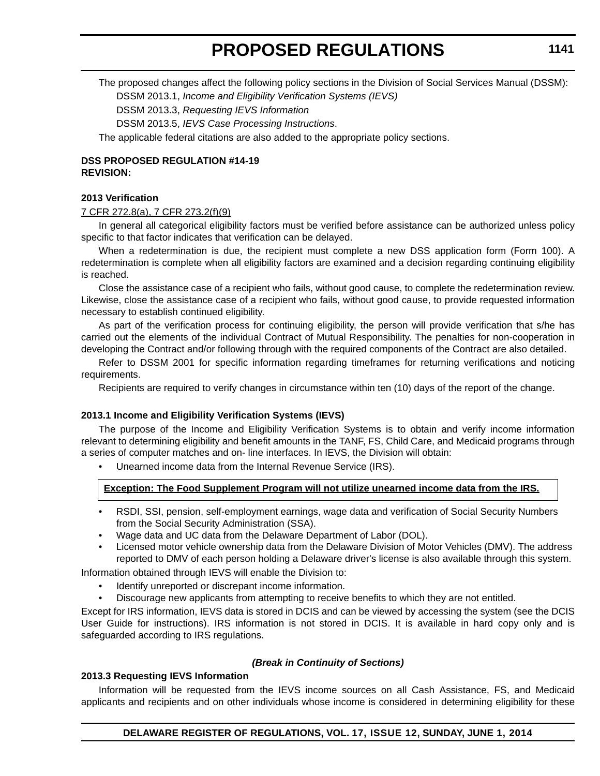The proposed changes affect the following policy sections in the Division of Social Services Manual (DSSM): DSSM 2013.1, *Income and Eligibility Verification Systems (IEVS)*

DSSM 2013.3, *Requesting IEVS Information*

DSSM 2013.5, *IEVS Case Processing Instructions*.

The applicable federal citations are also added to the appropriate policy sections.

#### **DSS PROPOSED REGULATION #14-19 REVISION:**

#### **2013 Verification**

#### 7 CFR 272.8(a), 7 CFR 273.2(f)(9)

In general all categorical eligibility factors must be verified before assistance can be authorized unless policy specific to that factor indicates that verification can be delayed.

When a redetermination is due, the recipient must complete a new DSS application form (Form 100). A redetermination is complete when all eligibility factors are examined and a decision regarding continuing eligibility is reached.

Close the assistance case of a recipient who fails, without good cause, to complete the redetermination review. Likewise, close the assistance case of a recipient who fails, without good cause, to provide requested information necessary to establish continued eligibility.

As part of the verification process for continuing eligibility, the person will provide verification that s/he has carried out the elements of the individual Contract of Mutual Responsibility. The penalties for non-cooperation in developing the Contract and/or following through with the required components of the Contract are also detailed.

Refer to DSSM 2001 for specific information regarding timeframes for returning verifications and noticing requirements.

Recipients are required to verify changes in circumstance within ten (10) days of the report of the change.

#### **2013.1 Income and Eligibility Verification Systems (IEVS)**

The purpose of the Income and Eligibility Verification Systems is to obtain and verify income information relevant to determining eligibility and benefit amounts in the TANF, FS, Child Care, and Medicaid programs through a series of computer matches and on- line interfaces. In IEVS, the Division will obtain:

• Unearned income data from the Internal Revenue Service (IRS).

#### **Exception: The Food Supplement Program will not utilize unearned income data from the IRS.**

- RSDI, SSI, pension, self-employment earnings, wage data and verification of Social Security Numbers from the Social Security Administration (SSA).
- Wage data and UC data from the Delaware Department of Labor (DOL).
- Licensed motor vehicle ownership data from the Delaware Division of Motor Vehicles (DMV). The address reported to DMV of each person holding a Delaware driver's license is also available through this system.

Information obtained through IEVS will enable the Division to:

- Identify unreported or discrepant income information.
- Discourage new applicants from attempting to receive benefits to which they are not entitled.

Except for IRS information, IEVS data is stored in DCIS and can be viewed by accessing the system (see the DCIS User Guide for instructions). IRS information is not stored in DCIS. It is available in hard copy only and is safeguarded according to IRS regulations.

#### *(Break in Continuity of Sections)*

#### **2013.3 Requesting IEVS Information**

Information will be requested from the IEVS income sources on all Cash Assistance, FS, and Medicaid applicants and recipients and on other individuals whose income is considered in determining eligibility for these

**DELAWARE REGISTER OF REGULATIONS, VOL. 17, ISSUE 12, SUNDAY, JUNE 1, 2014**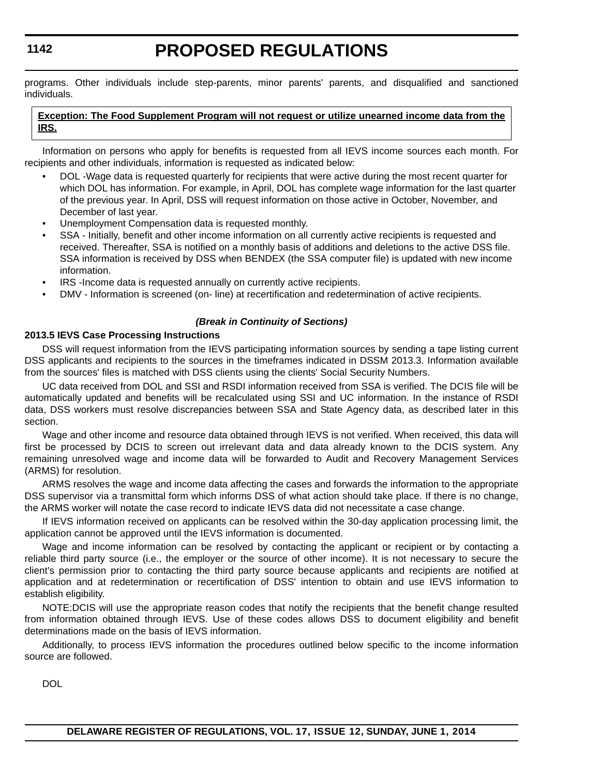# **PROPOSED REGULATIONS**

programs. Other individuals include step-parents, minor parents' parents, and disqualified and sanctioned individuals.

#### **Exception: The Food Supplement Program will not request or utilize unearned income data from the IRS.**

Information on persons who apply for benefits is requested from all IEVS income sources each month. For recipients and other individuals, information is requested as indicated below:

- DOL -Wage data is requested quarterly for recipients that were active during the most recent quarter for which DOL has information. For example, in April, DOL has complete wage information for the last quarter of the previous year. In April, DSS will request information on those active in October, November, and December of last year.
- Unemployment Compensation data is requested monthly.
- SSA Initially, benefit and other income information on all currently active recipients is requested and received. Thereafter, SSA is notified on a monthly basis of additions and deletions to the active DSS file. SSA information is received by DSS when BENDEX (the SSA computer file) is updated with new income information.
- IRS -Income data is requested annually on currently active recipients.
- DMV Information is screened (on- line) at recertification and redetermination of active recipients.

#### *(Break in Continuity of Sections)*

#### **2013.5 IEVS Case Processing Instructions**

DSS will request information from the IEVS participating information sources by sending a tape listing current DSS applicants and recipients to the sources in the timeframes indicated in DSSM 2013.3. Information available from the sources' files is matched with DSS clients using the clients' Social Security Numbers.

UC data received from DOL and SSI and RSDI information received from SSA is verified. The DCIS file will be automatically updated and benefits will be recalculated using SSI and UC information. In the instance of RSDI data, DSS workers must resolve discrepancies between SSA and State Agency data, as described later in this section.

Wage and other income and resource data obtained through IEVS is not verified. When received, this data will first be processed by DCIS to screen out irrelevant data and data already known to the DCIS system. Any remaining unresolved wage and income data will be forwarded to Audit and Recovery Management Services (ARMS) for resolution.

ARMS resolves the wage and income data affecting the cases and forwards the information to the appropriate DSS supervisor via a transmittal form which informs DSS of what action should take place. If there is no change, the ARMS worker will notate the case record to indicate IEVS data did not necessitate a case change.

If IEVS information received on applicants can be resolved within the 30-day application processing limit, the application cannot be approved until the IEVS information is documented.

Wage and income information can be resolved by contacting the applicant or recipient or by contacting a reliable third party source (i.e., the employer or the source of other income). It is not necessary to secure the client's permission prior to contacting the third party source because applicants and recipients are notified at application and at redetermination or recertification of DSS' intention to obtain and use IEVS information to establish eligibility.

NOTE:DCIS will use the appropriate reason codes that notify the recipients that the benefit change resulted from information obtained through IEVS. Use of these codes allows DSS to document eligibility and benefit determinations made on the basis of IEVS information.

Additionally, to process IEVS information the procedures outlined below specific to the income information source are followed.

DOL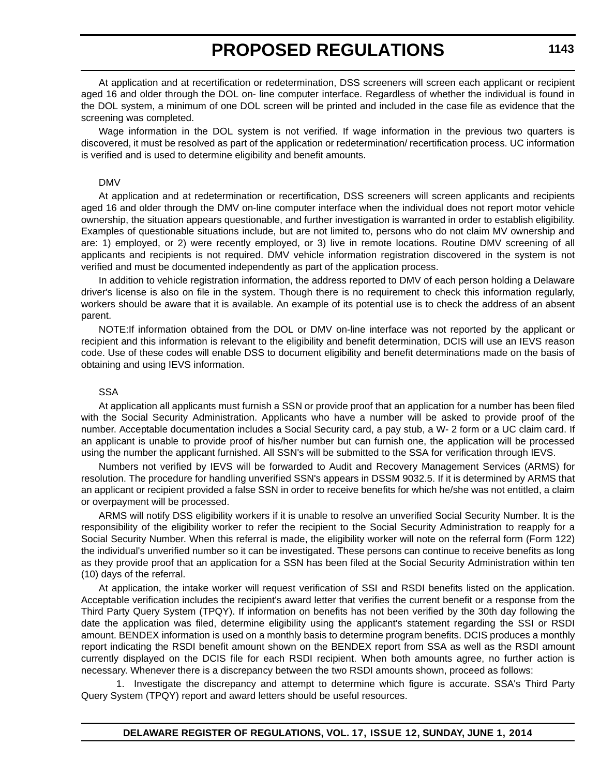At application and at recertification or redetermination, DSS screeners will screen each applicant or recipient aged 16 and older through the DOL on- line computer interface. Regardless of whether the individual is found in the DOL system, a minimum of one DOL screen will be printed and included in the case file as evidence that the screening was completed.

Wage information in the DOL system is not verified. If wage information in the previous two quarters is discovered, it must be resolved as part of the application or redetermination/ recertification process. UC information is verified and is used to determine eligibility and benefit amounts.

#### DMV

At application and at redetermination or recertification, DSS screeners will screen applicants and recipients aged 16 and older through the DMV on-line computer interface when the individual does not report motor vehicle ownership, the situation appears questionable, and further investigation is warranted in order to establish eligibility. Examples of questionable situations include, but are not limited to, persons who do not claim MV ownership and are: 1) employed, or 2) were recently employed, or 3) live in remote locations. Routine DMV screening of all applicants and recipients is not required. DMV vehicle information registration discovered in the system is not verified and must be documented independently as part of the application process.

In addition to vehicle registration information, the address reported to DMV of each person holding a Delaware driver's license is also on file in the system. Though there is no requirement to check this information regularly, workers should be aware that it is available. An example of its potential use is to check the address of an absent parent.

NOTE:If information obtained from the DOL or DMV on-line interface was not reported by the applicant or recipient and this information is relevant to the eligibility and benefit determination, DCIS will use an IEVS reason code. Use of these codes will enable DSS to document eligibility and benefit determinations made on the basis of obtaining and using IEVS information.

#### SSA

At application all applicants must furnish a SSN or provide proof that an application for a number has been filed with the Social Security Administration. Applicants who have a number will be asked to provide proof of the number. Acceptable documentation includes a Social Security card, a pay stub, a W- 2 form or a UC claim card. If an applicant is unable to provide proof of his/her number but can furnish one, the application will be processed using the number the applicant furnished. All SSN's will be submitted to the SSA for verification through IEVS.

Numbers not verified by IEVS will be forwarded to Audit and Recovery Management Services (ARMS) for resolution. The procedure for handling unverified SSN's appears in DSSM 9032.5. If it is determined by ARMS that an applicant or recipient provided a false SSN in order to receive benefits for which he/she was not entitled, a claim or overpayment will be processed.

ARMS will notify DSS eligibility workers if it is unable to resolve an unverified Social Security Number. It is the responsibility of the eligibility worker to refer the recipient to the Social Security Administration to reapply for a Social Security Number. When this referral is made, the eligibility worker will note on the referral form (Form 122) the individual's unverified number so it can be investigated. These persons can continue to receive benefits as long as they provide proof that an application for a SSN has been filed at the Social Security Administration within ten (10) days of the referral.

At application, the intake worker will request verification of SSI and RSDI benefits listed on the application. Acceptable verification includes the recipient's award letter that verifies the current benefit or a response from the Third Party Query System (TPQY). If information on benefits has not been verified by the 30th day following the date the application was filed, determine eligibility using the applicant's statement regarding the SSI or RSDI amount. BENDEX information is used on a monthly basis to determine program benefits. DCIS produces a monthly report indicating the RSDI benefit amount shown on the BENDEX report from SSA as well as the RSDI amount currently displayed on the DCIS file for each RSDI recipient. When both amounts agree, no further action is necessary. Whenever there is a discrepancy between the two RSDI amounts shown, proceed as follows:

1. Investigate the discrepancy and attempt to determine which figure is accurate. SSA's Third Party Query System (TPQY) report and award letters should be useful resources.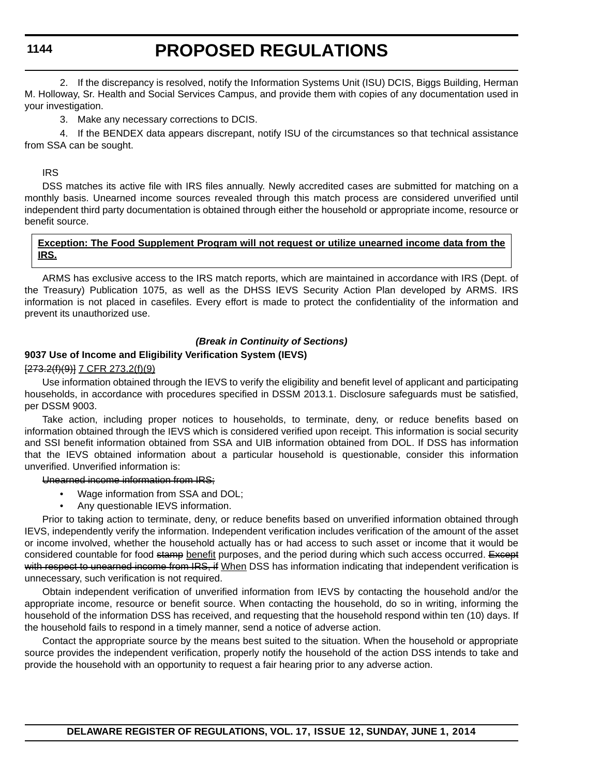### **PROPOSED REGULATIONS**

2. If the discrepancy is resolved, notify the Information Systems Unit (ISU) DCIS, Biggs Building, Herman M. Holloway, Sr. Health and Social Services Campus, and provide them with copies of any documentation used in your investigation.

3. Make any necessary corrections to DCIS.

4. If the BENDEX data appears discrepant, notify ISU of the circumstances so that technical assistance from SSA can be sought.

#### IRS

DSS matches its active file with IRS files annually. Newly accredited cases are submitted for matching on a monthly basis. Unearned income sources revealed through this match process are considered unverified until independent third party documentation is obtained through either the household or appropriate income, resource or benefit source.

#### **Exception: The Food Supplement Program will not request or utilize unearned income data from the IRS.**

ARMS has exclusive access to the IRS match reports, which are maintained in accordance with IRS (Dept. of the Treasury) Publication 1075, as well as the DHSS IEVS Security Action Plan developed by ARMS. IRS information is not placed in casefiles. Every effort is made to protect the confidentiality of the information and prevent its unauthorized use.

#### *(Break in Continuity of Sections)*

#### **9037 Use of Income and Eligibility Verification System (IEVS)**

#### [273.2(f)(9)] 7 CFR 273.2(f)(9)

Use information obtained through the IEVS to verify the eligibility and benefit level of applicant and participating households, in accordance with procedures specified in DSSM 2013.1. Disclosure safeguards must be satisfied, per DSSM 9003.

Take action, including proper notices to households, to terminate, deny, or reduce benefits based on information obtained through the IEVS which is considered verified upon receipt. This information is social security and SSI benefit information obtained from SSA and UIB information obtained from DOL. If DSS has information that the IEVS obtained information about a particular household is questionable, consider this information unverified. Unverified information is:

Unearned income information from IRS;

- Wage information from SSA and DOL;
- Any questionable IEVS information.

Prior to taking action to terminate, deny, or reduce benefits based on unverified information obtained through IEVS, independently verify the information. Independent verification includes verification of the amount of the asset or income involved, whether the household actually has or had access to such asset or income that it would be considered countable for food stamp benefit purposes, and the period during which such access occurred. Except with respect to unearned income from IRS, if When DSS has information indicating that independent verification is unnecessary, such verification is not required.

Obtain independent verification of unverified information from IEVS by contacting the household and/or the appropriate income, resource or benefit source. When contacting the household, do so in writing, informing the household of the information DSS has received, and requesting that the household respond within ten (10) days. If the household fails to respond in a timely manner, send a notice of adverse action.

Contact the appropriate source by the means best suited to the situation. When the household or appropriate source provides the independent verification, properly notify the household of the action DSS intends to take and provide the household with an opportunity to request a fair hearing prior to any adverse action.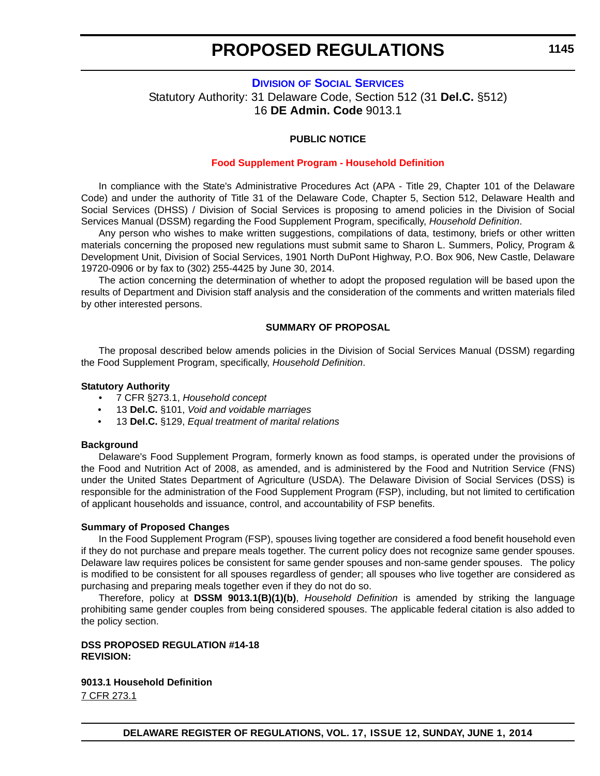**1145**

#### <span id="page-35-0"></span>**DIVISION [OF SOCIAL SERVICES](http://www.dhss.delaware.gov/dhss/dss/)** Statutory Authority: 31 Delaware Code, Section 512 (31 **Del.C.** §512) 16 **DE Admin. Code** 9013.1

#### **PUBLIC NOTICE**

#### **[Food Supplement Program - Household Definition](#page-3-0)**

In compliance with the State's Administrative Procedures Act (APA - Title 29, Chapter 101 of the Delaware Code) and under the authority of Title 31 of the Delaware Code, Chapter 5, Section 512, Delaware Health and Social Services (DHSS) / Division of Social Services is proposing to amend policies in the Division of Social Services Manual (DSSM) regarding the Food Supplement Program, specifically, *Household Definition*.

Any person who wishes to make written suggestions, compilations of data, testimony, briefs or other written materials concerning the proposed new regulations must submit same to Sharon L. Summers, Policy, Program & Development Unit, Division of Social Services, 1901 North DuPont Highway, P.O. Box 906, New Castle, Delaware 19720-0906 or by fax to (302) 255-4425 by June 30, 2014.

The action concerning the determination of whether to adopt the proposed regulation will be based upon the results of Department and Division staff analysis and the consideration of the comments and written materials filed by other interested persons.

#### **SUMMARY OF PROPOSAL**

The proposal described below amends policies in the Division of Social Services Manual (DSSM) regarding the Food Supplement Program, specifically, *Household Definition*.

#### **Statutory Authority**

- 7 CFR §273.1, *Household concept*
- 13 **Del.C.** §101, *Void and voidable marriages*
- 13 **Del.C.** §129, *Equal treatment of marital relations*

#### **Background**

Delaware's Food Supplement Program, formerly known as food stamps, is operated under the provisions of the Food and Nutrition Act of 2008, as amended, and is administered by the Food and Nutrition Service (FNS) under the United States Department of Agriculture (USDA). The Delaware Division of Social Services (DSS) is responsible for the administration of the Food Supplement Program (FSP), including, but not limited to certification of applicant households and issuance, control, and accountability of FSP benefits.

#### **Summary of Proposed Changes**

In the Food Supplement Program (FSP), spouses living together are considered a food benefit household even if they do not purchase and prepare meals together. The current policy does not recognize same gender spouses. Delaware law requires polices be consistent for same gender spouses and non-same gender spouses. The policy is modified to be consistent for all spouses regardless of gender; all spouses who live together are considered as purchasing and preparing meals together even if they do not do so.

Therefore, policy at **DSSM 9013.1(B)(1)(b)**, *Household Definition* is amended by striking the language prohibiting same gender couples from being considered spouses. The applicable federal citation is also added to the policy section.

#### **DSS PROPOSED REGULATION #14-18 REVISION:**

**9013.1 Household Definition** 7 CFR 273.1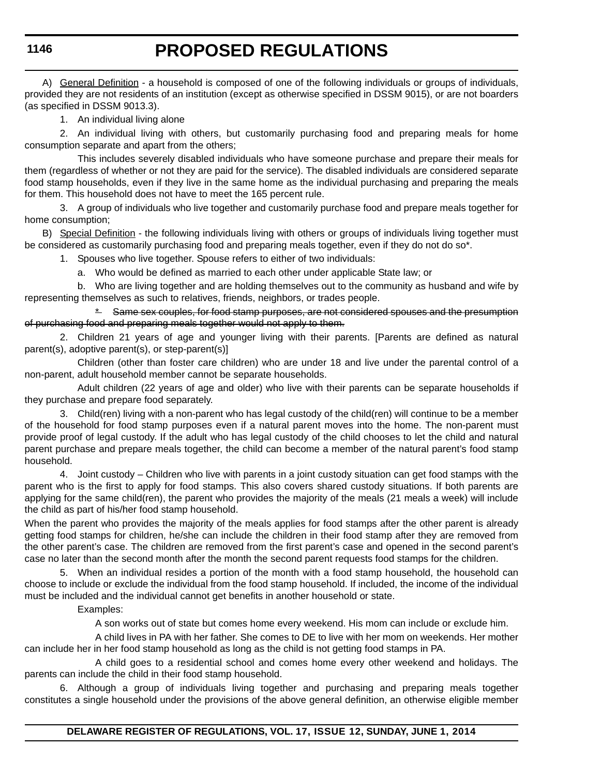## **PROPOSED REGULATIONS**

A) General Definition - a household is composed of one of the following individuals or groups of individuals, provided they are not residents of an institution (except as otherwise specified in DSSM 9015), or are not boarders (as specified in DSSM 9013.3).

1. An individual living alone

2. An individual living with others, but customarily purchasing food and preparing meals for home consumption separate and apart from the others;

This includes severely disabled individuals who have someone purchase and prepare their meals for them (regardless of whether or not they are paid for the service). The disabled individuals are considered separate food stamp households, even if they live in the same home as the individual purchasing and preparing the meals for them. This household does not have to meet the 165 percent rule.

3. A group of individuals who live together and customarily purchase food and prepare meals together for home consumption;

B) Special Definition - the following individuals living with others or groups of individuals living together must be considered as customarily purchasing food and preparing meals together, even if they do not do so\*.

1. Spouses who live together. Spouse refers to either of two individuals:

a. Who would be defined as married to each other under applicable State law; or

b. Who are living together and are holding themselves out to the community as husband and wife by representing themselves as such to relatives, friends, neighbors, or trades people.

\* Same sex couples, for food stamp purposes, are not considered spouses and the presumption of purchasing food and preparing meals together would not apply to them.

2. Children 21 years of age and younger living with their parents. [Parents are defined as natural parent(s), adoptive parent(s), or step-parent(s)]

Children (other than foster care children) who are under 18 and live under the parental control of a non-parent, adult household member cannot be separate households.

Adult children (22 years of age and older) who live with their parents can be separate households if they purchase and prepare food separately.

3. Child(ren) living with a non-parent who has legal custody of the child(ren) will continue to be a member of the household for food stamp purposes even if a natural parent moves into the home. The non-parent must provide proof of legal custody. If the adult who has legal custody of the child chooses to let the child and natural parent purchase and prepare meals together, the child can become a member of the natural parent's food stamp household.

4. Joint custody – Children who live with parents in a joint custody situation can get food stamps with the parent who is the first to apply for food stamps. This also covers shared custody situations. If both parents are applying for the same child(ren), the parent who provides the majority of the meals (21 meals a week) will include the child as part of his/her food stamp household.

When the parent who provides the majority of the meals applies for food stamps after the other parent is already getting food stamps for children, he/she can include the children in their food stamp after they are removed from the other parent's case. The children are removed from the first parent's case and opened in the second parent's case no later than the second month after the month the second parent requests food stamps for the children.

5. When an individual resides a portion of the month with a food stamp household, the household can choose to include or exclude the individual from the food stamp household. If included, the income of the individual must be included and the individual cannot get benefits in another household or state.

Examples:

A son works out of state but comes home every weekend. His mom can include or exclude him.

A child lives in PA with her father. She comes to DE to live with her mom on weekends. Her mother can include her in her food stamp household as long as the child is not getting food stamps in PA.

A child goes to a residential school and comes home every other weekend and holidays. The parents can include the child in their food stamp household.

6. Although a group of individuals living together and purchasing and preparing meals together constitutes a single household under the provisions of the above general definition, an otherwise eligible member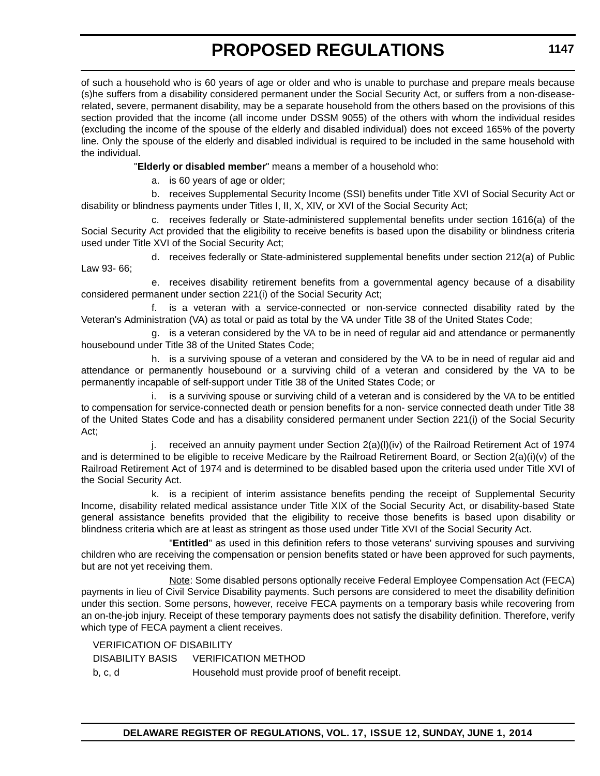of such a household who is 60 years of age or older and who is unable to purchase and prepare meals because (s)he suffers from a disability considered permanent under the Social Security Act, or suffers from a non-diseaserelated, severe, permanent disability, may be a separate household from the others based on the provisions of this section provided that the income (all income under DSSM 9055) of the others with whom the individual resides (excluding the income of the spouse of the elderly and disabled individual) does not exceed 165% of the poverty line. Only the spouse of the elderly and disabled individual is required to be included in the same household with the individual.

"**Elderly or disabled member**" means a member of a household who:

a. is 60 years of age or older;

b. receives Supplemental Security Income (SSI) benefits under Title XVI of Social Security Act or disability or blindness payments under Titles I, II, X, XIV, or XVI of the Social Security Act;

c. receives federally or State-administered supplemental benefits under section 1616(a) of the Social Security Act provided that the eligibility to receive benefits is based upon the disability or blindness criteria used under Title XVI of the Social Security Act;

d. receives federally or State-administered supplemental benefits under section 212(a) of Public Law 93- 66;

e. receives disability retirement benefits from a governmental agency because of a disability considered permanent under section 221(i) of the Social Security Act;

f. is a veteran with a service-connected or non-service connected disability rated by the Veteran's Administration (VA) as total or paid as total by the VA under Title 38 of the United States Code;

g. is a veteran considered by the VA to be in need of regular aid and attendance or permanently housebound under Title 38 of the United States Code;

h. is a surviving spouse of a veteran and considered by the VA to be in need of regular aid and attendance or permanently housebound or a surviving child of a veteran and considered by the VA to be permanently incapable of self-support under Title 38 of the United States Code; or

i. is a surviving spouse or surviving child of a veteran and is considered by the VA to be entitled to compensation for service-connected death or pension benefits for a non- service connected death under Title 38 of the United States Code and has a disability considered permanent under Section 221(i) of the Social Security Act;

j. received an annuity payment under Section  $2(a)(I)(iv)$  of the Railroad Retirement Act of 1974 and is determined to be eligible to receive Medicare by the Railroad Retirement Board, or Section 2(a)(i)(v) of the Railroad Retirement Act of 1974 and is determined to be disabled based upon the criteria used under Title XVI of the Social Security Act.

k. is a recipient of interim assistance benefits pending the receipt of Supplemental Security Income, disability related medical assistance under Title XIX of the Social Security Act, or disability-based State general assistance benefits provided that the eligibility to receive those benefits is based upon disability or blindness criteria which are at least as stringent as those used under Title XVI of the Social Security Act.

"**Entitled**" as used in this definition refers to those veterans' surviving spouses and surviving children who are receiving the compensation or pension benefits stated or have been approved for such payments, but are not yet receiving them.

Note: Some disabled persons optionally receive Federal Employee Compensation Act (FECA) payments in lieu of Civil Service Disability payments. Such persons are considered to meet the disability definition under this section. Some persons, however, receive FECA payments on a temporary basis while recovering from an on-the-job injury. Receipt of these temporary payments does not satisfy the disability definition. Therefore, verify which type of FECA payment a client receives.

VERIFICATION OF DISABILITY DISABILITY BASIS VERIFICATION METHOD b, c, d Household must provide proof of benefit receipt.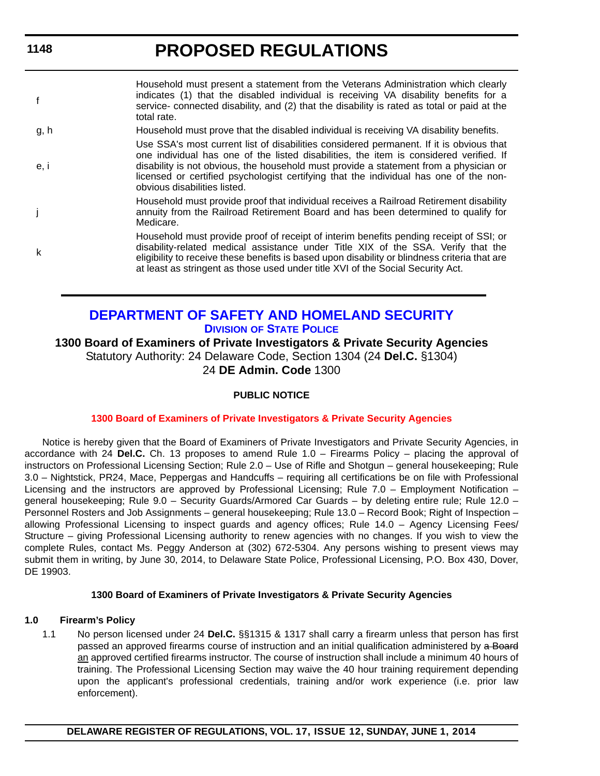**PROPOSED REGULATIONS**

| $\mathbf{f}$ | Household must present a statement from the Veterans Administration which clearly<br>indicates (1) that the disabled individual is receiving VA disability benefits for a<br>service- connected disability, and (2) that the disability is rated as total or paid at the<br>total rate.                                                                                                             |
|--------------|-----------------------------------------------------------------------------------------------------------------------------------------------------------------------------------------------------------------------------------------------------------------------------------------------------------------------------------------------------------------------------------------------------|
| g, h         | Household must prove that the disabled individual is receiving VA disability benefits.                                                                                                                                                                                                                                                                                                              |
| e, i         | Use SSA's most current list of disabilities considered permanent. If it is obvious that<br>one individual has one of the listed disabilities, the item is considered verified. If<br>disability is not obvious, the household must provide a statement from a physician or<br>licensed or certified psychologist certifying that the individual has one of the non-<br>obvious disabilities listed. |
|              | Household must provide proof that individual receives a Railroad Retirement disability<br>annuity from the Railroad Retirement Board and has been determined to qualify for<br>Medicare.                                                                                                                                                                                                            |
| k            | Household must provide proof of receipt of interim benefits pending receipt of SSI; or<br>disability-related medical assistance under Title XIX of the SSA. Verify that the<br>eligibility to receive these benefits is based upon disability or blindness criteria that are<br>at least as stringent as those used under title XVI of the Social Security Act.                                     |
|              |                                                                                                                                                                                                                                                                                                                                                                                                     |

## **[DEPARTMENT OF SAFETY AND HOMELAND SECURITY](http://dsp.delaware.gov/) DIVISION OF STATE POLICE**

**1300 Board of Examiners of Private Investigators & Private Security Agencies** Statutory Authority: 24 Delaware Code, Section 1304 (24 **Del.C.** §1304) 24 **DE Admin. Code** 1300

#### **PUBLIC NOTICE**

#### **[1300 Board of Examiners of Private Investigators & Private Security Agencies](#page-3-0)**

Notice is hereby given that the Board of Examiners of Private Investigators and Private Security Agencies, in accordance with 24 **Del.C.** Ch. 13 proposes to amend Rule 1.0 – Firearms Policy – placing the approval of instructors on Professional Licensing Section; Rule 2.0 – Use of Rifle and Shotgun – general housekeeping; Rule 3.0 – Nightstick, PR24, Mace, Peppergas and Handcuffs – requiring all certifications be on file with Professional Licensing and the instructors are approved by Professional Licensing; Rule 7.0 – Employment Notification – general housekeeping; Rule 9.0 – Security Guards/Armored Car Guards – by deleting entire rule; Rule 12.0 – Personnel Rosters and Job Assignments – general housekeeping; Rule 13.0 – Record Book; Right of Inspection – allowing Professional Licensing to inspect guards and agency offices; Rule 14.0 – Agency Licensing Fees/ Structure – giving Professional Licensing authority to renew agencies with no changes. If you wish to view the complete Rules, contact Ms. Peggy Anderson at (302) 672-5304. Any persons wishing to present views may submit them in writing, by June 30, 2014, to Delaware State Police, Professional Licensing, P.O. Box 430, Dover, DE 19903.

#### **1300 Board of Examiners of Private Investigators & Private Security Agencies**

#### **1.0 Firearm's Policy**

1.1 No person licensed under 24 **Del.C.** §§1315 & 1317 shall carry a firearm unless that person has first passed an approved firearms course of instruction and an initial qualification administered by a Board an approved certified firearms instructor. The course of instruction shall include a minimum 40 hours of training. The Professional Licensing Section may waive the 40 hour training requirement depending upon the applicant's professional credentials, training and/or work experience (i.e. prior law enforcement).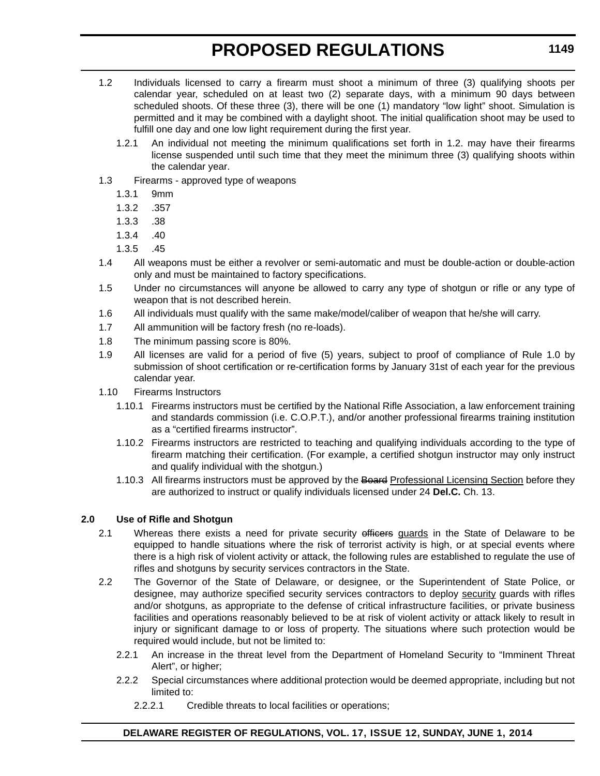- 1.2 Individuals licensed to carry a firearm must shoot a minimum of three (3) qualifying shoots per calendar year, scheduled on at least two (2) separate days, with a minimum 90 days between scheduled shoots. Of these three (3), there will be one (1) mandatory "low light" shoot. Simulation is permitted and it may be combined with a daylight shoot. The initial qualification shoot may be used to fulfill one day and one low light requirement during the first year.
	- 1.2.1 An individual not meeting the minimum qualifications set forth in 1.2. may have their firearms license suspended until such time that they meet the minimum three (3) qualifying shoots within the calendar year.
- 1.3 Firearms approved type of weapons
	- 1.3.1 9mm
	- 1.3.2 .357
	- 1.3.3 .38
	- 1.3.4 .40
	- 1.3.5 .45
- 1.4 All weapons must be either a revolver or semi-automatic and must be double-action or double-action only and must be maintained to factory specifications.
- 1.5 Under no circumstances will anyone be allowed to carry any type of shotgun or rifle or any type of weapon that is not described herein.
- 1.6 All individuals must qualify with the same make/model/caliber of weapon that he/she will carry.
- 1.7 All ammunition will be factory fresh (no re-loads).
- 1.8 The minimum passing score is 80%.
- 1.9 All licenses are valid for a period of five (5) years, subject to proof of compliance of Rule 1.0 by submission of shoot certification or re-certification forms by January 31st of each year for the previous calendar year.
- 1.10 Firearms Instructors
	- 1.10.1 Firearms instructors must be certified by the National Rifle Association, a law enforcement training and standards commission (i.e. C.O.P.T.), and/or another professional firearms training institution as a "certified firearms instructor".
	- 1.10.2 Firearms instructors are restricted to teaching and qualifying individuals according to the type of firearm matching their certification. (For example, a certified shotgun instructor may only instruct and qualify individual with the shotgun.)
	- 1.10.3 All firearms instructors must be approved by the Board Professional Licensing Section before they are authorized to instruct or qualify individuals licensed under 24 **Del.C.** Ch. 13.

## **2.0 Use of Rifle and Shotgun**

- 2.1 Whereas there exists a need for private security efficers guards in the State of Delaware to be equipped to handle situations where the risk of terrorist activity is high, or at special events where there is a high risk of violent activity or attack, the following rules are established to regulate the use of rifles and shotguns by security services contractors in the State.
- 2.2 The Governor of the State of Delaware, or designee, or the Superintendent of State Police, or designee, may authorize specified security services contractors to deploy security guards with rifles and/or shotguns, as appropriate to the defense of critical infrastructure facilities, or private business facilities and operations reasonably believed to be at risk of violent activity or attack likely to result in injury or significant damage to or loss of property. The situations where such protection would be required would include, but not be limited to:
	- 2.2.1 An increase in the threat level from the Department of Homeland Security to "Imminent Threat Alert", or higher;
	- 2.2.2 Special circumstances where additional protection would be deemed appropriate, including but not limited to:
		- 2.2.2.1 Credible threats to local facilities or operations;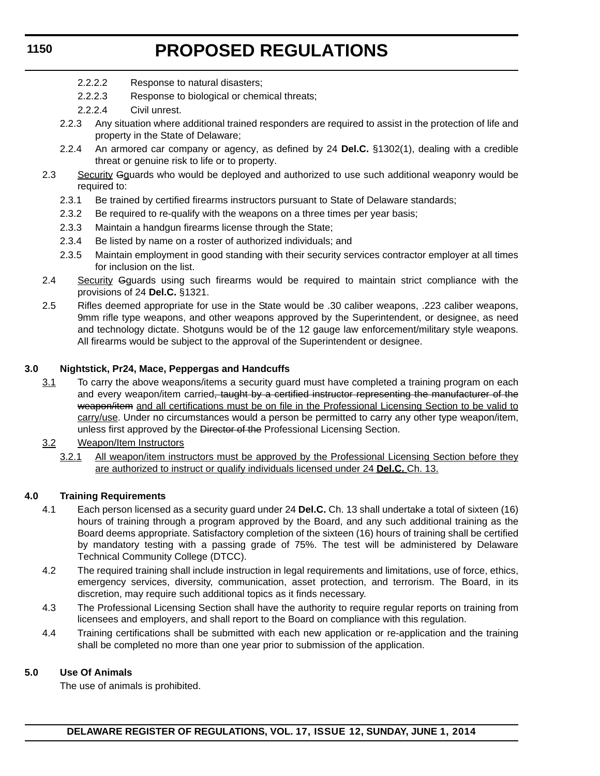- 2.2.2.2 Response to natural disasters;
- 2.2.2.3 Response to biological or chemical threats;
- 2.2.2.4 Civil unrest.
- 2.2.3 Any situation where additional trained responders are required to assist in the protection of life and property in the State of Delaware;
- 2.2.4 An armored car company or agency, as defined by 24 **Del.C.** §1302(1), dealing with a credible threat or genuine risk to life or to property.
- 2.3 Security Gguards who would be deployed and authorized to use such additional weaponry would be required to:
	- 2.3.1 Be trained by certified firearms instructors pursuant to State of Delaware standards;
	- 2.3.2 Be required to re-qualify with the weapons on a three times per year basis;
	- 2.3.3 Maintain a handgun firearms license through the State;
	- 2.3.4 Be listed by name on a roster of authorized individuals; and
	- 2.3.5 Maintain employment in good standing with their security services contractor employer at all times for inclusion on the list.
- 2.4 Security Gguards using such firearms would be required to maintain strict compliance with the provisions of 24 **Del.C.** §1321.
- 2.5 Rifles deemed appropriate for use in the State would be .30 caliber weapons, .223 caliber weapons, 9mm rifle type weapons, and other weapons approved by the Superintendent, or designee, as need and technology dictate. Shotguns would be of the 12 gauge law enforcement/military style weapons. All firearms would be subject to the approval of the Superintendent or designee.

### **3.0 Nightstick, Pr24, Mace, Peppergas and Handcuffs**

- 3.1 To carry the above weapons/items a security guard must have completed a training program on each and every weapon/item carried, taught by a certified instructor representing the manufacturer of the weapon/item and all certifications must be on file in the Professional Licensing Section to be valid to carry/use. Under no circumstances would a person be permitted to carry any other type weapon/item, unless first approved by the Director of the Professional Licensing Section.
- 3.2 Weapon/Item Instructors
	- 3.2.1 All weapon/item instructors must be approved by the Professional Licensing Section before they are authorized to instruct or qualify individuals licensed under 24 **Del.C.** Ch. 13.

## **4.0 Training Requirements**

- 4.1 Each person licensed as a security guard under 24 **Del.C.** Ch. 13 shall undertake a total of sixteen (16) hours of training through a program approved by the Board, and any such additional training as the Board deems appropriate. Satisfactory completion of the sixteen (16) hours of training shall be certified by mandatory testing with a passing grade of 75%. The test will be administered by Delaware Technical Community College (DTCC).
- 4.2 The required training shall include instruction in legal requirements and limitations, use of force, ethics, emergency services, diversity, communication, asset protection, and terrorism. The Board, in its discretion, may require such additional topics as it finds necessary.
- 4.3 The Professional Licensing Section shall have the authority to require regular reports on training from licensees and employers, and shall report to the Board on compliance with this regulation.
- 4.4 Training certifications shall be submitted with each new application or re-application and the training shall be completed no more than one year prior to submission of the application.

#### **5.0 Use Of Animals**

The use of animals is prohibited.

## **1150**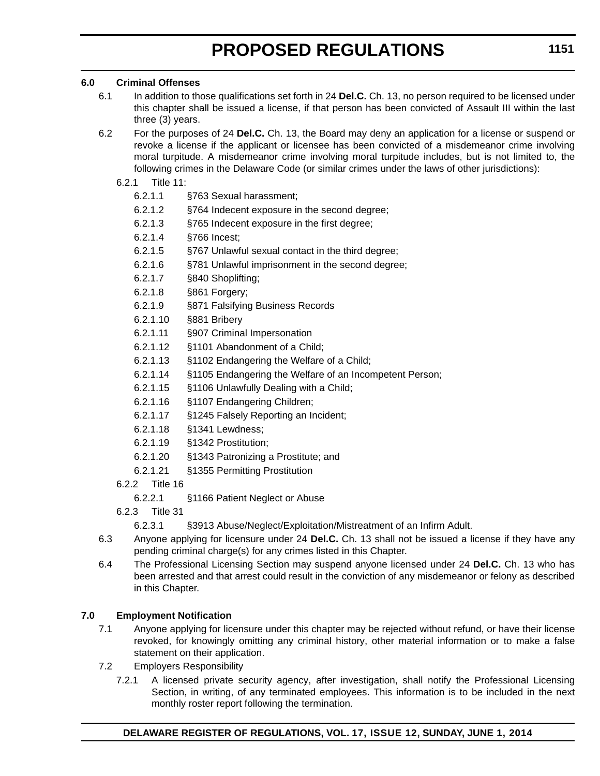### **6.0 Criminal Offenses**

- 6.1 In addition to those qualifications set forth in 24 **Del.C.** Ch. 13, no person required to be licensed under this chapter shall be issued a license, if that person has been convicted of Assault III within the last three (3) years.
- 6.2 For the purposes of 24 **Del.C.** Ch. 13, the Board may deny an application for a license or suspend or revoke a license if the applicant or licensee has been convicted of a misdemeanor crime involving moral turpitude. A misdemeanor crime involving moral turpitude includes, but is not limited to, the following crimes in the Delaware Code (or similar crimes under the laws of other jurisdictions):
	- 6.2.1 Title 11:
		- 6.2.1.1 §763 Sexual harassment;
		- 6.2.1.2 §764 Indecent exposure in the second degree;
		- 6.2.1.3 §765 Indecent exposure in the first degree;
		- 6.2.1.4 §766 Incest;
		- 6.2.1.5 §767 Unlawful sexual contact in the third degree;
		- 6.2.1.6 §781 Unlawful imprisonment in the second degree;
		- 6.2.1.7 §840 Shoplifting;
		- 6.2.1.8 §861 Forgery;
		- 6.2.1.9 §871 Falsifying Business Records
		- 6.2.1.10 §881 Bribery
		- 6.2.1.11 §907 Criminal Impersonation
		- 6.2.1.12 §1101 Abandonment of a Child;
		- 6.2.1.13 §1102 Endangering the Welfare of a Child;
		- 6.2.1.14 §1105 Endangering the Welfare of an Incompetent Person;
		- 6.2.1.15 §1106 Unlawfully Dealing with a Child;
		- 6.2.1.16 §1107 Endangering Children;
		- 6.2.1.17 §1245 Falsely Reporting an Incident;
		- 6.2.1.18 §1341 Lewdness;
		- 6.2.1.19 §1342 Prostitution;
		- 6.2.1.20 §1343 Patronizing a Prostitute; and
		- 6.2.1.21 §1355 Permitting Prostitution
	- 6.2.2 Title 16
		- 6.2.2.1 §1166 Patient Neglect or Abuse
	- 6.2.3 Title 31
		- 6.2.3.1 §3913 Abuse/Neglect/Exploitation/Mistreatment of an Infirm Adult.
- 6.3 Anyone applying for licensure under 24 **Del.C.** Ch. 13 shall not be issued a license if they have any pending criminal charge(s) for any crimes listed in this Chapter.
- 6.4 The Professional Licensing Section may suspend anyone licensed under 24 **Del.C.** Ch. 13 who has been arrested and that arrest could result in the conviction of any misdemeanor or felony as described in this Chapter.

## **7.0 Employment Notification**

- 7.1 Anyone applying for licensure under this chapter may be rejected without refund, or have their license revoked, for knowingly omitting any criminal history, other material information or to make a false statement on their application.
- 7.2 Employers Responsibility
	- 7.2.1 A licensed private security agency, after investigation, shall notify the Professional Licensing Section, in writing, of any terminated employees. This information is to be included in the next monthly roster report following the termination.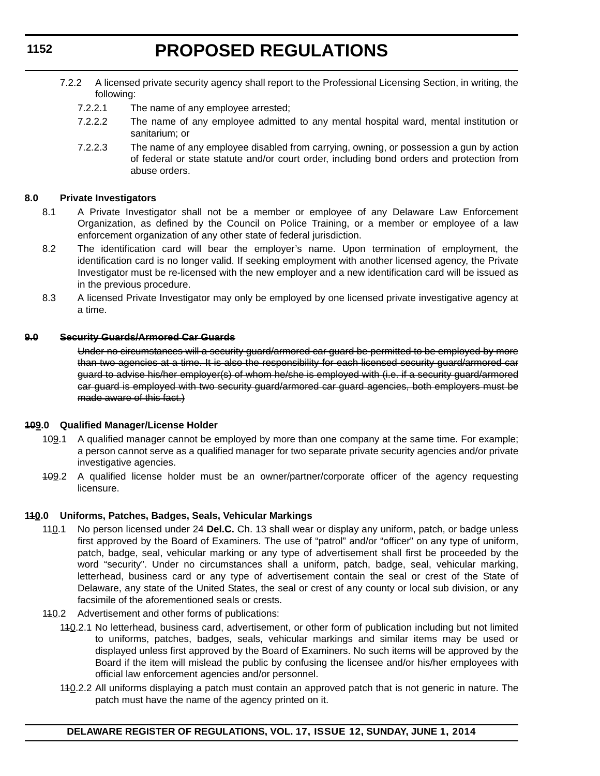- 7.2.2 A licensed private security agency shall report to the Professional Licensing Section, in writing, the following:
	- 7.2.2.1 The name of any employee arrested;
	- 7.2.2.2 The name of any employee admitted to any mental hospital ward, mental institution or sanitarium; or
	- 7.2.2.3 The name of any employee disabled from carrying, owning, or possession a gun by action of federal or state statute and/or court order, including bond orders and protection from abuse orders.

#### **8.0 Private Investigators**

- 8.1 A Private Investigator shall not be a member or employee of any Delaware Law Enforcement Organization, as defined by the Council on Police Training, or a member or employee of a law enforcement organization of any other state of federal jurisdiction.
- 8.2 The identification card will bear the employer's name. Upon termination of employment, the identification card is no longer valid. If seeking employment with another licensed agency, the Private Investigator must be re-licensed with the new employer and a new identification card will be issued as in the previous procedure.
- 8.3 A licensed Private Investigator may only be employed by one licensed private investigative agency at a time.

#### **9.0 Security Guards/Armored Car Guards**

Under no circumstances will a security guard/armored car guard be permitted to be employed by more than two agencies at a time. It is also the responsibility for each licensed security guard/armored car guard to advise his/her employer(s) of whom he/she is employed with (i.e. if a security guard/armored car guard is employed with two security guard/armored car guard agencies, both employers must be made aware of this fact.)

#### **109.0 Qualified Manager/License Holder**

- 109.1 A qualified manager cannot be employed by more than one company at the same time. For example; a person cannot serve as a qualified manager for two separate private security agencies and/or private investigative agencies.
- 109.2 A qualified license holder must be an owner/partner/corporate officer of the agency requesting licensure.

#### **110.0 Uniforms, Patches, Badges, Seals, Vehicular Markings**

- 110.1 No person licensed under 24 **Del.C.** Ch. 13 shall wear or display any uniform, patch, or badge unless first approved by the Board of Examiners. The use of "patrol" and/or "officer" on any type of uniform, patch, badge, seal, vehicular marking or any type of advertisement shall first be proceeded by the word "security". Under no circumstances shall a uniform, patch, badge, seal, vehicular marking, letterhead, business card or any type of advertisement contain the seal or crest of the State of Delaware, any state of the United States, the seal or crest of any county or local sub division, or any facsimile of the aforementioned seals or crests.
- 140.2 Advertisement and other forms of publications:
	- 110.2.1 No letterhead, business card, advertisement, or other form of publication including but not limited to uniforms, patches, badges, seals, vehicular markings and similar items may be used or displayed unless first approved by the Board of Examiners. No such items will be approved by the Board if the item will mislead the public by confusing the licensee and/or his/her employees with official law enforcement agencies and/or personnel.
	- 140.2.2 All uniforms displaying a patch must contain an approved patch that is not generic in nature. The patch must have the name of the agency printed on it.

**1152**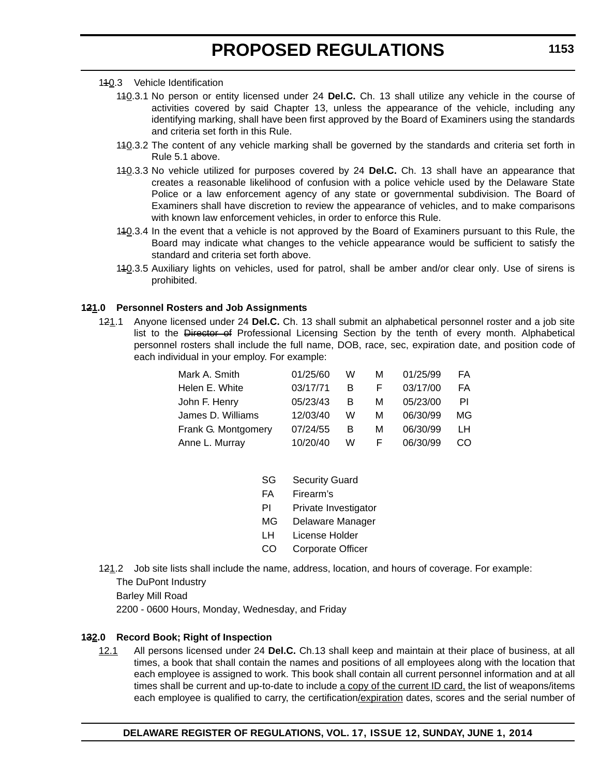#### 110.3 Vehicle Identification

- 140.3.1 No person or entity licensed under 24 Del.C. Ch. 13 shall utilize any vehicle in the course of activities covered by said Chapter 13, unless the appearance of the vehicle, including any identifying marking, shall have been first approved by the Board of Examiners using the standards and criteria set forth in this Rule.
- 140.3.2 The content of any vehicle marking shall be governed by the standards and criteria set forth in Rule 5.1 above.
- 140.3.3 No vehicle utilized for purposes covered by 24 **Del.C.** Ch. 13 shall have an appearance that creates a reasonable likelihood of confusion with a police vehicle used by the Delaware State Police or a law enforcement agency of any state or governmental subdivision. The Board of Examiners shall have discretion to review the appearance of vehicles, and to make comparisons with known law enforcement vehicles, in order to enforce this Rule.
- 140.3.4 In the event that a vehicle is not approved by the Board of Examiners pursuant to this Rule, the Board may indicate what changes to the vehicle appearance would be sufficient to satisfy the standard and criteria set forth above.
- 110.3.5 Auxiliary lights on vehicles, used for patrol, shall be amber and/or clear only. Use of sirens is prohibited.

#### **121.0 Personnel Rosters and Job Assignments**

121.1 Anyone licensed under 24 **Del.C.** Ch. 13 shall submit an alphabetical personnel roster and a job site list to the Director of Professional Licensing Section by the tenth of every month. Alphabetical personnel rosters shall include the full name, DOB, race, sec, expiration date, and position code of each individual in your employ. For example:

| Mark A. Smith       | 01/25/60 | W | м  | 01/25/99 | FA |
|---------------------|----------|---|----|----------|----|
| Helen E. White      | 03/17/71 | B | F  | 03/17/00 | FA |
| John F. Henry       | 05/23/43 | B | м  | 05/23/00 | ΡI |
| James D. Williams   | 12/03/40 | W | м  | 06/30/99 | МG |
| Frank G. Montgomery | 07/24/55 | B | м  | 06/30/99 | LН |
| Anne L. Murray      | 10/20/40 | W | F. | 06/30/99 | CO |

- SG Security Guard
- FA Firearm's
- PI Private Investigator
- MG Delaware Manager
- LH License Holder
- CO Corporate Officer
- 121.2 Job site lists shall include the name, address, location, and hours of coverage. For example: The DuPont Industry Barley Mill Road 2200 - 0600 Hours, Monday, Wednesday, and Friday

#### **132.0 Record Book; Right of Inspection**

12.1 All persons licensed under 24 **Del.C.** Ch.13 shall keep and maintain at their place of business, at all times, a book that shall contain the names and positions of all employees along with the location that each employee is assigned to work. This book shall contain all current personnel information and at all times shall be current and up-to-date to include a copy of the current ID card, the list of weapons/items each employee is qualified to carry, the certification/expiration dates, scores and the serial number of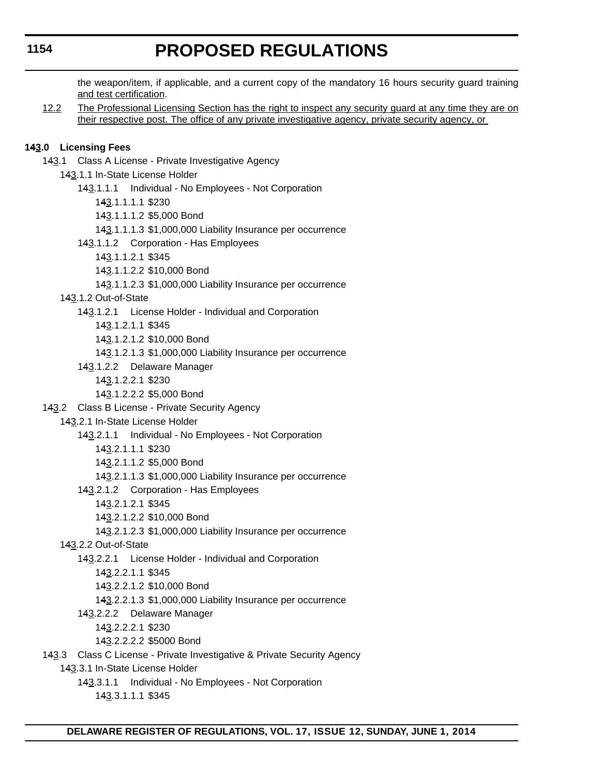the weapon/item, if applicable, and a current copy of the mandatory 16 hours security guard training and test certification.

12.2 The Professional Licensing Section has the right to inspect any security guard at any time they are on their respective post. The office of any private investigative agency, private security agency, or

### **143.0 Licensing Fees**

143.1 Class A License - Private Investigative Agency

143.1.1 In-State License Holder

- 143.1.1.1 Individual No Employees Not Corporation
	- 143.1.1.1.1 \$230

143.1.1.1.2 \$5,000 Bond

- 143.1.1.1.3 \$1,000,000 Liability Insurance per occurrence
- 143.1.1.2 Corporation Has Employees
	- 143.1.1.2.1 \$345

143.1.1.2.2 \$10,000 Bond

- 143.1.1.2.3 \$1,000,000 Liability Insurance per occurrence
- 143.1.2 Out-of-State
	- 143.1.2.1 License Holder Individual and Corporation
		- 143.1.2.1.1 \$345

143.1.2.1.2 \$10,000 Bond

143.1.2.1.3 \$1,000,000 Liability Insurance per occurrence

- 143.1.2.2 Delaware Manager
	- 143.1.2.2.1 \$230
	- 143.1.2.2.2 \$5,000 Bond
- 143.2 Class B License Private Security Agency
	- 143.2.1 In-State License Holder
		- 143.2.1.1 Individual No Employees Not Corporation
			- 143.2.1.1.1 \$230
			- 143.2.1.1.2 \$5,000 Bond
			- 143.2.1.1.3 \$1,000,000 Liability Insurance per occurrence
		- 143.2.1.2 Corporation Has Employees
			- 143.2.1.2.1 \$345
			- 143.2.1.2.2 \$10,000 Bond
		- 143.2.1.2.3 \$1,000,000 Liability Insurance per occurrence
	- 143.2.2 Out-of-State
		- 143.2.2.1 License Holder Individual and Corporation
			- 143.2.2.1.1 \$345
			- 143.2.2.1.2 \$10,000 Bond
			- 143.2.2.1.3 \$1,000,000 Liability Insurance per occurrence
		- 143.2.2.2 Delaware Manager
			- 143.2.2.2.1 \$230
			- 143.2.2.2.2 \$5000 Bond
- 143.3 Class C License Private Investigative & Private Security Agency
	- 143.3.1 In-State License Holder
		- 143.3.1.1 Individual No Employees Not Corporation
			- 143.3.1.1.1 \$345

**1154**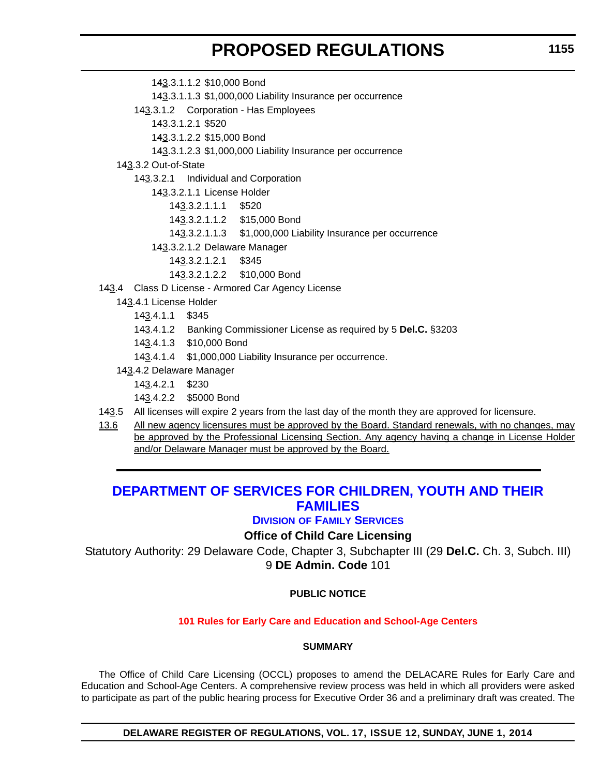- 143.3.1.1.3 \$1,000,000 Liability Insurance per occurrence 143.3.1.2 Corporation - Has Employees 143.3.1.2.1 \$520 143.3.1.2.2 \$15,000 Bond 143.3.1.2.3 \$1,000,000 Liability Insurance per occurrence 143.3.2 Out-of-State 143.3.2.1 Individual and Corporation 143.3.2.1.1 License Holder 143.3.2.1.1.1 \$520 143.3.2.1.1.2 \$15,000 Bond 143.3.2.1.1.3 \$1,000,000 Liability Insurance per occurrence 143.3.2.1.2 Delaware Manager 143.3.2.1.2.1 \$345 143.3.2.1.2.2 \$10,000 Bond 143.4 Class D License - Armored Car Agency License
	- 143.4.1 License Holder
		- 143.4.1.1 \$345
		- 143.4.1.2 Banking Commissioner License as required by 5 **Del.C.** §3203
		- 143.4.1.3 \$10,000 Bond

143.3.1.1.2 \$10,000 Bond

- 143.4.1.4 \$1,000,000 Liability Insurance per occurrence.
- 143.4.2 Delaware Manager
	- 143.4.2.1 \$230
	- 143.4.2.2 \$5000 Bond
- 143.5 All licenses will expire 2 years from the last day of the month they are approved for licensure.
- 13.6 All new agency licensures must be approved by the Board. Standard renewals, with no changes, may be approved by the Professional Licensing Section. Any agency having a change in License Holder and/or Delaware Manager must be approved by the Board.

## **[DEPARTMENT OF SERVICES FOR CHILDREN, YOUTH AND THEIR](http://kids.delaware.gov/fs/fs.shtml)  FAMILIES**

### **DIVISION OF FAMILY SERVICES**

## **Office of Child Care Licensing**

Statutory Authority: 29 Delaware Code, Chapter 3, Subchapter III (29 **Del.C.** Ch. 3, Subch. III) 9 **DE Admin. Code** 101

### **PUBLIC NOTICE**

#### **[101 Rules for Early Care and Education and School-Age Centers](#page-3-0)**

#### **SUMMARY**

The Office of Child Care Licensing (OCCL) proposes to amend the DELACARE Rules for Early Care and Education and School-Age Centers. A comprehensive review process was held in which all providers were asked to participate as part of the public hearing process for Executive Order 36 and a preliminary draft was created. The

**DELAWARE REGISTER OF REGULATIONS, VOL. 17, ISSUE 12, SUNDAY, JUNE 1, 2014**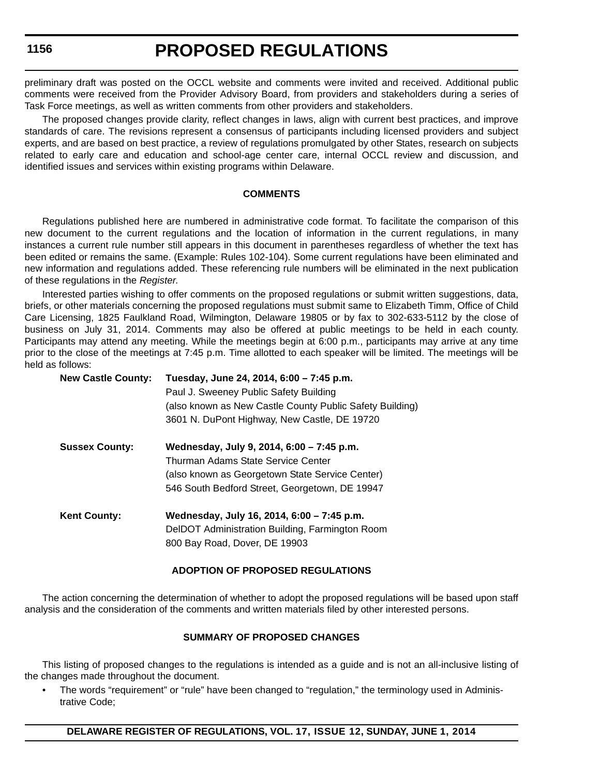preliminary draft was posted on the OCCL website and comments were invited and received. Additional public comments were received from the Provider Advisory Board, from providers and stakeholders during a series of Task Force meetings, as well as written comments from other providers and stakeholders.

The proposed changes provide clarity, reflect changes in laws, align with current best practices, and improve standards of care. The revisions represent a consensus of participants including licensed providers and subject experts, and are based on best practice, a review of regulations promulgated by other States, research on subjects related to early care and education and school-age center care, internal OCCL review and discussion, and identified issues and services within existing programs within Delaware.

#### **COMMENTS**

Regulations published here are numbered in administrative code format. To facilitate the comparison of this new document to the current regulations and the location of information in the current regulations, in many instances a current rule number still appears in this document in parentheses regardless of whether the text has been edited or remains the same. (Example: Rules 102-104). Some current regulations have been eliminated and new information and regulations added. These referencing rule numbers will be eliminated in the next publication of these regulations in the *Register*.

Interested parties wishing to offer comments on the proposed regulations or submit written suggestions, data, briefs, or other materials concerning the proposed regulations must submit same to Elizabeth Timm, Office of Child Care Licensing, 1825 Faulkland Road, Wilmington, Delaware 19805 or by fax to 302-633-5112 by the close of business on July 31, 2014. Comments may also be offered at public meetings to be held in each county. Participants may attend any meeting. While the meetings begin at 6:00 p.m., participants may arrive at any time prior to the close of the meetings at 7:45 p.m. Time allotted to each speaker will be limited. The meetings will be held as follows:

| <b>New Castle County:</b> | Tuesday, June 24, 2014, 6:00 - 7:45 p.m.<br>Paul J. Sweeney Public Safety Building<br>(also known as New Castle County Public Safety Building)<br>3601 N. DuPont Highway, New Castle, DE 19720 |
|---------------------------|------------------------------------------------------------------------------------------------------------------------------------------------------------------------------------------------|
| <b>Sussex County:</b>     | Wednesday, July 9, 2014, 6:00 - 7:45 p.m.<br>Thurman Adams State Service Center<br>(also known as Georgetown State Service Center)<br>546 South Bedford Street, Georgetown, DE 19947           |
| <b>Kent County:</b>       | Wednesday, July 16, 2014, 6:00 - 7:45 p.m.<br>DelDOT Administration Building, Farmington Room<br>800 Bay Road, Dover, DE 19903                                                                 |

#### **ADOPTION OF PROPOSED REGULATIONS**

The action concerning the determination of whether to adopt the proposed regulations will be based upon staff analysis and the consideration of the comments and written materials filed by other interested persons.

#### **SUMMARY OF PROPOSED CHANGES**

This listing of proposed changes to the regulations is intended as a guide and is not an all-inclusive listing of the changes made throughout the document.

• The words "requirement" or "rule" have been changed to "regulation," the terminology used in Administrative Code;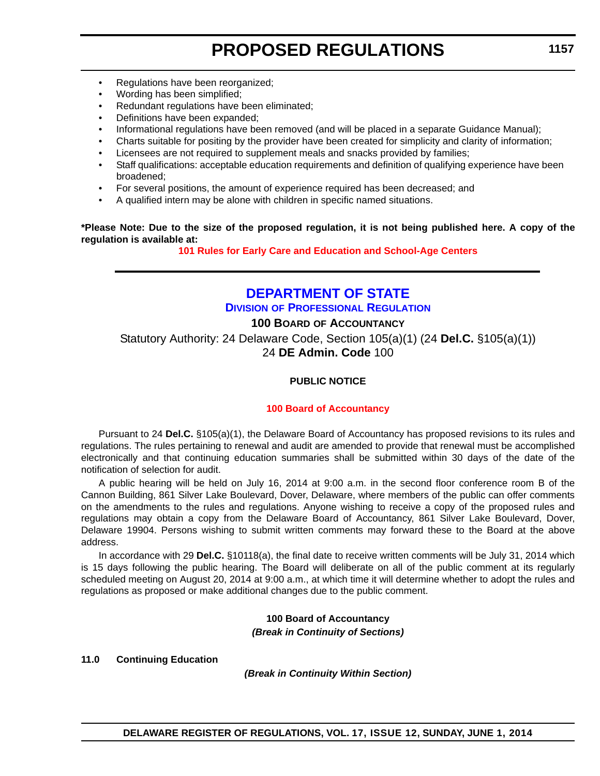- Regulations have been reorganized:
- Wording has been simplified;
- Redundant regulations have been eliminated;
- Definitions have been expanded;
- Informational regulations have been removed (and will be placed in a separate Guidance Manual);
- Charts suitable for positing by the provider have been created for simplicity and clarity of information;
- Licensees are not required to supplement meals and snacks provided by families;
- Staff qualifications: acceptable education requirements and definition of qualifying experience have been broadened;
- For several positions, the amount of experience required has been decreased; and
- A qualified intern may be alone with children in specific named situations.

**\*Please Note: Due to the size of the proposed regulation, it is not being published here. A copy of the regulation is available at:**

**[101 Rules for Early Care and Education and School-Age Centers](http://regulations.delaware.gov/register/june2014/proposed/17 DE Reg 1155 06-01-14.htm)**

## **[DEPARTMENT OF STATE](http://dpr.delaware.gov/) DIVISION OF PROFESSIONAL REGULATION**

## **100 BOARD OF ACCOUNTANCY**

Statutory Authority: 24 Delaware Code, Section 105(a)(1) (24 **Del.C.** §105(a)(1)) 24 **DE Admin. Code** 100

### **PUBLIC NOTICE**

#### **[100 Board of Accountancy](#page-3-0)**

Pursuant to 24 **Del.C.** §105(a)(1), the Delaware Board of Accountancy has proposed revisions to its rules and regulations. The rules pertaining to renewal and audit are amended to provide that renewal must be accomplished electronically and that continuing education summaries shall be submitted within 30 days of the date of the notification of selection for audit.

A public hearing will be held on July 16, 2014 at 9:00 a.m. in the second floor conference room B of the Cannon Building, 861 Silver Lake Boulevard, Dover, Delaware, where members of the public can offer comments on the amendments to the rules and regulations. Anyone wishing to receive a copy of the proposed rules and regulations may obtain a copy from the Delaware Board of Accountancy, 861 Silver Lake Boulevard, Dover, Delaware 19904. Persons wishing to submit written comments may forward these to the Board at the above address.

In accordance with 29 **Del.C.** §10118(a), the final date to receive written comments will be July 31, 2014 which is 15 days following the public hearing. The Board will deliberate on all of the public comment at its regularly scheduled meeting on August 20, 2014 at 9:00 a.m., at which time it will determine whether to adopt the rules and regulations as proposed or make additional changes due to the public comment.

### **100 Board of Accountancy** *(Break in Continuity of Sections)*

**11.0 Continuing Education**

*(Break in Continuity Within Section)*

**1157**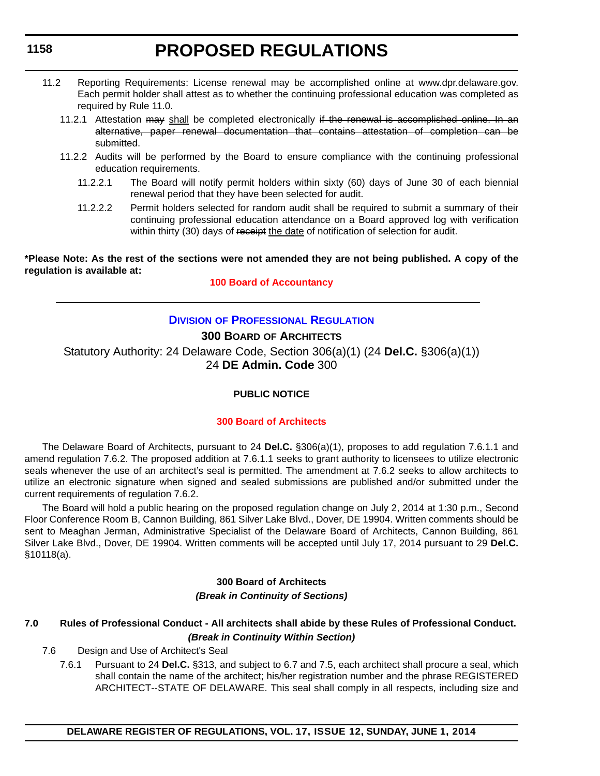- 11.2 Reporting Requirements: License renewal may be accomplished online at www.dpr.delaware.gov. Each permit holder shall attest as to whether the continuing professional education was completed as required by Rule 11.0.
	- 11.2.1 Attestation may shall be completed electronically if the renewal is accomplished online. In an alternative, paper renewal documentation that contains attestation of completion can be submitted.
	- 11.2.2 Audits will be performed by the Board to ensure compliance with the continuing professional education requirements.
		- 11.2.2.1 The Board will notify permit holders within sixty (60) days of June 30 of each biennial renewal period that they have been selected for audit.
		- 11.2.2.2 Permit holders selected for random audit shall be required to submit a summary of their continuing professional education attendance on a Board approved log with verification within thirty (30) days of receipt the date of notification of selection for audit.

**\*Please Note: As the rest of the sections were not amended they are not being published. A copy of the regulation is available at:**

**[100 Board of Accountancy](http://regulations.delaware.gov/register/june2014/proposed/17 DE Reg 1157 06-01-14.htm)**

## **DIVISION [OF PROFESSIONAL REGULATION](http://dpr.delaware.gov/)**

## **300 BOARD OF ARCHITECTS**

Statutory Authority: 24 Delaware Code, Section 306(a)(1) (24 **Del.C.** §306(a)(1)) 24 **DE Admin. Code** 300

## **PUBLIC NOTICE**

## **[300 Board of Architects](#page-3-0)**

The Delaware Board of Architects, pursuant to 24 **Del.C.** §306(a)(1), proposes to add regulation 7.6.1.1 and amend regulation 7.6.2. The proposed addition at 7.6.1.1 seeks to grant authority to licensees to utilize electronic seals whenever the use of an architect's seal is permitted. The amendment at 7.6.2 seeks to allow architects to utilize an electronic signature when signed and sealed submissions are published and/or submitted under the current requirements of regulation 7.6.2.

The Board will hold a public hearing on the proposed regulation change on July 2, 2014 at 1:30 p.m., Second Floor Conference Room B, Cannon Building, 861 Silver Lake Blvd., Dover, DE 19904. Written comments should be sent to Meaghan Jerman, Administrative Specialist of the Delaware Board of Architects, Cannon Building, 861 Silver Lake Blvd., Dover, DE 19904. Written comments will be accepted until July 17, 2014 pursuant to 29 **Del.C.** §10118(a).

## **300 Board of Architects** *(Break in Continuity of Sections)*

## **7.0 Rules of Professional Conduct - All architects shall abide by these Rules of Professional Conduct.** *(Break in Continuity Within Section)*

- 7.6 Design and Use of Architect's Seal
	- 7.6.1 Pursuant to 24 **Del.C.** §313, and subject to 6.7 and 7.5, each architect shall procure a seal, which shall contain the name of the architect; his/her registration number and the phrase REGISTERED ARCHITECT--STATE OF DELAWARE. This seal shall comply in all respects, including size and

### **1158**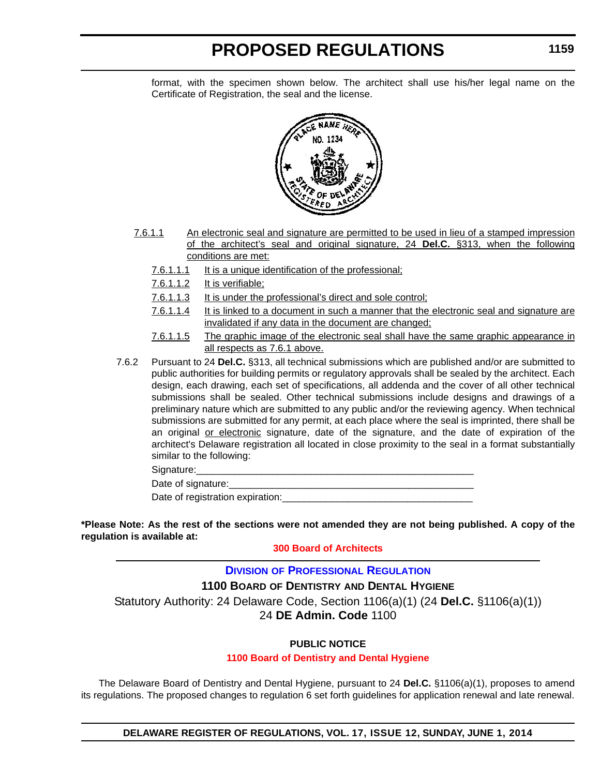format, with the specimen shown below. The architect shall use his/her legal name on the Certificate of Registration, the seal and the license.



- 7.6.1.1 An electronic seal and signature are permitted to be used in lieu of a stamped impression of the architect's seal and original signature, 24 **Del.C.** §313, when the following conditions are met:
	- 7.6.1.1.1 It is a unique identification of the professional;
	- 7.6.1.1.2 It is verifiable;
	- 7.6.1.1.3 It is under the professional's direct and sole control;
	- 7.6.1.1.4 It is linked to a document in such a manner that the electronic seal and signature are invalidated if any data in the document are changed;
	- 7.6.1.1.5 The graphic image of the electronic seal shall have the same graphic appearance in all respects as 7.6.1 above.
- 7.6.2 Pursuant to 24 **Del.C.** §313, all technical submissions which are published and/or are submitted to public authorities for building permits or regulatory approvals shall be sealed by the architect. Each design, each drawing, each set of specifications, all addenda and the cover of all other technical submissions shall be sealed. Other technical submissions include designs and drawings of a preliminary nature which are submitted to any public and/or the reviewing agency. When technical submissions are submitted for any permit, at each place where the seal is imprinted, there shall be an original or electronic signature, date of the signature, and the date of expiration of the architect's Delaware registration all located in close proximity to the seal in a format substantially similar to the following:

Signature:

Date of signature:

Date of registration expiration:

**\*Please Note: As the rest of the sections were not amended they are not being published. A copy of the regulation is available at:**

#### **[300 Board of Architects](http://regulations.delaware.gov/register/june2014/proposed/17 DE Reg 1158 06-01-14.htm)**

#### **DIVISION [OF PROFESSIONAL REGULATION](http://dpr.delaware.gov/)**

**1100 BOARD OF DENTISTRY AND DENTAL HYGIENE**

Statutory Authority: 24 Delaware Code, Section 1106(a)(1) (24 **Del.C.** §1106(a)(1))

## 24 **DE Admin. Code** 1100

## **PUBLIC NOTICE**

#### **[1100 Board of Dentistry and Dental Hygiene](#page-3-0)**

The Delaware Board of Dentistry and Dental Hygiene, pursuant to 24 **Del.C.** §1106(a)(1), proposes to amend its regulations. The proposed changes to regulation 6 set forth guidelines for application renewal and late renewal.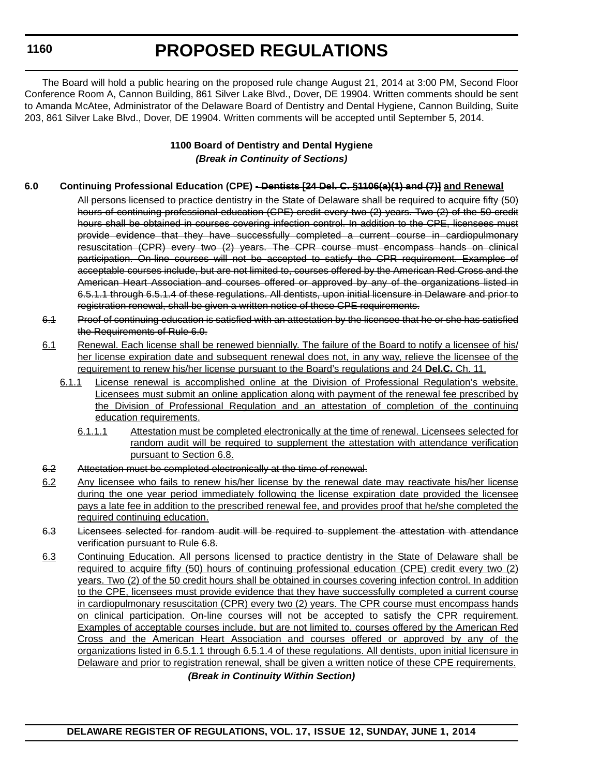## **PROPOSED REGULATIONS**

The Board will hold a public hearing on the proposed rule change August 21, 2014 at 3:00 PM, Second Floor Conference Room A, Cannon Building, 861 Silver Lake Blvd., Dover, DE 19904. Written comments should be sent to Amanda McAtee, Administrator of the Delaware Board of Dentistry and Dental Hygiene, Cannon Building, Suite 203, 861 Silver Lake Blvd., Dover, DE 19904. Written comments will be accepted until September 5, 2014.

## **1100 Board of Dentistry and Dental Hygiene** *(Break in Continuity of Sections)*

## **6.0 Continuing Professional Education (CPE) - Dentists [24 Del. C. §1106(a)(1) and (7)] and Renewal**

All persons licensed to practice dentistry in the State of Delaware shall be required to acquire fifty (50) hours of continuing professional education (CPE) credit every two (2) years. Two (2) of the 50 credit hours shall be obtained in courses covering infection control. In addition to the CPE, licensees must provide evidence that they have successfully completed a current course in cardiopulmonary resuscitation (CPR) every two (2) years. The CPR course must encompass hands on clinical participation. On-line courses will not be accepted to satisfy the CPR requirement. Examples of acceptable courses include, but are not limited to, courses offered by the American Red Cross and the American Heart Association and courses offered or approved by any of the organizations listed in 6.5.1.1 through 6.5.1.4 of these regulations. All dentists, upon initial licensure in Delaware and prior to registration renewal, shall be given a written notice of these CPE requirements.

- 6.1 Proof of continuing education is satisfied with an attestation by the licensee that he or she has satisfied the Requirements of Rule 6.0.
- 6.1 Renewal. Each license shall be renewed biennially. The failure of the Board to notify a licensee of his/ her license expiration date and subsequent renewal does not, in any way, relieve the licensee of the requirement to renew his/her license pursuant to the Board's regulations and 24 **Del.C.** Ch. 11.
	- 6.1.1 License renewal is accomplished online at the Division of Professional Regulation's website. Licensees must submit an online application along with payment of the renewal fee prescribed by the Division of Professional Regulation and an attestation of completion of the continuing education requirements.
		- 6.1.1.1 Attestation must be completed electronically at the time of renewal. Licensees selected for random audit will be required to supplement the attestation with attendance verification pursuant to Section 6.8.
- 6.2 Attestation must be completed electronically at the time of renewal.
- 6.2 Any licensee who fails to renew his/her license by the renewal date may reactivate his/her license during the one year period immediately following the license expiration date provided the licensee pays a late fee in addition to the prescribed renewal fee, and provides proof that he/she completed the required continuing education.
- 6.3 Licensees selected for random audit will be required to supplement the attestation with attendance verification pursuant to Rule 6.8.
- 6.3 Continuing Education. All persons licensed to practice dentistry in the State of Delaware shall be required to acquire fifty (50) hours of continuing professional education (CPE) credit every two (2) years. Two (2) of the 50 credit hours shall be obtained in courses covering infection control. In addition to the CPE, licensees must provide evidence that they have successfully completed a current course in cardiopulmonary resuscitation (CPR) every two (2) years. The CPR course must encompass hands on clinical participation. On-line courses will not be accepted to satisfy the CPR requirement. Examples of acceptable courses include, but are not limited to, courses offered by the American Red Cross and the American Heart Association and courses offered or approved by any of the organizations listed in 6.5.1.1 through 6.5.1.4 of these regulations. All dentists, upon initial licensure in Delaware and prior to registration renewal, shall be given a written notice of these CPE requirements.

*(Break in Continuity Within Section)*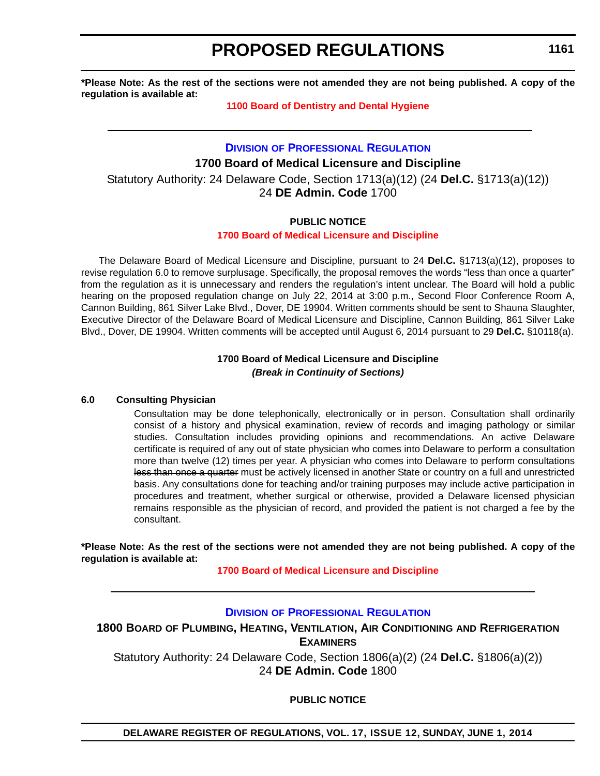**\*Please Note: As the rest of the sections were not amended they are not being published. A copy of the regulation is available at:**

#### **[1100 Board of Dentistry and Dental Hygiene](http://regulations.delaware.gov/register/june2014/proposed/17 DE Reg 1159 06-01-14.htm)**

**DIVISION [OF PROFESSIONAL REGULATION](http://dpr.delaware.gov/) 1700 Board of Medical Licensure and Discipline** Statutory Authority: 24 Delaware Code, Section 1713(a)(12) (24 **Del.C.** §1713(a)(12)) 24 **DE Admin. Code** 1700

## **PUBLIC NOTICE**

### **[1700 Board of Medical Licensure and Discipline](#page-3-0)**

The Delaware Board of Medical Licensure and Discipline, pursuant to 24 **Del.C.** §1713(a)(12), proposes to revise regulation 6.0 to remove surplusage. Specifically, the proposal removes the words "less than once a quarter" from the regulation as it is unnecessary and renders the regulation's intent unclear. The Board will hold a public hearing on the proposed regulation change on July 22, 2014 at 3:00 p.m., Second Floor Conference Room A, Cannon Building, 861 Silver Lake Blvd., Dover, DE 19904. Written comments should be sent to Shauna Slaughter, Executive Director of the Delaware Board of Medical Licensure and Discipline, Cannon Building, 861 Silver Lake Blvd., Dover, DE 19904. Written comments will be accepted until August 6, 2014 pursuant to 29 **Del.C.** §10118(a).

### **1700 Board of Medical Licensure and Discipline** *(Break in Continuity of Sections)*

#### **6.0 Consulting Physician**

Consultation may be done telephonically, electronically or in person. Consultation shall ordinarily consist of a history and physical examination, review of records and imaging pathology or similar studies. Consultation includes providing opinions and recommendations. An active Delaware certificate is required of any out of state physician who comes into Delaware to perform a consultation more than twelve (12) times per year. A physician who comes into Delaware to perform consultations less than once a quarter must be actively licensed in another State or country on a full and unrestricted basis. Any consultations done for teaching and/or training purposes may include active participation in procedures and treatment, whether surgical or otherwise, provided a Delaware licensed physician remains responsible as the physician of record, and provided the patient is not charged a fee by the consultant.

**\*Please Note: As the rest of the sections were not amended they are not being published. A copy of the regulation is available at:**

**[1700 Board of Medical Licensure and Discipline](http://regulations.delaware.gov/register/june2014/proposed/17 DE Reg 1161 06-01-14.htm)**

## **DIVISION [OF PROFESSIONAL REGULATION](http://dpr.delaware.gov/)**

**1800 BOARD OF PLUMBING, HEATING, VENTILATION, AIR CONDITIONING AND REFRIGERATION EXAMINERS** Statutory Authority: 24 Delaware Code, Section 1806(a)(2) (24 **Del.C.** §1806(a)(2))

24 **DE Admin. Code** 1800

**PUBLIC NOTICE**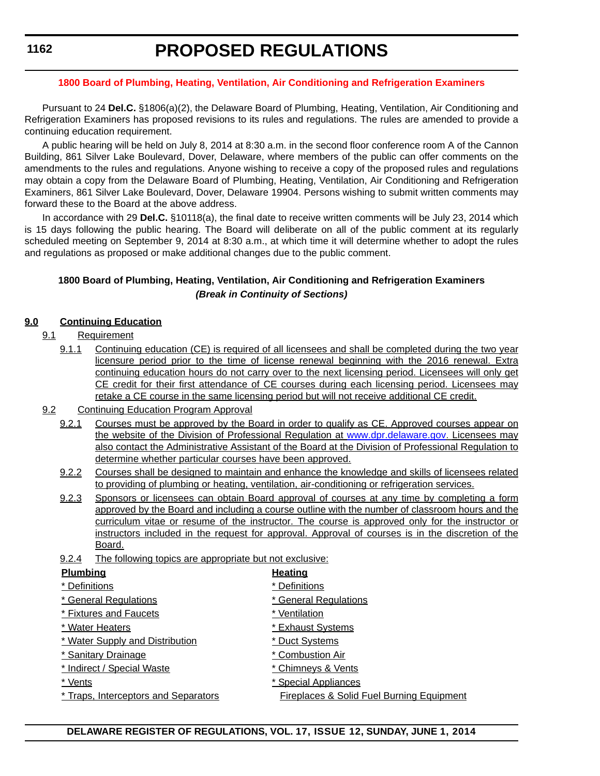#### **[1800 Board of Plumbing, Heating, Ventilation, Air Conditioning and Refrigeration Examiners](#page-3-0)**

Pursuant to 24 **Del.C.** §1806(a)(2), the Delaware Board of Plumbing, Heating, Ventilation, Air Conditioning and Refrigeration Examiners has proposed revisions to its rules and regulations. The rules are amended to provide a continuing education requirement.

A public hearing will be held on July 8, 2014 at 8:30 a.m. in the second floor conference room A of the Cannon Building, 861 Silver Lake Boulevard, Dover, Delaware, where members of the public can offer comments on the amendments to the rules and regulations. Anyone wishing to receive a copy of the proposed rules and regulations may obtain a copy from the Delaware Board of Plumbing, Heating, Ventilation, Air Conditioning and Refrigeration Examiners, 861 Silver Lake Boulevard, Dover, Delaware 19904. Persons wishing to submit written comments may forward these to the Board at the above address.

In accordance with 29 **Del.C.** §10118(a), the final date to receive written comments will be July 23, 2014 which is 15 days following the public hearing. The Board will deliberate on all of the public comment at its regularly scheduled meeting on September 9, 2014 at 8:30 a.m., at which time it will determine whether to adopt the rules and regulations as proposed or make additional changes due to the public comment.

## **1800 Board of Plumbing, Heating, Ventilation, Air Conditioning and Refrigeration Examiners** *(Break in Continuity of Sections)*

#### **9.0 Continuing Education**

- 9.1 Requirement
	- 9.1.1 Continuing education (CE) is required of all licensees and shall be completed during the two year licensure period prior to the time of license renewal beginning with the 2016 renewal. Extra continuing education hours do not carry over to the next licensing period. Licensees will only get CE credit for their first attendance of CE courses during each licensing period. Licensees may retake a CE course in the same licensing period but will not receive additional CE credit.
- 9.2 Continuing Education Program Approval
	- 9.2.1 Courses must be approved by the Board in order to qualify as CE. Approved courses appear on the website of the Division of Professional Regulation at www.dpr.delaware.gov. Licensees may also contact the Administrative Assistant of the Board at the Division of Professional Regulation to determine whether particular courses have been approved.
	- 9.2.2 Courses shall be designed to maintain and enhance the knowledge and skills of licensees related to providing of plumbing or heating, ventilation, air-conditioning or refrigeration services.
	- 9.2.3 Sponsors or licensees can obtain Board approval of courses at any time by completing a form approved by the Board and including a course outline with the number of classroom hours and the curriculum vitae or resume of the instructor. The course is approved only for the instructor or instructors included in the request for approval. Approval of courses is in the discretion of the Board.
	- 9.2.4 The following topics are appropriate but not exclusive:

| <b>Plumbing</b>                      | <b>Heating</b>                            |
|--------------------------------------|-------------------------------------------|
| * Definitions                        | * Definitions                             |
| * General Regulations                | * General Regulations                     |
| * Fixtures and Faucets               | * Ventilation                             |
| * Water Heaters                      | * Exhaust Systems                         |
| * Water Supply and Distribution      | * Duct Systems                            |
| * Sanitary Drainage                  | * Combustion Air                          |
| * Indirect / Special Waste           | * Chimneys & Vents                        |
| * Vents                              | * Special Appliances                      |
| * Traps, Interceptors and Separators | Fireplaces & Solid Fuel Burning Equipment |

#### **DELAWARE REGISTER OF REGULATIONS, VOL. 17, ISSUE 12, SUNDAY, JUNE 1, 2014**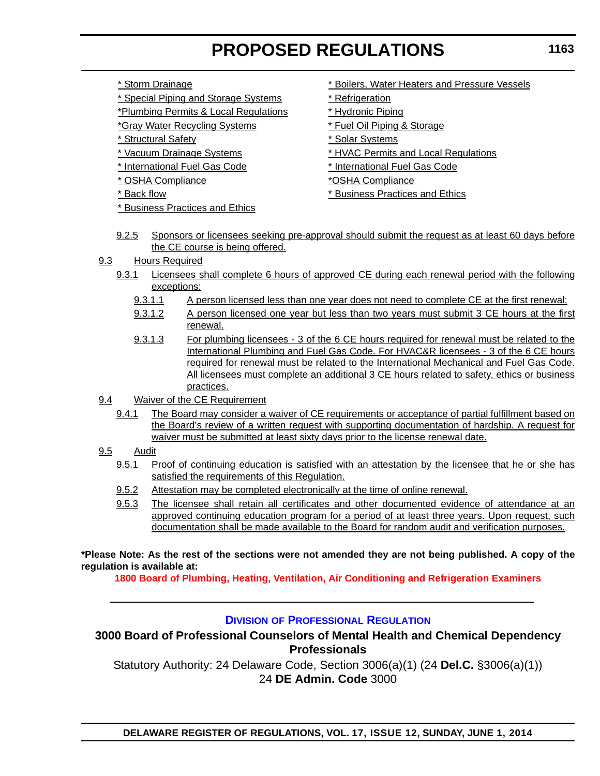- 
- \* Special Piping and Storage Systems \* \* Refrigeration
- \*Plumbing Permits & Local Regulations \* Hydronic Piping
- \*Gray Water Recycling Systems \* Fuel Oil Piping & Storage
- \* Structural Safety \* Solar Systems
- 
- 
- \* OSHA Compliance \*OSHA Compliance
- 
- \* Business Practices and Ethics
- \* Storm Drainage \* The state of the state of the state of the state of the state Vessels
	-
	-
	-
	-
- \* Vacuum Drainage Systems \* HVAC Permits and Local Regulations
- \* International Fuel Gas Code \* International Fuel Gas Code
	-
- \* Back flow \* Business Practices and Ethics
- 9.2.5 Sponsors or licensees seeking pre-approval should submit the request as at least 60 days before the CE course is being offered.
- 9.3 Hours Required
	- 9.3.1 Licensees shall complete 6 hours of approved CE during each renewal period with the following exceptions:
		- 9.3.1.1 A person licensed less than one year does not need to complete CE at the first renewal;
		- 9.3.1.2 A person licensed one year but less than two years must submit 3 CE hours at the first renewal.
		- 9.3.1.3 For plumbing licensees 3 of the 6 CE hours required for renewal must be related to the International Plumbing and Fuel Gas Code. For HVAC&R licensees - 3 of the 6 CE hours required for renewal must be related to the International Mechanical and Fuel Gas Code. All licensees must complete an additional 3 CE hours related to safety, ethics or business practices.
- 9.4 Waiver of the CE Requirement
	- 9.4.1 The Board may consider a waiver of CE requirements or acceptance of partial fulfillment based on the Board's review of a written request with supporting documentation of hardship. A request for waiver must be submitted at least sixty days prior to the license renewal date.
- 9.5 Audit
	- 9.5.1 Proof of continuing education is satisfied with an attestation by the licensee that he or she has satisfied the requirements of this Requiation.
	- 9.5.2 Attestation may be completed electronically at the time of online renewal.
	- 9.5.3 The licensee shall retain all certificates and other documented evidence of attendance at an approved continuing education program for a period of at least three years. Upon request, such documentation shall be made available to the Board for random audit and verification purposes.

**\*Please Note: As the rest of the sections were not amended they are not being published. A copy of the regulation is available at:**

**[1800 Board of Plumbing, Heating, Ventilation, Air Conditioning and Refrigeration Examiners](http://regulations.delaware.gov/register/june2014/proposed/17 DE Reg 1161a 06-01-14.htm)**

## **DIVISION [OF PROFESSIONAL REGULATION](http://dpr.delaware.gov/)**

## **3000 Board of Professional Counselors of Mental Health and Chemical Dependency Professionals**

Statutory Authority: 24 Delaware Code, Section 3006(a)(1) (24 **Del.C.** §3006(a)(1)) 24 **DE Admin. Code** 3000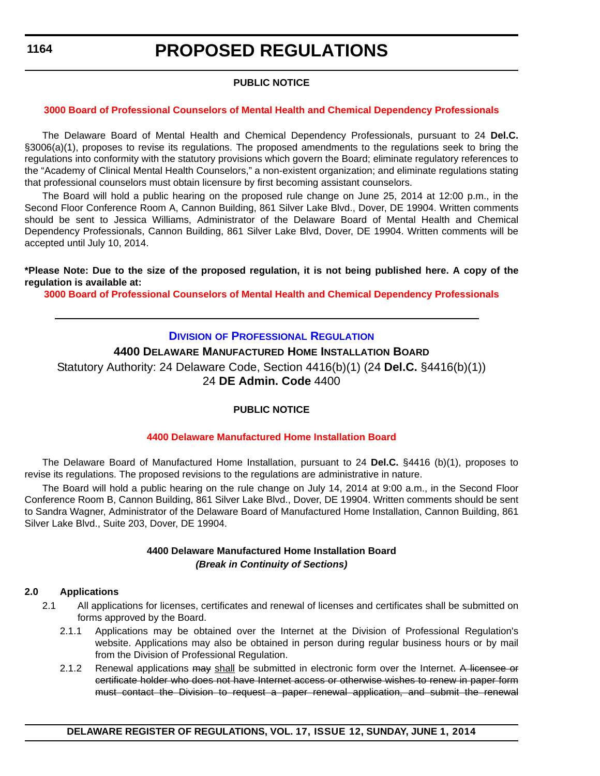## **PUBLIC NOTICE**

#### **[3000 Board of Professional Counselors of Mental Health and Chemical Dependency Professionals](#page-3-0)**

The Delaware Board of Mental Health and Chemical Dependency Professionals, pursuant to 24 **Del.C.** §3006(a)(1), proposes to revise its regulations. The proposed amendments to the regulations seek to bring the regulations into conformity with the statutory provisions which govern the Board; eliminate regulatory references to the "Academy of Clinical Mental Health Counselors," a non-existent organization; and eliminate regulations stating that professional counselors must obtain licensure by first becoming assistant counselors.

The Board will hold a public hearing on the proposed rule change on June 25, 2014 at 12:00 p.m., in the Second Floor Conference Room A, Cannon Building, 861 Silver Lake Blvd., Dover, DE 19904. Written comments should be sent to Jessica Williams, Administrator of the Delaware Board of Mental Health and Chemical Dependency Professionals, Cannon Building, 861 Silver Lake Blvd, Dover, DE 19904. Written comments will be accepted until July 10, 2014.

#### **\*Please Note: Due to the size of the proposed regulation, it is not being published here. A copy of the regulation is available at:**

**[3000 Board of Professional Counselors of Mental Health and Chemical Dependency Professionals](http://regulations.delaware.gov/register/june2014/proposed/17 DE Reg 1163 06-01-14.htm)**

## **DIVISION [OF PROFESSIONAL REGULATION](http://dpr.delaware.gov/)**

## **4400 DELAWARE MANUFACTURED HOME INSTALLATION BOARD**

Statutory Authority: 24 Delaware Code, Section 4416(b)(1) (24 **Del.C.** §4416(b)(1)) 24 **DE Admin. Code** 4400

## **PUBLIC NOTICE**

#### **[4400 Delaware Manufactured Home Installation Board](#page-3-0)**

The Delaware Board of Manufactured Home Installation, pursuant to 24 **Del.C.** §4416 (b)(1), proposes to revise its regulations. The proposed revisions to the regulations are administrative in nature.

The Board will hold a public hearing on the rule change on July 14, 2014 at 9:00 a.m., in the Second Floor Conference Room B, Cannon Building, 861 Silver Lake Blvd., Dover, DE 19904. Written comments should be sent to Sandra Wagner, Administrator of the Delaware Board of Manufactured Home Installation, Cannon Building, 861 Silver Lake Blvd., Suite 203, Dover, DE 19904.

### **4400 Delaware Manufactured Home Installation Board** *(Break in Continuity of Sections)*

#### **2.0 Applications**

- 2.1 All applications for licenses, certificates and renewal of licenses and certificates shall be submitted on forms approved by the Board.
	- 2.1.1 Applications may be obtained over the Internet at the Division of Professional Regulation's website. Applications may also be obtained in person during regular business hours or by mail from the Division of Professional Regulation.
	- 2.1.2 Renewal applications may shall be submitted in electronic form over the Internet. A licensee or certificate holder who does not have Internet access or otherwise wishes to renew in paper form must contact the Division to request a paper renewal application, and submit the renewal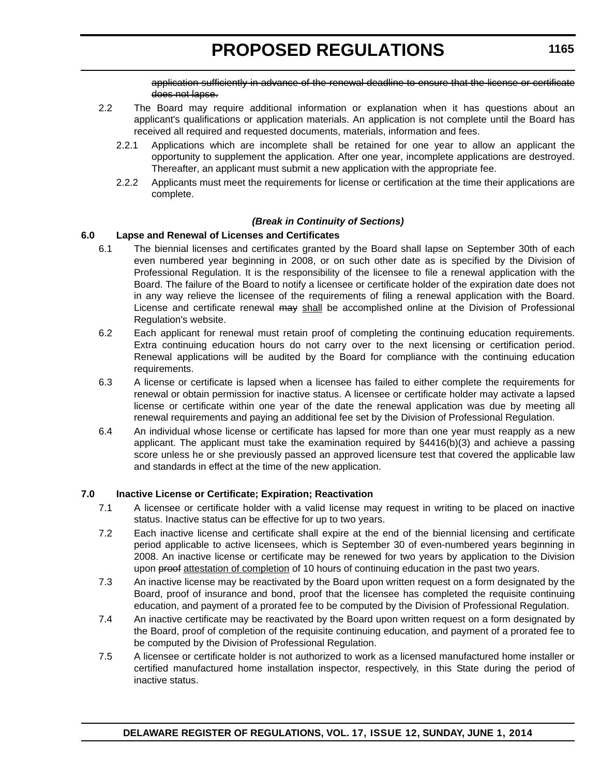application sufficiently in advance of the renewal deadline to ensure that the license or certificate does not lapse.

- 2.2 The Board may require additional information or explanation when it has questions about an applicant's qualifications or application materials. An application is not complete until the Board has received all required and requested documents, materials, information and fees.
	- 2.2.1 Applications which are incomplete shall be retained for one year to allow an applicant the opportunity to supplement the application. After one year, incomplete applications are destroyed. Thereafter, an applicant must submit a new application with the appropriate fee.
	- 2.2.2 Applicants must meet the requirements for license or certification at the time their applications are complete.

#### *(Break in Continuity of Sections)*

#### **6.0 Lapse and Renewal of Licenses and Certificates**

- 6.1 The biennial licenses and certificates granted by the Board shall lapse on September 30th of each even numbered year beginning in 2008, or on such other date as is specified by the Division of Professional Regulation. It is the responsibility of the licensee to file a renewal application with the Board. The failure of the Board to notify a licensee or certificate holder of the expiration date does not in any way relieve the licensee of the requirements of filing a renewal application with the Board. License and certificate renewal may shall be accomplished online at the Division of Professional Regulation's website.
- 6.2 Each applicant for renewal must retain proof of completing the continuing education requirements. Extra continuing education hours do not carry over to the next licensing or certification period. Renewal applications will be audited by the Board for compliance with the continuing education requirements.
- 6.3 A license or certificate is lapsed when a licensee has failed to either complete the requirements for renewal or obtain permission for inactive status. A licensee or certificate holder may activate a lapsed license or certificate within one year of the date the renewal application was due by meeting all renewal requirements and paying an additional fee set by the Division of Professional Regulation.
- 6.4 An individual whose license or certificate has lapsed for more than one year must reapply as a new applicant. The applicant must take the examination required by §4416(b)(3) and achieve a passing score unless he or she previously passed an approved licensure test that covered the applicable law and standards in effect at the time of the new application.

#### **7.0 Inactive License or Certificate; Expiration; Reactivation**

- 7.1 A licensee or certificate holder with a valid license may request in writing to be placed on inactive status. Inactive status can be effective for up to two years.
- 7.2 Each inactive license and certificate shall expire at the end of the biennial licensing and certificate period applicable to active licensees, which is September 30 of even-numbered years beginning in 2008. An inactive license or certificate may be renewed for two years by application to the Division upon proof attestation of completion of 10 hours of continuing education in the past two years.
- 7.3 An inactive license may be reactivated by the Board upon written request on a form designated by the Board, proof of insurance and bond, proof that the licensee has completed the requisite continuing education, and payment of a prorated fee to be computed by the Division of Professional Regulation.
- 7.4 An inactive certificate may be reactivated by the Board upon written request on a form designated by the Board, proof of completion of the requisite continuing education, and payment of a prorated fee to be computed by the Division of Professional Regulation.
- 7.5 A licensee or certificate holder is not authorized to work as a licensed manufactured home installer or certified manufactured home installation inspector, respectively, in this State during the period of inactive status.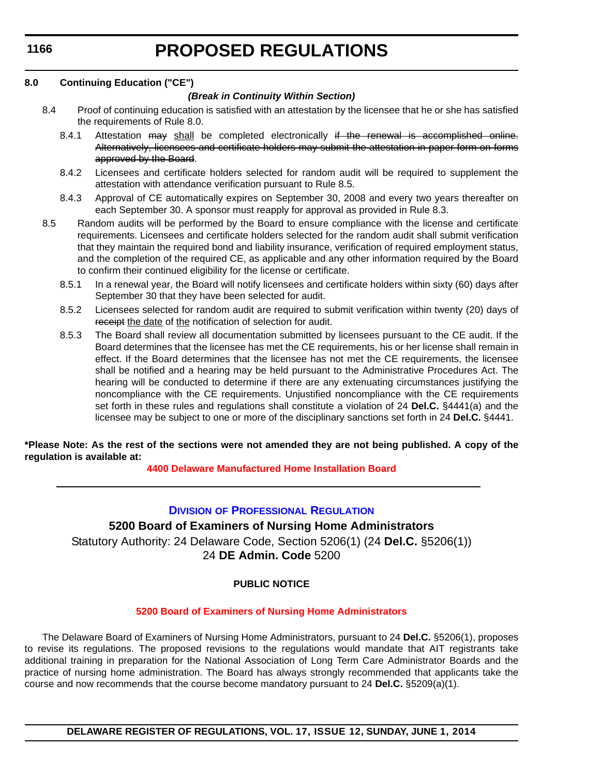# **PROPOSED REGULATIONS**

### **8.0 Continuing Education ("CE")**

## *(Break in Continuity Within Section)*

- 8.4 Proof of continuing education is satisfied with an attestation by the licensee that he or she has satisfied the requirements of Rule 8.0.
	- 8.4.1 Attestation may shall be completed electronically if the renewal is accomplished online. Alternatively, licensees and certificate holders may submit the attestation in paper form on forms approved by the Board.
	- 8.4.2 Licensees and certificate holders selected for random audit will be required to supplement the attestation with attendance verification pursuant to Rule 8.5.
	- 8.4.3 Approval of CE automatically expires on September 30, 2008 and every two years thereafter on each September 30. A sponsor must reapply for approval as provided in Rule 8.3.
- 8.5 Random audits will be performed by the Board to ensure compliance with the license and certificate requirements. Licensees and certificate holders selected for the random audit shall submit verification that they maintain the required bond and liability insurance, verification of required employment status, and the completion of the required CE, as applicable and any other information required by the Board to confirm their continued eligibility for the license or certificate.
	- 8.5.1 In a renewal year, the Board will notify licensees and certificate holders within sixty (60) days after September 30 that they have been selected for audit.
	- 8.5.2 Licensees selected for random audit are required to submit verification within twenty (20) days of receipt the date of the notification of selection for audit.
	- 8.5.3 The Board shall review all documentation submitted by licensees pursuant to the CE audit. If the Board determines that the licensee has met the CE requirements, his or her license shall remain in effect. If the Board determines that the licensee has not met the CE requirements, the licensee shall be notified and a hearing may be held pursuant to the Administrative Procedures Act. The hearing will be conducted to determine if there are any extenuating circumstances justifying the noncompliance with the CE requirements. Unjustified noncompliance with the CE requirements set forth in these rules and regulations shall constitute a violation of 24 **Del.C.** §4441(a) and the licensee may be subject to one or more of the disciplinary sanctions set forth in 24 **Del.C.** §4441.

#### **\*Please Note: As the rest of the sections were not amended they are not being published. A copy of the regulation is available at:**

## **[4400 Delaware Manufactured Home Installation Board](http://regulations.delaware.gov/register/june2014/proposed/17 DE Reg 1164 06-01-14.htm)**

## **DIVISION [OF PROFESSIONAL REGULATION](http://dpr.delaware.gov/) 5200 Board of Examiners of Nursing Home Administrators**

Statutory Authority: 24 Delaware Code, Section 5206(1) (24 **Del.C.** §5206(1)) 24 **DE Admin. Code** 5200

## **PUBLIC NOTICE**

## **[5200 Board of Examiners of Nursing Home Administrators](#page-3-0)**

The Delaware Board of Examiners of Nursing Home Administrators, pursuant to 24 **Del.C.** §5206(1), proposes to revise its regulations. The proposed revisions to the regulations would mandate that AIT registrants take additional training in preparation for the National Association of Long Term Care Administrator Boards and the practice of nursing home administration. The Board has always strongly recommended that applicants take the course and now recommends that the course become mandatory pursuant to 24 **Del.C.** §5209(a)(1).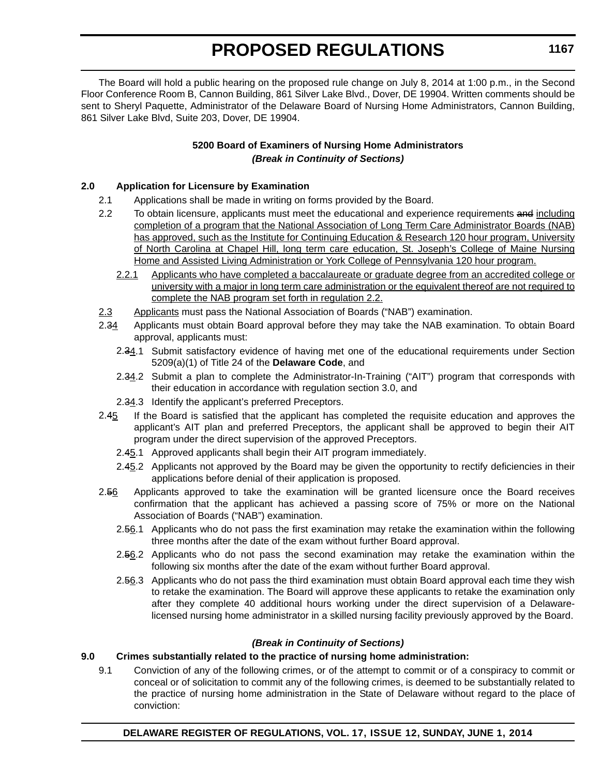The Board will hold a public hearing on the proposed rule change on July 8, 2014 at 1:00 p.m., in the Second Floor Conference Room B, Cannon Building, 861 Silver Lake Blvd., Dover, DE 19904. Written comments should be sent to Sheryl Paquette, Administrator of the Delaware Board of Nursing Home Administrators, Cannon Building, 861 Silver Lake Blvd, Suite 203, Dover, DE 19904.

## **5200 Board of Examiners of Nursing Home Administrators** *(Break in Continuity of Sections)*

### **2.0 Application for Licensure by Examination**

- 2.1 Applications shall be made in writing on forms provided by the Board.
- 2.2 To obtain licensure, applicants must meet the educational and experience requirements and including completion of a program that the National Association of Long Term Care Administrator Boards (NAB) has approved, such as the Institute for Continuing Education & Research 120 hour program, University of North Carolina at Chapel Hill, long term care education, St. Joseph's College of Maine Nursing Home and Assisted Living Administration or York College of Pennsylvania 120 hour program.
	- 2.2.1 Applicants who have completed a baccalaureate or graduate degree from an accredited college or university with a major in long term care administration or the equivalent thereof are not required to complete the NAB program set forth in regulation 2.2.
- 2.3 Applicants must pass the National Association of Boards ("NAB") examination.
- 2.34 Applicants must obtain Board approval before they may take the NAB examination. To obtain Board approval, applicants must:
	- 2.34.1 Submit satisfactory evidence of having met one of the educational requirements under Section 5209(a)(1) of Title 24 of the **Delaware Code**, and
	- 2.34.2 Submit a plan to complete the Administrator-In-Training ("AIT") program that corresponds with their education in accordance with regulation section 3.0, and
	- 2.34.3 Identify the applicant's preferred Preceptors.
- 2.45 If the Board is satisfied that the applicant has completed the requisite education and approves the applicant's AIT plan and preferred Preceptors, the applicant shall be approved to begin their AIT program under the direct supervision of the approved Preceptors.
	- 2.45.1 Approved applicants shall begin their AIT program immediately.
	- 2.45.2 Applicants not approved by the Board may be given the opportunity to rectify deficiencies in their applications before denial of their application is proposed.
- 2.56 Applicants approved to take the examination will be granted licensure once the Board receives confirmation that the applicant has achieved a passing score of 75% or more on the National Association of Boards ("NAB") examination.
	- 2.56.1 Applicants who do not pass the first examination may retake the examination within the following three months after the date of the exam without further Board approval.
	- 2.56.2 Applicants who do not pass the second examination may retake the examination within the following six months after the date of the exam without further Board approval.
	- 2.56.3 Applicants who do not pass the third examination must obtain Board approval each time they wish to retake the examination. The Board will approve these applicants to retake the examination only after they complete 40 additional hours working under the direct supervision of a Delawarelicensed nursing home administrator in a skilled nursing facility previously approved by the Board.

#### *(Break in Continuity of Sections)*

#### **9.0 Crimes substantially related to the practice of nursing home administration:**

9.1 Conviction of any of the following crimes, or of the attempt to commit or of a conspiracy to commit or conceal or of solicitation to commit any of the following crimes, is deemed to be substantially related to the practice of nursing home administration in the State of Delaware without regard to the place of conviction: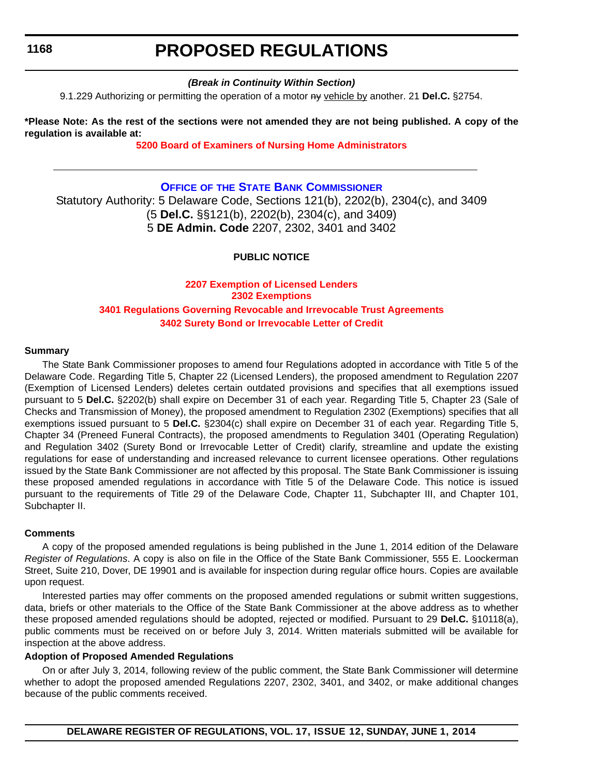## **PROPOSED REGULATIONS**

### *(Break in Continuity Within Section)*

9.1.229 Authorizing or permitting the operation of a motor ny vehicle by another. 21 **Del.C.** §2754.

**\*Please Note: As the rest of the sections were not amended they are not being published. A copy of the regulation is available at:**

#### **[5200 Board of Examiners of Nursing Home Administrators](http://regulations.delaware.gov/register/june2014/proposed/17 DE Reg 1166 06-01-14.htm)**

### **OFFICE OF [THE STATE BANK COMMISSIONER](http://banking.delaware.gov/)**

Statutory Authority: 5 Delaware Code, Sections 121(b), 2202(b), 2304(c), and 3409 (5 **Del.C.** §§121(b), 2202(b), 2304(c), and 3409) 5 **DE Admin. Code** 2207, 2302, 3401 and 3402

### **PUBLIC NOTICE**

## **2207 Exemption of Licensed Lenders 2302 Exemptions [3401 Regulations Governing Revocable and Irrevocable Trust Agreements](#page-3-0) 3402 Surety Bond or Irrevocable Letter of Credit**

#### **Summary**

The State Bank Commissioner proposes to amend four Regulations adopted in accordance with Title 5 of the Delaware Code. Regarding Title 5, Chapter 22 (Licensed Lenders), the proposed amendment to Regulation 2207 (Exemption of Licensed Lenders) deletes certain outdated provisions and specifies that all exemptions issued pursuant to 5 **Del.C.** §2202(b) shall expire on December 31 of each year. Regarding Title 5, Chapter 23 (Sale of Checks and Transmission of Money), the proposed amendment to Regulation 2302 (Exemptions) specifies that all exemptions issued pursuant to 5 **Del.C.** §2304(c) shall expire on December 31 of each year. Regarding Title 5, Chapter 34 (Preneed Funeral Contracts), the proposed amendments to Regulation 3401 (Operating Regulation) and Regulation 3402 (Surety Bond or Irrevocable Letter of Credit) clarify, streamline and update the existing regulations for ease of understanding and increased relevance to current licensee operations. Other regulations issued by the State Bank Commissioner are not affected by this proposal. The State Bank Commissioner is issuing these proposed amended regulations in accordance with Title 5 of the Delaware Code. This notice is issued pursuant to the requirements of Title 29 of the Delaware Code, Chapter 11, Subchapter III, and Chapter 101, Subchapter II.

#### **Comments**

A copy of the proposed amended regulations is being published in the June 1, 2014 edition of the Delaware *Register of Regulations*. A copy is also on file in the Office of the State Bank Commissioner, 555 E. Loockerman Street, Suite 210, Dover, DE 19901 and is available for inspection during regular office hours. Copies are available upon request.

Interested parties may offer comments on the proposed amended regulations or submit written suggestions, data, briefs or other materials to the Office of the State Bank Commissioner at the above address as to whether these proposed amended regulations should be adopted, rejected or modified. Pursuant to 29 **Del.C.** §10118(a), public comments must be received on or before July 3, 2014. Written materials submitted will be available for inspection at the above address.

#### **Adoption of Proposed Amended Regulations**

On or after July 3, 2014, following review of the public comment, the State Bank Commissioner will determine whether to adopt the proposed amended Regulations 2207, 2302, 3401, and 3402, or make additional changes because of the public comments received.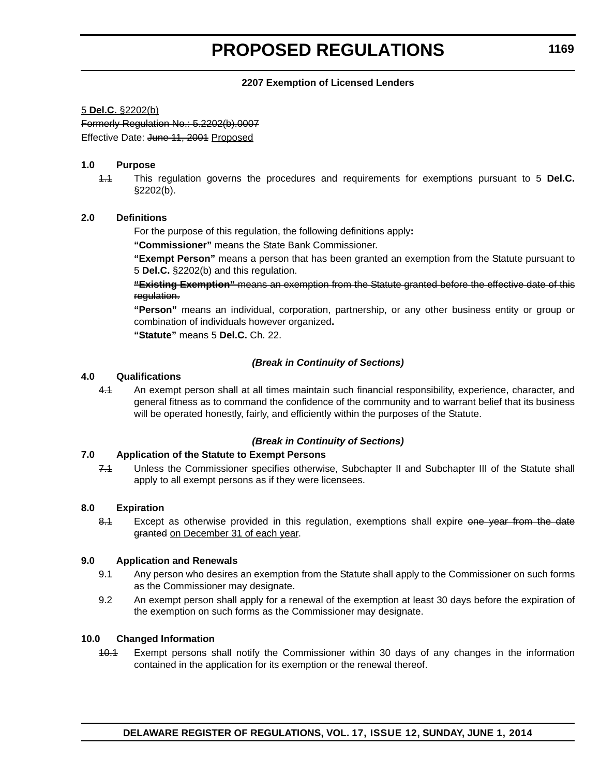#### **2207 Exemption of Licensed Lenders**

#### 5 **Del.C.** §2202(b)

Formerly Regulation No.: 5.2202(b).0007 Effective Date: June 11, 2001 Proposed

#### **1.0 Purpose**

1.1 This regulation governs the procedures and requirements for exemptions pursuant to 5 **Del.C.**  $§2202(b).$ 

#### **2.0 Definitions**

For the purpose of this regulation, the following definitions apply**:** 

**"Commissioner"** means the State Bank Commissioner.

**"Exempt Person"** means a person that has been granted an exemption from the Statute pursuant to 5 **Del.C.** §2202(b) and this regulation.

**"Existing Exemption"** means an exemption from the Statute granted before the effective date of this regulation.

**"Person"** means an individual, corporation, partnership, or any other business entity or group or combination of individuals however organized**.**

**"Statute"** means 5 **Del.C.** Ch. 22.

#### *(Break in Continuity of Sections)*

#### **4.0 Qualifications**

4.1 An exempt person shall at all times maintain such financial responsibility, experience, character, and general fitness as to command the confidence of the community and to warrant belief that its business will be operated honestly, fairly, and efficiently within the purposes of the Statute.

#### *(Break in Continuity of Sections)*

#### **7.0 Application of the Statute to Exempt Persons**

7.1 Unless the Commissioner specifies otherwise, Subchapter II and Subchapter III of the Statute shall apply to all exempt persons as if they were licensees.

#### **8.0 Expiration**

8.1 Except as otherwise provided in this regulation, exemptions shall expire one year from the date granted on December 31 of each year.

#### **9.0 Application and Renewals**

- 9.1 Any person who desires an exemption from the Statute shall apply to the Commissioner on such forms as the Commissioner may designate.
- 9.2 An exempt person shall apply for a renewal of the exemption at least 30 days before the expiration of the exemption on such forms as the Commissioner may designate.

#### **10.0 Changed Information**

10.1 Exempt persons shall notify the Commissioner within 30 days of any changes in the information contained in the application for its exemption or the renewal thereof.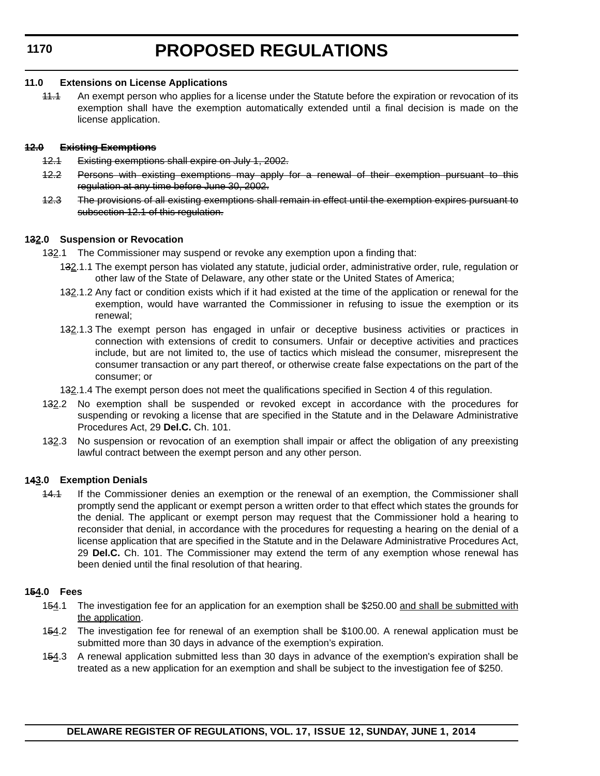#### **11.0 Extensions on License Applications**

11.1 An exempt person who applies for a license under the Statute before the expiration or revocation of its exemption shall have the exemption automatically extended until a final decision is made on the license application.

### **12.0 Existing Exemptions**

- 12.1 Existing exemptions shall expire on July 1, 2002.
- 12.2 Persons with existing exemptions may apply for a renewal of their exemption pursuant to this regulation at any time before June 30, 2002.
- 12.3 The provisions of all existing exemptions shall remain in effect until the exemption expires pursuant to subsection 12.1 of this regulation.

## **132.0 Suspension or Revocation**

- 132.1 The Commissioner may suspend or revoke any exemption upon a finding that:
	- 132.1.1 The exempt person has violated any statute, judicial order, administrative order, rule, regulation or other law of the State of Delaware, any other state or the United States of America;
	- 132.1.2 Any fact or condition exists which if it had existed at the time of the application or renewal for the exemption, would have warranted the Commissioner in refusing to issue the exemption or its renewal;
	- 132.1.3 The exempt person has engaged in unfair or deceptive business activities or practices in connection with extensions of credit to consumers. Unfair or deceptive activities and practices include, but are not limited to, the use of tactics which mislead the consumer, misrepresent the consumer transaction or any part thereof, or otherwise create false expectations on the part of the consumer; or
	- 132.1.4 The exempt person does not meet the qualifications specified in Section 4 of this regulation.
- 132.2 No exemption shall be suspended or revoked except in accordance with the procedures for suspending or revoking a license that are specified in the Statute and in the Delaware Administrative Procedures Act, 29 **Del.C.** Ch. 101.
- 132.3 No suspension or revocation of an exemption shall impair or affect the obligation of any preexisting lawful contract between the exempt person and any other person.

## **143.0 Exemption Denials**

14.1 If the Commissioner denies an exemption or the renewal of an exemption, the Commissioner shall promptly send the applicant or exempt person a written order to that effect which states the grounds for the denial. The applicant or exempt person may request that the Commissioner hold a hearing to reconsider that denial, in accordance with the procedures for requesting a hearing on the denial of a license application that are specified in the Statute and in the Delaware Administrative Procedures Act, 29 **Del.C.** Ch. 101. The Commissioner may extend the term of any exemption whose renewal has been denied until the final resolution of that hearing.

## **154.0 Fees**

- 154.1 The investigation fee for an application for an exemption shall be \$250.00 and shall be submitted with the application.
- 154.2 The investigation fee for renewal of an exemption shall be \$100.00. A renewal application must be submitted more than 30 days in advance of the exemption's expiration.
- 154.3 A renewal application submitted less than 30 days in advance of the exemption's expiration shall be treated as a new application for an exemption and shall be subject to the investigation fee of \$250.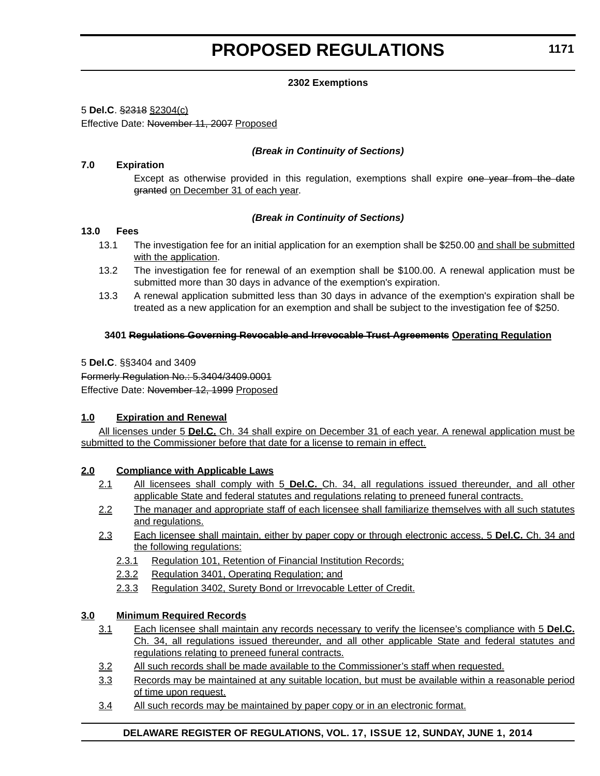### **2302 Exemptions**

5 **Del.C**. §2318 §2304(c)

Effective Date: November 11, 2007 Proposed

### *(Break in Continuity of Sections)*

### **7.0 Expiration**

Except as otherwise provided in this regulation, exemptions shall expire one year from the date granted on December 31 of each year.

### *(Break in Continuity of Sections)*

### **13.0 Fees**

- 13.1 The investigation fee for an initial application for an exemption shall be \$250.00 and shall be submitted with the application.
- 13.2 The investigation fee for renewal of an exemption shall be \$100.00. A renewal application must be submitted more than 30 days in advance of the exemption's expiration.
- 13.3 A renewal application submitted less than 30 days in advance of the exemption's expiration shall be treated as a new application for an exemption and shall be subject to the investigation fee of \$250.

### **3401 Regulations Governing Revocable and Irrevocable Trust Agreements Operating Regulation**

5 **Del.C**. §§3404 and 3409 Formerly Regulation No.: 5.3404/3409.0001 Effective Date: November 12, 1999 Proposed

#### **1.0 Expiration and Renewal**

All licenses under 5 **Del.C.** Ch. 34 shall expire on December 31 of each year. A renewal application must be submitted to the Commissioner before that date for a license to remain in effect.

#### **2.0 Compliance with Applicable Laws**

- 2.1 All licensees shall comply with 5 **Del.C.** Ch. 34, all regulations issued thereunder, and all other applicable State and federal statutes and regulations relating to preneed funeral contracts.
- 2.2 The manager and appropriate staff of each licensee shall familiarize themselves with all such statutes and regulations.
- 2.3 Each licensee shall maintain, either by paper copy or through electronic access, 5 **Del.C.** Ch. 34 and the following regulations:
	- 2.3.1 Regulation 101, Retention of Financial Institution Records;
	- 2.3.2 Regulation 3401, Operating Regulation; and
	- 2.3.3 Regulation 3402, Surety Bond or Irrevocable Letter of Credit.

#### **3.0 Minimum Required Records**

- 3.1 Each licensee shall maintain any records necessary to verify the licensee's compliance with 5 **Del.C.** Ch. 34, all regulations issued thereunder, and all other applicable State and federal statutes and regulations relating to preneed funeral contracts.
- 3.2 All such records shall be made available to the Commissioner's staff when requested.
- 3.3 Records may be maintained at any suitable location, but must be available within a reasonable period of time upon request.
- 3.4 All such records may be maintained by paper copy or in an electronic format.

#### **DELAWARE REGISTER OF REGULATIONS, VOL. 17, ISSUE 12, SUNDAY, JUNE 1, 2014**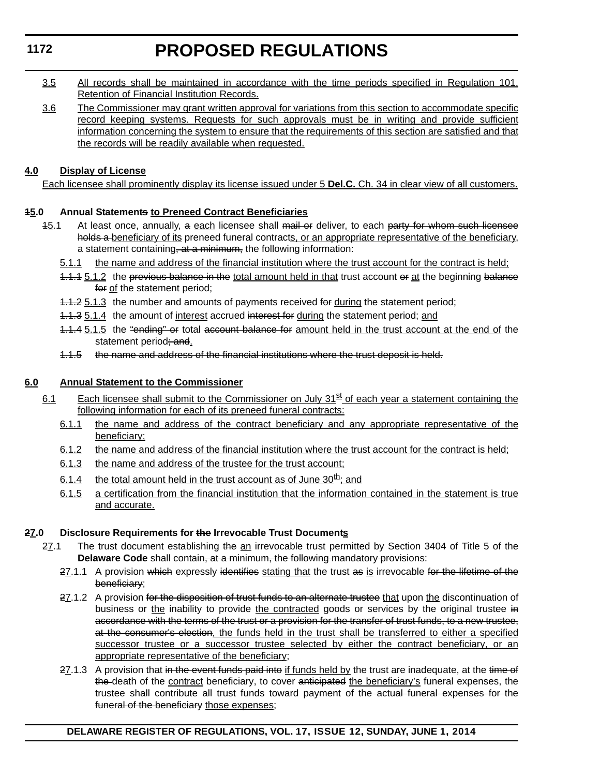# **PROPOSED REGULATIONS**

- 3.5 All records shall be maintained in accordance with the time periods specified in Regulation 101, Retention of Financial Institution Records.
- 3.6 The Commissioner may grant written approval for variations from this section to accommodate specific record keeping systems. Requests for such approvals must be in writing and provide sufficient information concerning the system to ensure that the requirements of this section are satisfied and that the records will be readily available when requested.

## **4.0 Display of License**

Each licensee shall prominently display its license issued under 5 **Del.C.** Ch. 34 in clear view of all customers.

## **15.0 Annual Statements to Preneed Contract Beneficiaries**

- 45.1 At least once, annually, a each licensee shall mail or deliver, to each party for whom such licensee holds a beneficiary of its preneed funeral contracts, or an appropriate representative of the beneficiary, a statement containing, at a minimum, the following information:
	- 5.1.1 the name and address of the financial institution where the trust account for the contract is held;
	- 1.1.1 5.1.2 the previous balance in the total amount held in that trust account or at the beginning balance for of the statement period;
	- 1.1.2 5.1.3 the number and amounts of payments received for during the statement period;
	- 1.1.3 5.1.4 the amount of interest accrued interest for during the statement period; and
	- 1.1.4 5.1.5 the "ending" or total account balance for amount held in the trust account at the end of the statement period; and.
	- 1.1.5 the name and address of the financial institutions where the trust deposit is held.

## **6.0 Annual Statement to the Commissioner**

- 6.1 Each licensee shall submit to the Commissioner on July  $31<sup>st</sup>$  of each year a statement containing the following information for each of its preneed funeral contracts:
	- 6.1.1 the name and address of the contract beneficiary and any appropriate representative of the beneficiary;
	- 6.1.2 the name and address of the financial institution where the trust account for the contract is held;
	- 6.1.3 the name and address of the trustee for the trust account;
	- 6.1.4 the total amount held in the trust account as of June  $30<sup>th</sup>$ ; and
	- 6.1.5 a certification from the financial institution that the information contained in the statement is true and accurate.

## **27.0 Disclosure Requirements for the Irrevocable Trust Documents**

- 27.1 The trust document establishing the an irrevocable trust permitted by Section 3404 of Title 5 of the **Delaware Code** shall contain, at a minimum, the following mandatory provisions:
	- 27.1.1 A provision which expressly identifies stating that the trust as is irrevocable for the lifetime of the beneficiary;
	- 27.1.2 A provision for the disposition of trust funds to an alternate trustee that upon the discontinuation of business or the inability to provide the contracted goods or services by the original trustee in accordance with the terms of the trust or a provision for the transfer of trust funds, to a new trustee, at the consumer's election, the funds held in the trust shall be transferred to either a specified successor trustee or a successor trustee selected by either the contract beneficiary, or an appropriate representative of the beneficiary;
	- 27.1.3 A provision that in the event funds paid into if funds held by the trust are inadequate, at the time of the death of the contract beneficiary, to cover anticipated the beneficiary's funeral expenses, the trustee shall contribute all trust funds toward payment of the actual funeral expenses for the funeral of the beneficiary those expenses;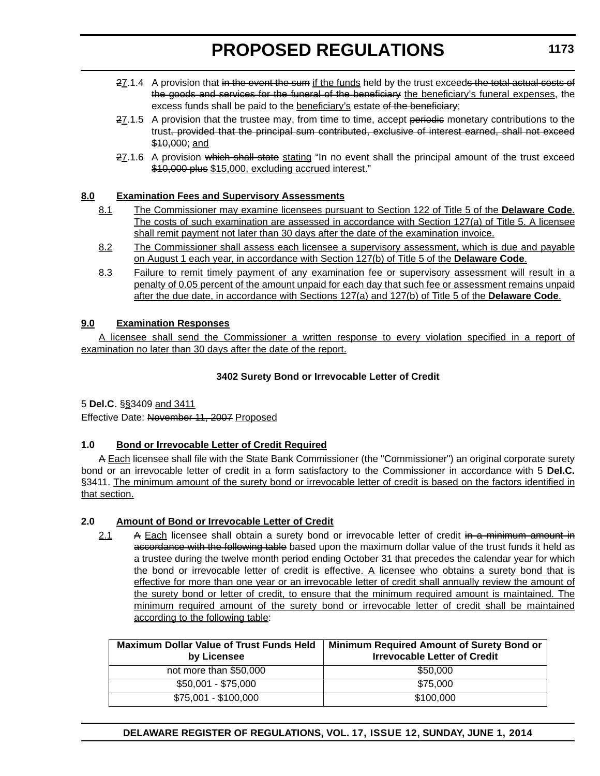- 27.1.4 A provision that in the event the sum if the funds held by the trust exceeds the total actual costs of the goods and services for the funeral of the beneficiary the beneficiary's funeral expenses, the excess funds shall be paid to the beneficiary's estate of the beneficiary;
- $27.1.5$  A provision that the trustee may, from time to time, accept periodic monetary contributions to the trust, provided that the principal sum contributed, exclusive of interest earned, shall not exceed \$10,000; and
- 27.1.6 A provision which shall state stating "In no event shall the principal amount of the trust exceed \$10,000 plus \$15,000, excluding accrued interest."

### **8.0 Examination Fees and Supervisory Assessments**

- 8.1 The Commissioner may examine licensees pursuant to Section 122 of Title 5 of the **Delaware Code**. The costs of such examination are assessed in accordance with Section 127(a) of Title 5. A licensee shall remit payment not later than 30 days after the date of the examination invoice.
- 8.2 The Commissioner shall assess each licensee a supervisory assessment, which is due and payable on August 1 each year, in accordance with Section 127(b) of Title 5 of the **Delaware Code**.
- 8.3 Failure to remit timely payment of any examination fee or supervisory assessment will result in a penalty of 0.05 percent of the amount unpaid for each day that such fee or assessment remains unpaid after the due date, in accordance with Sections 127(a) and 127(b) of Title 5 of the **Delaware Code**.

### **9.0 Examination Responses**

A licensee shall send the Commissioner a written response to every violation specified in a report of examination no later than 30 days after the date of the report.

#### **3402 Surety Bond or Irrevocable Letter of Credit**

5 **Del.C**. §§3409 and 3411

Effective Date: November 11, 2007 Proposed

#### **1.0 Bond or Irrevocable Letter of Credit Required**

A Each licensee shall file with the State Bank Commissioner (the "Commissioner") an original corporate surety bond or an irrevocable letter of credit in a form satisfactory to the Commissioner in accordance with 5 **Del.C.** §3411. The minimum amount of the surety bond or irrevocable letter of credit is based on the factors identified in that section.

#### **2.0 Amount of Bond or Irrevocable Letter of Credit**

2.1 A Each licensee shall obtain a surety bond or irrevocable letter of credit in a minimum amount in accordance with the following table based upon the maximum dollar value of the trust funds it held as a trustee during the twelve month period ending October 31 that precedes the calendar year for which the bond or irrevocable letter of credit is effective. A licensee who obtains a surety bond that is effective for more than one year or an irrevocable letter of credit shall annually review the amount of the surety bond or letter of credit, to ensure that the minimum required amount is maintained. The minimum required amount of the surety bond or irrevocable letter of credit shall be maintained according to the following table:

| <b>Maximum Dollar Value of Trust Funds Held</b><br>by Licensee | Minimum Required Amount of Surety Bond or<br><b>Irrevocable Letter of Credit</b> |
|----------------------------------------------------------------|----------------------------------------------------------------------------------|
| not more than \$50,000                                         | \$50,000                                                                         |
| $$50,001 - $75,000$                                            | \$75,000                                                                         |
| \$75,001 - \$100,000                                           | \$100,000                                                                        |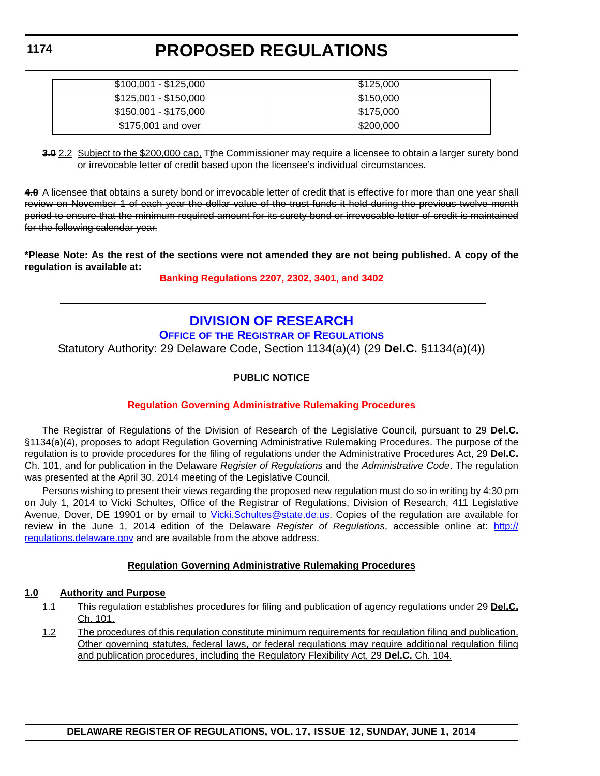| $$100,001 - $125,000$ | \$125,000 |
|-----------------------|-----------|
| \$125,001 - \$150,000 | \$150.000 |
| \$150,001 - \$175,000 | \$175,000 |
| \$175,001 and over    | \$200,000 |

**3.0** 2.2 Subject to the \$200,000 cap, Tthe Commissioner may require a licensee to obtain a larger surety bond or irrevocable letter of credit based upon the licensee's individual circumstances.

**4.0** A licensee that obtains a surety bond or irrevocable letter of credit that is effective for more than one year shall review on November 1 of each year the dollar value of the trust funds it held during the previous twelve month period to ensure that the minimum required amount for its surety bond or irrevocable letter of credit is maintained for the following calendar year.

**\*Please Note: As the rest of the sections were not amended they are not being published. A copy of the regulation is available at:**

**[Banking Regulations 2207, 2302, 3401, and 3402](http://regulations.delaware.gov/register/june2014/proposed/17 DE Reg 1168 06-01-14.htm)**

## **[DIVISION OF RESEARCH](http://regulations.delaware.gov/default.shtml)**

### **OFFICE OF THE REGISTRAR OF REGULATIONS**

Statutory Authority: 29 Delaware Code, Section 1134(a)(4) (29 **Del.C.** §1134(a)(4))

## **PUBLIC NOTICE**

## **[Regulation Governing Administrative Rulemaking Procedures](#page-3-0)**

The Registrar of Regulations of the Division of Research of the Legislative Council, pursuant to 29 **Del.C.** §1134(a)(4), proposes to adopt Regulation Governing Administrative Rulemaking Procedures. The purpose of the regulation is to provide procedures for the filing of regulations under the Administrative Procedures Act, 29 **Del.C.** Ch. 101, and for publication in the Delaware *Register of Regulations* and the *Administrative Code*. The regulation was presented at the April 30, 2014 meeting of the Legislative Council.

Persons wishing to present their views regarding the proposed new regulation must do so in writing by 4:30 pm on July 1, 2014 to Vicki Schultes, Office of the Registrar of Regulations, Division of Research, 411 Legislative Avenue, Dover, DE 19901 or by email to [Vicki.Schultes@state.de.us](mailto:Vicki.Schultes@state.de.us). Copies of the regulation are available for review in the June 1, 2014 edition of the Delaware *Register of Regulations*, accessible online at: [http://](http://regulations.delaware.gov) [regulations.delaware.gov](http://regulations.delaware.gov) and are available from the above address.

## **Regulation Governing Administrative Rulemaking Procedures**

#### **1.0 Authority and Purpose**

- 1.1 This regulation establishes procedures for filing and publication of agency regulations under 29 **Del.C.** Ch. 101.
- 1.2 The procedures of this regulation constitute minimum requirements for regulation filing and publication. Other governing statutes, federal laws, or federal regulations may require additional regulation filing and publication procedures, including the Regulatory Flexibility Act, 29 **Del.C.** Ch. 104.

**1174**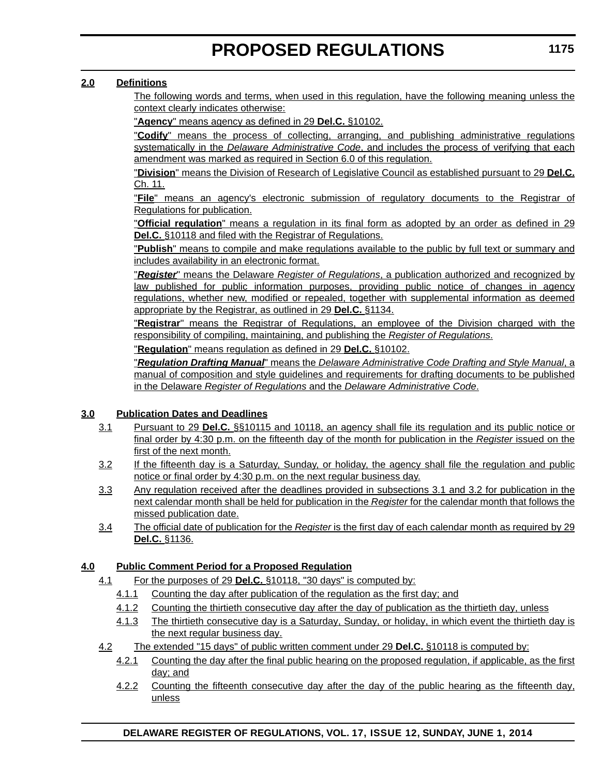### **2.0 Definitions**

The following words and terms, when used in this regulation, have the following meaning unless the context clearly indicates otherwise:

"**Agency**" means agency as defined in 29 **Del.C.** §10102.

"**Codify**" means the process of collecting, arranging, and publishing administrative regulations systematically in the *Delaware Administrative Code*, and includes the process of verifying that each amendment was marked as required in Section 6.0 of this regulation.

"**Division**" means the Division of Research of Legislative Council as established pursuant to 29 **Del.C.** Ch. 11.

"**File**" means an agency's electronic submission of regulatory documents to the Registrar of Regulations for publication.

"**Official regulation**" means a regulation in its final form as adopted by an order as defined in 29 **Del.C.** §10118 and filed with the Registrar of Regulations.

"**Publish**" means to compile and make regulations available to the public by full text or summary and includes availability in an electronic format.

"*Register*" means the Delaware *Register of Regulations*, a publication authorized and recognized by law published for public information purposes, providing public notice of changes in agency regulations, whether new, modified or repealed, together with supplemental information as deemed appropriate by the Registrar, as outlined in 29 **Del.C.** §1134.

"**Registrar**" means the Registrar of Regulations, an employee of the Division charged with the responsibility of compiling, maintaining, and publishing the *Register of Regulations*.

"**Regulation**" means regulation as defined in 29 **Del.C.** §10102.

"*Regulation Drafting Manual*" means the *Delaware Administrative Code Drafting and Style Manual*, a manual of composition and style guidelines and requirements for drafting documents to be published in the Delaware *Register of Regulations* and the *Delaware Administrative Code*.

#### **3.0 Publication Dates and Deadlines**

- 3.1 Pursuant to 29 **Del.C.** §§10115 and 10118, an agency shall file its regulation and its public notice or final order by 4:30 p.m. on the fifteenth day of the month for publication in the *Register* issued on the first of the next month.
- 3.2 If the fifteenth day is a Saturday, Sunday, or holiday, the agency shall file the regulation and public notice or final order by 4:30 p.m. on the next regular business day.
- 3.3 Any regulation received after the deadlines provided in subsections 3.1 and 3.2 for publication in the next calendar month shall be held for publication in the *Register* for the calendar month that follows the missed publication date.
- 3.4 The official date of publication for the *Register* is the first day of each calendar month as required by 29 **Del.C.** §1136.

#### **4.0 Public Comment Period for a Proposed Regulation**

- 4.1 For the purposes of 29 **Del.C.** §10118, "30 days" is computed by:
	- 4.1.1 Counting the day after publication of the regulation as the first day; and
	- 4.1.2 Counting the thirtieth consecutive day after the day of publication as the thirtieth day, unless
	- 4.1.3 The thirtieth consecutive day is a Saturday, Sunday, or holiday, in which event the thirtieth day is the next regular business day.
- 4.2 The extended "15 days" of public written comment under 29 **Del.C.** §10118 is computed by:
	- 4.2.1 Counting the day after the final public hearing on the proposed regulation, if applicable, as the first day; and
	- 4.2.2 Counting the fifteenth consecutive day after the day of the public hearing as the fifteenth day, unless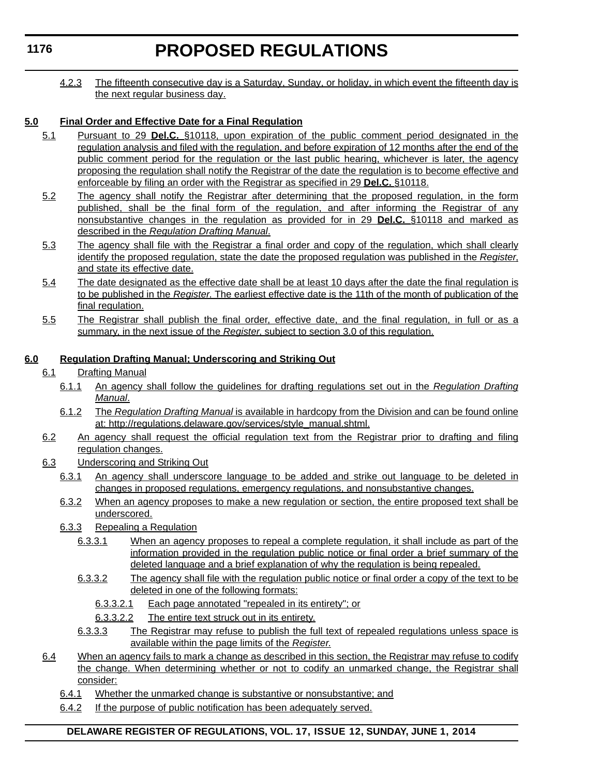# **PROPOSED REGULATIONS**

4.2.3 The fifteenth consecutive day is a Saturday, Sunday, or holiday, in which event the fifteenth day is the next regular business day.

## **5.0 Final Order and Effective Date for a Final Regulation**

- 5.1 Pursuant to 29 **Del.C.** §10118, upon expiration of the public comment period designated in the regulation analysis and filed with the regulation, and before expiration of 12 months after the end of the public comment period for the regulation or the last public hearing, whichever is later, the agency proposing the regulation shall notify the Registrar of the date the regulation is to become effective and enforceable by filing an order with the Registrar as specified in 29 **Del.C.** §10118.
- 5.2 The agency shall notify the Registrar after determining that the proposed regulation, in the form published, shall be the final form of the regulation, and after informing the Registrar of any nonsubstantive changes in the regulation as provided for in 29 **Del.C.** §10118 and marked as described in the *Regulation Drafting Manual*.
- 5.3 The agency shall file with the Registrar a final order and copy of the regulation, which shall clearly identify the proposed regulation, state the date the proposed regulation was published in the *Register*, and state its effective date.
- 5.4 The date designated as the effective date shall be at least 10 days after the date the final regulation is to be published in the *Register*. The earliest effective date is the 11th of the month of publication of the final regulation.
- 5.5 The Registrar shall publish the final order, effective date, and the final regulation, in full or as a summary, in the next issue of the *Register*, subject to section 3.0 of this regulation.

## **6.0 Regulation Drafting Manual; Underscoring and Striking Out**

- 6.1 Drafting Manual
	- 6.1.1 An agency shall follow the guidelines for drafting regulations set out in the *Regulation Drafting Manual*.
	- 6.1.2 The *Regulation Drafting Manual* is available in hardcopy from the Division and can be found online at: http://regulations.delaware.gov/services/style\_manual.shtml.
- 6.2 An agency shall request the official regulation text from the Registrar prior to drafting and filing regulation changes.
- 6.3 Underscoring and Striking Out
	- 6.3.1 An agency shall underscore language to be added and strike out language to be deleted in changes in proposed regulations, emergency regulations, and nonsubstantive changes.
	- 6.3.2 When an agency proposes to make a new regulation or section, the entire proposed text shall be underscored.
	- 6.3.3 Repealing a Regulation
		- 6.3.3.1 When an agency proposes to repeal a complete regulation, it shall include as part of the information provided in the regulation public notice or final order a brief summary of the deleted language and a brief explanation of why the regulation is being repealed.
		- 6.3.3.2 The agency shall file with the regulation public notice or final order a copy of the text to be deleted in one of the following formats:
			- 6.3.3.2.1 Each page annotated "repealed in its entirety"; or
			- 6.3.3.2.2 The entire text struck out in its entirety.
		- 6.3.3.3 The Registrar may refuse to publish the full text of repealed regulations unless space is available within the page limits of the *Register*.
- 6.4 When an agency fails to mark a change as described in this section, the Registrar may refuse to codify the change. When determining whether or not to codify an unmarked change, the Registrar shall consider:
	- 6.4.1 Whether the unmarked change is substantive or nonsubstantive; and
	- 6.4.2 If the purpose of public notification has been adequately served.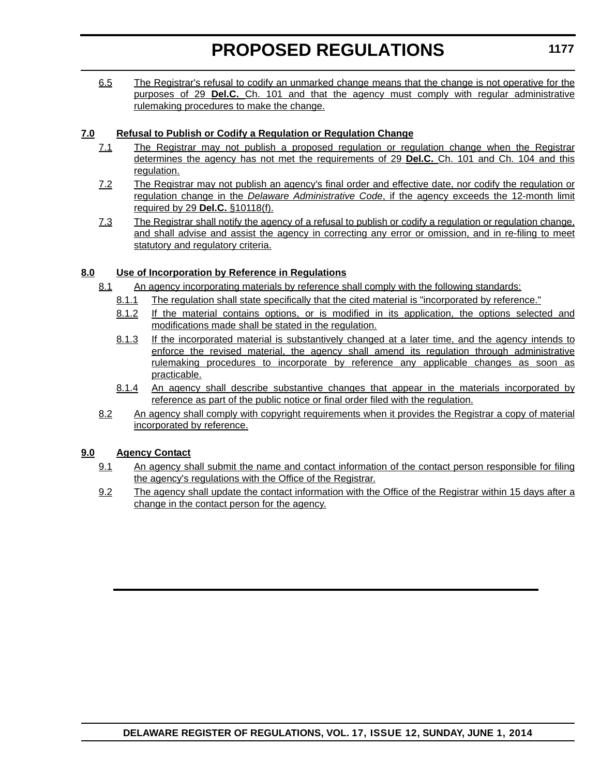6.5 The Registrar's refusal to codify an unmarked change means that the change is not operative for the purposes of 29 **Del.C.** Ch. 101 and that the agency must comply with regular administrative rulemaking procedures to make the change.

## **7.0 Refusal to Publish or Codify a Regulation or Regulation Change**

- 7.1 The Registrar may not publish a proposed regulation or regulation change when the Registrar determines the agency has not met the requirements of 29 **Del.C.** Ch. 101 and Ch. 104 and this regulation.
- 7.2 The Registrar may not publish an agency's final order and effective date, nor codify the regulation or regulation change in the *Delaware Administrative Code*, if the agency exceeds the 12-month limit required by 29 **Del.C.** §10118(f).
- 7.3 The Registrar shall notify the agency of a refusal to publish or codify a regulation or regulation change, and shall advise and assist the agency in correcting any error or omission, and in re-filing to meet statutory and regulatory criteria.

## **8.0 Use of Incorporation by Reference in Regulations**

- 8.1 An agency incorporating materials by reference shall comply with the following standards:
	- 8.1.1 The regulation shall state specifically that the cited material is "incorporated by reference."
	- 8.1.2 If the material contains options, or is modified in its application, the options selected and modifications made shall be stated in the regulation.
	- 8.1.3 If the incorporated material is substantively changed at a later time, and the agency intends to enforce the revised material, the agency shall amend its regulation through administrative rulemaking procedures to incorporate by reference any applicable changes as soon as practicable.
	- 8.1.4 An agency shall describe substantive changes that appear in the materials incorporated by reference as part of the public notice or final order filed with the regulation.
- 8.2 An agency shall comply with copyright requirements when it provides the Registrar a copy of material incorporated by reference.

## **9.0 Agency Contact**

- 9.1 An agency shall submit the name and contact information of the contact person responsible for filing the agency's regulations with the Office of the Registrar.
- 9.2 The agency shall update the contact information with the Office of the Registrar within 15 days after a change in the contact person for the agency.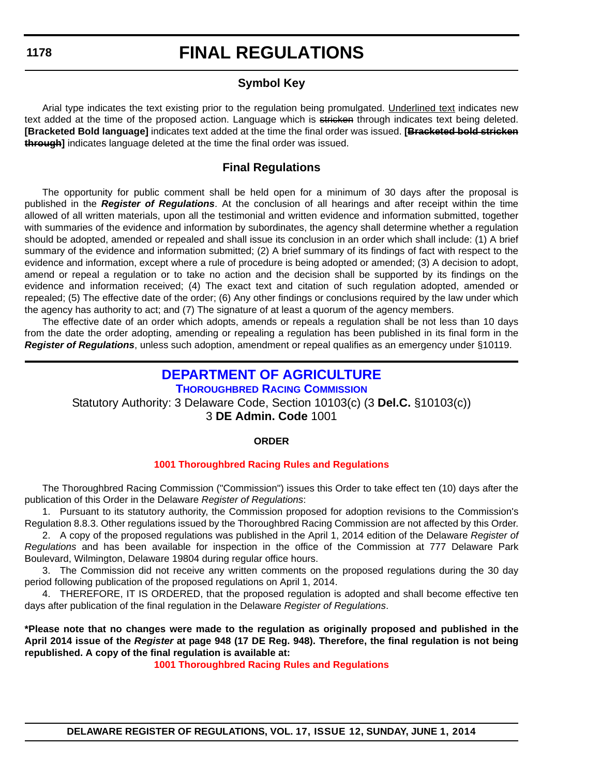## **FINAL REGULATIONS**

## **Symbol Key**

Arial type indicates the text existing prior to the regulation being promulgated. Underlined text indicates new text added at the time of the proposed action. Language which is stricken through indicates text being deleted. **[Bracketed Bold language]** indicates text added at the time the final order was issued. **[Bracketed bold stricken through]** indicates language deleted at the time the final order was issued.

## **Final Regulations**

The opportunity for public comment shall be held open for a minimum of 30 days after the proposal is published in the *Register of Regulations*. At the conclusion of all hearings and after receipt within the time allowed of all written materials, upon all the testimonial and written evidence and information submitted, together with summaries of the evidence and information by subordinates, the agency shall determine whether a regulation should be adopted, amended or repealed and shall issue its conclusion in an order which shall include: (1) A brief summary of the evidence and information submitted; (2) A brief summary of its findings of fact with respect to the evidence and information, except where a rule of procedure is being adopted or amended; (3) A decision to adopt, amend or repeal a regulation or to take no action and the decision shall be supported by its findings on the evidence and information received; (4) The exact text and citation of such regulation adopted, amended or repealed; (5) The effective date of the order; (6) Any other findings or conclusions required by the law under which the agency has authority to act; and (7) The signature of at least a quorum of the agency members.

The effective date of an order which adopts, amends or repeals a regulation shall be not less than 10 days from the date the order adopting, amending or repealing a regulation has been published in its final form in the *Register of Regulations*, unless such adoption, amendment or repeal qualifies as an emergency under §10119.

## **[DEPARTMENT OF AGRICULTURE](http://dda.delaware.gov/thoroughbred/index.shtml)**

## **THOROUGHBRED RACING COMMISSION**

Statutory Authority: 3 Delaware Code, Section 10103(c) (3 **Del.C.** §10103(c))

3 **DE Admin. Code** 1001

## **ORDER**

## **[1001 Thoroughbred Racing Rules and Regulations](#page-4-0)**

The Thoroughbred Racing Commission ("Commission") issues this Order to take effect ten (10) days after the publication of this Order in the Delaware *Register of Regulations*:

1. Pursuant to its statutory authority, the Commission proposed for adoption revisions to the Commission's Regulation 8.8.3. Other regulations issued by the Thoroughbred Racing Commission are not affected by this Order.

2. A copy of the proposed regulations was published in the April 1, 2014 edition of the Delaware *Register of Regulations* and has been available for inspection in the office of the Commission at 777 Delaware Park Boulevard, Wilmington, Delaware 19804 during regular office hours.

3. The Commission did not receive any written comments on the proposed regulations during the 30 day period following publication of the proposed regulations on April 1, 2014.

4. THEREFORE, IT IS ORDERED, that the proposed regulation is adopted and shall become effective ten days after publication of the final regulation in the Delaware *Register of Regulations*.

**\*Please note that no changes were made to the regulation as originally proposed and published in the April 2014 issue of the** *Register* **at page 948 (17 DE Reg. 948). Therefore, the final regulation is not being republished. A copy of the final regulation is available at:**

**[1001 Thoroughbred Racing Rules and Regulations](http://regulations.delaware.gov/register/june2014/final/17 DE Reg 1178 06-01-14.htm)**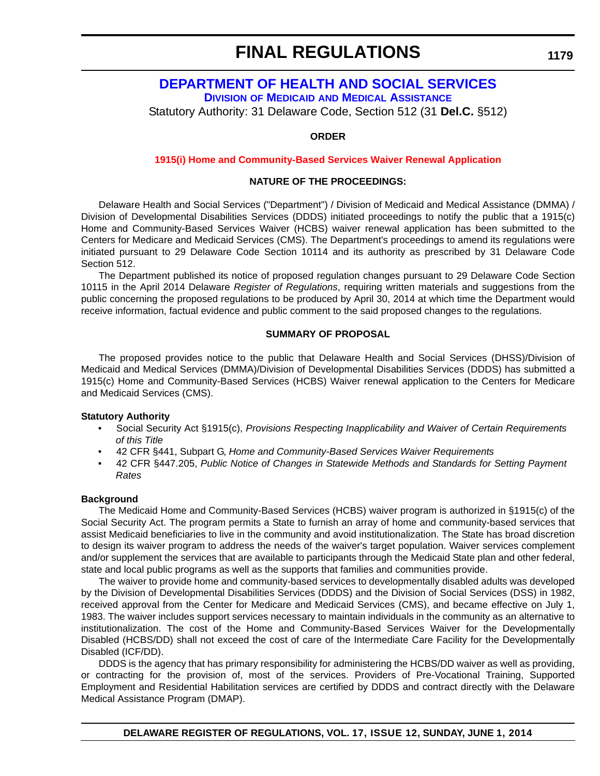## **FINAL REGULATIONS**

## **[DEPARTMENT OF HEALTH AND SOCIAL SERVICES](http://www.dhss.delaware.gov/dhss/dmma/) DIVISION OF MEDICAID AND MEDICAL ASSISTANCE**

Statutory Authority: 31 Delaware Code, Section 512 (31 **Del.C.** §512)

#### **ORDER**

#### **[1915\(i\) Home and Community-Based Services Waiver Renewal Application](#page-4-0)**

#### **NATURE OF THE PROCEEDINGS:**

Delaware Health and Social Services ("Department") / Division of Medicaid and Medical Assistance (DMMA) / Division of Developmental Disabilities Services (DDDS) initiated proceedings to notify the public that a 1915(c) Home and Community-Based Services Waiver (HCBS) waiver renewal application has been submitted to the Centers for Medicare and Medicaid Services (CMS). The Department's proceedings to amend its regulations were initiated pursuant to 29 Delaware Code Section 10114 and its authority as prescribed by 31 Delaware Code Section 512.

The Department published its notice of proposed regulation changes pursuant to 29 Delaware Code Section 10115 in the April 2014 Delaware *Register of Regulations*, requiring written materials and suggestions from the public concerning the proposed regulations to be produced by April 30, 2014 at which time the Department would receive information, factual evidence and public comment to the said proposed changes to the regulations.

#### **SUMMARY OF PROPOSAL**

The proposed provides notice to the public that Delaware Health and Social Services (DHSS)/Division of Medicaid and Medical Services (DMMA)/Division of Developmental Disabilities Services (DDDS) has submitted a 1915(c) Home and Community-Based Services (HCBS) Waiver renewal application to the Centers for Medicare and Medicaid Services (CMS).

#### **Statutory Authority**

- Social Security Act §1915(c), *Provisions Respecting Inapplicability and Waiver of Certain Requirements of this Title*
- 42 CFR §441, Subpart G, *Home and Community-Based Services Waiver Requirements*
- 42 CFR §447.205, *Public Notice of Changes in Statewide Methods and Standards for Setting Payment Rates*

#### **Background**

The Medicaid Home and Community-Based Services (HCBS) waiver program is authorized in §1915(c) of the Social Security Act. The program permits a State to furnish an array of home and community-based services that assist Medicaid beneficiaries to live in the community and avoid institutionalization. The State has broad discretion to design its waiver program to address the needs of the waiver's target population. Waiver services complement and/or supplement the services that are available to participants through the Medicaid State plan and other federal, state and local public programs as well as the supports that families and communities provide.

The waiver to provide home and community-based services to developmentally disabled adults was developed by the Division of Developmental Disabilities Services (DDDS) and the Division of Social Services (DSS) in 1982, received approval from the Center for Medicare and Medicaid Services (CMS), and became effective on July 1, 1983. The waiver includes support services necessary to maintain individuals in the community as an alternative to institutionalization. The cost of the Home and Community-Based Services Waiver for the Developmentally Disabled (HCBS/DD) shall not exceed the cost of care of the Intermediate Care Facility for the Developmentally Disabled (ICF/DD).

DDDS is the agency that has primary responsibility for administering the HCBS/DD waiver as well as providing, or contracting for the provision of, most of the services. Providers of Pre-Vocational Training, Supported Employment and Residential Habilitation services are certified by DDDS and contract directly with the Delaware Medical Assistance Program (DMAP).

**1179**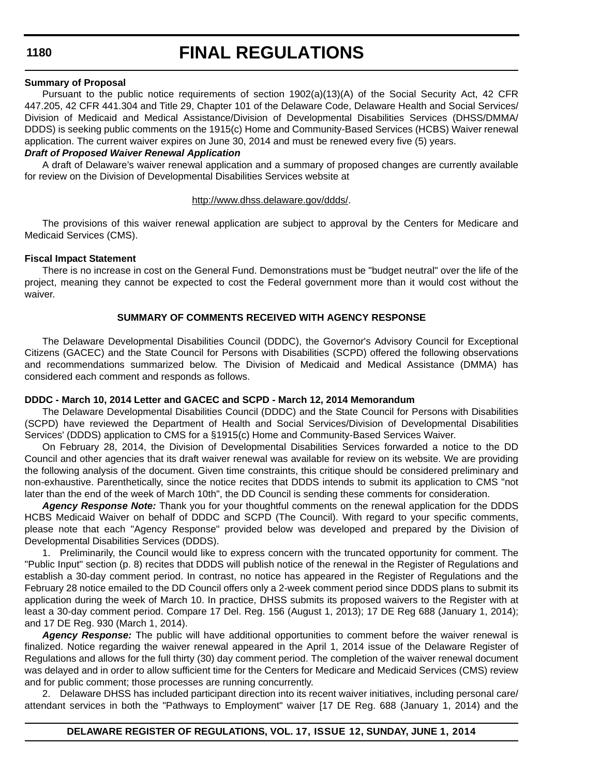## **FINAL REGULATIONS**

#### **Summary of Proposal**

Pursuant to the public notice requirements of section 1902(a)(13)(A) of the Social Security Act, 42 CFR 447.205, 42 CFR 441.304 and Title 29, Chapter 101 of the Delaware Code, Delaware Health and Social Services/ Division of Medicaid and Medical Assistance/Division of Developmental Disabilities Services (DHSS/DMMA/ DDDS) is seeking public comments on the 1915(c) Home and Community-Based Services (HCBS) Waiver renewal application. The current waiver expires on June 30, 2014 and must be renewed every five (5) years.

#### *Draft of Proposed Waiver Renewal Application*

A draft of Delaware's waiver renewal application and a summary of proposed changes are currently available for review on the Division of Developmental Disabilities Services website at

#### [http://www.dhss.delaware.gov/ddds/.](http://www.dhss.delaware.gov/ddds/)

The provisions of this waiver renewal application are subject to approval by the Centers for Medicare and Medicaid Services (CMS).

#### **Fiscal Impact Statement**

There is no increase in cost on the General Fund. Demonstrations must be "budget neutral" over the life of the project, meaning they cannot be expected to cost the Federal government more than it would cost without the waiver.

#### **SUMMARY OF COMMENTS RECEIVED WITH AGENCY RESPONSE**

The Delaware Developmental Disabilities Council (DDDC), the Governor's Advisory Council for Exceptional Citizens (GACEC) and the State Council for Persons with Disabilities (SCPD) offered the following observations and recommendations summarized below. The Division of Medicaid and Medical Assistance (DMMA) has considered each comment and responds as follows.

#### **DDDC - March 10, 2014 Letter and GACEC and SCPD - March 12, 2014 Memorandum**

The Delaware Developmental Disabilities Council (DDDC) and the State Council for Persons with Disabilities (SCPD) have reviewed the Department of Health and Social Services/Division of Developmental Disabilities Services' (DDDS) application to CMS for a §1915(c) Home and Community-Based Services Waiver.

On February 28, 2014, the Division of Developmental Disabilities Services forwarded a notice to the DD Council and other agencies that its draft waiver renewal was available for review on its website. We are providing the following analysis of the document. Given time constraints, this critique should be considered preliminary and non-exhaustive. Parenthetically, since the notice recites that DDDS intends to submit its application to CMS "not later than the end of the week of March 10th", the DD Council is sending these comments for consideration.

*Agency Response Note:* Thank you for your thoughtful comments on the renewal application for the DDDS HCBS Medicaid Waiver on behalf of DDDC and SCPD (The Council). With regard to your specific comments, please note that each "Agency Response" provided below was developed and prepared by the Division of Developmental Disabilities Services (DDDS).

1. Preliminarily, the Council would like to express concern with the truncated opportunity for comment. The "Public Input" section (p. 8) recites that DDDS will publish notice of the renewal in the Register of Regulations and establish a 30-day comment period. In contrast, no notice has appeared in the Register of Regulations and the February 28 notice emailed to the DD Council offers only a 2-week comment period since DDDS plans to submit its application during the week of March 10. In practice, DHSS submits its proposed waivers to the Register with at least a 30-day comment period. Compare 17 Del. Reg. 156 (August 1, 2013); 17 DE Reg 688 (January 1, 2014); and 17 DE Reg. 930 (March 1, 2014).

*Agency Response:* The public will have additional opportunities to comment before the waiver renewal is finalized. Notice regarding the waiver renewal appeared in the April 1, 2014 issue of the Delaware Register of Regulations and allows for the full thirty (30) day comment period. The completion of the waiver renewal document was delayed and in order to allow sufficient time for the Centers for Medicare and Medicaid Services (CMS) review and for public comment; those processes are running concurrently.

2. Delaware DHSS has included participant direction into its recent waiver initiatives, including personal care/ attendant services in both the "Pathways to Employment" waiver [17 DE Reg. 688 (January 1, 2014) and the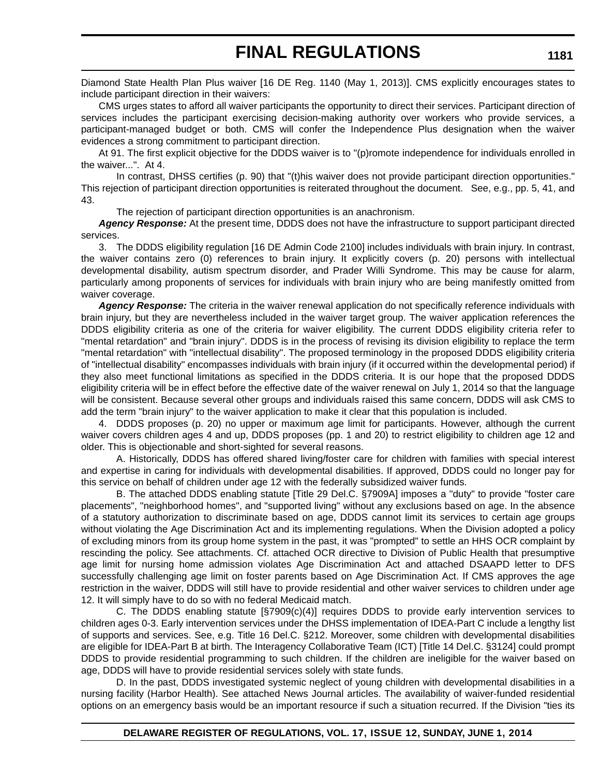Diamond State Health Plan Plus waiver [16 DE Reg. 1140 (May 1, 2013)]. CMS explicitly encourages states to include participant direction in their waivers:

CMS urges states to afford all waiver participants the opportunity to direct their services. Participant direction of services includes the participant exercising decision-making authority over workers who provide services, a participant-managed budget or both. CMS will confer the Independence Plus designation when the waiver evidences a strong commitment to participant direction.

At 91. The first explicit objective for the DDDS waiver is to "(p)romote independence for individuals enrolled in the waiver...". At 4.

In contrast, DHSS certifies (p. 90) that "(t)his waiver does not provide participant direction opportunities." This rejection of participant direction opportunities is reiterated throughout the document. See, e.g., pp. 5, 41, and 43.

The rejection of participant direction opportunities is an anachronism.

*Agency Response:* At the present time, DDDS does not have the infrastructure to support participant directed services.

3. The DDDS eligibility regulation [16 DE Admin Code 2100] includes individuals with brain injury. In contrast, the waiver contains zero (0) references to brain injury. It explicitly covers (p. 20) persons with intellectual developmental disability, autism spectrum disorder, and Prader Willi Syndrome. This may be cause for alarm, particularly among proponents of services for individuals with brain injury who are being manifestly omitted from waiver coverage.

*Agency Response:* The criteria in the waiver renewal application do not specifically reference individuals with brain injury, but they are nevertheless included in the waiver target group. The waiver application references the DDDS eligibility criteria as one of the criteria for waiver eligibility. The current DDDS eligibility criteria refer to "mental retardation" and "brain injury". DDDS is in the process of revising its division eligibility to replace the term "mental retardation" with "intellectual disability". The proposed terminology in the proposed DDDS eligibility criteria of "intellectual disability" encompasses individuals with brain injury (if it occurred within the developmental period) if they also meet functional limitations as specified in the DDDS criteria. It is our hope that the proposed DDDS eligibility criteria will be in effect before the effective date of the waiver renewal on July 1, 2014 so that the language will be consistent. Because several other groups and individuals raised this same concern, DDDS will ask CMS to add the term "brain injury" to the waiver application to make it clear that this population is included.

4. DDDS proposes (p. 20) no upper or maximum age limit for participants. However, although the current waiver covers children ages 4 and up, DDDS proposes (pp. 1 and 20) to restrict eligibility to children age 12 and older. This is objectionable and short-sighted for several reasons.

A. Historically, DDDS has offered shared living/foster care for children with families with special interest and expertise in caring for individuals with developmental disabilities. If approved, DDDS could no longer pay for this service on behalf of children under age 12 with the federally subsidized waiver funds.

B. The attached DDDS enabling statute [Title 29 Del.C. §7909A] imposes a "duty" to provide "foster care placements", "neighborhood homes", and "supported living" without any exclusions based on age. In the absence of a statutory authorization to discriminate based on age, DDDS cannot limit its services to certain age groups without violating the Age Discrimination Act and its implementing regulations. When the Division adopted a policy of excluding minors from its group home system in the past, it was "prompted" to settle an HHS OCR complaint by rescinding the policy. See attachments. Cf. attached OCR directive to Division of Public Health that presumptive age limit for nursing home admission violates Age Discrimination Act and attached DSAAPD letter to DFS successfully challenging age limit on foster parents based on Age Discrimination Act. If CMS approves the age restriction in the waiver, DDDS will still have to provide residential and other waiver services to children under age 12. It will simply have to do so with no federal Medicaid match.

C. The DDDS enabling statute  $[§7909(c)(4)]$  requires DDDS to provide early intervention services to children ages 0-3. Early intervention services under the DHSS implementation of IDEA-Part C include a lengthy list of supports and services. See, e.g. Title 16 Del.C. §212. Moreover, some children with developmental disabilities are eligible for IDEA-Part B at birth. The Interagency Collaborative Team (ICT) [Title 14 Del.C. §3124] could prompt DDDS to provide residential programming to such children. If the children are ineligible for the waiver based on age, DDDS will have to provide residential services solely with state funds.

D. In the past, DDDS investigated systemic neglect of young children with developmental disabilities in a nursing facility (Harbor Health). See attached News Journal articles. The availability of waiver-funded residential options on an emergency basis would be an important resource if such a situation recurred. If the Division "ties its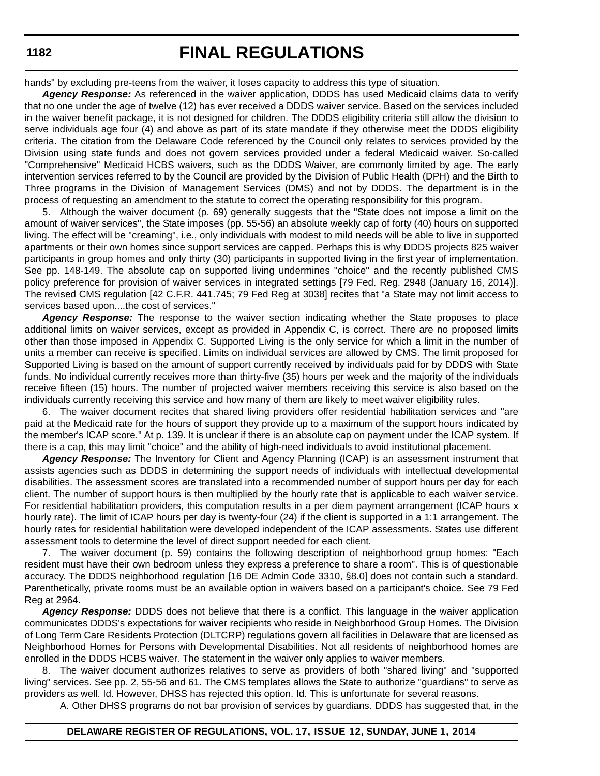# **FINAL REGULATIONS**

hands" by excluding pre-teens from the waiver, it loses capacity to address this type of situation.

*Agency Response:* As referenced in the waiver application, DDDS has used Medicaid claims data to verify that no one under the age of twelve (12) has ever received a DDDS waiver service. Based on the services included in the waiver benefit package, it is not designed for children. The DDDS eligibility criteria still allow the division to serve individuals age four (4) and above as part of its state mandate if they otherwise meet the DDDS eligibility criteria. The citation from the Delaware Code referenced by the Council only relates to services provided by the Division using state funds and does not govern services provided under a federal Medicaid waiver. So-called "Comprehensive" Medicaid HCBS waivers, such as the DDDS Waiver, are commonly limited by age. The early intervention services referred to by the Council are provided by the Division of Public Health (DPH) and the Birth to Three programs in the Division of Management Services (DMS) and not by DDDS. The department is in the process of requesting an amendment to the statute to correct the operating responsibility for this program.

5. Although the waiver document (p. 69) generally suggests that the "State does not impose a limit on the amount of waiver services", the State imposes (pp. 55-56) an absolute weekly cap of forty (40) hours on supported living. The effect will be "creaming", i.e., only individuals with modest to mild needs will be able to live in supported apartments or their own homes since support services are capped. Perhaps this is why DDDS projects 825 waiver participants in group homes and only thirty (30) participants in supported living in the first year of implementation. See pp. 148-149. The absolute cap on supported living undermines "choice" and the recently published CMS policy preference for provision of waiver services in integrated settings [79 Fed. Reg. 2948 (January 16, 2014)]. The revised CMS regulation [42 C.F.R. 441.745; 79 Fed Reg at 3038] recites that "a State may not limit access to services based upon....the cost of services."

*Agency Response:* The response to the waiver section indicating whether the State proposes to place additional limits on waiver services, except as provided in Appendix C, is correct. There are no proposed limits other than those imposed in Appendix C. Supported Living is the only service for which a limit in the number of units a member can receive is specified. Limits on individual services are allowed by CMS. The limit proposed for Supported Living is based on the amount of support currently received by individuals paid for by DDDS with State funds. No individual currently receives more than thirty-five (35) hours per week and the majority of the individuals receive fifteen (15) hours. The number of projected waiver members receiving this service is also based on the individuals currently receiving this service and how many of them are likely to meet waiver eligibility rules.

6. The waiver document recites that shared living providers offer residential habilitation services and "are paid at the Medicaid rate for the hours of support they provide up to a maximum of the support hours indicated by the member's ICAP score." At p. 139. It is unclear if there is an absolute cap on payment under the ICAP system. If there is a cap, this may limit "choice" and the ability of high-need individuals to avoid institutional placement.

*Agency Response:* The Inventory for Client and Agency Planning (ICAP) is an assessment instrument that assists agencies such as DDDS in determining the support needs of individuals with intellectual developmental disabilities. The assessment scores are translated into a recommended number of support hours per day for each client. The number of support hours is then multiplied by the hourly rate that is applicable to each waiver service. For residential habilitation providers, this computation results in a per diem payment arrangement (ICAP hours x hourly rate). The limit of ICAP hours per day is twenty-four (24) if the client is supported in a 1:1 arrangement. The hourly rates for residential habilitation were developed independent of the ICAP assessments. States use different assessment tools to determine the level of direct support needed for each client.

7. The waiver document (p. 59) contains the following description of neighborhood group homes: "Each resident must have their own bedroom unless they express a preference to share a room". This is of questionable accuracy. The DDDS neighborhood regulation [16 DE Admin Code 3310, §8.0] does not contain such a standard. Parenthetically, private rooms must be an available option in waivers based on a participant's choice. See 79 Fed Reg at 2964.

*Agency Response:* DDDS does not believe that there is a conflict. This language in the waiver application communicates DDDS's expectations for waiver recipients who reside in Neighborhood Group Homes. The Division of Long Term Care Residents Protection (DLTCRP) regulations govern all facilities in Delaware that are licensed as Neighborhood Homes for Persons with Developmental Disabilities. Not all residents of neighborhood homes are enrolled in the DDDS HCBS waiver. The statement in the waiver only applies to waiver members.

8. The waiver document authorizes relatives to serve as providers of both "shared living" and "supported living" services. See pp. 2, 55-56 and 61. The CMS templates allows the State to authorize "guardians" to serve as providers as well. Id. However, DHSS has rejected this option. Id. This is unfortunate for several reasons.

A. Other DHSS programs do not bar provision of services by guardians. DDDS has suggested that, in the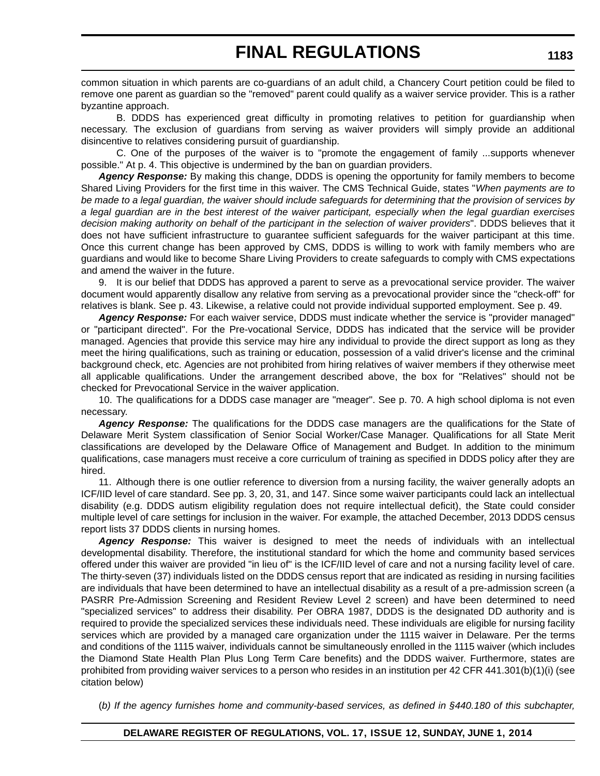common situation in which parents are co-guardians of an adult child, a Chancery Court petition could be filed to remove one parent as guardian so the "removed" parent could qualify as a waiver service provider. This is a rather byzantine approach.

B. DDDS has experienced great difficulty in promoting relatives to petition for guardianship when necessary. The exclusion of guardians from serving as waiver providers will simply provide an additional disincentive to relatives considering pursuit of guardianship.

C. One of the purposes of the waiver is to "promote the engagement of family ...supports whenever possible." At p. 4. This objective is undermined by the ban on guardian providers.

*Agency Response:* By making this change, DDDS is opening the opportunity for family members to become Shared Living Providers for the first time in this waiver. The CMS Technical Guide, states "*When payments are to be made to a legal guardian, the waiver should include safeguards for determining that the provision of services by a legal guardian are in the best interest of the waiver participant, especially when the legal guardian exercises decision making authority on behalf of the participant in the selection of waiver providers*". DDDS believes that it does not have sufficient infrastructure to guarantee sufficient safeguards for the waiver participant at this time. Once this current change has been approved by CMS, DDDS is willing to work with family members who are guardians and would like to become Share Living Providers to create safeguards to comply with CMS expectations and amend the waiver in the future.

9. It is our belief that DDDS has approved a parent to serve as a prevocational service provider. The waiver document would apparently disallow any relative from serving as a prevocational provider since the "check-off" for relatives is blank. See p. 43. Likewise, a relative could not provide individual supported employment. See p. 49.

*Agency Response:* For each waiver service, DDDS must indicate whether the service is "provider managed" or "participant directed". For the Pre-vocational Service, DDDS has indicated that the service will be provider managed. Agencies that provide this service may hire any individual to provide the direct support as long as they meet the hiring qualifications, such as training or education, possession of a valid driver's license and the criminal background check, etc. Agencies are not prohibited from hiring relatives of waiver members if they otherwise meet all applicable qualifications. Under the arrangement described above, the box for "Relatives" should not be checked for Prevocational Service in the waiver application.

10. The qualifications for a DDDS case manager are "meager". See p. 70. A high school diploma is not even necessary.

*Agency Response:* The qualifications for the DDDS case managers are the qualifications for the State of Delaware Merit System classification of Senior Social Worker/Case Manager. Qualifications for all State Merit classifications are developed by the Delaware Office of Management and Budget. In addition to the minimum qualifications, case managers must receive a core curriculum of training as specified in DDDS policy after they are hired.

11. Although there is one outlier reference to diversion from a nursing facility, the waiver generally adopts an ICF/IID level of care standard. See pp. 3, 20, 31, and 147. Since some waiver participants could lack an intellectual disability (e.g. DDDS autism eligibility regulation does not require intellectual deficit), the State could consider multiple level of care settings for inclusion in the waiver. For example, the attached December, 2013 DDDS census report lists 37 DDDS clients in nursing homes.

*Agency Response:* This waiver is designed to meet the needs of individuals with an intellectual developmental disability. Therefore, the institutional standard for which the home and community based services offered under this waiver are provided "in lieu of" is the ICF/IID level of care and not a nursing facility level of care. The thirty-seven (37) individuals listed on the DDDS census report that are indicated as residing in nursing facilities are individuals that have been determined to have an intellectual disability as a result of a pre-admission screen (a PASRR Pre-Admission Screening and Resident Review Level 2 screen) and have been determined to need "specialized services" to address their disability. Per OBRA 1987, DDDS is the designated DD authority and is required to provide the specialized services these individuals need. These individuals are eligible for nursing facility services which are provided by a managed care organization under the 1115 waiver in Delaware. Per the terms and conditions of the 1115 waiver, individuals cannot be simultaneously enrolled in the 1115 waiver (which includes the Diamond State Health Plan Plus Long Term Care benefits) and the DDDS waiver. Furthermore, states are prohibited from providing waiver services to a person who resides in an institution per 42 CFR 441.301(b)(1)(i) (see citation below)

(*b) If the agency furnishes home and community-based services, as defined in §440.180 of this subchapter,*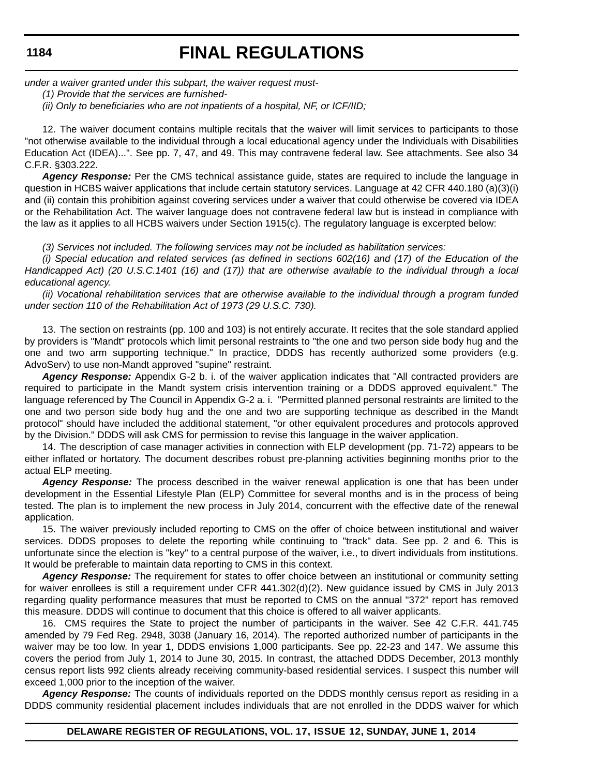*under a waiver granted under this subpart, the waiver request must-*

*(1) Provide that the services are furnished-*

*(ii) Only to beneficiaries who are not inpatients of a hospital, NF, or ICF/IID;*

12. The waiver document contains multiple recitals that the waiver will limit services to participants to those "not otherwise available to the individual through a local educational agency under the Individuals with Disabilities Education Act (IDEA)...". See pp. 7, 47, and 49. This may contravene federal law. See attachments. See also 34 C.F.R. §303.222.

*Agency Response:* Per the CMS technical assistance guide, states are required to include the language in question in HCBS waiver applications that include certain statutory services. Language at 42 CFR 440.180 (a)(3)(i) and (ii) contain this prohibition against covering services under a waiver that could otherwise be covered via IDEA or the Rehabilitation Act. The waiver language does not contravene federal law but is instead in compliance with the law as it applies to all HCBS waivers under Section 1915(c). The regulatory language is excerpted below:

*(3) Services not included. The following services may not be included as habilitation services:*

*(i) Special education and related services (as defined in sections 602(16) and (17) of the Education of the Handicapped Act) (20 U.S.C.1401 (16) and (17)) that are otherwise available to the individual through a local educational agency.*

*(ii) Vocational rehabilitation services that are otherwise available to the individual through a program funded under section 110 of the Rehabilitation Act of 1973 (29 U.S.C. 730).*

13. The section on restraints (pp. 100 and 103) is not entirely accurate. It recites that the sole standard applied by providers is "Mandt" protocols which limit personal restraints to "the one and two person side body hug and the one and two arm supporting technique." In practice, DDDS has recently authorized some providers (e.g. AdvoServ) to use non-Mandt approved "supine" restraint.

*Agency Response:* Appendix G-2 b. i. of the waiver application indicates that "All contracted providers are required to participate in the Mandt system crisis intervention training or a DDDS approved equivalent." The language referenced by The Council in Appendix G-2 a. i. "Permitted planned personal restraints are limited to the one and two person side body hug and the one and two are supporting technique as described in the Mandt protocol" should have included the additional statement, "or other equivalent procedures and protocols approved by the Division." DDDS will ask CMS for permission to revise this language in the waiver application.

14. The description of case manager activities in connection with ELP development (pp. 71-72) appears to be either inflated or hortatory. The document describes robust pre-planning activities beginning months prior to the actual ELP meeting.

*Agency Response:* The process described in the waiver renewal application is one that has been under development in the Essential Lifestyle Plan (ELP) Committee for several months and is in the process of being tested. The plan is to implement the new process in July 2014, concurrent with the effective date of the renewal application.

15. The waiver previously included reporting to CMS on the offer of choice between institutional and waiver services. DDDS proposes to delete the reporting while continuing to "track" data. See pp. 2 and 6. This is unfortunate since the election is "key" to a central purpose of the waiver, i.e., to divert individuals from institutions. It would be preferable to maintain data reporting to CMS in this context.

*Agency Response:* The requirement for states to offer choice between an institutional or community setting for waiver enrollees is still a requirement under CFR 441.302(d)(2). New guidance issued by CMS in July 2013 regarding quality performance measures that must be reported to CMS on the annual "372" report has removed this measure. DDDS will continue to document that this choice is offered to all waiver applicants.

16. CMS requires the State to project the number of participants in the waiver. See 42 C.F.R. 441.745 amended by 79 Fed Reg. 2948, 3038 (January 16, 2014). The reported authorized number of participants in the waiver may be too low. In year 1, DDDS envisions 1,000 participants. See pp. 22-23 and 147. We assume this covers the period from July 1, 2014 to June 30, 2015. In contrast, the attached DDDS December, 2013 monthly census report lists 992 clients already receiving community-based residential services. I suspect this number will exceed 1,000 prior to the inception of the waiver.

*Agency Response:* The counts of individuals reported on the DDDS monthly census report as residing in a DDDS community residential placement includes individuals that are not enrolled in the DDDS waiver for which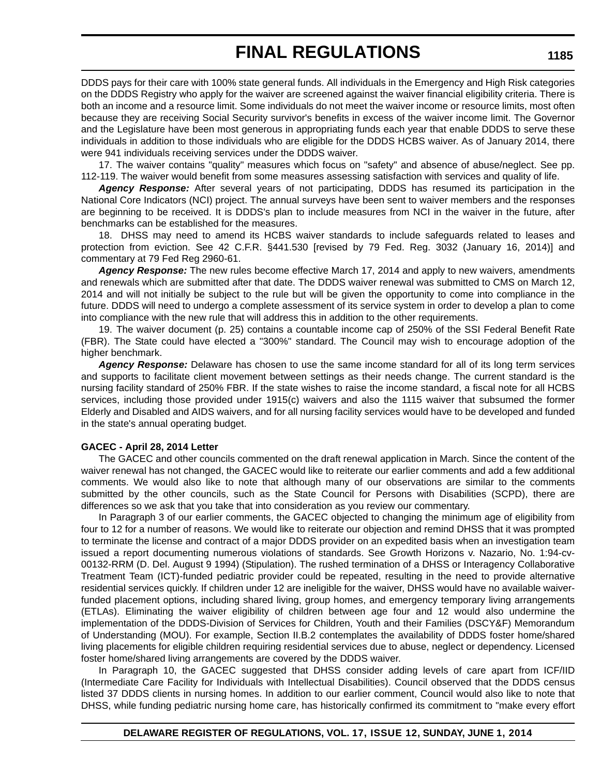DDDS pays for their care with 100% state general funds. All individuals in the Emergency and High Risk categories on the DDDS Registry who apply for the waiver are screened against the waiver financial eligibility criteria. There is both an income and a resource limit. Some individuals do not meet the waiver income or resource limits, most often because they are receiving Social Security survivor's benefits in excess of the waiver income limit. The Governor and the Legislature have been most generous in appropriating funds each year that enable DDDS to serve these individuals in addition to those individuals who are eligible for the DDDS HCBS waiver. As of January 2014, there were 941 individuals receiving services under the DDDS waiver.

17. The waiver contains "quality" measures which focus on "safety" and absence of abuse/neglect. See pp. 112-119. The waiver would benefit from some measures assessing satisfaction with services and quality of life.

*Agency Response:* After several years of not participating, DDDS has resumed its participation in the National Core Indicators (NCI) project. The annual surveys have been sent to waiver members and the responses are beginning to be received. It is DDDS's plan to include measures from NCI in the waiver in the future, after benchmarks can be established for the measures.

18. DHSS may need to amend its HCBS waiver standards to include safeguards related to leases and protection from eviction. See 42 C.F.R. §441.530 [revised by 79 Fed. Reg. 3032 (January 16, 2014)] and commentary at 79 Fed Reg 2960-61.

*Agency Response:* The new rules become effective March 17, 2014 and apply to new waivers, amendments and renewals which are submitted after that date. The DDDS waiver renewal was submitted to CMS on March 12, 2014 and will not initially be subject to the rule but will be given the opportunity to come into compliance in the future. DDDS will need to undergo a complete assessment of its service system in order to develop a plan to come into compliance with the new rule that will address this in addition to the other requirements.

19. The waiver document (p. 25) contains a countable income cap of 250% of the SSI Federal Benefit Rate (FBR). The State could have elected a "300%" standard. The Council may wish to encourage adoption of the higher benchmark.

*Agency Response:* Delaware has chosen to use the same income standard for all of its long term services and supports to facilitate client movement between settings as their needs change. The current standard is the nursing facility standard of 250% FBR. If the state wishes to raise the income standard, a fiscal note for all HCBS services, including those provided under 1915(c) waivers and also the 1115 waiver that subsumed the former Elderly and Disabled and AIDS waivers, and for all nursing facility services would have to be developed and funded in the state's annual operating budget.

## **GACEC - April 28, 2014 Letter**

The GACEC and other councils commented on the draft renewal application in March. Since the content of the waiver renewal has not changed, the GACEC would like to reiterate our earlier comments and add a few additional comments. We would also like to note that although many of our observations are similar to the comments submitted by the other councils, such as the State Council for Persons with Disabilities (SCPD), there are differences so we ask that you take that into consideration as you review our commentary.

In Paragraph 3 of our earlier comments, the GACEC objected to changing the minimum age of eligibility from four to 12 for a number of reasons. We would like to reiterate our objection and remind DHSS that it was prompted to terminate the license and contract of a major DDDS provider on an expedited basis when an investigation team issued a report documenting numerous violations of standards. See Growth Horizons v. Nazario, No. 1:94-cv-00132-RRM (D. Del. August 9 1994) (Stipulation). The rushed termination of a DHSS or Interagency Collaborative Treatment Team (ICT)-funded pediatric provider could be repeated, resulting in the need to provide alternative residential services quickly. If children under 12 are ineligible for the waiver, DHSS would have no available waiverfunded placement options, including shared living, group homes, and emergency temporary living arrangements (ETLAs). Eliminating the waiver eligibility of children between age four and 12 would also undermine the implementation of the DDDS-Division of Services for Children, Youth and their Families (DSCY&F) Memorandum of Understanding (MOU). For example, Section II.B.2 contemplates the availability of DDDS foster home/shared living placements for eligible children requiring residential services due to abuse, neglect or dependency. Licensed foster home/shared living arrangements are covered by the DDDS waiver.

In Paragraph 10, the GACEC suggested that DHSS consider adding levels of care apart from ICF/IID (Intermediate Care Facility for Individuals with Intellectual Disabilities). Council observed that the DDDS census listed 37 DDDS clients in nursing homes. In addition to our earlier comment, Council would also like to note that DHSS, while funding pediatric nursing home care, has historically confirmed its commitment to "make every effort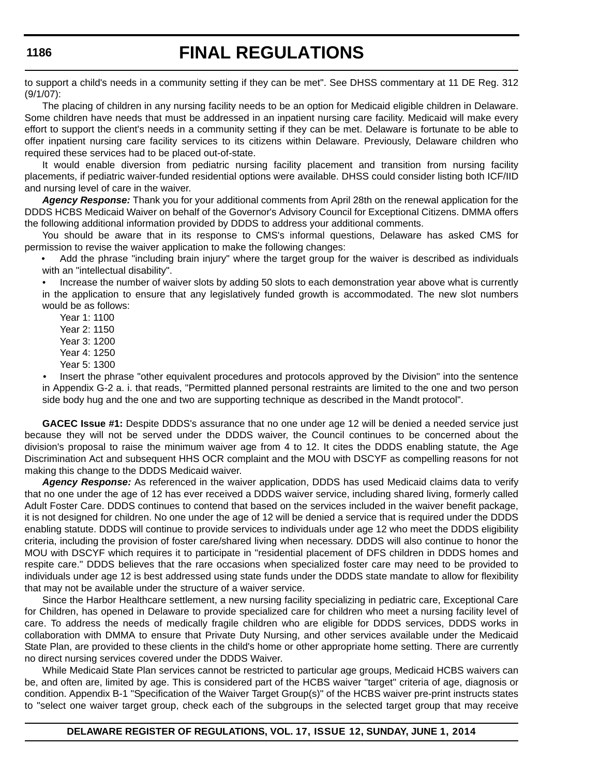to support a child's needs in a community setting if they can be met". See DHSS commentary at 11 DE Reg. 312 (9/1/07):

The placing of children in any nursing facility needs to be an option for Medicaid eligible children in Delaware. Some children have needs that must be addressed in an inpatient nursing care facility. Medicaid will make every effort to support the client's needs in a community setting if they can be met. Delaware is fortunate to be able to offer inpatient nursing care facility services to its citizens within Delaware. Previously, Delaware children who required these services had to be placed out-of-state.

It would enable diversion from pediatric nursing facility placement and transition from nursing facility placements, if pediatric waiver-funded residential options were available. DHSS could consider listing both ICF/IID and nursing level of care in the waiver.

*Agency Response:* Thank you for your additional comments from April 28th on the renewal application for the DDDS HCBS Medicaid Waiver on behalf of the Governor's Advisory Council for Exceptional Citizens. DMMA offers the following additional information provided by DDDS to address your additional comments.

You should be aware that in its response to CMS's informal questions, Delaware has asked CMS for permission to revise the waiver application to make the following changes:

• Add the phrase "including brain injury" where the target group for the waiver is described as individuals with an "intellectual disability".

• Increase the number of waiver slots by adding 50 slots to each demonstration year above what is currently in the application to ensure that any legislatively funded growth is accommodated. The new slot numbers would be as follows:

Year 1: 1100

Year 2: 1150

Year 3: 1200

Year 4: 1250

Year 5: 1300

Insert the phrase "other equivalent procedures and protocols approved by the Division" into the sentence in Appendix G-2 a. i. that reads, "Permitted planned personal restraints are limited to the one and two person side body hug and the one and two are supporting technique as described in the Mandt protocol".

**GACEC Issue #1:** Despite DDDS's assurance that no one under age 12 will be denied a needed service just because they will not be served under the DDDS waiver, the Council continues to be concerned about the division's proposal to raise the minimum waiver age from 4 to 12. It cites the DDDS enabling statute, the Age Discrimination Act and subsequent HHS OCR complaint and the MOU with DSCYF as compelling reasons for not making this change to the DDDS Medicaid waiver.

*Agency Response:* As referenced in the waiver application, DDDS has used Medicaid claims data to verify that no one under the age of 12 has ever received a DDDS waiver service, including shared living, formerly called Adult Foster Care. DDDS continues to contend that based on the services included in the waiver benefit package, it is not designed for children. No one under the age of 12 will be denied a service that is required under the DDDS enabling statute. DDDS will continue to provide services to individuals under age 12 who meet the DDDS eligibility criteria, including the provision of foster care/shared living when necessary. DDDS will also continue to honor the MOU with DSCYF which requires it to participate in "residential placement of DFS children in DDDS homes and respite care." DDDS believes that the rare occasions when specialized foster care may need to be provided to individuals under age 12 is best addressed using state funds under the DDDS state mandate to allow for flexibility that may not be available under the structure of a waiver service.

Since the Harbor Healthcare settlement, a new nursing facility specializing in pediatric care, Exceptional Care for Children, has opened in Delaware to provide specialized care for children who meet a nursing facility level of care. To address the needs of medically fragile children who are eligible for DDDS services, DDDS works in collaboration with DMMA to ensure that Private Duty Nursing, and other services available under the Medicaid State Plan, are provided to these clients in the child's home or other appropriate home setting. There are currently no direct nursing services covered under the DDDS Waiver.

While Medicaid State Plan services cannot be restricted to particular age groups, Medicaid HCBS waivers can be, and often are, limited by age. This is considered part of the HCBS waiver "target" criteria of age, diagnosis or condition. Appendix B-1 "Specification of the Waiver Target Group(s)" of the HCBS waiver pre-print instructs states to "select one waiver target group, check each of the subgroups in the selected target group that may receive

## **1186**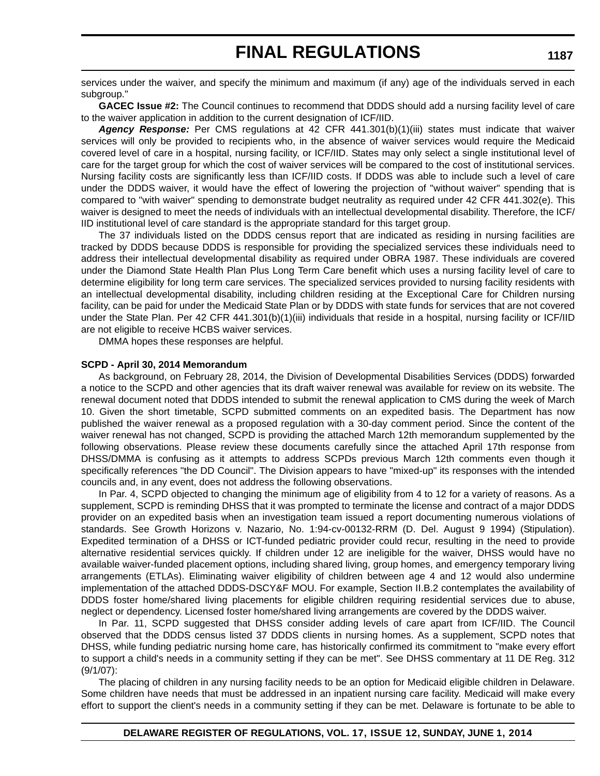services under the waiver, and specify the minimum and maximum (if any) age of the individuals served in each subgroup."

**GACEC Issue #2:** The Council continues to recommend that DDDS should add a nursing facility level of care to the waiver application in addition to the current designation of ICF/IID.

*Agency Response:* Per CMS regulations at 42 CFR 441.301(b)(1)(iii) states must indicate that waiver services will only be provided to recipients who, in the absence of waiver services would require the Medicaid covered level of care in a hospital, nursing facility, or ICF/IID. States may only select a single institutional level of care for the target group for which the cost of waiver services will be compared to the cost of institutional services. Nursing facility costs are significantly less than ICF/IID costs. If DDDS was able to include such a level of care under the DDDS waiver, it would have the effect of lowering the projection of "without waiver" spending that is compared to "with waiver" spending to demonstrate budget neutrality as required under 42 CFR 441.302(e). This waiver is designed to meet the needs of individuals with an intellectual developmental disability. Therefore, the ICF/ IID institutional level of care standard is the appropriate standard for this target group.

The 37 individuals listed on the DDDS census report that are indicated as residing in nursing facilities are tracked by DDDS because DDDS is responsible for providing the specialized services these individuals need to address their intellectual developmental disability as required under OBRA 1987. These individuals are covered under the Diamond State Health Plan Plus Long Term Care benefit which uses a nursing facility level of care to determine eligibility for long term care services. The specialized services provided to nursing facility residents with an intellectual developmental disability, including children residing at the Exceptional Care for Children nursing facility, can be paid for under the Medicaid State Plan or by DDDS with state funds for services that are not covered under the State Plan. Per 42 CFR 441.301(b)(1)(iii) individuals that reside in a hospital, nursing facility or ICF/IID are not eligible to receive HCBS waiver services.

DMMA hopes these responses are helpful.

#### **SCPD - April 30, 2014 Memorandum**

As background, on February 28, 2014, the Division of Developmental Disabilities Services (DDDS) forwarded a notice to the SCPD and other agencies that its draft waiver renewal was available for review on its website. The renewal document noted that DDDS intended to submit the renewal application to CMS during the week of March 10. Given the short timetable, SCPD submitted comments on an expedited basis. The Department has now published the waiver renewal as a proposed regulation with a 30-day comment period. Since the content of the waiver renewal has not changed, SCPD is providing the attached March 12th memorandum supplemented by the following observations. Please review these documents carefully since the attached April 17th response from DHSS/DMMA is confusing as it attempts to address SCPDs previous March 12th comments even though it specifically references "the DD Council". The Division appears to have "mixed-up" its responses with the intended councils and, in any event, does not address the following observations.

In Par. 4, SCPD objected to changing the minimum age of eligibility from 4 to 12 for a variety of reasons. As a supplement, SCPD is reminding DHSS that it was prompted to terminate the license and contract of a major DDDS provider on an expedited basis when an investigation team issued a report documenting numerous violations of standards. See Growth Horizons v. Nazario, No. 1:94-cv-00132-RRM (D. Del. August 9 1994) (Stipulation). Expedited termination of a DHSS or ICT-funded pediatric provider could recur, resulting in the need to provide alternative residential services quickly. If children under 12 are ineligible for the waiver, DHSS would have no available waiver-funded placement options, including shared living, group homes, and emergency temporary living arrangements (ETLAs). Eliminating waiver eligibility of children between age 4 and 12 would also undermine implementation of the attached DDDS-DSCY&F MOU. For example, Section II.B.2 contemplates the availability of DDDS foster home/shared living placements for eligible children requiring residential services due to abuse, neglect or dependency. Licensed foster home/shared living arrangements are covered by the DDDS waiver.

In Par. 11, SCPD suggested that DHSS consider adding levels of care apart from ICF/IID. The Council observed that the DDDS census listed 37 DDDS clients in nursing homes. As a supplement, SCPD notes that DHSS, while funding pediatric nursing home care, has historically confirmed its commitment to "make every effort to support a child's needs in a community setting if they can be met". See DHSS commentary at 11 DE Reg. 312 (9/1/07):

The placing of children in any nursing facility needs to be an option for Medicaid eligible children in Delaware. Some children have needs that must be addressed in an inpatient nursing care facility. Medicaid will make every effort to support the client's needs in a community setting if they can be met. Delaware is fortunate to be able to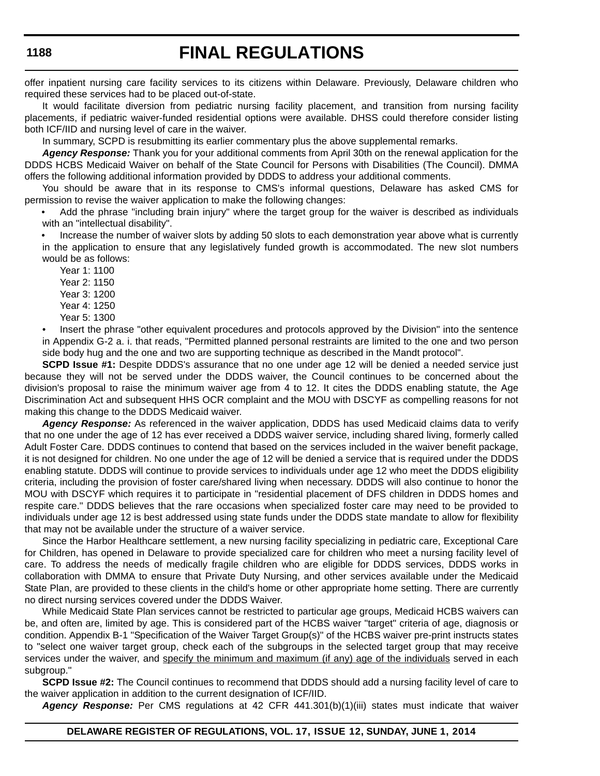# **FINAL REGULATIONS**

offer inpatient nursing care facility services to its citizens within Delaware. Previously, Delaware children who required these services had to be placed out-of-state.

It would facilitate diversion from pediatric nursing facility placement, and transition from nursing facility placements, if pediatric waiver-funded residential options were available. DHSS could therefore consider listing both ICF/IID and nursing level of care in the waiver.

In summary, SCPD is resubmitting its earlier commentary plus the above supplemental remarks.

*Agency Response:* Thank you for your additional comments from April 30th on the renewal application for the DDDS HCBS Medicaid Waiver on behalf of the State Council for Persons with Disabilities (The Council). DMMA offers the following additional information provided by DDDS to address your additional comments.

You should be aware that in its response to CMS's informal questions, Delaware has asked CMS for permission to revise the waiver application to make the following changes:

• Add the phrase "including brain injury" where the target group for the waiver is described as individuals with an "intellectual disability".

• Increase the number of waiver slots by adding 50 slots to each demonstration year above what is currently in the application to ensure that any legislatively funded growth is accommodated. The new slot numbers would be as follows:

- Year 1: 1100 Year 2: 1150 Year 3: 1200
- Year 4: 1250
- Year 5: 1300

• Insert the phrase "other equivalent procedures and protocols approved by the Division" into the sentence in Appendix G-2 a. i. that reads, "Permitted planned personal restraints are limited to the one and two person side body hug and the one and two are supporting technique as described in the Mandt protocol".

**SCPD Issue #1:** Despite DDDS's assurance that no one under age 12 will be denied a needed service just because they will not be served under the DDDS waiver, the Council continues to be concerned about the division's proposal to raise the minimum waiver age from 4 to 12. It cites the DDDS enabling statute, the Age Discrimination Act and subsequent HHS OCR complaint and the MOU with DSCYF as compelling reasons for not making this change to the DDDS Medicaid waiver.

*Agency Response:* As referenced in the waiver application, DDDS has used Medicaid claims data to verify that no one under the age of 12 has ever received a DDDS waiver service, including shared living, formerly called Adult Foster Care. DDDS continues to contend that based on the services included in the waiver benefit package, it is not designed for children. No one under the age of 12 will be denied a service that is required under the DDDS enabling statute. DDDS will continue to provide services to individuals under age 12 who meet the DDDS eligibility criteria, including the provision of foster care/shared living when necessary. DDDS will also continue to honor the MOU with DSCYF which requires it to participate in "residential placement of DFS children in DDDS homes and respite care." DDDS believes that the rare occasions when specialized foster care may need to be provided to individuals under age 12 is best addressed using state funds under the DDDS state mandate to allow for flexibility that may not be available under the structure of a waiver service.

Since the Harbor Healthcare settlement, a new nursing facility specializing in pediatric care, Exceptional Care for Children, has opened in Delaware to provide specialized care for children who meet a nursing facility level of care. To address the needs of medically fragile children who are eligible for DDDS services, DDDS works in collaboration with DMMA to ensure that Private Duty Nursing, and other services available under the Medicaid State Plan, are provided to these clients in the child's home or other appropriate home setting. There are currently no direct nursing services covered under the DDDS Waiver.

While Medicaid State Plan services cannot be restricted to particular age groups, Medicaid HCBS waivers can be, and often are, limited by age. This is considered part of the HCBS waiver "target" criteria of age, diagnosis or condition. Appendix B-1 "Specification of the Waiver Target Group(s)" of the HCBS waiver pre-print instructs states to "select one waiver target group, check each of the subgroups in the selected target group that may receive services under the waiver, and specify the minimum and maximum (if any) age of the individuals served in each subaroup."

**SCPD Issue #2:** The Council continues to recommend that DDDS should add a nursing facility level of care to the waiver application in addition to the current designation of ICF/IID.

*Agency Response:* Per CMS regulations at 42 CFR 441.301(b)(1)(iii) states must indicate that waiver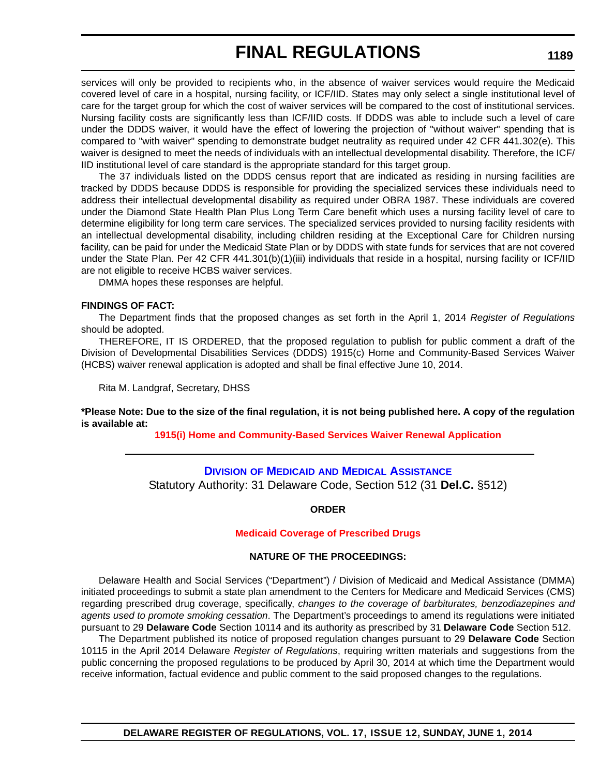services will only be provided to recipients who, in the absence of waiver services would require the Medicaid covered level of care in a hospital, nursing facility, or ICF/IID. States may only select a single institutional level of care for the target group for which the cost of waiver services will be compared to the cost of institutional services. Nursing facility costs are significantly less than ICF/IID costs. If DDDS was able to include such a level of care under the DDDS waiver, it would have the effect of lowering the projection of "without waiver" spending that is compared to "with waiver" spending to demonstrate budget neutrality as required under 42 CFR 441.302(e). This waiver is designed to meet the needs of individuals with an intellectual developmental disability. Therefore, the ICF/ IID institutional level of care standard is the appropriate standard for this target group.

The 37 individuals listed on the DDDS census report that are indicated as residing in nursing facilities are tracked by DDDS because DDDS is responsible for providing the specialized services these individuals need to address their intellectual developmental disability as required under OBRA 1987. These individuals are covered under the Diamond State Health Plan Plus Long Term Care benefit which uses a nursing facility level of care to determine eligibility for long term care services. The specialized services provided to nursing facility residents with an intellectual developmental disability, including children residing at the Exceptional Care for Children nursing facility, can be paid for under the Medicaid State Plan or by DDDS with state funds for services that are not covered under the State Plan. Per 42 CFR 441.301(b)(1)(iii) individuals that reside in a hospital, nursing facility or ICF/IID are not eligible to receive HCBS waiver services.

DMMA hopes these responses are helpful.

#### **FINDINGS OF FACT:**

The Department finds that the proposed changes as set forth in the April 1, 2014 *Register of Regulations* should be adopted.

THEREFORE, IT IS ORDERED, that the proposed regulation to publish for public comment a draft of the Division of Developmental Disabilities Services (DDDS) 1915(c) Home and Community-Based Services Waiver (HCBS) waiver renewal application is adopted and shall be final effective June 10, 2014.

Rita M. Landgraf, Secretary, DHSS

**\*Please Note: Due to the size of the final regulation, it is not being published here. A copy of the regulation is available at:**

**[1915\(i\) Home and Community-Based Services Waiver Renewal Application](http://regulations.delaware.gov/register/june2014/final/17 DE Reg 1179 06-01-14.htm)**

## **DIVISION OF MEDICAID [AND MEDICAL ASSISTANCE](http://www.dhss.delaware.gov/dhss/dmma/)** Statutory Authority: 31 Delaware Code, Section 512 (31 **Del.C.** §512)

#### **ORDER**

#### **[Medicaid Coverage of Prescribed Drugs](#page-4-0)**

#### **NATURE OF THE PROCEEDINGS:**

Delaware Health and Social Services ("Department") / Division of Medicaid and Medical Assistance (DMMA) initiated proceedings to submit a state plan amendment to the Centers for Medicare and Medicaid Services (CMS) regarding prescribed drug coverage, specifically, *changes to the coverage of barbiturates, benzodiazepines and agents used to promote smoking cessation*. The Department's proceedings to amend its regulations were initiated pursuant to 29 **Delaware Code** Section 10114 and its authority as prescribed by 31 **Delaware Code** Section 512.

The Department published its notice of proposed regulation changes pursuant to 29 **Delaware Code** Section 10115 in the April 2014 Delaware *Register of Regulations*, requiring written materials and suggestions from the public concerning the proposed regulations to be produced by April 30, 2014 at which time the Department would receive information, factual evidence and public comment to the said proposed changes to the regulations.

## **1189**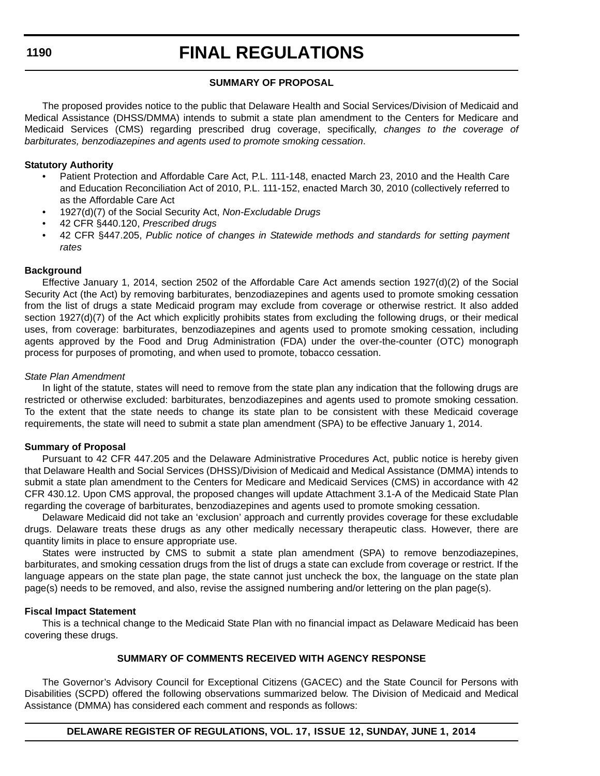## **SUMMARY OF PROPOSAL**

The proposed provides notice to the public that Delaware Health and Social Services/Division of Medicaid and Medical Assistance (DHSS/DMMA) intends to submit a state plan amendment to the Centers for Medicare and Medicaid Services (CMS) regarding prescribed drug coverage, specifically, *changes to the coverage of barbiturates, benzodiazepines and agents used to promote smoking cessation*.

## **Statutory Authority**

- Patient Protection and Affordable Care Act, P.L. 111-148, enacted March 23, 2010 and the Health Care and Education Reconciliation Act of 2010, P.L. 111-152, enacted March 30, 2010 (collectively referred to as the Affordable Care Act
- 1927(d)(7) of the Social Security Act, *Non-Excludable Drugs*
- 42 CFR §440.120, *Prescribed drugs*
- 42 CFR §447.205, *Public notice of changes in Statewide methods and standards for setting payment rates*

## **Background**

Effective January 1, 2014, section 2502 of the Affordable Care Act amends section 1927(d)(2) of the Social Security Act (the Act) by removing barbiturates, benzodiazepines and agents used to promote smoking cessation from the list of drugs a state Medicaid program may exclude from coverage or otherwise restrict. It also added section 1927(d)(7) of the Act which explicitly prohibits states from excluding the following drugs, or their medical uses, from coverage: barbiturates, benzodiazepines and agents used to promote smoking cessation, including agents approved by the Food and Drug Administration (FDA) under the over-the-counter (OTC) monograph process for purposes of promoting, and when used to promote, tobacco cessation.

## *State Plan Amendment*

In light of the statute, states will need to remove from the state plan any indication that the following drugs are restricted or otherwise excluded: barbiturates, benzodiazepines and agents used to promote smoking cessation. To the extent that the state needs to change its state plan to be consistent with these Medicaid coverage requirements, the state will need to submit a state plan amendment (SPA) to be effective January 1, 2014.

### **Summary of Proposal**

Pursuant to 42 CFR 447.205 and the Delaware Administrative Procedures Act, public notice is hereby given that Delaware Health and Social Services (DHSS)/Division of Medicaid and Medical Assistance (DMMA) intends to submit a state plan amendment to the Centers for Medicare and Medicaid Services (CMS) in accordance with 42 CFR 430.12. Upon CMS approval, the proposed changes will update Attachment 3.1-A of the Medicaid State Plan regarding the coverage of barbiturates, benzodiazepines and agents used to promote smoking cessation.

Delaware Medicaid did not take an 'exclusion' approach and currently provides coverage for these excludable drugs. Delaware treats these drugs as any other medically necessary therapeutic class. However, there are quantity limits in place to ensure appropriate use.

States were instructed by CMS to submit a state plan amendment (SPA) to remove benzodiazepines, barbiturates, and smoking cessation drugs from the list of drugs a state can exclude from coverage or restrict. If the language appears on the state plan page, the state cannot just uncheck the box, the language on the state plan page(s) needs to be removed, and also, revise the assigned numbering and/or lettering on the plan page(s).

### **Fiscal Impact Statement**

This is a technical change to the Medicaid State Plan with no financial impact as Delaware Medicaid has been covering these drugs.

## **SUMMARY OF COMMENTS RECEIVED WITH AGENCY RESPONSE**

The Governor's Advisory Council for Exceptional Citizens (GACEC) and the State Council for Persons with Disabilities (SCPD) offered the following observations summarized below. The Division of Medicaid and Medical Assistance (DMMA) has considered each comment and responds as follows: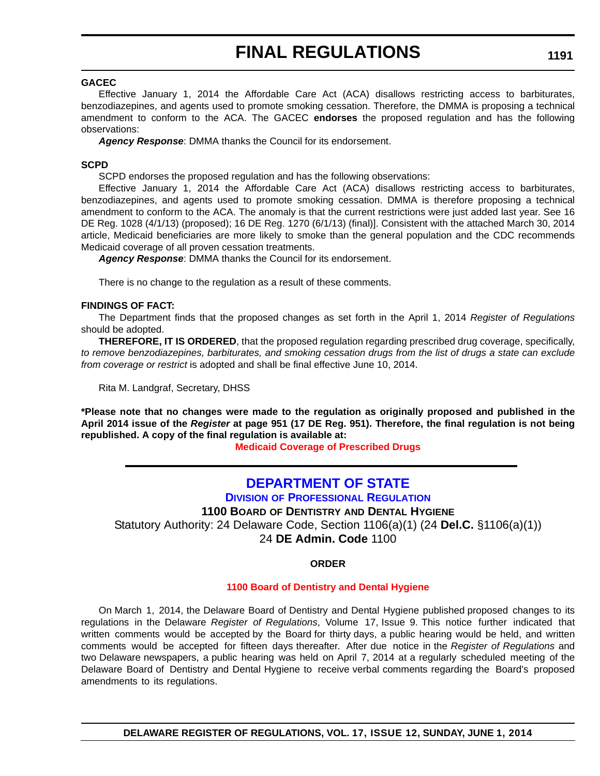## **GACEC**

Effective January 1, 2014 the Affordable Care Act (ACA) disallows restricting access to barbiturates, benzodiazepines, and agents used to promote smoking cessation. Therefore, the DMMA is proposing a technical amendment to conform to the ACA. The GACEC **endorses** the proposed regulation and has the following observations:

*Agency Response*: DMMA thanks the Council for its endorsement.

### **SCPD**

SCPD endorses the proposed regulation and has the following observations:

Effective January 1, 2014 the Affordable Care Act (ACA) disallows restricting access to barbiturates, benzodiazepines, and agents used to promote smoking cessation. DMMA is therefore proposing a technical amendment to conform to the ACA. The anomaly is that the current restrictions were just added last year. See 16 DE Reg. 1028 (4/1/13) (proposed); 16 DE Reg. 1270 (6/1/13) (final)]. Consistent with the attached March 30, 2014 article, Medicaid beneficiaries are more likely to smoke than the general population and the CDC recommends Medicaid coverage of all proven cessation treatments.

*Agency Response*: DMMA thanks the Council for its endorsement.

There is no change to the regulation as a result of these comments.

## **FINDINGS OF FACT:**

The Department finds that the proposed changes as set forth in the April 1, 2014 *Register of Regulations* should be adopted.

**THEREFORE, IT IS ORDERED**, that the proposed regulation regarding prescribed drug coverage, specifically, *to remove benzodiazepines, barbiturates, and smoking cessation drugs from the list of drugs a state can exclude from coverage or restrict* is adopted and shall be final effective June 10, 2014.

Rita M. Landgraf, Secretary, DHSS

**\*Please note that no changes were made to the regulation as originally proposed and published in the April 2014 issue of the** *Register* **at page 951 (17 DE Reg. 951). Therefore, the final regulation is not being republished. A copy of the final regulation is available at:**

**[Medicaid Coverage of Prescribed Drugs](http://regulations.delaware.gov/register/june2014/final/17 DE Reg 1189 06-01-14.htm)**

## **[DEPARTMENT OF STATE](http://dpr.delaware.gov/)**

**DIVISION OF PROFESSIONAL REGULATION**

**1100 BOARD OF DENTISTRY AND DENTAL HYGIENE**

Statutory Authority: 24 Delaware Code, Section 1106(a)(1) (24 **Del.C.** §1106(a)(1))

24 **DE Admin. Code** 1100

## **ORDER**

## **[1100 Board of Dentistry and Dental Hygiene](#page-4-0)**

On March 1, 2014, the Delaware Board of Dentistry and Dental Hygiene published proposed changes to its regulations in the Delaware *Register of Regulations*, Volume 17, Issue 9. This notice further indicated that written comments would be accepted by the Board for thirty days, a public hearing would be held, and written comments would be accepted for fifteen days thereafter. After due notice in the *Register of Regulations* and two Delaware newspapers, a public hearing was held on April 7, 2014 at a regularly scheduled meeting of the Delaware Board of Dentistry and Dental Hygiene to receive verbal comments regarding the Board's proposed amendments to its regulations.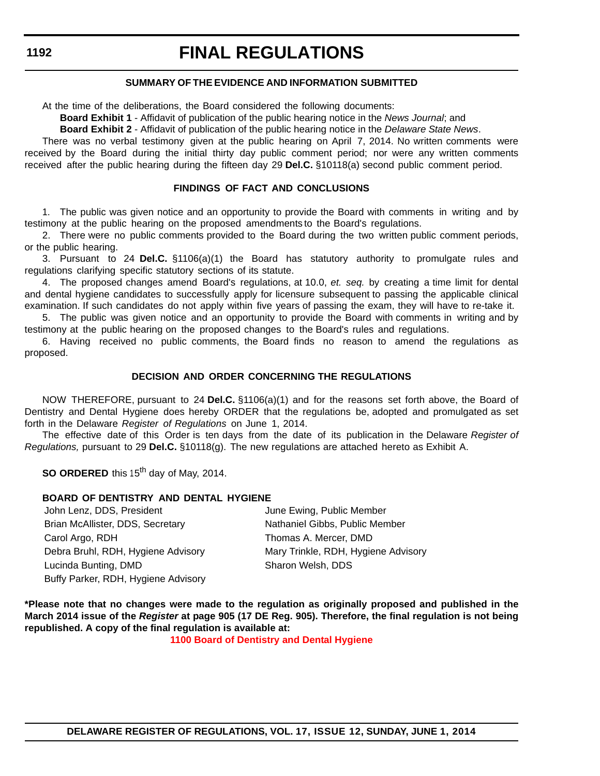## **SUMMARY OF THE EVIDENCE AND INFORMATION SUBMITTED**

At the time of the deliberations, the Board considered the following documents:

**Board Exhibit 1** - Affidavit of publication of the public hearing notice in the *News Journal*; and

**Board Exhibit 2** - Affidavit of publication of the public hearing notice in the *Delaware State News*.

There was no verbal testimony given at the public hearing on April 7, 2014. No written comments were received by the Board during the initial thirty day public comment period; nor were any written comments received after the public hearing during the fifteen day 29 **Del.C.** §10118(a) second public comment period.

## **FINDINGS OF FACT AND CONCLUSIONS**

1. The public was given notice and an opportunity to provide the Board with comments in writing and by testimony at the public hearing on the proposed amendments to the Board's regulations.

2. There were no public comments provided to the Board during the two written public comment periods, or the public hearing.

3. Pursuant to 24 **Del.C.** §1106(a)(1) the Board has statutory authority to promulgate rules and regulations clarifying specific statutory sections of its statute.

4. The proposed changes amend Board's regulations, at 10.0, *et. seq.* by creating a time limit for dental and dental hygiene candidates to successfully apply for licensure subsequent to passing the applicable clinical examination. If such candidates do not apply within five years of passing the exam, they will have to re-take it.

5. The public was given notice and an opportunity to provide the Board with comments in writing and by testimony at the public hearing on the proposed changes to the Board's rules and regulations.

6. Having received no public comments, the Board finds no reason to amend the regulations as proposed.

#### **DECISION AND ORDER CONCERNING THE REGULATIONS**

NOW THEREFORE, pursuant to 24 **Del.C.** §1106(a)(1) and for the reasons set forth above, the Board of Dentistry and Dental Hygiene does hereby ORDER that the regulations be, adopted and promulgated as set forth in the Delaware *Register of Regulations* on June 1, 2014.

The effective date of this Order is ten days from the date of its publication in the Delaware *Register of Regulations,* pursuant to 29 **Del.C.** §10118(g). The new regulations are attached hereto as Exhibit A.

**SO ORDERED** this 15<sup>th</sup> day of May, 2014.

### **BOARD OF DENTISTRY AND DENTAL HYGIENE**

John Lenz, DDS, President **June Ewing, Public Member** Brian McAllister, DDS, Secretary Nathaniel Gibbs, Public Member Carol Argo, RDH Thomas A. Mercer, DMD Debra Bruhl, RDH, Hygiene Advisory Mary Trinkle, RDH, Hygiene Advisory Lucinda Bunting, DMD Sharon Welsh, DDS Buffy Parker, RDH, Hygiene Advisory

**\*Please note that no changes were made to the regulation as originally proposed and published in the March 2014 issue of the** *Register* **at page 905 (17 DE Reg. 905). Therefore, the final regulation is not being republished. A copy of the final regulation is available at:**

**[1100 Board of Dentistry and Dental Hygiene](http://regulations.delaware.gov/register/june2014/final/17 DE Reg 1191 06-01-14.htm)**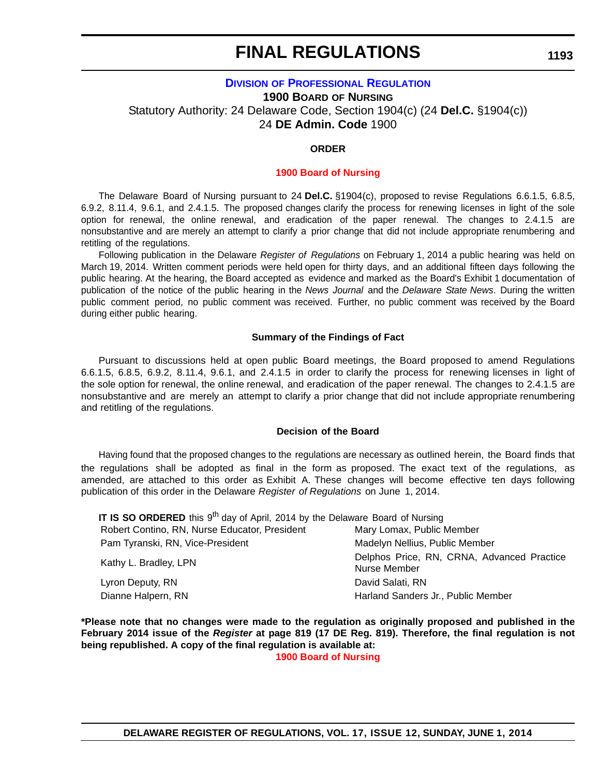## **DIVISION [OF PROFESSIONAL REGULATION](http://dpr.delaware.gov/) 1900 BOARD OF NURSING** Statutory Authority: 24 Delaware Code, Section 1904(c) (24 **Del.C.** §1904(c)) 24 **DE Admin. Code** 1900

## **ORDER**

### **[1900 Board of Nursing](#page-4-0)**

The Delaware Board of Nursing pursuant to 24 **Del.C.** §1904(c), proposed to revise Regulations 6.6.1.5, 6.8.5, 6.9.2, 8.11.4, 9.6.1, and 2.4.1.5. The proposed changes clarify the process for renewing licenses in light of the sole option for renewal, the online renewal, and eradication of the paper renewal. The changes to 2.4.1.5 are nonsubstantive and are merely an attempt to clarify a prior change that did not include appropriate renumbering and retitling of the regulations.

Following publication in the Delaware *Register of Regulations* on February 1, 2014 a public hearing was held on March 19, 2014. Written comment periods were held open for thirty days, and an additional fifteen days following the public hearing. At the hearing, the Board accepted as evidence and marked as the Board's Exhibit 1 documentation of publication of the notice of the public hearing in the *News Journal* and the *Delaware State News*. During the written public comment period, no public comment was received. Further, no public comment was received by the Board during either public hearing.

### **Summary of the Findings of Fact**

Pursuant to discussions held at open public Board meetings, the Board proposed to amend Regulations 6.6.1.5, 6.8.5, 6.9.2, 8.11.4, 9.6.1, and 2.4.1.5 in order to clarify the process for renewing licenses in light of the sole option for renewal, the online renewal, and eradication of the paper renewal. The changes to 2.4.1.5 are nonsubstantive and are merely an attempt to clarify a prior change that did not include appropriate renumbering and retitling of the regulations.

## **Decision of the Board**

Having found that the proposed changes to the regulations are necessary as outlined herein, the Board finds that the regulations shall be adopted as final in the form as proposed. The exact text of the regulations, as amended, are attached to this order as Exhibit A. These changes will become effective ten days following publication of this order in the Delaware *Register of Regulations* on June 1, 2014.

| IT IS SO ORDERED this 9 <sup>th</sup> day of April, 2014 by the Delaware Board of Nursing |                                                            |  |
|-------------------------------------------------------------------------------------------|------------------------------------------------------------|--|
| Robert Contino, RN, Nurse Educator, President                                             | Mary Lomax, Public Member                                  |  |
| Pam Tyranski, RN, Vice-President                                                          | Madelyn Nellius, Public Member                             |  |
| Kathy L. Bradley, LPN                                                                     | Delphos Price, RN, CRNA, Advanced Practice<br>Nurse Member |  |
| Lyron Deputy, RN                                                                          | David Salati, RN                                           |  |
| Dianne Halpern, RN                                                                        | Harland Sanders Jr., Public Member                         |  |

**\*Please note that no changes were made to the regulation as originally proposed and published in the February 2014 issue of the** *Register* **at page 819 (17 DE Reg. 819). Therefore, the final regulation is not being republished. A copy of the final regulation is available at:**

**[1900 Board of Nursing](http://regulations.delaware.gov/register/june2014/final/17 DE Reg 1193 06-01-14.htm)**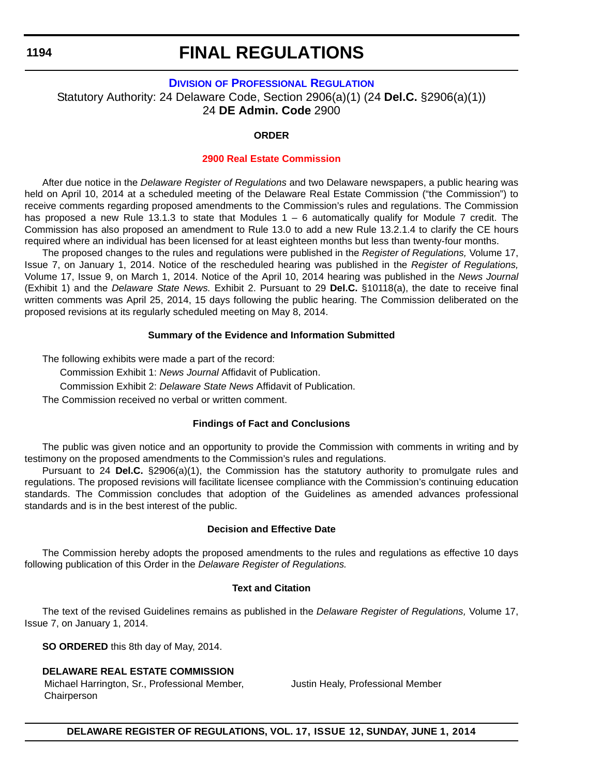# **FINAL REGULATIONS**

## **DIVISION [OF PROFESSIONAL REGULATION](http://dpr.delaware.gov/)**

Statutory Authority: 24 Delaware Code, Section 2906(a)(1) (24 **Del.C.** §2906(a)(1)) 24 **DE Admin. Code** 2900

## **ORDER**

## **[2900 Real Estate Commission](#page-4-0)**

After due notice in the *Delaware Register of Regulations* and two Delaware newspapers, a public hearing was held on April 10, 2014 at a scheduled meeting of the Delaware Real Estate Commission ("the Commission") to receive comments regarding proposed amendments to the Commission's rules and regulations. The Commission has proposed a new Rule 13.1.3 to state that Modules 1 – 6 automatically qualify for Module 7 credit. The Commission has also proposed an amendment to Rule 13.0 to add a new Rule 13.2.1.4 to clarify the CE hours required where an individual has been licensed for at least eighteen months but less than twenty-four months.

The proposed changes to the rules and regulations were published in the *Register of Regulations,* Volume 17, Issue 7, on January 1, 2014. Notice of the rescheduled hearing was published in the *Register of Regulations,* Volume 17, Issue 9, on March 1, 2014. Notice of the April 10, 2014 hearing was published in the *News Journal* (Exhibit 1) and the *Delaware State News.* Exhibit 2. Pursuant to 29 **Del.C.** §10118(a), the date to receive final written comments was April 25, 2014, 15 days following the public hearing. The Commission deliberated on the proposed revisions at its regularly scheduled meeting on May 8, 2014.

## **Summary of the Evidence and Information Submitted**

The following exhibits were made a part of the record:

Commission Exhibit 1: *News Journal* Affidavit of Publication.

Commission Exhibit 2: *Delaware State News* Affidavit of Publication.

The Commission received no verbal or written comment.

## **Findings of Fact and Conclusions**

The public was given notice and an opportunity to provide the Commission with comments in writing and by testimony on the proposed amendments to the Commission's rules and regulations.

Pursuant to 24 **Del.C.** §2906(a)(1), the Commission has the statutory authority to promulgate rules and regulations. The proposed revisions will facilitate licensee compliance with the Commission's continuing education standards. The Commission concludes that adoption of the Guidelines as amended advances professional standards and is in the best interest of the public.

## **Decision and Effective Date**

The Commission hereby adopts the proposed amendments to the rules and regulations as effective 10 days following publication of this Order in the *Delaware Register of Regulations.*

### **Text and Citation**

The text of the revised Guidelines remains as published in the *Delaware Register of Regulations,* Volume 17, Issue 7, on January 1, 2014.

**SO ORDERED** this 8th day of May, 2014.

## **DELAWARE REAL ESTATE COMMISSION**

Michael Harrington, Sr., Professional Member, Chairperson

Justin Healy, Professional Member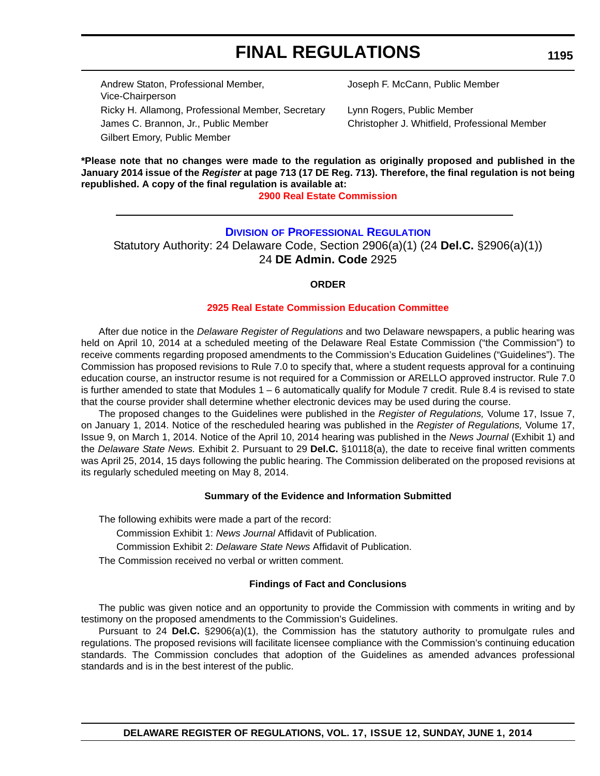Andrew Staton, Professional Member, Vice-Chairperson Ricky H. Allamong, Professional Member, Secretary Lynn Rogers, Public Member James C. Brannon, Jr., Public Member Christopher J. Whitfield, Professional Member Gilbert Emory, Public Member

Joseph F. McCann, Public Member

**\*Please note that no changes were made to the regulation as originally proposed and published in the January 2014 issue of the** *Register* **at page 713 (17 DE Reg. 713). Therefore, the final regulation is not being republished. A copy of the final regulation is available at:**

### **[2900 Real Estate Commission](http://regulations.delaware.gov/register/june2014/final/17 DE Reg 1194 06-01-14.htm)**

## **DIVISION [OF PROFESSIONAL REGULATION](http://dpr.delaware.gov/)**

Statutory Authority: 24 Delaware Code, Section 2906(a)(1) (24 **Del.C.** §2906(a)(1)) 24 **DE Admin. Code** 2925

#### **ORDER**

#### **[2925 Real Estate Commission Education Committee](#page-4-0)**

After due notice in the *Delaware Register of Regulations* and two Delaware newspapers, a public hearing was held on April 10, 2014 at a scheduled meeting of the Delaware Real Estate Commission ("the Commission") to receive comments regarding proposed amendments to the Commission's Education Guidelines ("Guidelines"). The Commission has proposed revisions to Rule 7.0 to specify that, where a student requests approval for a continuing education course, an instructor resume is not required for a Commission or ARELLO approved instructor. Rule 7.0 is further amended to state that Modules 1 – 6 automatically qualify for Module 7 credit. Rule 8.4 is revised to state that the course provider shall determine whether electronic devices may be used during the course.

The proposed changes to the Guidelines were published in the *Register of Regulations,* Volume 17, Issue 7, on January 1, 2014. Notice of the rescheduled hearing was published in the *Register of Regulations,* Volume 17, Issue 9, on March 1, 2014. Notice of the April 10, 2014 hearing was published in the *News Journal* (Exhibit 1) and the *Delaware State News.* Exhibit 2. Pursuant to 29 **Del.C.** §10118(a), the date to receive final written comments was April 25, 2014, 15 days following the public hearing. The Commission deliberated on the proposed revisions at its regularly scheduled meeting on May 8, 2014.

#### **Summary of the Evidence and Information Submitted**

The following exhibits were made a part of the record:

Commission Exhibit 1: *News Journal* Affidavit of Publication.

Commission Exhibit 2: *Delaware State News* Affidavit of Publication.

The Commission received no verbal or written comment.

#### **Findings of Fact and Conclusions**

The public was given notice and an opportunity to provide the Commission with comments in writing and by testimony on the proposed amendments to the Commission's Guidelines.

Pursuant to 24 **Del.C.** §2906(a)(1), the Commission has the statutory authority to promulgate rules and regulations. The proposed revisions will facilitate licensee compliance with the Commission's continuing education standards. The Commission concludes that adoption of the Guidelines as amended advances professional standards and is in the best interest of the public.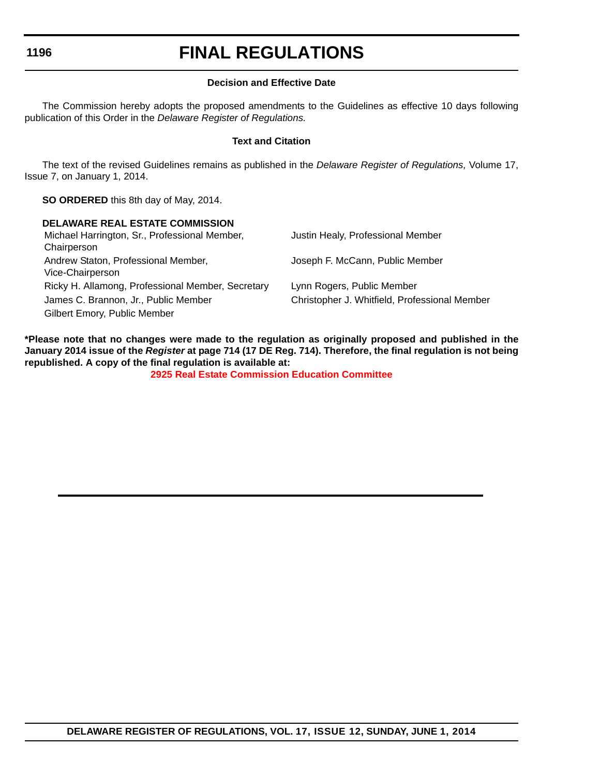# **FINAL REGULATIONS**

## **Decision and Effective Date**

The Commission hereby adopts the proposed amendments to the Guidelines as effective 10 days following publication of this Order in the *Delaware Register of Regulations.*

### **Text and Citation**

The text of the revised Guidelines remains as published in the *Delaware Register of Regulations,* Volume 17, Issue 7, on January 1, 2014.

**SO ORDERED** this 8th day of May, 2014.

## **DELAWARE REAL ESTATE COMMISSION**

| Michael Harrington, Sr., Professional Member,<br>Chairperson | Justin Healy, Professional Member             |
|--------------------------------------------------------------|-----------------------------------------------|
| Andrew Staton, Professional Member,<br>Vice-Chairperson      | Joseph F. McCann, Public Member               |
| Ricky H. Allamong, Professional Member, Secretary            | Lynn Rogers, Public Member                    |
| James C. Brannon, Jr., Public Member                         | Christopher J. Whitfield, Professional Member |
| Gilbert Emory, Public Member                                 |                                               |

**\*Please note that no changes were made to the regulation as originally proposed and published in the January 2014 issue of the** *Register* **at page 714 (17 DE Reg. 714). Therefore, the final regulation is not being republished. A copy of the final regulation is available at:**

**[2925 Real Estate Commission Education Committee](http://regulations.delaware.gov/register/june2014/final/17 DE Reg 1195 06-01-14.htm)**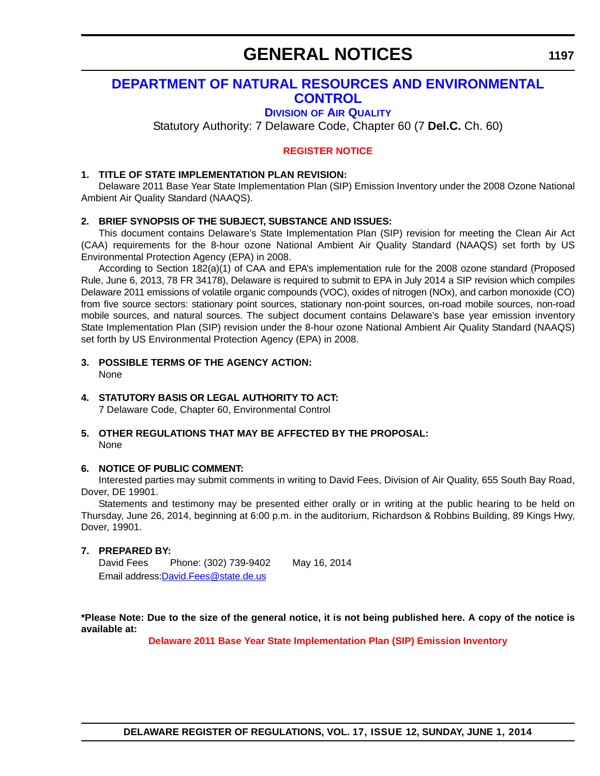# **GENERAL NOTICES**

## **[DEPARTMENT OF NATURAL RESOURCES AND ENVIRONMENTAL](http://www.dnrec.delaware.gov/air/Pages/Default.aspx)  CONTROL**

## **DIVISION OF AIR QUALITY**

Statutory Authority: 7 Delaware Code, Chapter 60 (7 **Del.C.** Ch. 60)

## **[REGISTER NOTICE](#page-4-0)**

## **1. TITLE OF STATE IMPLEMENTATION PLAN REVISION:**

Delaware 2011 Base Year State Implementation Plan (SIP) Emission Inventory under the 2008 Ozone National Ambient Air Quality Standard (NAAQS).

## **2. BRIEF SYNOPSIS OF THE SUBJECT, SUBSTANCE AND ISSUES:**

This document contains Delaware's State Implementation Plan (SIP) revision for meeting the Clean Air Act (CAA) requirements for the 8-hour ozone National Ambient Air Quality Standard (NAAQS) set forth by US Environmental Protection Agency (EPA) in 2008.

According to Section 182(a)(1) of CAA and EPA's implementation rule for the 2008 ozone standard (Proposed Rule, June 6, 2013, 78 FR 34178), Delaware is required to submit to EPA in July 2014 a SIP revision which compiles Delaware 2011 emissions of volatile organic compounds (VOC), oxides of nitrogen (NOx), and carbon monoxide (CO) from five source sectors: stationary point sources, stationary non-point sources, on-road mobile sources, non-road mobile sources, and natural sources. The subject document contains Delaware's base year emission inventory State Implementation Plan (SIP) revision under the 8-hour ozone National Ambient Air Quality Standard (NAAQS) set forth by US Environmental Protection Agency (EPA) in 2008.

#### **3. POSSIBLE TERMS OF THE AGENCY ACTION:** None

### **4. STATUTORY BASIS OR LEGAL AUTHORITY TO ACT:**

7 Delaware Code, Chapter 60, Environmental Control

### **5. OTHER REGULATIONS THAT MAY BE AFFECTED BY THE PROPOSAL:** None

### **6. NOTICE OF PUBLIC COMMENT:**

Interested parties may submit comments in writing to David Fees, Division of Air Quality, 655 South Bay Road, Dover, DE 19901.

Statements and testimony may be presented either orally or in writing at the public hearing to be held on Thursday, June 26, 2014, beginning at 6:00 p.m. in the auditorium, Richardson & Robbins Building, 89 Kings Hwy, Dover, 19901.

## **7. PREPARED BY:**

David Fees Phone: (302) 739-9402 May 16, 2014 [Email address:D](mailto:Dvid.Fees@state.de.us)avid.Fees@state.de.us

**\*Please Note: Due to the size of the general notice, it is not being published here. A copy of the notice is available at:**

**[Delaware 2011 Base Year State Implementation Plan \(SIP\) Emission Inventory](http://regulations.delaware.gov/register/june2014/general/17 DE Reg 1197 06-01-14.htm)**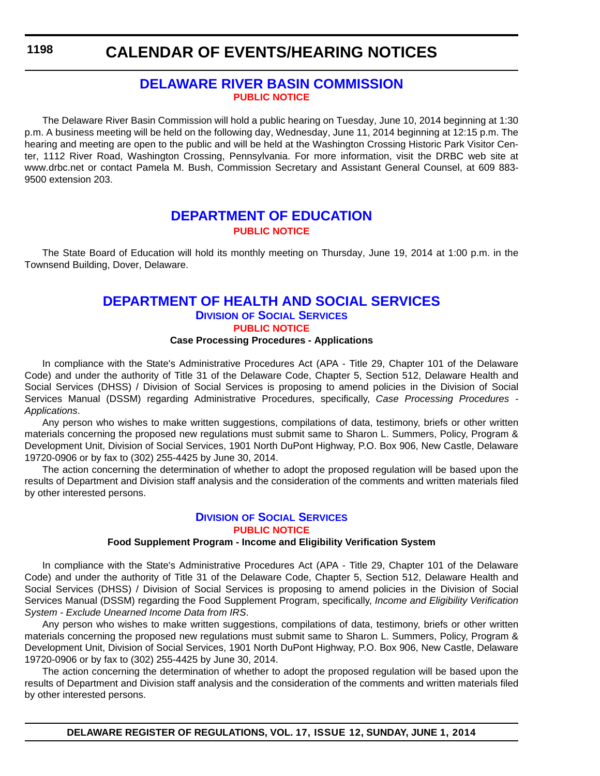## **CALENDAR OF EVENTS/HEARING NOTICES**

## **[DELAWARE RIVER BASIN COMMISSION](http://www.state.nj.us/drbc/) [PUBLIC NOTICE](#page-4-0)**

The Delaware River Basin Commission will hold a public hearing on Tuesday, June 10, 2014 beginning at 1:30 p.m. A business meeting will be held on the following day, Wednesday, June 11, 2014 beginning at 12:15 p.m. The hearing and meeting are open to the public and will be held at the Washington Crossing Historic Park Visitor Center, 1112 River Road, Washington Crossing, Pennsylvania. For more information, visit the DRBC web site at www.drbc.net or contact Pamela M. Bush, Commission Secretary and Assistant General Counsel, at 609 883- 9500 extension 203.

## **[DEPARTMENT OF EDUCATION](http://www.doe.k12.de.us/) [PUBLIC NOTICE](#page-4-0)**

The State Board of Education will hold its monthly meeting on Thursday, June 19, 2014 at 1:00 p.m. in the Townsend Building, Dover, Delaware.

## **[DEPARTMENT OF HEALTH AND SOCIAL SERVICES](http://www.dhss.delaware.gov/dhss/dss/) DIVISION OF SOCIAL SERVICES [PUBLIC NOTICE](#page-4-0)**

## **Case Processing Procedures - Applications**

In compliance with the State's Administrative Procedures Act (APA - Title 29, Chapter 101 of the Delaware Code) and under the authority of Title 31 of the Delaware Code, Chapter 5, Section 512, Delaware Health and Social Services (DHSS) / Division of Social Services is proposing to amend policies in the Division of Social Services Manual (DSSM) regarding Administrative Procedures, specifically, *Case Processing Procedures - Applications*.

Any person who wishes to make written suggestions, compilations of data, testimony, briefs or other written materials concerning the proposed new regulations must submit same to Sharon L. Summers, Policy, Program & Development Unit, Division of Social Services, 1901 North DuPont Highway, P.O. Box 906, New Castle, Delaware 19720-0906 or by fax to (302) 255-4425 by June 30, 2014.

The action concerning the determination of whether to adopt the proposed regulation will be based upon the results of Department and Division staff analysis and the consideration of the comments and written materials filed by other interested persons.

### **DIVISION [OF SOCIAL SERVICES](http://www.dhss.delaware.gov/dhss/dss/) [PUBLIC NOTICE](#page-4-0)**

## **Food Supplement Program - Income and Eligibility Verification System**

In compliance with the State's Administrative Procedures Act (APA - Title 29, Chapter 101 of the Delaware Code) and under the authority of Title 31 of the Delaware Code, Chapter 5, Section 512, Delaware Health and Social Services (DHSS) / Division of Social Services is proposing to amend policies in the Division of Social Services Manual (DSSM) regarding the Food Supplement Program, specifically, *Income and Eligibility Verification System - Exclude Unearned Income Data from IRS*.

Any person who wishes to make written suggestions, compilations of data, testimony, briefs or other written materials concerning the proposed new regulations must submit same to Sharon L. Summers, Policy, Program & Development Unit, Division of Social Services, 1901 North DuPont Highway, P.O. Box 906, New Castle, Delaware 19720-0906 or by fax to (302) 255-4425 by June 30, 2014.

The action concerning the determination of whether to adopt the proposed regulation will be based upon the results of Department and Division staff analysis and the consideration of the comments and written materials filed by other interested persons.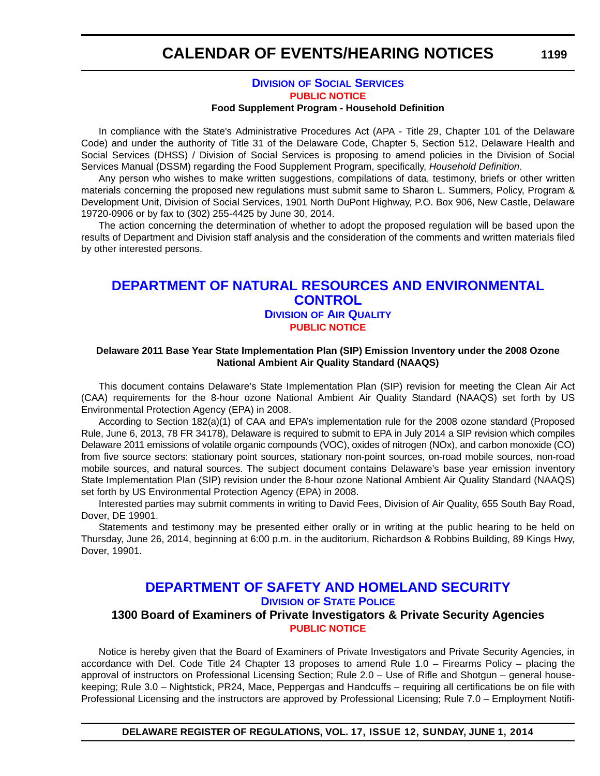## **DIVISION [OF SOCIAL SERVICES](http://www.dhss.delaware.gov/dhss/dss/) [PUBLIC NOTICE](#page-4-0) Food Supplement Program - Household Definition**

In compliance with the State's Administrative Procedures Act (APA - Title 29, Chapter 101 of the Delaware Code) and under the authority of Title 31 of the Delaware Code, Chapter 5, Section 512, Delaware Health and Social Services (DHSS) / Division of Social Services is proposing to amend policies in the Division of Social Services Manual (DSSM) regarding the Food Supplement Program, specifically, *Household Definition*.

Any person who wishes to make written suggestions, compilations of data, testimony, briefs or other written materials concerning the proposed new regulations must submit same to Sharon L. Summers, Policy, Program & Development Unit, Division of Social Services, 1901 North DuPont Highway, P.O. Box 906, New Castle, Delaware 19720-0906 or by fax to (302) 255-4425 by June 30, 2014.

The action concerning the determination of whether to adopt the proposed regulation will be based upon the results of Department and Division staff analysis and the consideration of the comments and written materials filed by other interested persons.

## **[DEPARTMENT OF NATURAL RESOURCES AND ENVIRONMENTAL](http://www.dnrec.delaware.gov/air/Pages/Default.aspx)  CONTROL DIVISION OF AIR QUALITY [PUBLIC NOTICE](#page-4-0)**

## **Delaware 2011 Base Year State Implementation Plan (SIP) Emission Inventory under the 2008 Ozone National Ambient Air Quality Standard (NAAQS)**

This document contains Delaware's State Implementation Plan (SIP) revision for meeting the Clean Air Act (CAA) requirements for the 8-hour ozone National Ambient Air Quality Standard (NAAQS) set forth by US Environmental Protection Agency (EPA) in 2008.

According to Section 182(a)(1) of CAA and EPA's implementation rule for the 2008 ozone standard (Proposed Rule, June 6, 2013, 78 FR 34178), Delaware is required to submit to EPA in July 2014 a SIP revision which compiles Delaware 2011 emissions of volatile organic compounds (VOC), oxides of nitrogen (NOx), and carbon monoxide (CO) from five source sectors: stationary point sources, stationary non-point sources, on-road mobile sources, non-road mobile sources, and natural sources. The subject document contains Delaware's base year emission inventory State Implementation Plan (SIP) revision under the 8-hour ozone National Ambient Air Quality Standard (NAAQS) set forth by US Environmental Protection Agency (EPA) in 2008.

Interested parties may submit comments in writing to David Fees, Division of Air Quality, 655 South Bay Road, Dover, DE 19901.

Statements and testimony may be presented either orally or in writing at the public hearing to be held on Thursday, June 26, 2014, beginning at 6:00 p.m. in the auditorium, Richardson & Robbins Building, 89 Kings Hwy, Dover, 19901.

## **[DEPARTMENT OF SAFETY AND HOMELAND SECURITY](http://dsp.delaware.gov/) DIVISION OF STATE POLICE**

## **1300 Board of Examiners of Private Investigators & Private Security Agencies [PUBLIC NOTICE](#page-4-0)**

Notice is hereby given that the Board of Examiners of Private Investigators and Private Security Agencies, in accordance with Del. Code Title 24 Chapter 13 proposes to amend Rule 1.0 – Firearms Policy – placing the approval of instructors on Professional Licensing Section; Rule 2.0 – Use of Rifle and Shotgun – general housekeeping; Rule 3.0 – Nightstick, PR24, Mace, Peppergas and Handcuffs – requiring all certifications be on file with Professional Licensing and the instructors are approved by Professional Licensing; Rule 7.0 – Employment Notifi-

**DELAWARE REGISTER OF REGULATIONS, VOL. 17, ISSUE 12, SUNDAY, JUNE 1, 2014**

**1199**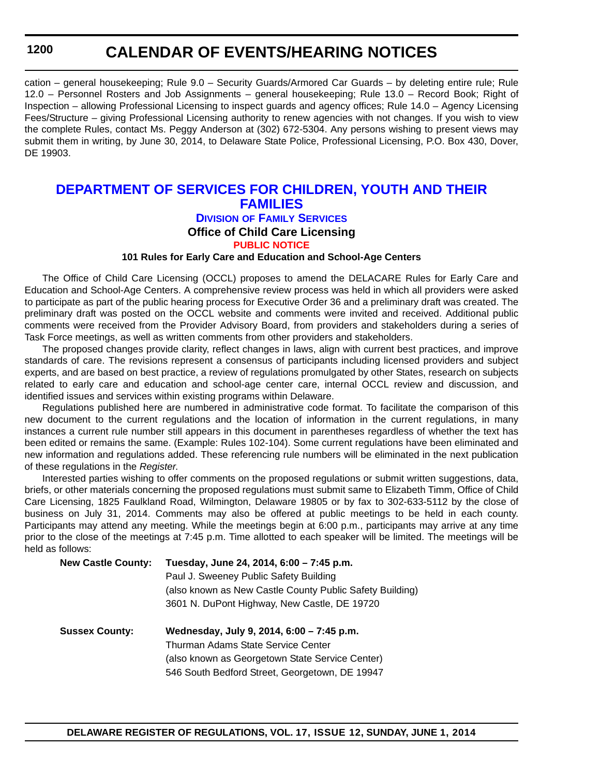## **CALENDAR OF EVENTS/HEARING NOTICES**

cation – general housekeeping; Rule 9.0 – Security Guards/Armored Car Guards – by deleting entire rule; Rule 12.0 – Personnel Rosters and Job Assignments – general housekeeping; Rule 13.0 – Record Book; Right of Inspection – allowing Professional Licensing to inspect guards and agency offices; Rule 14.0 – Agency Licensing Fees/Structure – giving Professional Licensing authority to renew agencies with not changes. If you wish to view the complete Rules, contact Ms. Peggy Anderson at (302) 672-5304. Any persons wishing to present views may submit them in writing, by June 30, 2014, to Delaware State Police, Professional Licensing, P.O. Box 430, Dover, DE 19903.

## **[DEPARTMENT OF SERVICES FOR CHILDREN, YOUTH AND THEIR](http://kids.delaware.gov/fs/fs.shtml)  FAMILIES**

## **DIVISION OF FAMILY SERVICES**

## **Office of Child Care Licensing**

## **[PUBLIC NOTICE](#page-4-0)**

## **101 Rules for Early Care and Education and School-Age Centers**

The Office of Child Care Licensing (OCCL) proposes to amend the DELACARE Rules for Early Care and Education and School-Age Centers. A comprehensive review process was held in which all providers were asked to participate as part of the public hearing process for Executive Order 36 and a preliminary draft was created. The preliminary draft was posted on the OCCL website and comments were invited and received. Additional public comments were received from the Provider Advisory Board, from providers and stakeholders during a series of Task Force meetings, as well as written comments from other providers and stakeholders.

The proposed changes provide clarity, reflect changes in laws, align with current best practices, and improve standards of care. The revisions represent a consensus of participants including licensed providers and subject experts, and are based on best practice, a review of regulations promulgated by other States, research on subjects related to early care and education and school-age center care, internal OCCL review and discussion, and identified issues and services within existing programs within Delaware.

Regulations published here are numbered in administrative code format. To facilitate the comparison of this new document to the current regulations and the location of information in the current regulations, in many instances a current rule number still appears in this document in parentheses regardless of whether the text has been edited or remains the same. (Example: Rules 102-104). Some current regulations have been eliminated and new information and regulations added. These referencing rule numbers will be eliminated in the next publication of these regulations in the *Register*.

Interested parties wishing to offer comments on the proposed regulations or submit written suggestions, data, briefs, or other materials concerning the proposed regulations must submit same to Elizabeth Timm, Office of Child Care Licensing, 1825 Faulkland Road, Wilmington, Delaware 19805 or by fax to 302-633-5112 by the close of business on July 31, 2014. Comments may also be offered at public meetings to be held in each county. Participants may attend any meeting. While the meetings begin at 6:00 p.m., participants may arrive at any time prior to the close of the meetings at 7:45 p.m. Time allotted to each speaker will be limited. The meetings will be held as follows:

| <b>New Castle County:</b> | Tuesday, June 24, 2014, 6:00 - 7:45 p.m.                 |  |
|---------------------------|----------------------------------------------------------|--|
|                           | Paul J. Sweeney Public Safety Building                   |  |
|                           | (also known as New Castle County Public Safety Building) |  |
|                           | 3601 N. DuPont Highway, New Castle, DE 19720             |  |
| <b>Sussex County:</b>     | Wednesday, July 9, 2014, 6:00 - 7:45 p.m.                |  |
|                           | Thurman Adams State Service Center                       |  |
|                           |                                                          |  |
|                           | (also known as Georgetown State Service Center)          |  |
|                           | 546 South Bedford Street, Georgetown, DE 19947           |  |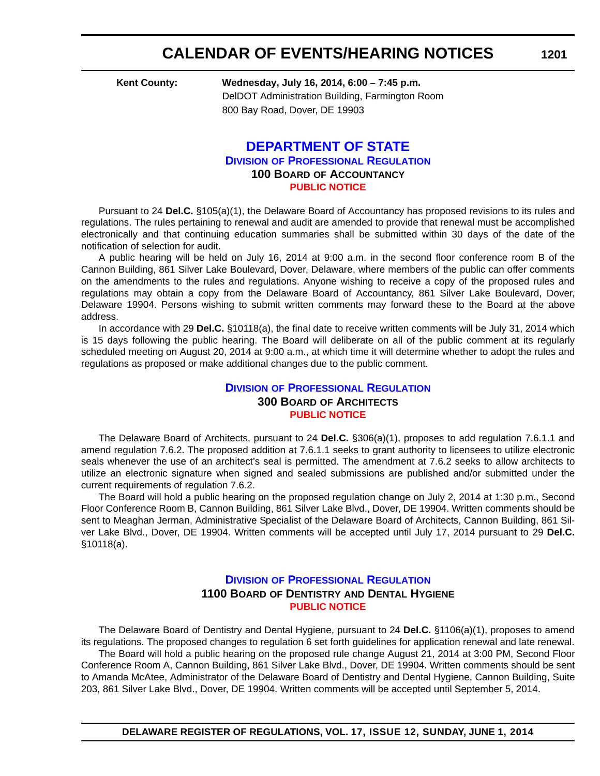**Kent County: Wednesday, July 16, 2014, 6:00 – 7:45 p.m.** DelDOT Administration Building, Farmington Room 800 Bay Road, Dover, DE 19903

## **[DEPARTMENT OF STATE](http://dpr.delaware.gov/) DIVISION OF PROFESSIONAL REGULATION 100 BOARD OF ACCOUNTANCY [PUBLIC NOTICE](#page-4-0)**

Pursuant to 24 **Del.C.** §105(a)(1), the Delaware Board of Accountancy has proposed revisions to its rules and regulations. The rules pertaining to renewal and audit are amended to provide that renewal must be accomplished electronically and that continuing education summaries shall be submitted within 30 days of the date of the notification of selection for audit.

A public hearing will be held on July 16, 2014 at 9:00 a.m. in the second floor conference room B of the Cannon Building, 861 Silver Lake Boulevard, Dover, Delaware, where members of the public can offer comments on the amendments to the rules and regulations. Anyone wishing to receive a copy of the proposed rules and regulations may obtain a copy from the Delaware Board of Accountancy, 861 Silver Lake Boulevard, Dover, Delaware 19904. Persons wishing to submit written comments may forward these to the Board at the above address.

In accordance with 29 **Del.C.** §10118(a), the final date to receive written comments will be July 31, 2014 which is 15 days following the public hearing. The Board will deliberate on all of the public comment at its regularly scheduled meeting on August 20, 2014 at 9:00 a.m., at which time it will determine whether to adopt the rules and regulations as proposed or make additional changes due to the public comment.

## **DIVISION [OF PROFESSIONAL REGULATION](http://dpr.delaware.gov/) 300 BOARD OF ARCHITECTS [PUBLIC NOTICE](#page-4-0)**

The Delaware Board of Architects, pursuant to 24 **Del.C.** §306(a)(1), proposes to add regulation 7.6.1.1 and amend regulation 7.6.2. The proposed addition at 7.6.1.1 seeks to grant authority to licensees to utilize electronic seals whenever the use of an architect's seal is permitted. The amendment at 7.6.2 seeks to allow architects to utilize an electronic signature when signed and sealed submissions are published and/or submitted under the current requirements of regulation 7.6.2.

The Board will hold a public hearing on the proposed regulation change on July 2, 2014 at 1:30 p.m., Second Floor Conference Room B, Cannon Building, 861 Silver Lake Blvd., Dover, DE 19904. Written comments should be sent to Meaghan Jerman, Administrative Specialist of the Delaware Board of Architects, Cannon Building, 861 Silver Lake Blvd., Dover, DE 19904. Written comments will be accepted until July 17, 2014 pursuant to 29 **Del.C.** §10118(a).

## **DIVISION [OF PROFESSIONAL REGULATION](http://dpr.delaware.gov/) 1100 BOARD OF DENTISTRY AND DENTAL HYGIENE [PUBLIC NOTICE](#page-4-0)**

The Delaware Board of Dentistry and Dental Hygiene, pursuant to 24 **Del.C.** §1106(a)(1), proposes to amend its regulations. The proposed changes to regulation 6 set forth guidelines for application renewal and late renewal. The Board will hold a public hearing on the proposed rule change August 21, 2014 at 3:00 PM, Second Floor Conference Room A, Cannon Building, 861 Silver Lake Blvd., Dover, DE 19904. Written comments should be sent to Amanda McAtee, Administrator of the Delaware Board of Dentistry and Dental Hygiene, Cannon Building, Suite 203, 861 Silver Lake Blvd., Dover, DE 19904. Written comments will be accepted until September 5, 2014.

**1201**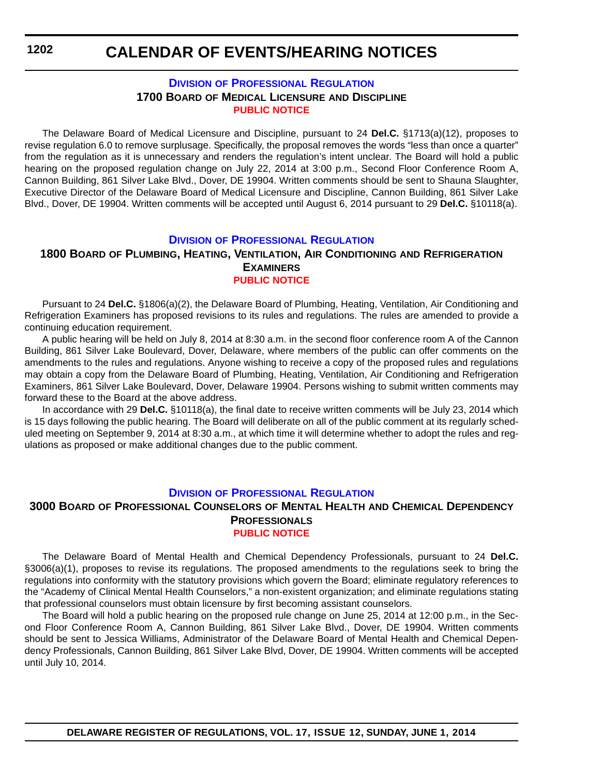## **DIVISION [OF PROFESSIONAL REGULATION](http://dpr.delaware.gov/) 1700 BOARD OF MEDICAL LICENSURE AND DISCIPLINE [PUBLIC NOTICE](#page-4-0)**

The Delaware Board of Medical Licensure and Discipline, pursuant to 24 **Del.C.** §1713(a)(12), proposes to revise regulation 6.0 to remove surplusage. Specifically, the proposal removes the words "less than once a quarter" from the regulation as it is unnecessary and renders the regulation's intent unclear. The Board will hold a public hearing on the proposed regulation change on July 22, 2014 at 3:00 p.m., Second Floor Conference Room A, Cannon Building, 861 Silver Lake Blvd., Dover, DE 19904. Written comments should be sent to Shauna Slaughter, Executive Director of the Delaware Board of Medical Licensure and Discipline, Cannon Building, 861 Silver Lake Blvd., Dover, DE 19904. Written comments will be accepted until August 6, 2014 pursuant to 29 **Del.C.** §10118(a).

## **DIVISION [OF PROFESSIONAL REGULATION](http://dpr.delaware.gov/)**

## **1800 BOARD OF PLUMBING, HEATING, VENTILATION, AIR CONDITIONING AND REFRIGERATION EXAMINERS**

## **[PUBLIC NOTICE](#page-4-0)**

Pursuant to 24 **Del.C.** §1806(a)(2), the Delaware Board of Plumbing, Heating, Ventilation, Air Conditioning and Refrigeration Examiners has proposed revisions to its rules and regulations. The rules are amended to provide a continuing education requirement.

A public hearing will be held on July 8, 2014 at 8:30 a.m. in the second floor conference room A of the Cannon Building, 861 Silver Lake Boulevard, Dover, Delaware, where members of the public can offer comments on the amendments to the rules and regulations. Anyone wishing to receive a copy of the proposed rules and regulations may obtain a copy from the Delaware Board of Plumbing, Heating, Ventilation, Air Conditioning and Refrigeration Examiners, 861 Silver Lake Boulevard, Dover, Delaware 19904. Persons wishing to submit written comments may forward these to the Board at the above address.

In accordance with 29 **Del.C.** §10118(a), the final date to receive written comments will be July 23, 2014 which is 15 days following the public hearing. The Board will deliberate on all of the public comment at its regularly scheduled meeting on September 9, 2014 at 8:30 a.m., at which time it will determine whether to adopt the rules and regulations as proposed or make additional changes due to the public comment.

## **DIVISION [OF PROFESSIONAL REGULATION](http://dpr.delaware.gov/)**

## **3000 BOARD OF PROFESSIONAL COUNSELORS OF MENTAL HEALTH AND CHEMICAL DEPENDENCY PROFESSIONALS [PUBLIC NOTICE](#page-4-0)**

The Delaware Board of Mental Health and Chemical Dependency Professionals, pursuant to 24 **Del.C.** §3006(a)(1), proposes to revise its regulations. The proposed amendments to the regulations seek to bring the regulations into conformity with the statutory provisions which govern the Board; eliminate regulatory references to the "Academy of Clinical Mental Health Counselors," a non-existent organization; and eliminate regulations stating that professional counselors must obtain licensure by first becoming assistant counselors.

The Board will hold a public hearing on the proposed rule change on June 25, 2014 at 12:00 p.m., in the Second Floor Conference Room A, Cannon Building, 861 Silver Lake Blvd., Dover, DE 19904. Written comments should be sent to Jessica Williams, Administrator of the Delaware Board of Mental Health and Chemical Dependency Professionals, Cannon Building, 861 Silver Lake Blvd, Dover, DE 19904. Written comments will be accepted until July 10, 2014.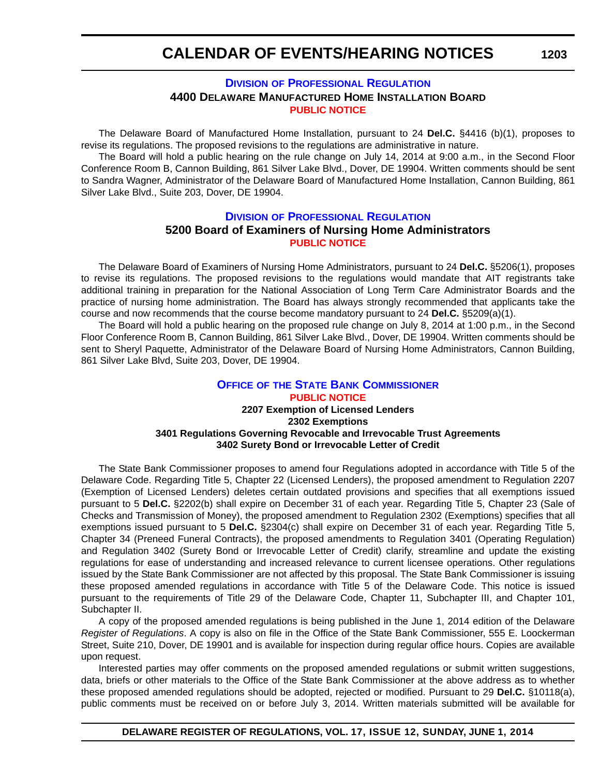## **DIVISION [OF PROFESSIONAL REGULATION](http://dpr.delaware.gov/) 4400 DELAWARE MANUFACTURED HOME INSTALLATION BOARD [PUBLIC NOTICE](#page-4-0)**

The Delaware Board of Manufactured Home Installation, pursuant to 24 **Del.C.** §4416 (b)(1), proposes to revise its regulations. The proposed revisions to the regulations are administrative in nature.

The Board will hold a public hearing on the rule change on July 14, 2014 at 9:00 a.m., in the Second Floor Conference Room B, Cannon Building, 861 Silver Lake Blvd., Dover, DE 19904. Written comments should be sent to Sandra Wagner, Administrator of the Delaware Board of Manufactured Home Installation, Cannon Building, 861 Silver Lake Blvd., Suite 203, Dover, DE 19904.

## **DIVISION [OF PROFESSIONAL REGULATION](http://dpr.delaware.gov/) 5200 Board of Examiners of Nursing Home Administrators [PUBLIC NOTICE](#page-4-0)**

The Delaware Board of Examiners of Nursing Home Administrators, pursuant to 24 **Del.C.** §5206(1), proposes to revise its regulations. The proposed revisions to the regulations would mandate that AIT registrants take additional training in preparation for the National Association of Long Term Care Administrator Boards and the practice of nursing home administration. The Board has always strongly recommended that applicants take the course and now recommends that the course become mandatory pursuant to 24 **Del.C.** §5209(a)(1).

The Board will hold a public hearing on the proposed rule change on July 8, 2014 at 1:00 p.m., in the Second Floor Conference Room B, Cannon Building, 861 Silver Lake Blvd., Dover, DE 19904. Written comments should be sent to Sheryl Paquette, Administrator of the Delaware Board of Nursing Home Administrators, Cannon Building, 861 Silver Lake Blvd, Suite 203, Dover, DE 19904.

## **OFFICE OF [THE STATE BANK COMMISSIONER](http://banking.delaware.gov/) [PUBLIC NOTICE](#page-4-0) 2207 Exemption of Licensed Lenders 2302 Exemptions 3401 Regulations Governing Revocable and Irrevocable Trust Agreements 3402 Surety Bond or Irrevocable Letter of Credit**

The State Bank Commissioner proposes to amend four Regulations adopted in accordance with Title 5 of the Delaware Code. Regarding Title 5, Chapter 22 (Licensed Lenders), the proposed amendment to Regulation 2207 (Exemption of Licensed Lenders) deletes certain outdated provisions and specifies that all exemptions issued pursuant to 5 **Del.C.** §2202(b) shall expire on December 31 of each year. Regarding Title 5, Chapter 23 (Sale of Checks and Transmission of Money), the proposed amendment to Regulation 2302 (Exemptions) specifies that all exemptions issued pursuant to 5 **Del.C.** §2304(c) shall expire on December 31 of each year. Regarding Title 5, Chapter 34 (Preneed Funeral Contracts), the proposed amendments to Regulation 3401 (Operating Regulation) and Regulation 3402 (Surety Bond or Irrevocable Letter of Credit) clarify, streamline and update the existing regulations for ease of understanding and increased relevance to current licensee operations. Other regulations issued by the State Bank Commissioner are not affected by this proposal. The State Bank Commissioner is issuing these proposed amended regulations in accordance with Title 5 of the Delaware Code. This notice is issued pursuant to the requirements of Title 29 of the Delaware Code, Chapter 11, Subchapter III, and Chapter 101, Subchapter II.

A copy of the proposed amended regulations is being published in the June 1, 2014 edition of the Delaware *Register of Regulations*. A copy is also on file in the Office of the State Bank Commissioner, 555 E. Loockerman Street, Suite 210, Dover, DE 19901 and is available for inspection during regular office hours. Copies are available upon request.

Interested parties may offer comments on the proposed amended regulations or submit written suggestions, data, briefs or other materials to the Office of the State Bank Commissioner at the above address as to whether these proposed amended regulations should be adopted, rejected or modified. Pursuant to 29 **Del.C.** §10118(a), public comments must be received on or before July 3, 2014. Written materials submitted will be available for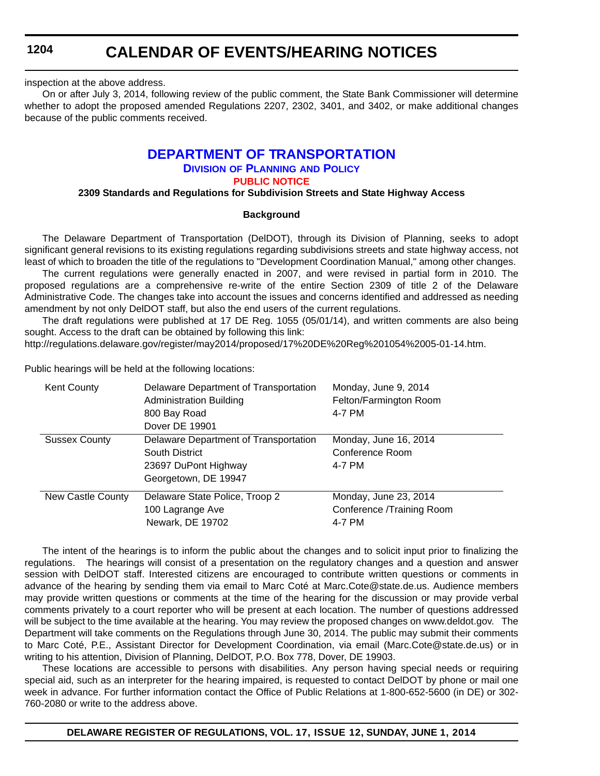## **CALENDAR OF EVENTS/HEARING NOTICES**

inspection at the above address.

On or after July 3, 2014, following review of the public comment, the State Bank Commissioner will determine whether to adopt the proposed amended Regulations 2207, 2302, 3401, and 3402, or make additional changes because of the public comments received.

## **[DEPARTMENT OF TRANSPORTATION](http://www.deldot.gov/index.shtml)**

#### **DIVISION OF PLANNING AND POLICY [PUBLIC NOTICE](#page-4-0)**

## **2309 Standards and Regulations for Subdivision Streets and State Highway Access**

## **Background**

The Delaware Department of Transportation (DelDOT), through its Division of Planning, seeks to adopt significant general revisions to its existing regulations regarding subdivisions streets and state highway access, not least of which to broaden the title of the regulations to "Development Coordination Manual," among other changes.

The current regulations were generally enacted in 2007, and were revised in partial form in 2010. The proposed regulations are a comprehensive re-write of the entire Section 2309 of title 2 of the Delaware Administrative Code. The changes take into account the issues and concerns identified and addressed as needing amendment by not only DelDOT staff, but also the end users of the current regulations.

The draft regulations were published at 17 DE Reg. 1055 (05/01/14), and written comments are also being sought. Access to the draft can be obtained by following this link:

http://regulations.delaware.gov/register/may2014/proposed/17%20DE%20Reg%201054%2005-01-14.htm.

Public hearings will be held at the following locations:

| <b>Kent County</b>   | Delaware Department of Transportation<br><b>Administration Building</b><br>800 Bay Road<br>Dover DE 19901 | Monday, June 9, 2014<br>Felton/Farmington Room<br>4-7 PM     |
|----------------------|-----------------------------------------------------------------------------------------------------------|--------------------------------------------------------------|
| <b>Sussex County</b> | Delaware Department of Transportation<br>South District<br>23697 DuPont Highway<br>Georgetown, DE 19947   | Monday, June 16, 2014<br>Conference Room<br>4-7 PM           |
| New Castle County    | Delaware State Police, Troop 2<br>100 Lagrange Ave<br>Newark, DE 19702                                    | Monday, June 23, 2014<br>Conference /Training Room<br>4-7 PM |

The intent of the hearings is to inform the public about the changes and to solicit input prior to finalizing the regulations. The hearings will consist of a presentation on the regulatory changes and a question and answer session with DelDOT staff. Interested citizens are encouraged to contribute written questions or comments in advance of the hearing by sending them via email to Marc Coté at Marc.Cote@state.de.us. Audience members may provide written questions or comments at the time of the hearing for the discussion or may provide verbal comments privately to a court reporter who will be present at each location. The number of questions addressed will be subject to the time available at the hearing. You may review the proposed changes on www.deldot.gov. The Department will take comments on the Regulations through June 30, 2014. The public may submit their comments to Marc Coté, P.E., Assistant Director for Development Coordination, via email (Marc.Cote@state.de.us) or in writing to his attention, Division of Planning, DelDOT, P.O. Box 778, Dover, DE 19903.

These locations are accessible to persons with disabilities. Any person having special needs or requiring special aid, such as an interpreter for the hearing impaired, is requested to contact DelDOT by phone or mail one week in advance. For further information contact the Office of Public Relations at 1-800-652-5600 (in DE) or 302- 760-2080 or write to the address above.

**DELAWARE REGISTER OF REGULATIONS, VOL. 17, ISSUE 12, SUNDAY, JUNE 1, 2014**